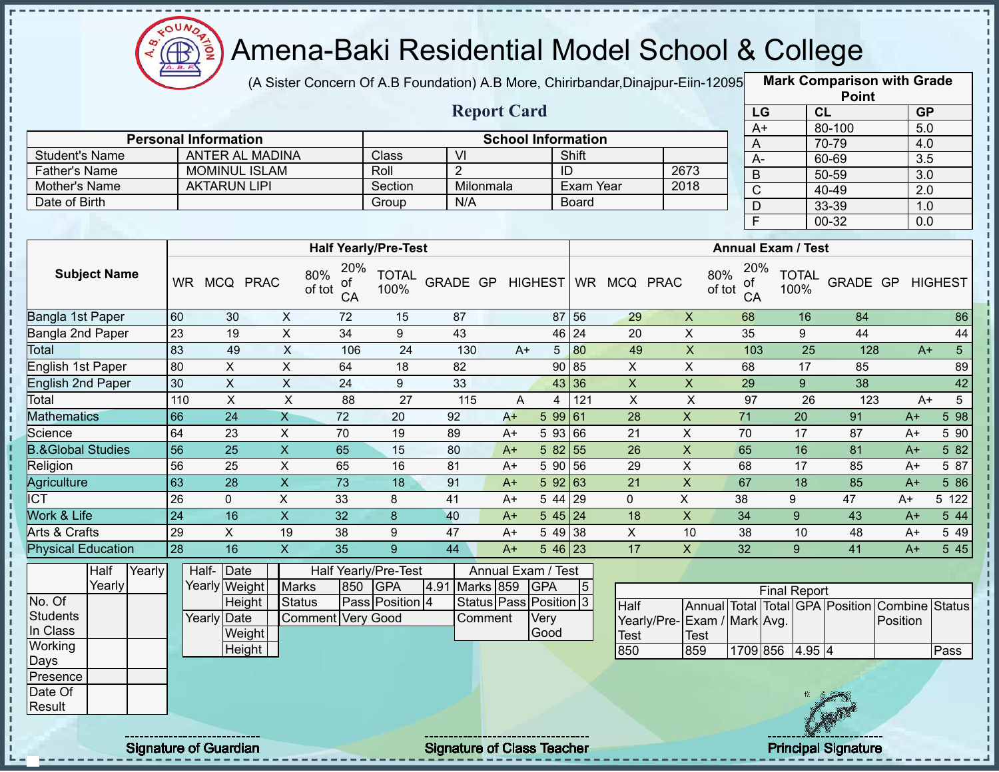

(A Sister Concern Of A.B Foundation) A.B More, Chirirbandar, Dinajpur-Eiin-12095

|                              |                 |                              |                           |                 |                             |                                   |      |                        |                                    |                |                             |                              |                           | <b>Point</b>                    |          |                         |
|------------------------------|-----------------|------------------------------|---------------------------|-----------------|-----------------------------|-----------------------------------|------|------------------------|------------------------------------|----------------|-----------------------------|------------------------------|---------------------------|---------------------------------|----------|-------------------------|
|                              |                 |                              |                           |                 |                             | <b>Report Card</b>                |      |                        |                                    |                |                             | LG                           |                           | CL                              |          | <b>GP</b>               |
|                              |                 | <b>Personal Information</b>  |                           |                 |                             |                                   |      |                        |                                    |                |                             | $A+$                         |                           | 80-100                          |          | $\overline{5.0}$        |
| <b>Student's Name</b>        |                 | <b>ANTER AL MADINA</b>       |                           |                 | Class                       | $\overline{\mathsf{M}}$           |      |                        | <b>School Information</b><br>Shift |                |                             | A                            |                           | 70-79                           |          | 4.0                     |
| <b>Father's Name</b>         |                 | <b>MOMINUL ISLAM</b>         |                           |                 | Roll                        | $\overline{2}$                    |      |                        | ID                                 |                | 2673                        | $\overline{A}$               |                           | 60-69                           |          | 3.5                     |
| Mother's Name                |                 | <b>AKTARUN LIPI</b>          |                           |                 | Section                     | Milonmala                         |      |                        | Exam Year                          |                | 2018                        | $\mathsf B$                  |                           | 50-59                           |          | $\overline{3.0}$        |
| Date of Birth                |                 |                              |                           |                 | Group                       | N/A                               |      |                        | <b>Board</b>                       |                |                             | $\overline{C}$               |                           | 40-49                           |          | $\overline{2.0}$        |
|                              |                 |                              |                           |                 |                             |                                   |      |                        |                                    |                |                             | D<br>$\overline{\mathsf{F}}$ |                           | 33-39                           |          | 1.0                     |
|                              |                 |                              |                           |                 |                             |                                   |      |                        |                                    |                |                             |                              |                           | $00 - 32$                       |          | 0.0                     |
|                              |                 |                              |                           |                 | <b>Half Yearly/Pre-Test</b> |                                   |      |                        |                                    |                |                             |                              | <b>Annual Exam / Test</b> |                                 |          |                         |
| <b>Subject Name</b>          |                 | WR MCQ PRAC                  | 80%<br>of tot             | 20%<br>οf<br>CA | <b>TOTAL</b><br>100%        | GRADE GP                          |      | <b>HIGHEST</b>         |                                    | WR MCQ PRAC    | 80%<br>of tot               | 20%<br>ot<br>CA              | <b>TOTAL</b><br>100%      | GRADE GP                        |          | <b>HIGHEST</b>          |
| Bangla 1st Paper             | 60              | 30                           | X                         | 72              | 15                          | 87                                |      |                        | 87 56                              | 29             | $\boldsymbol{X}$            | 68                           |                           | 16<br>84                        |          | 86                      |
| Bangla 2nd Paper             | 23              | 19                           | $\pmb{\times}$            | 34              | 9                           | 43                                |      |                        | 46 24                              | 20             | $\mathsf X$                 | 35                           | 9                         | 44                              |          | 44                      |
| Total                        | $\overline{8}$  | 49                           | X                         | 106             | 24                          | 130                               | $A+$ | $5\phantom{.0}$        | 80                                 | 49             | $\mathsf X$                 | 103                          |                           | 25                              | 128      | 5 <sub>5</sub><br>$A+$  |
| English 1st Paper            | 80              | X                            | X                         | 64              | 18                          | 82                                |      | 90                     | 85                                 | X              | X                           | 68                           |                           | 17<br>85                        |          | 89                      |
| <b>English 2nd Paper</b>     | 30              | $\pmb{\times}$               | $\boldsymbol{\mathsf{X}}$ | 24              | 9                           | 33                                |      | 43                     | 36                                 | $\mathsf X$    | $\mathsf X$                 | 29                           | 9                         | 38                              |          | 42                      |
| Total                        | 110             | $\pmb{\times}$               | $\pmb{\times}$            | 88              | 27                          | 115                               | A    | 4                      | 121                                | $\pmb{\times}$ | $\mathsf X$                 | 97                           |                           | 26                              | 123      | $5\phantom{.0}$<br>$A+$ |
| <b>Mathematics</b>           | 66              | 24                           | $\mathsf{X}$              | 72              | 20                          | 92                                | $A+$ | 5 9 9                  | 61                                 | 28             | X                           | 71                           | 20                        | 91                              | $A+$     | 5 98                    |
| Science                      | 64              | 23                           | X                         | 70              | 19                          | 89                                | $A+$ | 5 9 3                  | 66                                 | 21             | X                           | 70                           | 17                        | 87                              | A+       | 5 90                    |
| <b>B.&amp;Global Studies</b> | 56              | 25                           | $\mathsf{X}$              | 65              | 15                          | 80                                | $A+$ | 5 82                   | 55                                 | 26             | $\mathsf X$                 | 65                           | 16                        | 81                              | $A+$     | 5 82                    |
| Religion                     | 56              | 25                           | X                         | 65              | 16                          | 81                                | $A+$ | 5 90                   | 56                                 | 29             | $\pmb{\times}$              | 68                           | 17                        | 85                              | $A+$     | 5 87                    |
| Agriculture                  | 63              | $\overline{28}$              | X                         | 73              | 18                          | 91                                | $A+$ | 5 9 2                  | 63                                 | 21             | X                           | 67                           | 18                        | 85                              | $A+$     | 5 86                    |
| <b>ICT</b>                   | 26              | 0                            | $\sf X$                   | 33              | 8                           | 41                                | $A+$ | 5 44                   | 29                                 | $\mathbf{0}$   | X                           | 38                           | 9                         | 47                              | $A+$     | 5 122                   |
| Work & Life                  | $\overline{24}$ | 16                           | $\mathsf{X}$              | 32              | $\boldsymbol{8}$            | 40                                | $A+$ |                        | $545$ 24                           | 18             | $\pmb{\times}$              | 34                           | 9                         | 43                              | $A+$     | 5 44                    |
| Arts & Crafts                | 29              | X                            | 19                        | 38              | 9                           | 47                                | $A+$ | 5 4 9                  | 38                                 | X              | 10                          | 38                           | 10                        | 48                              | $A+$     | 5 4 9                   |
| <b>Physical Education</b>    | 28              | 16                           | $\overline{X}$            | 35              | 9                           | 44                                | $A+$ |                        | $5\overline{46}$ 23                | 17             | X                           | 32                           | 9 <sup>°</sup>            | 41                              | $A+$     | 5 45                    |
| Half<br>Yearly               |                 | Half- Date                   |                           |                 | Half Yearly/Pre-Test        |                                   |      | Annual Exam / Test     |                                    |                |                             |                              |                           |                                 |          |                         |
| Yearly                       |                 | Yearly Weight                | <b>Marks</b>              | 850             | <b>GPA</b>                  | 4.91 Marks 859                    |      | <b>GPA</b>             | $\sqrt{5}$                         |                |                             |                              | <b>Final Report</b>       |                                 |          |                         |
| No. Of                       |                 | Height                       | <b>Status</b>             |                 | Pass Position 4             |                                   |      | Status Pass Position 3 |                                    | Half           |                             |                              |                           | Annual Total Total GPA Position | Combine  | <b>Status</b>           |
| <b>Students</b>              |                 | Yearly Date                  | Comment Very Good         |                 |                             | Comment                           |      | Very                   |                                    |                | Yearly/Pre-Exam / Mark Avg. |                              |                           |                                 | Position |                         |
| In Class                     |                 | Weight                       |                           |                 |                             |                                   |      | Good                   |                                    | <b>Test</b>    | <b>Test</b>                 |                              |                           |                                 |          |                         |
| Working                      |                 | Height                       |                           |                 |                             |                                   |      |                        |                                    | 850            | 859                         |                              | 1709 856 4.95 4           |                                 |          | Pass                    |
| Days                         |                 |                              |                           |                 |                             |                                   |      |                        |                                    |                |                             |                              |                           |                                 |          |                         |
| Presence                     |                 |                              |                           |                 |                             |                                   |      |                        |                                    |                |                             |                              |                           |                                 |          |                         |
| Date Of<br>Result            |                 |                              |                           |                 |                             |                                   |      |                        |                                    |                |                             |                              |                           |                                 |          |                         |
|                              |                 |                              |                           |                 |                             |                                   |      |                        |                                    |                |                             |                              |                           |                                 |          |                         |
|                              |                 | <b>Signature of Guardian</b> |                           |                 |                             | <b>Signature of Class Teacher</b> |      |                        |                                    |                |                             |                              |                           | <b>Principal Signature</b>      |          |                         |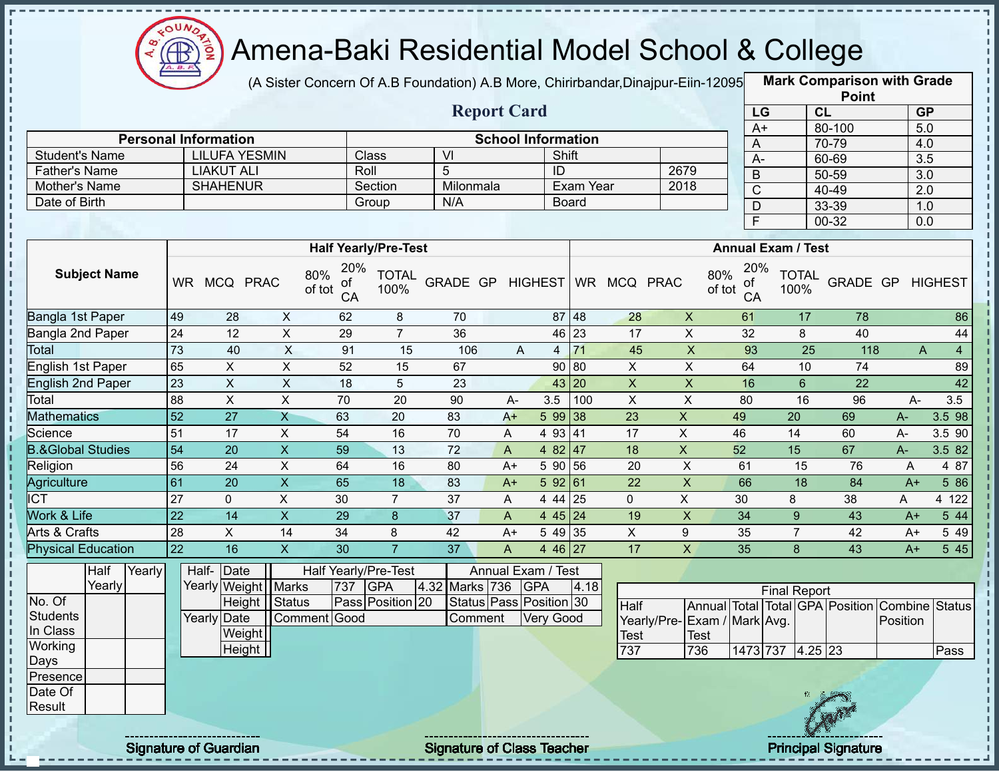

(A Sister Concern Of A.B Foundation) A.B More, Chirirbandar, Dinajpur-Eiin-12095

|                              |                 |                                                     |                |                      |                             |                                   |                    |                           |              |                    |                           |                     |                           |                | <b>Point</b>                    |                       |                |
|------------------------------|-----------------|-----------------------------------------------------|----------------|----------------------|-----------------------------|-----------------------------------|--------------------|---------------------------|--------------|--------------------|---------------------------|---------------------|---------------------------|----------------|---------------------------------|-----------------------|----------------|
|                              |                 |                                                     |                |                      |                             |                                   | <b>Report Card</b> |                           |              |                    |                           | LG                  |                           | CL             |                                 | <b>GP</b>             |                |
|                              |                 |                                                     |                |                      |                             |                                   |                    |                           |              |                    |                           | $A+$                |                           |                | 80-100                          | $\overline{5.0}$      |                |
| <b>Student's Name</b>        |                 | <b>Personal Information</b><br><b>LILUFA YESMIN</b> |                |                      | Class                       | VI                                |                    | <b>School Information</b> | Shift        |                    |                           | A                   |                           |                | 70-79                           | 4.0                   |                |
| <b>Father's Name</b>         |                 | <b>LIAKUT ALI</b>                                   |                | Roll                 |                             | 5                                 |                    | ID                        |              |                    | 2679                      | $A -$               |                           |                | 60-69                           | $\overline{3.5}$      |                |
| Mother's Name                |                 | <b>SHAHENUR</b>                                     |                |                      | Section                     | Milonmala                         |                    |                           | Exam Year    |                    | 2018                      | $\mathsf B$         |                           |                | 50-59                           | 3.0                   |                |
| Date of Birth                |                 |                                                     |                |                      | Group                       | N/A                               |                    |                           | <b>Board</b> |                    |                           | $\overline{C}$      |                           |                | 40-49                           | $\overline{2.0}$      |                |
|                              |                 |                                                     |                |                      |                             |                                   |                    |                           |              |                    |                           | D<br>$\overline{F}$ |                           |                | 33-39<br>$00 - 32$              | 1.0<br>0.0            |                |
|                              |                 |                                                     |                |                      |                             |                                   |                    |                           |              |                    |                           |                     |                           |                |                                 |                       |                |
|                              |                 |                                                     |                |                      | <b>Half Yearly/Pre-Test</b> |                                   |                    |                           |              |                    |                           |                     | <b>Annual Exam / Test</b> |                |                                 |                       |                |
| <b>Subject Name</b>          |                 | WR MCQ PRAC                                         | 80%<br>of tot  | 20%<br>οf<br>CA      | <b>TOTAL</b><br>100%        | GRADE GP                          |                    | <b>HIGHEST</b>            |              | WR MCQ PRAC        | 80%<br>of tot             | 20%<br>of<br>CA     | 100%                      | <b>TOTAL</b>   | GRADE GP                        |                       | <b>HIGHEST</b> |
| Bangla 1st Paper             | 49              | 28                                                  | $\mathsf{X}$   | 62                   | 8                           | 70                                |                    |                           | 87 48        | 28                 | $\mathsf{X}$              | 61                  |                           | 17             | 78                              |                       | 86             |
| Bangla 2nd Paper             | 24              | 12                                                  | $\mathsf{X}$   | 29                   | $\overline{7}$              | 36                                |                    | 46                        | 23           | 17                 | $\mathsf X$               | 32                  |                           | 8              | 40                              |                       | 44             |
| <b>Total</b>                 | 73              | 40                                                  | X              | 91                   | 15                          | 106                               |                    | A<br>$\overline{4}$       | 71           | 45                 | $\boldsymbol{\mathsf{X}}$ | 93                  |                           | 25             | 118                             | A                     | $\overline{4}$ |
| English 1st Paper            | 65              | X                                                   | X              | 52                   | 15                          | 67                                |                    | 90                        | 80           | X                  | X                         | 64                  |                           | 10             | 74                              |                       | 89             |
| <b>English 2nd Paper</b>     | 23              | $\sf X$                                             | $\mathsf{X}$   | 18                   | 5                           | 23                                |                    | 43                        | 20           | $\pmb{\mathsf{X}}$ | $\mathsf X$               | 16                  |                           | $6\phantom{1}$ | 22                              |                       | 42             |
| Total                        | 88              | $\boldsymbol{\mathsf{X}}$                           | $\pmb{\times}$ | 70                   | 20                          | 90                                | A-                 | 3.5                       | 100          | $\mathsf X$        | $\mathsf X$               | 80                  |                           | 16             | 96                              | A-                    | 3.5            |
| <b>Mathematics</b>           | $\overline{52}$ | $\overline{27}$                                     | $\overline{X}$ | 63                   | 20                          | 83                                | $A+$               |                           | 5 99 38      | 23                 | $\overline{X}$            | 49                  | $\overline{20}$           |                | 69                              | A-                    | 3.5 98         |
| Science                      | 51              | 17                                                  | X              | 54                   | 16                          | 70                                | Α                  |                           | 4 93 41      | 17                 | X                         | 46                  | 14                        |                | 60                              | $A -$                 | 3.5 90         |
| <b>B.&amp;Global Studies</b> | $\overline{54}$ | 20                                                  | $\mathsf{X}$   | 59                   | 13                          | 72                                | $\mathsf{A}$       | 4 8 2                     | 47           | 18                 | X                         | 52                  | 15                        |                | 67                              | $A -$                 | 3.5 82         |
| Religion                     | 56              | 24                                                  | X              | 64                   | 16                          | 80                                | $A+$               | 5 90                      | 56           | 20                 | $\mathsf X$               | 61                  |                           | 15             | 76                              | A                     | 4 87           |
| Agriculture                  | 61              | 20                                                  | $\overline{X}$ | 65                   | 18                          | 83                                | $A+$               |                           | 592 61       | 22                 | $\overline{X}$            | 66                  |                           | 18             | 84                              | $A+$                  | 5 86           |
| <b>ICT</b>                   | 27              | $\mathbf 0$                                         | X              | 30                   | $\overline{7}$              | 37                                | A                  | 4 4 4                     | 25           | $\mathbf{0}$       | X                         | 30                  | 8                         |                | 38                              | A                     | 4 122          |
| Work & Life                  | $\overline{22}$ | 14                                                  | X              | 29                   | $\boldsymbol{8}$            | 37                                | $\mathsf{A}$       |                           | 445 24       | 19                 | $\pmb{\mathsf{X}}$        | 34                  | 9                         |                | 43                              | $A+$                  | 5 44           |
| Arts & Crafts                | 28              | X                                                   | 14             | 34                   | 8                           | 42                                | $A+$               | 5 4 9                     | 35           | X                  | 9                         | 35                  | $\overline{7}$            |                | 42                              | $A+$                  | 5 4 9          |
| <b>Physical Education</b>    | $\overline{22}$ | $\overline{16}$                                     | $\overline{X}$ | 30                   | $\overline{7}$              | 37                                | A                  |                           | $446$ 27     | 17                 | X                         | 35                  | 8                         |                | 43                              | $A+$                  | 545            |
| Half<br>Yearly               |                 | Half- Date                                          |                | Half Yearly/Pre-Test |                             |                                   |                    | Annual Exam / Test        |              |                    |                           |                     |                           |                |                                 |                       |                |
| Yearly                       |                 | Yearly Weight Marks                                 |                | 737                  | <b>GPA</b>                  | 4.32<br>Marks 736                 |                    | <b>GPA</b>                | 4.18         |                    |                           |                     | <b>Final Report</b>       |                |                                 |                       |                |
| No. Of                       |                 | Height                                              | Status         |                      | Pass Position 20            |                                   |                    | Status Pass Position 30   |              | Half               |                           |                     |                           |                | Annual Total Total GPA Position | <b>Combine Status</b> |                |
| <b>Students</b>              |                 | Yearly Date                                         | Comment Good   |                      |                             | Comment                           |                    | Very Good                 |              | Yearly/Pre-        | Exam / Mark Avg.          |                     |                           |                |                                 | Position              |                |
| In Class                     |                 | Weight                                              |                |                      |                             |                                   |                    |                           |              | <b>Test</b>        | Test                      |                     |                           |                |                                 |                       |                |
| Working                      |                 | Height                                              |                |                      |                             |                                   |                    |                           |              | 737                | 736                       |                     | 1473 737 4.25 23          |                |                                 |                       | Pass           |
| Days<br>Presence             |                 |                                                     |                |                      |                             |                                   |                    |                           |              |                    |                           |                     |                           |                |                                 |                       |                |
| Date Of                      |                 |                                                     |                |                      |                             |                                   |                    |                           |              |                    |                           |                     |                           |                |                                 |                       |                |
| Result                       |                 |                                                     |                |                      |                             |                                   |                    |                           |              |                    |                           |                     |                           |                |                                 |                       |                |
|                              |                 |                                                     |                |                      |                             |                                   |                    |                           |              |                    |                           |                     |                           |                |                                 |                       |                |
|                              |                 | <b>Signature of Guardian</b>                        |                |                      |                             | <b>Signature of Class Teacher</b> |                    |                           |              |                    |                           |                     |                           |                | <b>Principal Signature</b>      |                       |                |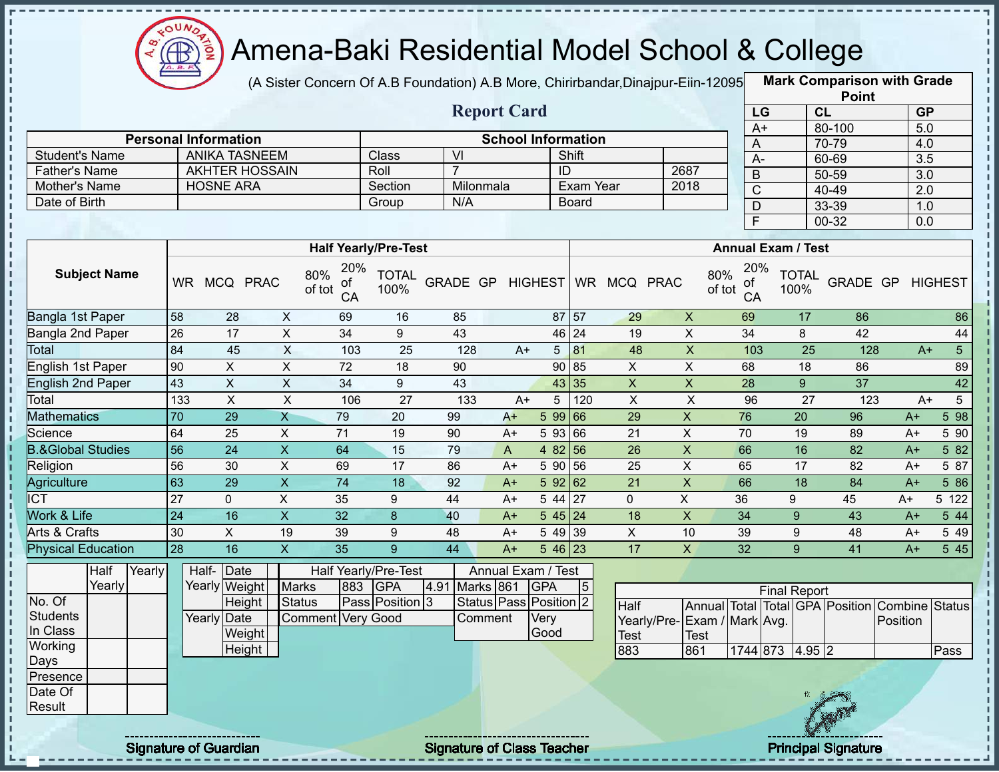

(A Sister Concern Of A.B Foundation) A.B More, Chirirbandar, Dinajpur-Eiin-12095

**Mark Comparison with Grade**

|                                |        |                 |                                           |                         |                                  |                                    |                  |                           |                |                        |                    |                             |                         |                           | <b>Point</b>                                   |                  |                         |
|--------------------------------|--------|-----------------|-------------------------------------------|-------------------------|----------------------------------|------------------------------------|------------------|---------------------------|----------------|------------------------|--------------------|-----------------------------|-------------------------|---------------------------|------------------------------------------------|------------------|-------------------------|
|                                |        |                 |                                           |                         |                                  |                                    |                  | <b>Report Card</b>        |                |                        |                    |                             | LG                      |                           | CL                                             |                  | <b>GP</b>               |
|                                |        |                 |                                           |                         |                                  |                                    |                  |                           |                |                        |                    |                             | $A+$                    |                           | 80-100                                         |                  | 5.0                     |
|                                |        |                 | <b>Personal Information</b>               |                         |                                  |                                    |                  | <b>School Information</b> |                |                        |                    |                             | A                       |                           | 70-79                                          |                  | 4.0                     |
| <b>Student's Name</b>          |        |                 | <b>ANIKA TASNEEM</b>                      |                         |                                  | Class                              | $\overline{V}$   |                           |                | Shift                  |                    |                             | $A -$                   |                           | 60-69                                          |                  | $\overline{3.5}$        |
| <b>Father's Name</b>           |        |                 | <b>AKHTER HOSSAIN</b><br><b>HOSNE ARA</b> |                         |                                  | Roll                               | $\overline{7}$   |                           |                | ID<br><b>Exam Year</b> |                    | 2687<br>2018                | $\mathsf B$             |                           | 50-59                                          |                  | $\overline{3.0}$        |
| Mother's Name<br>Date of Birth |        |                 |                                           |                         |                                  | Section                            | Milonmala<br>N/A |                           |                |                        |                    |                             | $\overline{\mathsf{C}}$ |                           | $40 - 49$                                      |                  | $\overline{2.0}$        |
|                                |        |                 |                                           |                         |                                  | Group                              |                  |                           |                | <b>Board</b>           |                    |                             | $\overline{D}$          |                           | 33-39                                          |                  | 1.0                     |
|                                |        |                 |                                           |                         |                                  |                                    |                  |                           |                |                        |                    |                             | $\overline{\mathsf{F}}$ |                           | $00 - 32$                                      |                  | $\overline{0.0}$        |
|                                |        |                 |                                           |                         |                                  | <b>Half Yearly/Pre-Test</b>        |                  |                           |                |                        |                    |                             |                         | <b>Annual Exam / Test</b> |                                                |                  |                         |
| <b>Subject Name</b>            |        |                 | WR MCQ PRAC                               |                         | 20%<br>80%<br>of<br>of tot<br>CA | <b>TOTAL</b><br>100%               | GRADE GP         |                           | <b>HIGHEST</b> |                        | WR MCQ PRAC        | 80%<br>of tot               | 20%<br>of<br>CA         | <b>TOTAL</b><br>100%      |                                                | GRADE GP HIGHEST |                         |
| Bangla 1st Paper               |        | 58              | 28                                        | $\pmb{\times}$          | 69                               | 16                                 | 85               |                           |                | 87 57                  | 29                 | $\mathsf{X}$                | 69                      | 17                        | 86                                             |                  | 86                      |
| Bangla 2nd Paper               |        | 26              | 17                                        | $\overline{X}$          | 34                               | 9                                  | 43               |                           |                | 46 24                  | 19                 | $\overline{X}$              | 34                      | 8                         | 42                                             |                  | 44                      |
| Total                          |        | 84              | 45                                        | $\mathsf{X}$            | 103                              | 25                                 | 128              | $A+$                      | 5              | 81                     | 48                 | $\boldsymbol{\mathsf{X}}$   | 103                     | $\overline{25}$           | 128                                            |                  | $5\overline{)}$<br>$A+$ |
| English 1st Paper              |        | 90              | $\boldsymbol{\mathsf{X}}$                 | $\pmb{\times}$          | 72                               | 18                                 | 90               |                           | 90             | 85                     | X                  | $\pmb{\times}$              | 68                      | 18                        | 86                                             |                  | 89                      |
| <b>English 2nd Paper</b>       |        | 43              | $\boldsymbol{\mathsf{X}}$                 | $\pmb{\times}$          | 34                               | 9                                  | 43               |                           |                | 43 35                  | $\mathsf X$        | $\boldsymbol{\mathsf{X}}$   | 28                      | 9                         | 37                                             |                  | 42                      |
| Total                          |        | 133             | $\mathsf{X}$                              | $\overline{X}$          | 106                              | $\overline{27}$                    | $\overline{133}$ | $A+$                      | 5              | 120                    | $\mathsf{X}$       | $\pmb{\times}$              | 96                      | 27                        | 123                                            |                  | $5\overline{)}$<br>$A+$ |
| <b>Mathematics</b>             |        | 70              | 29                                        | $\overline{X}$          | 79                               | 20                                 | 99               | $A+$                      | 5 9 9          | 66                     | 29                 | $\pmb{\times}$              | 76                      | 20                        | 96                                             | $A+$             | 598                     |
| Science                        |        | 64              | 25                                        | $\overline{X}$          | $\overline{71}$                  | 19                                 | 90               | $A+$                      |                | $5\,93\,66$            | 21                 | $\overline{X}$              | 70                      | 19                        | 89                                             | $A+$             | 5 90                    |
| <b>B.&amp;Global Studies</b>   |        | 56              | $\overline{24}$                           | $\overline{\mathsf{x}}$ | 64                               | 15                                 | 79               | $\boldsymbol{\mathsf{A}}$ |                | 48256                  | 26                 | $\overline{\mathsf{x}}$     | 66                      | 16                        | 82                                             | $A+$             | 582                     |
| Religion                       |        | 56              | 30                                        | $\overline{\mathsf{x}}$ | 69                               | $\overline{17}$                    | 86               | $A+$                      |                | 5 90 56                | 25                 | $\overline{\mathsf{x}}$     | 65                      | $\overline{17}$           | 82                                             | $A+$             | 5 87                    |
| Agriculture                    |        | 63              | 29                                        | $\pmb{\times}$          | $\overline{74}$                  | 18                                 | 92               | $A+$                      |                | 59262                  | $\overline{21}$    | $\overline{X}$              | 66                      | $\overline{18}$           | 84                                             | $A+$             | 5 86                    |
| $\overline{\text{ICT}}$        |        | $\overline{27}$ | $\mathbf{0}$                              | $\overline{\mathsf{x}}$ | 35                               | 9                                  | 44               | $A+$                      |                | $544 \overline{27}$    | $\mathbf 0$        | $\mathsf X$                 | 36                      | 9                         | 45                                             | $A+$             | 5 122                   |
| <b>Work &amp; Life</b>         |        | $\overline{24}$ | 16                                        | $\overline{\mathsf{x}}$ | 32                               | $\bf{8}$                           | 40               | $A+$                      |                | $545$ 24               | 18                 | $\overline{X}$              | $\overline{34}$         | 9                         | 43                                             | $A+$             | 544                     |
| Arts & Crafts                  |        | 30              | $\pmb{\times}$                            | 19                      | 39                               | $9\,$                              | 48               | $A+$                      |                | 5 49 39                | $\pmb{\times}$     | 10                          | 39                      | 9                         | 48                                             | $A+$             | 5 4 9                   |
| <b>Physical Education</b>      |        | 28              | 16                                        | $\overline{X}$          | $\overline{35}$                  | $\overline{9}$                     | $\overline{44}$  | $A+$                      |                | 5 46 23                | $\overline{17}$    | $\overline{\mathsf{x}}$     | $\overline{32}$         | $\overline{9}$            | $\overline{41}$                                | $A+$             | 545                     |
| Half<br>Yearly                 | Yearly |                 | Half-Date<br>Yearly Weight                | <b>Marks</b>            | 883                              | Half Yearly/Pre-Test<br><b>GPA</b> | 4.91 Marks 861   | Annual Exam / Test        | <b>GPA</b>     |                        |                    |                             |                         |                           |                                                |                  |                         |
| No. Of                         |        |                 | Height                                    | <b>Status</b>           |                                  | Pass Position 3                    |                  | Status Pass Position 2    |                | $\sqrt{5}$             |                    |                             |                         | <b>Final Report</b>       |                                                |                  |                         |
| <b>Students</b>                |        |                 | <b>Yearly Date</b>                        |                         | Comment Very Good                |                                    |                  | Comment                   | Very           |                        | Half               |                             |                         |                           | Annual Total Total GPA Position Combine Status |                  |                         |
| In Class                       |        |                 | Weight                                    |                         |                                  |                                    |                  |                           | Good           |                        |                    | Yearly/Pre-Exam / Mark Avg. |                         |                           |                                                | Position         |                         |
| Working                        |        |                 | Height                                    |                         |                                  |                                    |                  |                           |                |                        | <b>Test</b><br>883 | <b>Test</b><br>861          | 1744 873                |                           | 4.95 2                                         |                  | Pass                    |
| Days                           |        |                 |                                           |                         |                                  |                                    |                  |                           |                |                        |                    |                             |                         |                           |                                                |                  |                         |
| Presence                       |        |                 |                                           |                         |                                  |                                    |                  |                           |                |                        |                    |                             |                         |                           |                                                |                  |                         |
| Date Of                        |        |                 |                                           |                         |                                  |                                    |                  |                           |                |                        |                    |                             |                         |                           |                                                |                  |                         |
| Result                         |        |                 |                                           |                         |                                  |                                    |                  |                           |                |                        |                    |                             |                         |                           |                                                |                  |                         |
|                                |        |                 |                                           |                         |                                  |                                    |                  |                           |                |                        |                    |                             |                         |                           |                                                |                  |                         |
|                                |        |                 |                                           |                         |                                  |                                    |                  |                           |                |                        |                    |                             |                         |                           |                                                |                  |                         |

Signature of Guardian Signature Signature of Class Teacher Principal Signature 3/444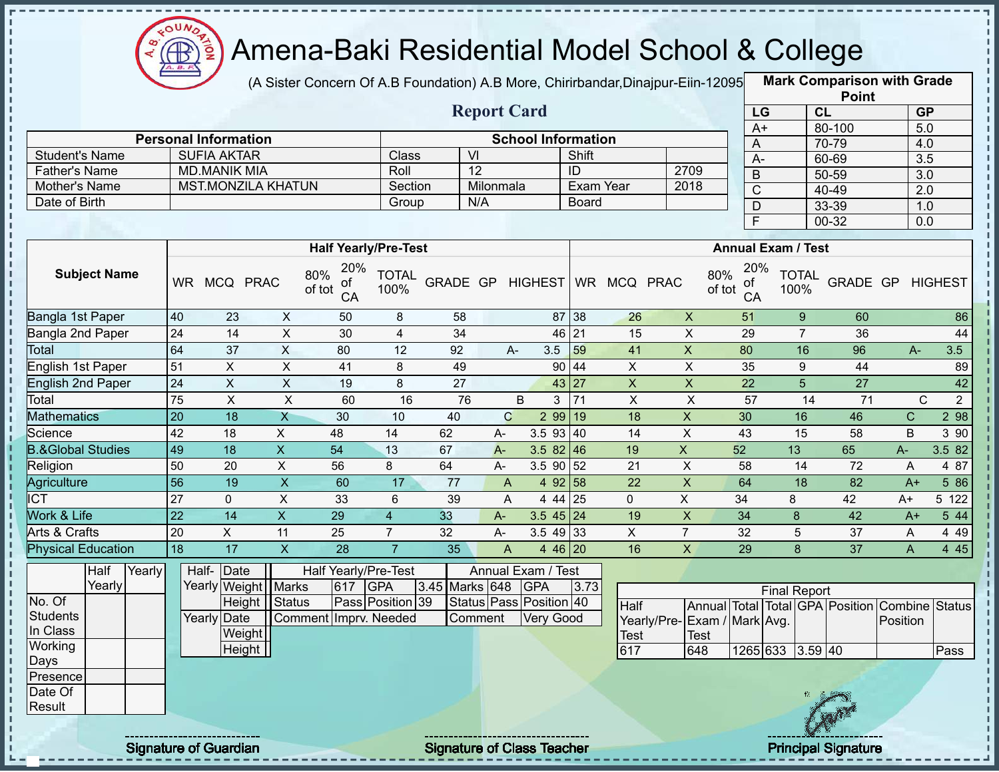

(A Sister Concern Of A.B Foundation) A.B More, Chirirbandar, Dinajpur-Eiin-12095

**Mark Comparison with Grade**

|                              |                 |                             |                           |                                  |                      |                 |                 |                           |              |                           |                           |                                  |                           | <b>Point</b>                    |                         |                |
|------------------------------|-----------------|-----------------------------|---------------------------|----------------------------------|----------------------|-----------------|-----------------|---------------------------|--------------|---------------------------|---------------------------|----------------------------------|---------------------------|---------------------------------|-------------------------|----------------|
|                              |                 |                             |                           |                                  |                      |                 |                 | <b>Report Card</b>        |              |                           |                           | LG                               |                           | CL                              | GP                      |                |
|                              |                 |                             |                           |                                  |                      |                 |                 |                           |              |                           |                           | $A+$                             |                           | 80-100                          | 5.0                     |                |
|                              |                 | <b>Personal Information</b> |                           |                                  |                      |                 |                 | <b>School Information</b> |              |                           |                           | A                                |                           | 70-79                           | 4.0                     |                |
| <b>Student's Name</b>        |                 | <b>SUFIA AKTAR</b>          |                           |                                  | Class                |                 | $\overline{V}$  |                           | Shift        |                           |                           | $A -$                            |                           | 60-69                           | $\overline{3.5}$        |                |
| <b>Father's Name</b>         |                 | <b>MD.MANIK MIA</b>         |                           |                                  | Roll                 |                 | $\overline{12}$ |                           | ID           |                           | 2709                      | B                                |                           | $50 - 59$                       | $\overline{3.0}$        |                |
| Mother's Name                |                 |                             | <b>MST.MONZILA KHATUN</b> |                                  | Section              |                 | Milonmala       |                           |              | <b>Exam Year</b>          | 2018                      | $\overline{C}$                   |                           | $40 - 49$                       | $\overline{2.0}$        |                |
| Date of Birth                |                 |                             |                           |                                  | Group                |                 | N/A             |                           | <b>Board</b> |                           |                           | $\mathsf{D}$                     |                           | 33-39                           | 1.0                     |                |
|                              |                 |                             |                           |                                  |                      |                 |                 |                           |              |                           |                           | $\overline{F}$                   |                           | 00-32                           | 0.0                     |                |
|                              |                 |                             |                           | <b>Half Yearly/Pre-Test</b>      |                      |                 |                 |                           |              |                           |                           |                                  | <b>Annual Exam / Test</b> |                                 |                         |                |
| <b>Subject Name</b>          |                 | WR MCQ PRAC                 |                           | 20%<br>80%<br>оf<br>of tot<br>CA | <b>TOTAL</b><br>100% | GRADE GP        |                 |                           |              | HIGHEST WR MCQ PRAC       |                           | 20%<br>80%<br>οf<br>of tot<br>CA | <b>TOTAL</b><br>100%      |                                 | <b>GRADE GP HIGHEST</b> |                |
| Bangla 1st Paper             | 40              | 23                          | X                         | 50                               | 8                    | 58              |                 |                           | 87 38        | 26                        | $\boldsymbol{\mathsf{X}}$ | 51                               | $\boldsymbol{9}$          | 60                              |                         | 86             |
| Bangla 2nd Paper             | $\overline{24}$ | $\overline{14}$             | $\boldsymbol{\mathsf{X}}$ | 30                               | $\overline{4}$       | 34              |                 |                           | 46 21        | 15                        | $\pmb{\times}$            | 29                               | $\overline{7}$            | 36                              |                         | 44             |
| Total                        | 64              | 37                          | X                         | 80                               | 12                   | 92              |                 | 3.5<br>A-                 | 59           | 41                        | $\pmb{\times}$            | 80                               | 16                        | 96                              | A-                      | 3.5            |
| English 1st Paper            | 51              | X                           | $\boldsymbol{\mathsf{X}}$ | 41                               | 8                    | 49              |                 | 90                        | 44           | $\overline{X}$            | $\overline{X}$            | 35                               | $\boldsymbol{9}$          | 44                              |                         | 89             |
| <b>English 2nd Paper</b>     | $\overline{24}$ | $\overline{X}$              | $\overline{X}$            | 19                               | 8                    | $\overline{27}$ |                 |                           | 43 27        | $\boldsymbol{\mathsf{X}}$ | $\overline{\mathsf{x}}$   | $\overline{22}$                  | $\overline{5}$            | $\overline{27}$                 |                         | 42             |
| Total                        | 75              | $\overline{X}$              | $\overline{X}$            | 60                               | 16                   | 76              |                 | B<br>3                    | 71           | $\overline{X}$            | $\sf X$                   | 57                               | 14                        | 71                              | C                       | $\overline{2}$ |
| <b>Mathematics</b>           | $\overline{20}$ | $\overline{18}$             | $\overline{X}$            | 30                               | 10                   | 40              | $\mathbf C$     |                           | 299 19       | 18                        | $\overline{X}$            | 30                               | 16                        | 46                              | $\mathsf C$             | 2 98           |
| Science                      | 42              | 18                          | X                         | 48                               | 14                   | 62              | A-              | 3.593   40                |              | 14                        | $\overline{X}$            | 43                               | $\overline{15}$           | 58                              | B                       | 3 9 0          |
| <b>B.&amp;Global Studies</b> | 49              | $\overline{18}$             | $\overline{\mathsf{x}}$   | $\overline{54}$                  | $\overline{13}$      | 67              | $A -$           | 3.5 $82 \mid 46$          |              | 19                        | $\overline{\mathsf{x}}$   | 52                               | 13                        | 65                              | A-                      | 3.582          |
| Religion                     | 50              | 20                          | $\pmb{\times}$            | 56                               | 8                    | 64              | A-              | $3.5$ 90 52               |              | 21                        | X                         | 58                               | 14                        | 72                              | A                       | 4 87           |
| <b>Agriculture</b>           | $\overline{56}$ | 19                          | $\mathsf{X}$              | 60                               | 17                   | 77              | A               |                           | 4 92 58      | 22                        | $\mathsf X$               | 64                               | 18                        | 82                              | $A+$                    | 5 86           |
| <b>ICT</b>                   | 27              | $\mathbf 0$                 | $\mathsf X$               | 33                               | 6                    | 39              | A               |                           | 4 44 25      | 0                         | X                         | 34                               | 8                         | 42                              | A+                      | 5 122          |
| Work & Life                  | 22              | 14                          | $\boldsymbol{\mathsf{X}}$ | 29                               | $\overline{4}$       | 33              | $A -$           | $3.545$ 24                |              | 19                        | $\mathsf X$               | 34                               | 8                         | 42                              | $A+$                    | 5 4 4          |
| Arts & Crafts                | 20              | X                           | 11                        | 25                               | $\overline{7}$       | 32              | $A -$           | $3.549$ 33                |              | X                         | $\overline{7}$            | 32                               | 5                         | 37                              | A                       | 4 4 9          |
| <b>Physical Education</b>    | 18              | 17                          | $\boldsymbol{\mathsf{X}}$ | 28                               | $\overline{7}$       | 35              | $\overline{A}$  |                           | 4 46 20      | 16                        | X                         | 29                               | 8                         | 37                              | A                       | 4 4 5          |
| Half<br>Yearly               |                 | Half- Date                  |                           | Half Yearly/Pre-Test             |                      |                 |                 | Annual Exam / Test        |              |                           |                           |                                  |                           |                                 |                         |                |
| Yearly                       |                 |                             | Yearly Weight Marks       | 617                              | <b>GPA</b>           | 3.45 Marks 648  |                 | <b>GPA</b>                | 3.73         |                           |                           |                                  | <b>Final Report</b>       |                                 |                         |                |
| No. Of                       |                 |                             | Height Status             |                                  | Pass Position 39     |                 |                 | Status Pass Position 40   |              | <b>Half</b>               |                           |                                  |                           | Annual Total Total GPA Position | Combine                 | Status         |
| <b>Students</b>              |                 | Yearly Date                 |                           | Comment Imprv. Needed            |                      |                 | Comment         | <b>Very Good</b>          |              |                           |                           | Yearly/Pre-Exam / Mark Avg.      |                           |                                 | Position                |                |
| In Class                     |                 |                             | Weight                    |                                  |                      |                 |                 |                           |              | Test                      | <b>Test</b>               |                                  |                           |                                 |                         |                |
| Working                      |                 |                             | Height                    |                                  |                      |                 |                 |                           |              | 617                       | 648                       |                                  | 1265 633 3.59 40          |                                 |                         | Pass           |
| Days<br>Presence             |                 |                             |                           |                                  |                      |                 |                 |                           |              |                           |                           |                                  |                           |                                 |                         |                |
|                              |                 |                             |                           |                                  |                      |                 |                 |                           |              |                           |                           |                                  |                           |                                 |                         |                |
| Date Of<br>Result            |                 |                             |                           |                                  |                      |                 |                 |                           |              |                           |                           |                                  |                           |                                 |                         |                |
|                              |                 |                             |                           |                                  |                      |                 |                 |                           |              |                           |                           |                                  |                           |                                 |                         |                |
|                              |                 |                             |                           |                                  |                      |                 |                 |                           |              |                           |                           |                                  |                           |                                 |                         |                |

Signature of Guardian Signature of Class Teacher Principal Signature 4/444

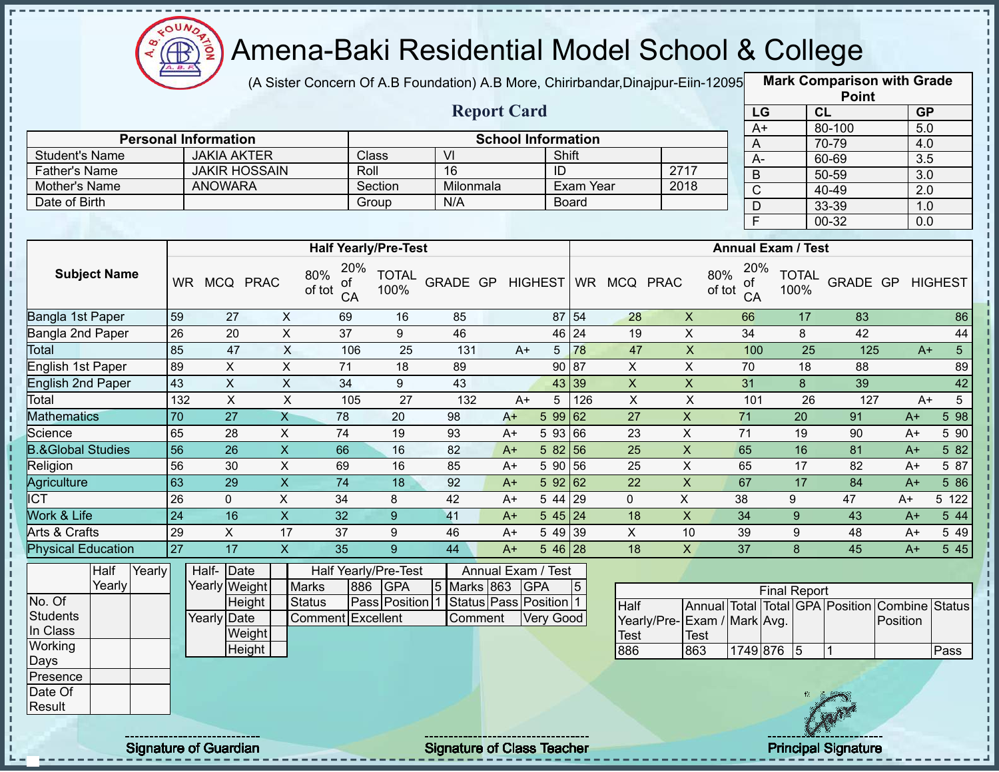

(A Sister Concern Of A.B Foundation) A.B More, Chirirbandar, Dinajpur-Eiin-12095

**Mark Comparison with Grade**

|                                               |        |        |                 |                                            |                         |                                  |                      |                                        |                           |                  |                    |                         |                             |                                  |                                                | <b>Point</b>     |          |                         |
|-----------------------------------------------|--------|--------|-----------------|--------------------------------------------|-------------------------|----------------------------------|----------------------|----------------------------------------|---------------------------|------------------|--------------------|-------------------------|-----------------------------|----------------------------------|------------------------------------------------|------------------|----------|-------------------------|
|                                               |        |        |                 |                                            |                         |                                  |                      |                                        | <b>Report Card</b>        |                  |                    |                         |                             | LG                               |                                                | CL               |          | <b>GP</b>               |
|                                               |        |        |                 |                                            |                         |                                  |                      |                                        | <b>School Information</b> |                  |                    |                         |                             | $A+$                             |                                                | 80-100           |          | 5.0                     |
|                                               |        |        |                 | <b>Personal Information</b>                |                         |                                  |                      | VI                                     |                           |                  | Shift              |                         |                             | A                                |                                                | 70-79            |          | 4.0                     |
| <b>Student's Name</b><br><b>Father's Name</b> |        |        |                 | <b>JAKIA AKTER</b><br><b>JAKIR HOSSAIN</b> |                         |                                  | Class<br>Roll        | 16                                     |                           | ID               |                    |                         | 2717                        | $A -$                            |                                                | 60-69            |          | 3.5                     |
| Mother's Name                                 |        |        |                 | <b>ANOWARA</b>                             |                         |                                  | Section              | Milonmala                              |                           |                  | Exam Year          |                         | 2018                        | $\overline{B}$                   |                                                | $50 - 59$        |          | $\overline{3.0}$        |
| Date of Birth                                 |        |        |                 |                                            |                         |                                  | Group                | N/A                                    |                           |                  | Board              |                         |                             | $\overline{C}$                   |                                                | $40 - 49$        |          | 2.0                     |
|                                               |        |        |                 |                                            |                         |                                  |                      |                                        |                           |                  |                    |                         |                             | $\mathsf{D}$                     |                                                | 33-39            |          | 1.0                     |
|                                               |        |        |                 |                                            |                         |                                  |                      |                                        |                           |                  |                    |                         |                             | F                                |                                                | $00 - 32$        |          | $\overline{0.0}$        |
|                                               |        |        |                 |                                            |                         | <b>Half Yearly/Pre-Test</b>      |                      |                                        |                           |                  |                    |                         |                             |                                  | <b>Annual Exam / Test</b>                      |                  |          |                         |
| <b>Subject Name</b>                           |        |        |                 | WR MCQ PRAC                                |                         | 20%<br>80%<br>0f<br>of tot<br>CA | <b>TOTAL</b><br>100% | GRADE GP HIGHEST                       |                           |                  |                    | WR MCQ PRAC             |                             | 20%<br>80%<br>of<br>of tot<br>CA | <b>TOTAL</b><br>100%                           | GRADE GP HIGHEST |          |                         |
| Bangla 1st Paper                              |        |        | 59              | $\overline{27}$                            | X                       | 69                               | 16                   | 85                                     |                           |                  | 87 54              | 28                      | $\overline{X}$              | 66                               | 17                                             | 83               |          | 86                      |
| Bangla 2nd Paper                              |        |        | 26              | 20                                         | $\overline{X}$          | 37                               | $\overline{9}$       | 46                                     |                           |                  | $46 \overline{24}$ | $\overline{19}$         | $\overline{X}$              | $\overline{34}$                  | 8                                              | 42               |          | 44                      |
| Total                                         |        |        | 85              | 47                                         | $\overline{X}$          | 106                              | 25                   | 131                                    | $A+$                      | 5 <sub>5</sub>   | 78                 | 47                      | $\pmb{\mathsf{X}}$          | 100                              | 25                                             | 125              |          | $5\phantom{.0}$<br>$A+$ |
| English 1st Paper                             |        |        | 89              | $\pmb{\times}$                             | $\mathsf{X}$            | $\overline{71}$                  | 18                   | 89                                     |                           |                  | 90 87              | $\pmb{\times}$          | $\mathsf X$                 | 70                               | 18                                             | 88               |          | 89                      |
| <b>English 2nd Paper</b>                      |        |        | 43              | $\pmb{\times}$                             | $\overline{X}$          | 34                               | 9                    | 43                                     |                           |                  | 43 39              | $\overline{\mathsf{x}}$ | $\overline{X}$              | 31                               | $\bf{8}$                                       | 39               |          | 42                      |
| Total                                         |        |        | 132             | $\overline{X}$                             | $\pmb{\times}$          | 105                              | 27                   | 132                                    | $A+$                      | 5                | 126                | $\mathsf{X}$            | $\sf X$                     | 101                              | 26                                             | 127              |          | $5\phantom{.0}$<br>$A+$ |
| <b>Mathematics</b>                            |        |        | 70              | $\overline{27}$                            | $\overline{X}$          | 78                               | 20                   | 98                                     | $A+$                      | 599              | $\sqrt{62}$        | 27                      | $\mathsf X$                 | 71                               | 20                                             | 91               | $A+$     | 598                     |
| Science                                       |        |        | 65              | 28                                         | $\sf X$                 | 74                               | 19                   | 93                                     | $A+$                      | 5 93 66          |                    | 23                      | X                           | 71                               | 19                                             | 90               | $A+$     | 5 90                    |
| <b>B.&amp;Global Studies</b>                  |        |        | $\overline{56}$ | 26                                         | $\overline{X}$          | 66                               | 16                   | 82                                     | $A+$                      | 582 56           |                    | $\overline{25}$         | $\overline{\mathsf{x}}$     | 65                               | 16                                             | 81               | $A+$     | 582                     |
| Religion                                      |        |        | 56              | 30                                         | $\overline{\mathsf{x}}$ | 69                               | 16                   | 85                                     | $A+$                      | 5 90 56          |                    | $\overline{25}$         | $\overline{X}$              | 65                               | $\overline{17}$                                | $\overline{82}$  | $A+$     | 5 87                    |
| Agriculture                                   |        |        | 63              | $\overline{29}$                            | $\overline{X}$          | $\overline{74}$                  | $\overline{18}$      | 92                                     | $A+$                      | 59262            |                    | $\overline{22}$         | $\overline{X}$              | 67                               | $\overline{17}$                                | 84               | $A+$     | 586                     |
| <b>ICT</b>                                    |        |        | 26              | $\overline{0}$                             | $\overline{X}$          | $\overline{34}$                  | 8                    | 42                                     | $A+$                      | 5 4 4            | 29                 | $\mathbf{0}$            | $\overline{X}$              | 38                               | 9                                              | 47               | $A+$     | $5\;122$                |
| <b>Work &amp; Life</b>                        |        |        | $\overline{24}$ | 16                                         | $\overline{X}$          | 32                               | $\overline{9}$       | 41                                     | $A+$                      | 545 24           |                    | 18                      | $\overline{X}$              | $\overline{34}$                  | 9                                              | 43               | $A+$     | 5 44                    |
| Arts & Crafts                                 |        |        | 29              | X                                          | 17                      | 37                               | 9                    | 46                                     | $A+$                      | 5 49 39          |                    | $\mathsf{X}$            | 10                          | 39                               | $9$                                            | 48               | $A+$     | 5 4 9                   |
| <b>Physical Education</b>                     |        |        | $\overline{27}$ | $\overline{17}$                            | $\overline{X}$          | $\overline{35}$                  | $\overline{9}$       | $\overline{44}$                        | $\overline{A+}$           | 5 46 28          |                    | $\overline{18}$         | $\overline{X}$              | $\overline{37}$                  | 8                                              | 45               | $A+$     | 545                     |
|                                               | Half   | Yearly |                 | Half- Date                                 |                         | Half Yearly/Pre-Test             |                      |                                        | Annual Exam / Test        |                  |                    |                         |                             |                                  |                                                |                  |          |                         |
|                                               | Yearly |        |                 | Yearly Weight                              |                         | <b>Marks</b><br>886              | <b>GPA</b>           | 5 Marks 863                            |                           | <b>GPA</b>       | 5                  |                         |                             |                                  | <b>Final Report</b>                            |                  |          |                         |
| No. Of                                        |        |        |                 | Height                                     |                         | <b>Status</b>                    |                      | Pass Position 1 Status Pass Position 1 |                           |                  |                    | <b>Half</b>             |                             |                                  | Annual Total Total GPA Position Combine Status |                  |          |                         |
| <b>Students</b>                               |        |        |                 | Yearly Date                                |                         | <b>Comment Excellent</b>         |                      | Comment                                |                           | <b>Very Good</b> |                    |                         | Yearly/Pre-Exam / Mark Avg. |                                  |                                                |                  | Position |                         |
| In Class                                      |        |        |                 | Weight                                     |                         |                                  |                      |                                        |                           |                  |                    | Test                    | <b>Test</b>                 |                                  |                                                |                  |          |                         |
| Working                                       |        |        |                 | Height                                     |                         |                                  |                      |                                        |                           |                  |                    | 886                     | 863                         |                                  | 1749 876 5                                     | $\overline{1}$   |          | Pass                    |
| Days                                          |        |        |                 |                                            |                         |                                  |                      |                                        |                           |                  |                    |                         |                             |                                  |                                                |                  |          |                         |
| Presence                                      |        |        |                 |                                            |                         |                                  |                      |                                        |                           |                  |                    |                         |                             |                                  |                                                |                  |          |                         |
| Date Of                                       |        |        |                 |                                            |                         |                                  |                      |                                        |                           |                  |                    |                         |                             |                                  |                                                |                  |          |                         |
| Result                                        |        |        |                 |                                            |                         |                                  |                      |                                        |                           |                  |                    |                         |                             |                                  |                                                |                  |          |                         |
|                                               |        |        |                 |                                            |                         |                                  |                      |                                        |                           |                  |                    |                         |                             |                                  |                                                |                  |          |                         |

 $\mathbf I$ 

 $\mathbf{I}$ 

Signature of Guardian Signature of Class Teacher **Signature of Class Teacher** Principal Signature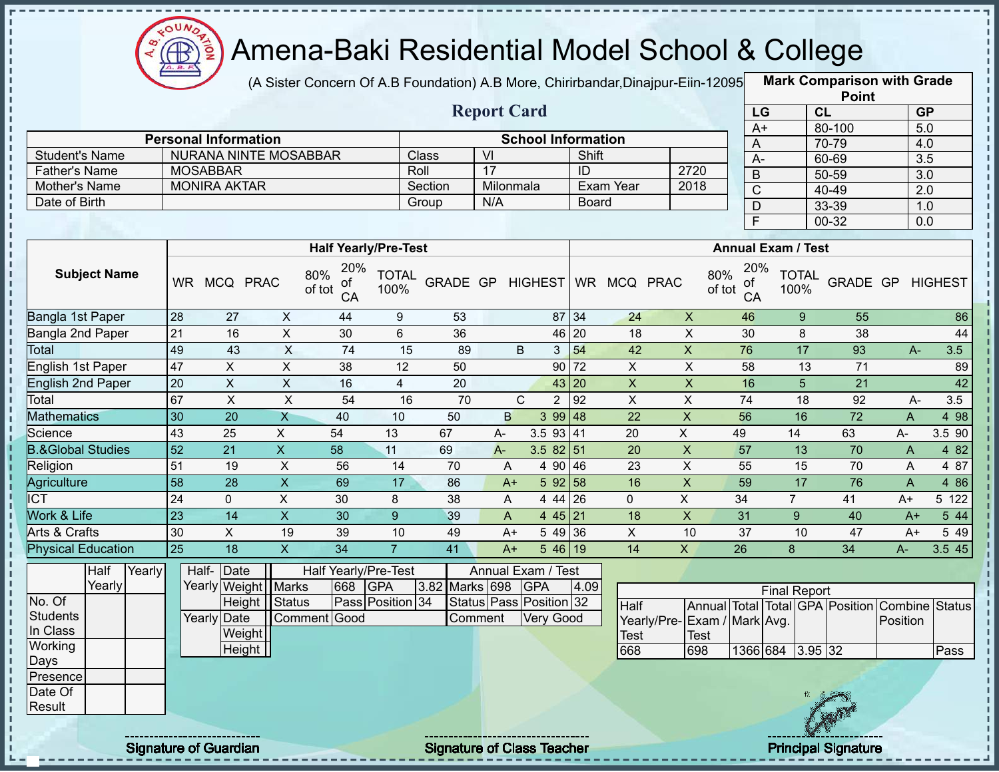

(A Sister Concern Of A.B Foundation) A.B More, Chirirbandar,Dinajpur-Eiin-12095 **Mark Comparison with Grade** 

**Point**

|                              |                 |                     |                              |                                  |                      |          |                    |              |                           |              |                |                |               |                       |                           | <b>Point</b>    |                |                  |
|------------------------------|-----------------|---------------------|------------------------------|----------------------------------|----------------------|----------|--------------------|--------------|---------------------------|--------------|----------------|----------------|---------------|-----------------------|---------------------------|-----------------|----------------|------------------|
|                              |                 |                     |                              |                                  |                      |          | <b>Report Card</b> |              |                           |              |                |                |               | LG                    | CL                        |                 |                | <b>GP</b>        |
|                              |                 |                     |                              |                                  |                      |          |                    |              |                           |              |                |                |               | $A+$                  |                           | 80-100          |                | $\overline{5.0}$ |
|                              |                 |                     | <b>Personal Information</b>  |                                  |                      |          |                    |              | <b>School Information</b> |              |                |                |               | A                     |                           | 70-79           |                | 4.0              |
| <b>Student's Name</b>        |                 |                     | <b>NURANA NINTE MOSABBAR</b> |                                  |                      | Class    | VI                 |              |                           | Shift        |                |                |               | $A-$                  |                           | 60-69           |                | $\overline{3.5}$ |
| <b>Father's Name</b>         |                 | <b>MOSABBAR</b>     |                              |                                  | Roll                 |          | $\overline{17}$    |              |                           | ID           |                | 2720           |               | B                     |                           | 50-59           |                | 3.0              |
| Mother's Name                |                 | <b>MONIRA AKTAR</b> |                              |                                  |                      | Section  | Milonmala          |              |                           |              | Exam Year      | 2018           |               | $\overline{\text{C}}$ |                           | 40-49           |                | 2.0              |
| Date of Birth                |                 |                     |                              |                                  |                      | Group    | N/A                |              |                           | <b>Board</b> |                |                |               | $\overline{D}$        |                           | 33-39           |                | 1.0              |
|                              |                 |                     |                              |                                  |                      |          |                    |              |                           |              |                |                |               | F                     |                           | 00-32           |                | 0.0              |
|                              |                 |                     |                              | <b>Half Yearly/Pre-Test</b>      |                      |          |                    |              |                           |              |                |                |               |                       | <b>Annual Exam / Test</b> |                 |                |                  |
| <b>Subject Name</b>          | <b>WR</b>       |                     | MCQ PRAC                     | 20%<br>80%<br>оf<br>of tot<br>CA | <b>TOTAL</b><br>100% | GRADE GP |                    |              | <b>HIGHEST</b>            |              | WR MCQ PRAC    |                | 80%<br>of tot | 20%<br>0f<br>CA       | <b>TOTAL</b><br>100%      | <b>GRADE GP</b> |                | <b>HIGHEST</b>   |
| Bangla 1st Paper             | 28              | 27                  | X                            | 44                               | 9                    | 53       |                    |              | 87 34                     |              | 24             | X              |               | 46                    | 9                         | 55              |                | 86               |
| Bangla 2nd Paper             | 21              | 16                  | X                            | 30                               | 6                    | 36       |                    |              | 46                        | 20           | 18             | X              |               | 30                    | 8                         | 38              |                | 44               |
| Total                        | 49              | 43                  | $\mathsf{X}$                 | 74                               | 15                   | 89       |                    | B            | 3                         | 54           | 42             | X              | 76            |                       | 17                        | 93              | $A -$          | 3.5              |
| English 1st Paper            | 47              | X                   | $\pmb{\times}$               | 38                               | 12                   | 50       |                    |              | $90$ 72                   |              | $\mathsf{X}$   | $\mathsf X$    |               | 58                    | 13                        | 71              |                | 89               |
| English 2nd Paper            | $\overline{20}$ | $\mathsf X$         | $\pmb{\times}$               | 16                               | $\overline{4}$       | 20       |                    |              | 43 20                     |              | $\overline{X}$ | $\pmb{\times}$ |               | 16                    | 5                         | 21              |                | 42               |
| Total                        | 67              | $\times$            | $\times$                     | 54                               | 16                   | 70       |                    | $\mathsf{C}$ | $\overline{2}$            | 92           | X              | X              | 74            |                       | 18                        | 92              | A-             | 3.5              |
| <b>Mathematics</b>           | 30              | 20                  | X                            | 40                               | 10                   | 50       | B                  |              | 399148                    |              | 22             | $\times$       | 56            |                       | 16                        | 72              | A              | 4 98             |
| Science                      | 43              | 25                  | X                            | 54                               | 13                   | 67       | $A-$               |              | 3.5<br>93 41              |              | 20             | X              | 49            |                       | 14                        | 63              | А-             | 3.5 90           |
| <b>B.&amp;Global Studies</b> | 52              | 21                  | $\mathsf{X}$                 | 58                               | 11                   | 69       | $A -$              |              | $3.582$ 51                |              | 20             | $\times$       | 57            |                       | 13                        | 70              | A              | 4 8 2            |
| Religion                     | 51              | 19                  | $\mathsf X$                  | 56                               | 14                   | 70       | A                  |              | 4 90 46                   |              | 23             | $\pmb{\times}$ | 55            |                       | 15                        | 70              | A              | 4 87             |
| Agriculture                  | 58              | 28                  | $\boldsymbol{\mathsf{X}}$    | 69                               | 17                   | 86       | $A+$               |              | 592 58                    |              | 16             | X              | 59            |                       | 17                        | 76              | $\overline{A}$ | 4 8 6            |
| <b>ICT</b>                   | 24              | 0                   | X                            | 30                               | 8                    | 38       | A                  |              | 4 44 26                   |              | $\overline{0}$ | X              | 34            |                       | $\overline{7}$            | 41              | $A+$           | 5 122            |
| Work & Life                  | $\overline{23}$ | 14                  | X                            | 30                               | 9                    | 39       | $\overline{A}$     |              | 4 45 21                   |              | 18             | $\mathsf{x}$   | 31            |                       | 9                         | 40              | $A+$           | 5 44             |
| Arts & Crafts                | 30              | X                   | 19                           | 39                               | 10                   | 49       | $A+$               |              | 5 49 36                   |              | $\mathsf X$    | 10             | 37            |                       | 10                        | 47              | $A+$           | 5 4 9            |
| <b>Physical Education</b>    | $\overline{25}$ | 18                  | $\overline{X}$               | 34                               | $\overline{7}$       | 41       | $A+$               |              | 546 19                    |              | 14             | X              | 26            |                       | 8                         | 34              | $A -$          | 3.545            |
|                              |                 |                     |                              |                                  |                      |          |                    |              |                           |              |                |                |               |                       |                           |                 |                |                  |

|          | Half   | Yearly |  | Half- Date            |              |     | Half Yearly/Pre-Test    |                    | Annual Exam / Test            |      |                             |       |                     |     |                                                |      |
|----------|--------|--------|--|-----------------------|--------------|-----|-------------------------|--------------------|-------------------------------|------|-----------------------------|-------|---------------------|-----|------------------------------------------------|------|
|          | Yearly |        |  | Yearly Weight   Marks |              | 668 | <b>GPA</b>              | 3.82 Marks 698 GPA |                               | 4.09 |                             |       | <b>Final Report</b> |     |                                                |      |
| No. Of   |        |        |  | Height Status         |              |     | <b>Pass Position 34</b> |                    | Status   Pass   Position   32 |      | <b>Half</b>                 |       |                     |     | Annual Total Total GPA Position Combine Status |      |
| Students |        |        |  | Yearly Date           | Comment Good |     |                         | Comment            | <b>Very Good</b>              |      | Yearly/Pre-Exam / Mark Avg. |       |                     |     | Position                                       |      |
| In Class |        |        |  | Weight                |              |     |                         |                    |                               |      | <b>Test</b>                 | lTest |                     |     |                                                |      |
| Working  |        |        |  | Height                |              |     |                         |                    |                               |      | 668                         | 698   | 1366 684  3.95 32   |     |                                                | Pass |
| Days     |        |        |  |                       |              |     |                         |                    |                               |      |                             |       |                     |     |                                                |      |
| Presence |        |        |  |                       |              |     |                         |                    |                               |      |                             |       |                     |     |                                                |      |
| Date Of  |        |        |  |                       |              |     |                         |                    |                               |      |                             |       |                     |     |                                                |      |
| Result   |        |        |  |                       |              |     |                         |                    |                               |      |                             |       |                     |     |                                                |      |
|          |        |        |  |                       |              |     |                         |                    |                               |      |                             |       |                     | CAM |                                                |      |

п

п  $\blacksquare$ 

Signature of Guardian Signature of Class Teacher Principal Signature of Class Teacher Principal Signature

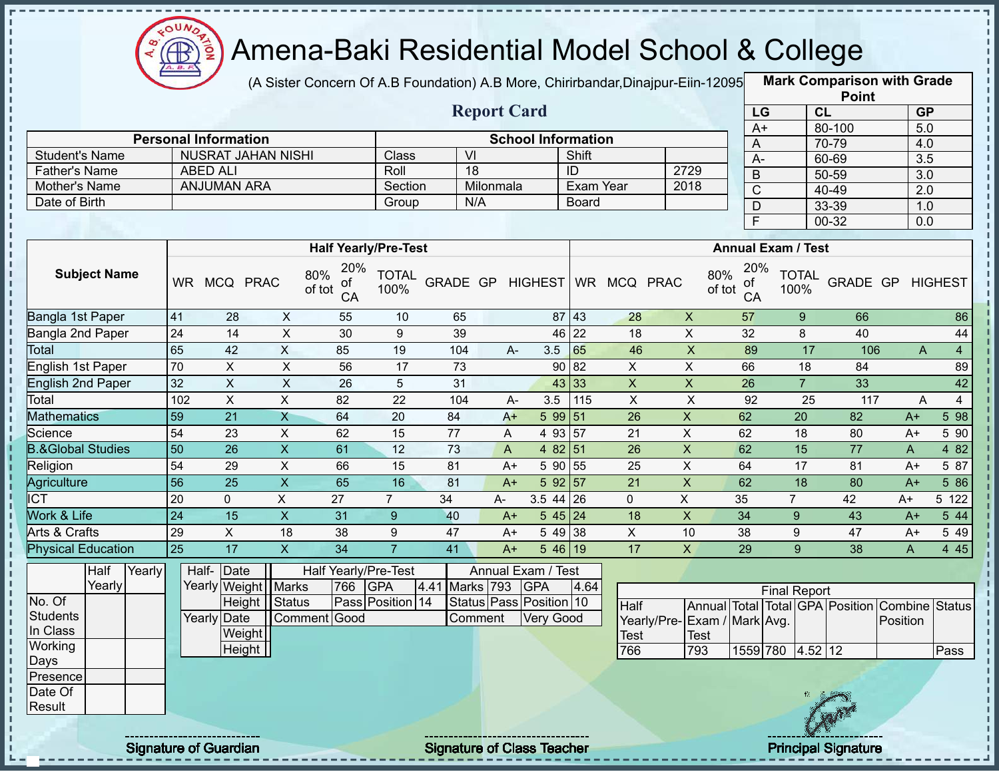

(A Sister Concern Of A.B Foundation) A.B More, Chirirbandar, Dinajpur-Eiin-12095

|                              |                 |                              |                |                                  |                             |                                   |                    |                           |              |                           |                           |                           |                     |                | <b>Point</b>                    |                  |                |
|------------------------------|-----------------|------------------------------|----------------|----------------------------------|-----------------------------|-----------------------------------|--------------------|---------------------------|--------------|---------------------------|---------------------------|---------------------------|---------------------|----------------|---------------------------------|------------------|----------------|
|                              |                 |                              |                |                                  |                             |                                   | <b>Report Card</b> |                           |              |                           |                           | LG                        |                     | CL             |                                 | <b>GP</b>        |                |
|                              |                 | <b>Personal Information</b>  |                |                                  |                             |                                   |                    | <b>School Information</b> |              |                           |                           | $A+$                      |                     |                | 80-100                          | $\overline{5.0}$ |                |
| <b>Student's Name</b>        |                 | <b>NUSRAT JAHAN NISHI</b>    |                |                                  | <b>Class</b>                | V <sub>l</sub>                    |                    |                           | Shift        |                           |                           | A                         |                     |                | 70-79                           | 4.0              |                |
| <b>Father's Name</b>         |                 | <b>ABED ALI</b>              |                |                                  | Roll                        | 18                                |                    |                           | ID           |                           | 2729                      | $A -$                     |                     |                | 60-69                           | $\overline{3.5}$ |                |
| Mother's Name                |                 | <b>ANJUMAN ARA</b>           |                |                                  | Section                     |                                   | Milonmala          |                           | Exam Year    |                           | 2018                      | $\sf B$                   |                     |                | 50-59                           | $\overline{3.0}$ |                |
| Date of Birth                |                 |                              |                |                                  | Group                       |                                   | N/A                |                           | <b>Board</b> |                           |                           | $\overline{C}$            |                     |                | 40-49                           | $\overline{2.0}$ |                |
|                              |                 |                              |                |                                  |                             |                                   |                    |                           |              |                           |                           | D<br>$\overline{F}$       |                     |                | 33-39<br>$00 - 32$              | 1.0<br>0.0       |                |
|                              |                 |                              |                |                                  | <b>Half Yearly/Pre-Test</b> |                                   |                    |                           |              |                           |                           | <b>Annual Exam / Test</b> |                     |                |                                 |                  |                |
| <b>Subject Name</b>          |                 | WR MCQ PRAC                  |                | 20%<br>80%<br>of<br>of tot<br>CA | <b>TOTAL</b><br>100%        | GRADE GP                          |                    | <b>HIGHEST</b>            |              | WR MCQ PRAC               | 80%<br>of tot             | 20%<br>οf<br>CA           | 100%                | <b>TOTAL</b>   | GRADE GP                        |                  | <b>HIGHEST</b> |
| Bangla 1st Paper             | 41              | 28                           | X              | 55                               | 10                          | 65                                |                    |                           | 87 43        | 28                        | $\boldsymbol{X}$          | 57                        |                     | 9              | 66                              |                  | 86             |
| Bangla 2nd Paper             | 24              | 14                           | $\mathsf{x}$   | 30                               | 9                           | 39                                |                    | 46                        | 22           | 18                        | $\pmb{\times}$            | 32                        |                     | 8              | 40                              |                  | 44             |
| <b>Total</b>                 | 65              | 42                           | $\overline{X}$ | 85                               | 19                          | 104                               | A-                 | 3.5                       | 65           | 46                        | $\overline{X}$            | 89                        |                     | 17             | 106                             | A                | $\overline{4}$ |
| English 1st Paper            | 70              | X                            | X              | 56                               | 17                          | 73                                |                    |                           | 90 82        | X                         | X                         | 66                        |                     | 18             | 84                              |                  | 89             |
| <b>English 2nd Paper</b>     | 32              | $\pmb{\times}$               | $\mathsf X$    | 26                               | 5                           | 31                                |                    |                           | 43 33        | $\mathsf X$               | $\boldsymbol{\mathsf{X}}$ | 26                        |                     | $\overline{7}$ | 33                              |                  | 42             |
| Total                        | 102             | $\pmb{\times}$               | $\pmb{\times}$ | 82                               | 22                          | 104                               | A-                 | 3.5                       | 115          | $\boldsymbol{\mathsf{X}}$ | $\pmb{\times}$            | 92                        |                     | 25             | 117                             | A                | $\overline{4}$ |
| <b>Mathematics</b>           | $\overline{59}$ | 21                           | $\overline{X}$ | 64                               | 20                          | 84                                | $A+$               | $599$ 51                  |              | 26                        | $\mathsf X$               | 62                        |                     | 20             | 82                              | $A+$             | 5 98           |
| Science                      | 54              | 23                           | X              | 62                               | 15                          | 77                                | Α                  | 4 93 57                   |              | 21                        | X                         | 62                        |                     | 18             | 80                              | $A+$             | 5 90           |
| <b>B.&amp;Global Studies</b> | 50              | 26                           | $\mathsf{X}$   | 61                               | 12                          | 73                                | A                  | $482$ 51                  |              | 26                        | $\pmb{\times}$            | 62                        |                     | 15             | 77                              | A                | 4 8 2          |
| Religion                     | 54              | 29                           | $\pmb{\times}$ | 66                               | 15                          | 81                                | $A+$               | 5 90 55                   |              | 25                        | X                         | 64                        |                     | 17             | 81                              | $A+$             | 5 87           |
| Agriculture                  | 56              | $\overline{25}$              | $\overline{X}$ | 65                               | 16                          | 81                                | $A+$               | 592 57                    |              | 21                        | $\mathsf X$               | 62                        |                     | 18             | 80                              | $A+$             | 5 86           |
| <b>ICT</b>                   | 20              | 0                            | $\mathsf{X}$   | 27                               | $\overline{7}$              | 34                                | A-                 | $3.5$ 44 26               |              | 0                         | X                         | 35                        | $\overline{7}$      |                | 42                              | $A+$             | 5 122          |
| Work & Life                  | $\overline{24}$ | 15                           | $\mathsf{X}$   | 31                               | 9                           | 40                                | $A+$               | 545 24                    |              | 18                        | $\pmb{\times}$            | 34                        |                     | 9              | 43                              | $A+$             | 5 44           |
| Arts & Crafts                | 29              | X                            | 18             | 38                               | 9                           | 47                                | A+                 | 5 49 38                   |              | X                         | 10                        | 38                        |                     | 9              | 47                              | $A+$             | 5 4 9          |
| Physical Education           | 25              | 17                           | $\overline{X}$ | $\overline{34}$                  | $\overline{7}$              | 41                                | $A+$               | $546$ 19                  |              | 17                        | $\mathsf X$               | 29                        |                     | 9              | 38                              | A                | 4 4 5          |
| Half<br>Yearly<br>Yearly     |                 | Half-Date<br>Yearly Weight   | Marks          | Half Yearly/Pre-Test<br>766      | <b>GPA</b>                  | 4.41                              | Marks 793          | Annual Exam / Test<br>GPA | 4.64         |                           |                           |                           | <b>Final Report</b> |                |                                 |                  |                |
| No. Of                       |                 | Height                       | Status         |                                  | Pass Position 14            |                                   |                    | Status Pass Position 10   |              | Half                      |                           |                           |                     |                | Annual Total Total GPA Position | Combine Status   |                |
| <b>Students</b>              |                 | Yearly Date                  |                | Comment Good                     |                             |                                   | Comment            | Very Good                 |              | Yearly/Pre-               | Exam / Mark Avg.          |                           |                     |                |                                 | Position         |                |
| In Class                     |                 | Weight                       |                |                                  |                             |                                   |                    |                           |              | <b>Test</b>               | <b>Test</b>               |                           |                     |                |                                 |                  |                |
| Working                      |                 | Height                       |                |                                  |                             |                                   |                    |                           |              | 766                       | 793                       |                           | 1559 780 4.52 12    |                |                                 |                  | Pass           |
| Days                         |                 |                              |                |                                  |                             |                                   |                    |                           |              |                           |                           |                           |                     |                |                                 |                  |                |
| Presence<br>Date Of          |                 |                              |                |                                  |                             |                                   |                    |                           |              |                           |                           |                           |                     |                |                                 |                  |                |
| Result                       |                 |                              |                |                                  |                             |                                   |                    |                           |              |                           |                           |                           |                     |                |                                 |                  |                |
|                              |                 | <b>Signature of Guardian</b> |                |                                  |                             | <b>Signature of Class Teacher</b> |                    |                           |              |                           |                           |                           |                     |                | <b>Principal Signature</b>      |                  |                |
|                              |                 |                              |                |                                  |                             |                                   |                    |                           |              |                           |                           |                           |                     |                |                                 |                  |                |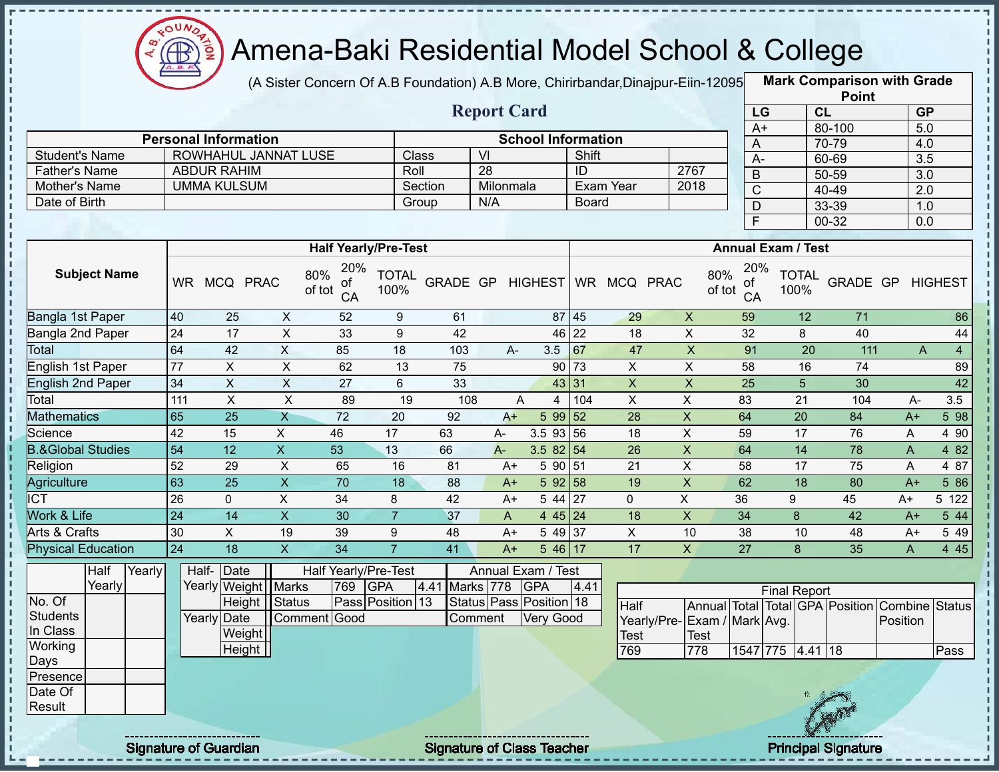

(A Sister Concern Of A.B Foundation) A.B More, Chirirbandar, Dinajpur-Eiin-12095

**Mark Comparison with Grade Point**

|                              |                     |        |                   |                             |                           |                                  |                      |                 |                    |                           |                 |                         |                             |                         |                           | <b>LOILI</b>                    |                       |                  |
|------------------------------|---------------------|--------|-------------------|-----------------------------|---------------------------|----------------------------------|----------------------|-----------------|--------------------|---------------------------|-----------------|-------------------------|-----------------------------|-------------------------|---------------------------|---------------------------------|-----------------------|------------------|
|                              |                     |        |                   |                             |                           |                                  |                      |                 | <b>Report Card</b> |                           |                 |                         |                             | LG                      |                           | CL                              | <b>GP</b>             |                  |
|                              |                     |        |                   | <b>Personal Information</b> |                           |                                  |                      |                 |                    | <b>School Information</b> |                 |                         |                             | $A+$                    |                           | 80-100                          | 5.0                   |                  |
| <b>Student's Name</b>        |                     |        |                   |                             | ROWHAHUL JANNAT LUSE      |                                  |                      | Class           | $\overline{V}$     |                           | Shift           |                         |                             | A                       |                           | 70-79                           | 4.0                   |                  |
| <b>Father's Name</b>         |                     |        |                   | <b>ABDUR RAHIM</b>          |                           |                                  |                      | Roll            | 28                 |                           | $\overline{ID}$ |                         | 2767                        | $A-$                    |                           | 60-69                           | $\overline{3.5}$      |                  |
| Mother's Name                |                     |        |                   | <b>UMMA KULSUM</b>          |                           |                                  |                      | Section         | Milonmala          |                           |                 | Exam Year               | 2018                        | $\overline{B}$          |                           | $50 - 59$                       | $\overline{3.0}$      |                  |
| Date of Birth                |                     |        |                   |                             |                           |                                  |                      | Group           | N/A                |                           | Board           |                         |                             | $\overline{C}$          |                           | $40 - 49$                       | 2.0                   |                  |
|                              |                     |        |                   |                             |                           |                                  |                      |                 |                    |                           |                 |                         |                             | $\overline{D}$          |                           | 33-39                           | 1.0                   |                  |
|                              |                     |        |                   |                             |                           |                                  |                      |                 |                    |                           |                 |                         |                             | $\overline{\mathsf{F}}$ |                           | $00 - 32$                       | $\overline{0.0}$      |                  |
|                              |                     |        |                   |                             |                           | <b>Half Yearly/Pre-Test</b>      |                      |                 |                    |                           |                 |                         |                             |                         | <b>Annual Exam / Test</b> |                                 |                       |                  |
|                              | <b>Subject Name</b> |        |                   | WR MCQ PRAC                 |                           | 20%<br>80%<br>0t<br>of tot<br>CA | <b>TOTAL</b><br>100% |                 |                    | GRADE GP HIGHEST          |                 | WR MCQ PRAC             | 80%<br>of tot               | 20%<br>ot<br>CA         | <b>TOTAL</b><br>100%      |                                 | GRADE GP HIGHEST      |                  |
| Bangla 1st Paper             |                     |        | 40                | 25                          | $\times$                  | 52                               | $9\,$                | 61              |                    |                           | 87 45           | 29                      | $\pmb{\times}$              | 59                      | 12                        | 71                              |                       | 86               |
| Bangla 2nd Paper             |                     |        | 24                | $\overline{17}$             | $\overline{X}$            | 33                               | $\boldsymbol{9}$     | 42              |                    |                           | 46 22           | 18                      | $\pmb{\times}$              | 32                      | 8                         | 40                              |                       | 44               |
| <b>Total</b>                 |                     |        | 64                | 42                          | $\pmb{\times}$            | 85                               | 18                   | 103             | $A -$              | 3.5                       | $\overline{67}$ | 47                      | $\overline{X}$              | 91                      | $\overline{20}$           | 111                             | A                     | $\overline{4}$   |
| <b>English 1st Paper</b>     |                     |        | 77                | $\overline{X}$              | $\overline{\mathsf{x}}$   | 62                               | 13                   | 75              |                    | 90                        | 73              | $\mathsf{X}$            | $\overline{X}$              | 58                      | 16                        | 74                              |                       | 89               |
| <b>English 2nd Paper</b>     |                     |        | $\overline{34}$   | $\overline{X}$              | $\overline{\mathsf{x}}$   | $\overline{27}$                  | 6                    | 33              |                    |                           | 43 31           | $\overline{\mathsf{x}}$ | $\overline{X}$              | $\overline{25}$         | $\overline{5}$            | 30                              |                       | 42               |
| Total                        |                     |        | $\frac{111}{111}$ | $\pmb{\times}$              | $\times$                  | 89                               | 19                   | 108             |                    | A<br>$\overline{4}$       | 104             | $\sf X$                 | $\mathsf X$                 | 83                      | 21                        | 104                             | A-                    | 3.5              |
| <b>Mathematics</b>           |                     |        | 65                | $\overline{25}$             | $\overline{X}$            | $\overline{72}$                  | 20                   | 92              | $A+$               | 5 99 52                   |                 | 28                      | $\overline{X}$              | 64                      | $\overline{20}$           | 84                              | $A+$                  | $5\overline{98}$ |
| Science                      |                     |        | $\overline{42}$   | 15                          | $\boldsymbol{\mathsf{X}}$ | 46                               | 17                   | 63              | $A-$               | $3.5$ 93 56               |                 | 18                      | $\mathsf{X}$                | 59                      | 17                        | 76                              | A                     | 4 90             |
| <b>B.&amp;Global Studies</b> |                     |        | $\overline{54}$   | $\overline{12}$             | $\overline{\mathsf{x}}$   | 53                               | 13                   | 66              | $A -$              | 3.5 $82$ 54               |                 | 26                      | $\pmb{\mathsf{X}}$          | 64                      | 14                        | 78                              | $\mathsf{A}$          | 4 8 2            |
| Religion                     |                     |        | 52                | 29                          | $\mathsf X$               | 65                               | 16                   | 81              | $A+$               | 5 90 51                   |                 | $\overline{21}$         | $\sf X$                     | 58                      | 17                        | 75                              | A                     | 4 87             |
| Agriculture                  |                     |        | 63                | $\overline{25}$             | $\overline{\mathsf{x}}$   | $\overline{70}$                  | 18                   | 88              | $A+$               | 592 58                    |                 | 19                      | $\mathsf{X}$                | 62                      | $\overline{18}$           | 80                              | $A+$                  | 586              |
| $\overline{\text{ICT}}$      |                     |        | 26                | $\mathbf 0$                 | $\mathsf{X}$              | 34                               | 8                    | 42              | $A+$               | 5 44 27                   |                 | $\mathbf{0}$            | X                           | 36                      | 9                         | 45                              | $A+$                  | 5 122            |
| Work & Life                  |                     |        | $\overline{24}$   | 14                          | $\overline{X}$            | 30                               | $\overline{7}$       | 37              | A                  | 4 45 24                   |                 | 18                      | $\mathsf X$                 | 34                      | 8                         | 42                              | $A+$                  | 5 4 4            |
| Arts & Crafts                |                     |        | 30                | X                           | 19                        | 39                               | 9                    | 48              | $A+$               | 5 49 37                   |                 | $\mathsf{X}$            | 10                          | 38                      | 10                        | 48                              | $A+$                  | 5 4 9            |
| <b>Physical Education</b>    |                     |        | $\overline{24}$   | $\overline{18}$             | $\overline{\mathsf{x}}$   | $\overline{34}$                  | $\overline{7}$       | $\overline{41}$ | $A+$               | 5 46 17                   |                 | 17                      | $\overline{X}$              | $\overline{27}$         | 8                         | 35                              | A                     | 445              |
|                              | Half                | Yearly |                   | Half-<br>Date               |                           | <b>Half Yearly/Pre-Test</b>      |                      |                 |                    | Annual Exam / Test        |                 |                         |                             |                         |                           |                                 |                       |                  |
|                              | Yearly              |        |                   |                             | Yearly Weight   Marks     | 769                              | <b>GPA</b>           | 4.41            | Marks 778 GPA      |                           | 4.41            |                         |                             |                         | <b>Final Report</b>       |                                 |                       |                  |
| No. Of                       |                     |        |                   |                             | Height Status             |                                  | Pass Position 13     |                 |                    | Status Pass Position 18   |                 | <b>Half</b>             |                             |                         |                           | Annual Total Total GPA Position | <b>Combine Status</b> |                  |
| <b>Students</b>              |                     |        |                   | Yearly Date                 |                           | Comment Good                     |                      |                 | Comment            | Very Good                 |                 |                         | Yearly/Pre-Exam / Mark Avg. |                         |                           |                                 | Position              |                  |
| In Class                     |                     |        |                   | Weight                      |                           |                                  |                      |                 |                    |                           |                 | <b>Test</b>             | <b>Test</b>                 |                         |                           |                                 |                       |                  |
| Working                      |                     |        |                   |                             | Height                    |                                  |                      |                 |                    |                           |                 | 769                     | 778                         | 1547 775                |                           | 4.41 18                         |                       | Pass             |
| Days                         |                     |        |                   |                             |                           |                                  |                      |                 |                    |                           |                 |                         |                             |                         |                           |                                 |                       |                  |
| Presence<br>Date Of          |                     |        |                   |                             |                           |                                  |                      |                 |                    |                           |                 |                         |                             |                         |                           |                                 |                       |                  |
| Result                       |                     |        |                   |                             |                           |                                  |                      |                 |                    |                           |                 |                         |                             |                         |                           |                                 |                       |                  |
|                              |                     |        |                   |                             |                           |                                  |                      |                 |                    |                           |                 |                         |                             |                         |                           |                                 |                       |                  |
|                              |                     |        |                   |                             |                           |                                  |                      |                 |                    |                           |                 |                         |                             |                         |                           |                                 |                       |                  |

Signature of Guardian Signature of Class Teacher Principal Signature 8/444

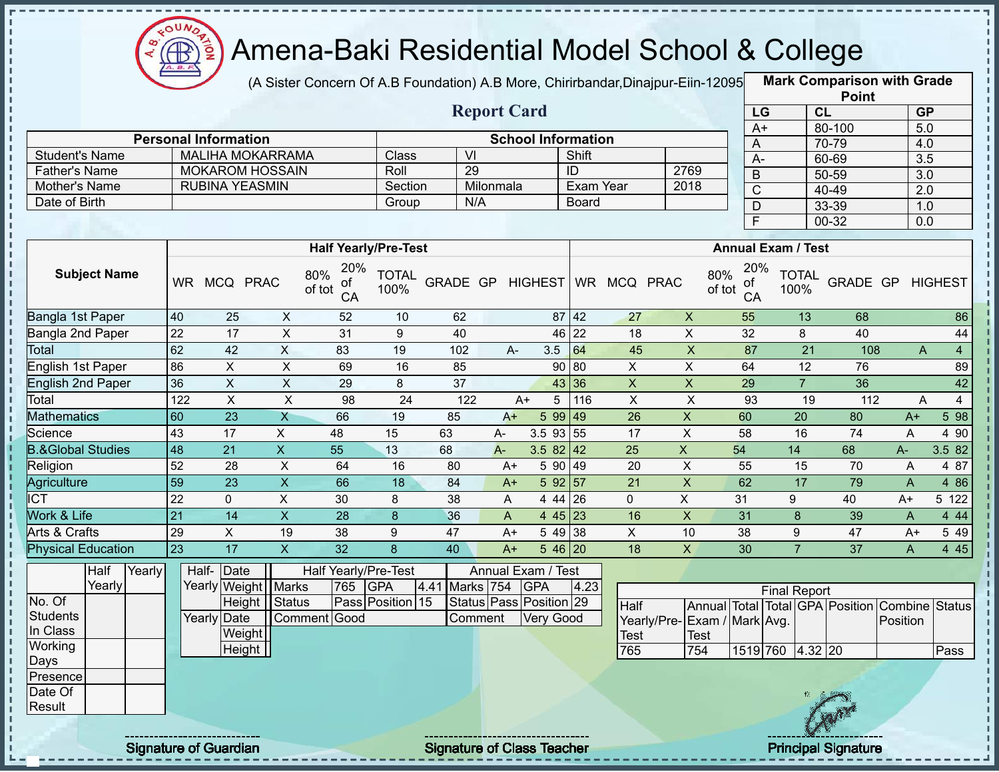

(A Sister Concern Of A.B Foundation) A.B More, Chirirbandar, Dinajpur-Eiin-12095

|                              |                 |                              |        |                         |                      |                             |                |                    |                                   |              |                |                           |                           |                     |                      | <b>Point</b>                    |                  |                |
|------------------------------|-----------------|------------------------------|--------|-------------------------|----------------------|-----------------------------|----------------|--------------------|-----------------------------------|--------------|----------------|---------------------------|---------------------------|---------------------|----------------------|---------------------------------|------------------|----------------|
|                              |                 |                              |        |                         |                      |                             |                | <b>Report Card</b> |                                   |              |                |                           | LG                        |                     | CL                   |                                 | <b>GP</b>        |                |
|                              |                 | <b>Personal Information</b>  |        |                         |                      |                             |                |                    | <b>School Information</b>         |              |                |                           | $A+$                      |                     |                      | 80-100                          | $\overline{5.0}$ |                |
| <b>Student's Name</b>        |                 |                              |        | <b>MALIHA MOKARRAMA</b> |                      | Class                       | V <sub>l</sub> |                    |                                   | Shift        |                |                           | A                         |                     |                      | 70-79                           | 4.0              |                |
| <b>Father's Name</b>         |                 | <b>MOKAROM HOSSAIN</b>       |        |                         |                      | Roll                        | 29             |                    |                                   | ID           |                | 2769                      | $A -$                     |                     |                      | 60-69                           | $\overline{3.5}$ |                |
| Mother's Name                |                 | <b>RUBINA YEASMIN</b>        |        |                         |                      | Section                     |                | Milonmala          |                                   | Exam Year    |                | 2018                      | $\sf B$                   |                     |                      | 50-59                           | $\overline{3.0}$ |                |
| Date of Birth                |                 |                              |        |                         |                      | Group                       |                | N/A                |                                   | <b>Board</b> |                |                           | $\overline{C}$            |                     |                      | 40-49                           | $\overline{2.0}$ |                |
|                              |                 |                              |        |                         |                      |                             |                |                    |                                   |              |                |                           | D<br>$\overline{F}$       |                     |                      | 33-39<br>$00 - 32$              | 1.0<br>0.0       |                |
|                              |                 |                              |        |                         |                      | <b>Half Yearly/Pre-Test</b> |                |                    |                                   |              |                |                           | <b>Annual Exam / Test</b> |                     |                      |                                 |                  |                |
| <b>Subject Name</b>          |                 | WR MCQ PRAC                  |        | 80%<br>of tot           | 20%<br>of<br>CA      | <b>TOTAL</b><br>100%        | GRADE GP       |                    | <b>HIGHEST</b>                    |              | WR MCQ PRAC    | 80%<br>of tot             | 20%<br>οf<br>CA           |                     | <b>TOTAL</b><br>100% | GRADE GP                        |                  | <b>HIGHEST</b> |
| Bangla 1st Paper             | 40              | 25                           |        | X                       | 52                   | 10                          | 62             |                    |                                   | 87 42        | 27             | $\boldsymbol{X}$          | 55                        |                     | 13                   | 68                              |                  | 86             |
| Bangla 2nd Paper             | 22              | 17                           |        | $\mathsf{x}$            | 31                   | 9                           | 40             |                    | 46                                | 22           | 18             | $\pmb{\times}$            | 32                        |                     | 8                    | 40                              |                  | 44             |
| <b>Total</b>                 | 62              | 42                           |        | $\overline{X}$          | 83                   | 19                          | 102            | A-                 | 3.5                               | 64           | 45             | $\overline{X}$            | 87                        |                     | 21                   | 108                             | A                | $\overline{4}$ |
| English 1st Paper            | 86              | X                            |        | X                       | 69                   | 16                          | 85             |                    |                                   | 90 80        | X              | X                         | 64                        |                     | 12                   | 76                              |                  | 89             |
| <b>English 2nd Paper</b>     | 36              | $\pmb{\times}$               |        | $\mathsf X$             | 29                   | 8                           | 37             |                    |                                   | 43 36        | $\mathsf X$    | $\boldsymbol{\mathsf{X}}$ | 29                        |                     | $\overline{7}$       | 36                              |                  | 42             |
| Total                        | 122             | $\mathsf{X}$                 |        | $\pmb{\times}$          | 98                   | 24                          | 122            |                    | 5<br>$A+$                         | 116          | $\pmb{\times}$ | $\pmb{\times}$            | 93                        |                     | 19                   | 112                             | A                | $\overline{4}$ |
| <b>Mathematics</b>           | 60              | 23                           |        | $\overline{X}$          | 66                   | 19                          | 85             | $A+$               | 599 49                            |              | 26             | $\mathsf X$               | 60                        |                     | 20                   | 80                              | $A+$             | 5 98           |
| Science                      | 43              | 17                           |        | X                       | 48                   | 15                          | 63             | $A-$               | $3.5$ 93 55                       |              | 17             | X                         | 58                        |                     | 16                   | 74                              | A                | 4 90           |
| <b>B.&amp;Global Studies</b> | 48              | 21                           |        | $\mathsf{X}$            | 55                   | 13                          | 68             | $A -$              | 3.5 82                            | 42           | 25             | X                         | 54                        | 14                  |                      | 68                              | $A -$            | 3.5 82         |
| Religion                     | 52              | 28                           |        | $\pmb{\times}$          | 64                   | 16                          | 80             | $A+$               | 5 90 49                           |              | 20             | X                         | 55                        |                     | 15                   | 70                              | A                | 4 87           |
| Agriculture                  | 59              | $\overline{23}$              |        | $\overline{X}$          | 66                   | 18                          | 84             | $A+$               | 592 57                            |              | 21             | $\mathsf X$               | 62                        |                     | 17                   | 79                              | $\overline{A}$   | 4 8 6          |
| <b>ICT</b>                   | 22              | $\mathbf{0}$                 |        | X                       | 30                   | 8                           | 38             | Α                  | 4 44 26                           |              | 0              | X                         | 31                        | 9                   |                      | 40                              | $A+$             | 5 122          |
| Work & Life                  | $\overline{21}$ | 14                           |        | $\mathsf{X}$            | 28                   | $\boldsymbol{8}$            | 36             | A                  | $445$ 23                          |              | 16             | $\pmb{\times}$            | 31                        |                     | 8                    | 39                              | A                | 4 4 4          |
| Arts & Crafts                | 29              | X                            |        | 19                      | 38                   | 9                           | 47             | $A+$               | 5 49 38                           |              | X              | 10                        | 38                        |                     | 9                    | 47                              | $A+$             | 5 4 9          |
| Physical Education           | 23              | 17                           |        | $\overline{X}$          | 32                   | 8                           | 40             | $A+$               | $546$ 20                          |              | 18             | $\mathsf{x}$              | 30                        |                     | $\overline{7}$       | $\overline{37}$                 | A                | 4 4 5          |
| Half<br>Yearly               |                 | Half-Date                    |        |                         | Half Yearly/Pre-Test |                             |                |                    | Annual Exam / Test                |              |                |                           |                           |                     |                      |                                 |                  |                |
| Yearly                       |                 | Yearly Weight                |        | Marks                   | 765                  | <b>GPA</b>                  | 4.41           | Marks 754          | GPA                               | 4.23         |                |                           |                           | <b>Final Report</b> |                      |                                 |                  |                |
| No. Of                       |                 |                              | Height | Status                  |                      | Pass Position 15            |                |                    | Status Pass Position 29           |              | <b>Half</b>    |                           |                           |                     |                      | Annual Total Total GPA Position | Combine Status   |                |
| <b>Students</b>              |                 | Yearly Date                  |        | Comment Good            |                      |                             |                | Comment            | <b>Very Good</b>                  |              | Yearly/Pre-    | Exam / Mark Avg.          |                           |                     |                      |                                 | Position         |                |
| In Class                     |                 |                              | Weight |                         |                      |                             |                |                    |                                   |              | <b>Test</b>    | <b>Test</b>               |                           |                     |                      |                                 |                  |                |
| Working                      |                 |                              | Height |                         |                      |                             |                |                    |                                   |              | 765            | 754                       | 1519 760 4.32 20          |                     |                      |                                 |                  | Pass           |
| Days                         |                 |                              |        |                         |                      |                             |                |                    |                                   |              |                |                           |                           |                     |                      |                                 |                  |                |
| Presence                     |                 |                              |        |                         |                      |                             |                |                    |                                   |              |                |                           |                           |                     |                      |                                 |                  |                |
| Date Of<br>Result            |                 |                              |        |                         |                      |                             |                |                    |                                   |              |                |                           |                           |                     |                      |                                 |                  |                |
|                              |                 |                              |        |                         |                      |                             |                |                    |                                   |              |                |                           |                           |                     |                      |                                 |                  |                |
|                              |                 | <b>Signature of Guardian</b> |        |                         |                      |                             |                |                    | <b>Signature of Class Teacher</b> |              |                |                           |                           |                     |                      | <b>Principal Signature</b>      |                  |                |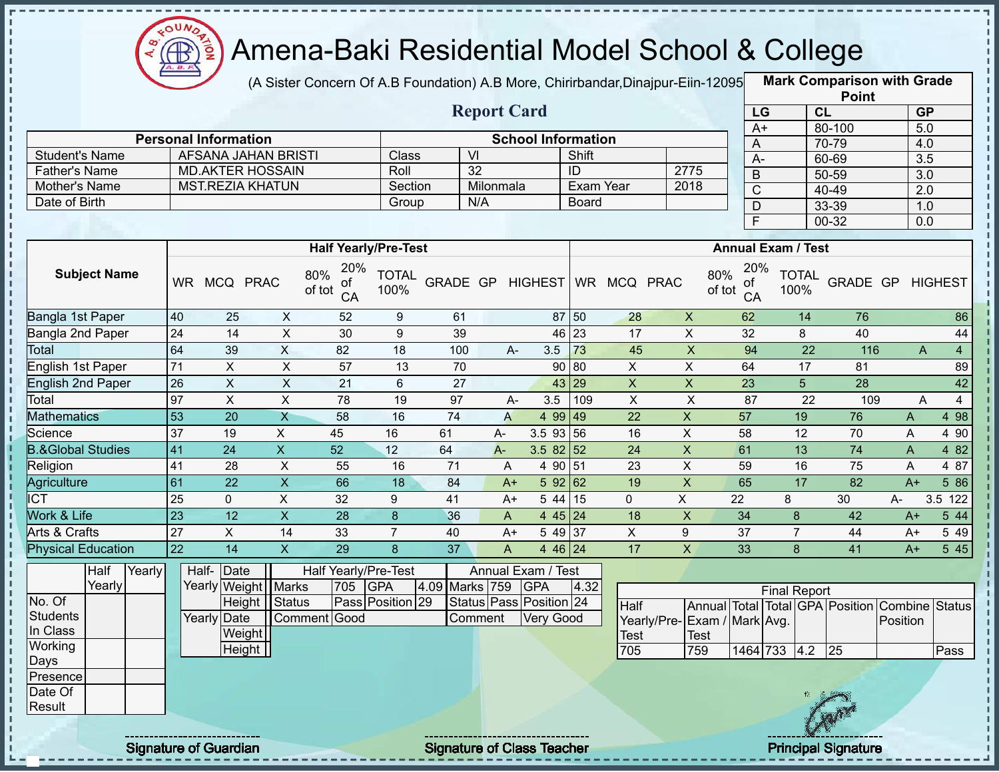

п

J. п

П

 $\begin{array}{c} 1 \\ 1 \\ 1 \\ 1 \\ 1 \end{array}$ 

 $\mathbf I$ J,

 $\frac{1}{1}$ 

 $\mathbf{I}$  $\mathbf I$ J.

 $\mathbf I$ 

# Amena-Baki Residential Model School & College

(A Sister Concern Of A.B Foundation) A.B More, Chirirbandar, Dinajpur-Eiin-12095

**Mark Comparison with Grade**

|                              |                 |                             |                         |                                  |                      |                 |                         |                           |                             |                 |                             |                                  |                     |                 | <b>Point</b>                                   |                  |                |
|------------------------------|-----------------|-----------------------------|-------------------------|----------------------------------|----------------------|-----------------|-------------------------|---------------------------|-----------------------------|-----------------|-----------------------------|----------------------------------|---------------------|-----------------|------------------------------------------------|------------------|----------------|
|                              |                 |                             |                         |                                  |                      |                 | <b>Report Card</b>      |                           |                             |                 |                             | LG                               |                     | CL              |                                                | <b>GP</b>        |                |
|                              |                 |                             |                         |                                  |                      |                 |                         |                           |                             |                 |                             | $A+$                             |                     |                 | 80-100                                         | 5.0              |                |
|                              |                 | <b>Personal Information</b> |                         |                                  |                      |                 |                         | <b>School Information</b> |                             |                 |                             | A                                |                     |                 | 70-79                                          | 4.0              |                |
| <b>Student's Name</b>        |                 | <b>AFSANA JAHAN BRISTI</b>  |                         |                                  | <b>Class</b>         |                 | $\overline{\mathsf{M}}$ |                           | Shift                       |                 |                             | $\overline{A}$                   |                     |                 | 60-69                                          | $\overline{3.5}$ |                |
| Father's Name                |                 | <b>MD.AKTER HOSSAIN</b>     |                         |                                  | Roll                 |                 | 32                      |                           | $\overline{1}$<br>Exam Year |                 | 2775<br>2018                | $\overline{B}$                   |                     |                 | $50 - 59$                                      | $\overline{3.0}$ |                |
| Mother's Name                |                 | <b>MST.REZIA KHATUN</b>     |                         |                                  | Section              |                 | Milonmala               |                           |                             |                 |                             | $\overline{C}$                   |                     |                 | $40 - 49$                                      | $\overline{2.0}$ |                |
| Date of Birth                |                 |                             |                         |                                  | Group                |                 | N/A                     |                           | <b>Board</b>                |                 |                             | $\overline{D}$                   |                     |                 | 33-39                                          | 1.0              |                |
|                              |                 |                             |                         |                                  |                      |                 |                         |                           |                             |                 |                             | F                                |                     |                 | $00 - 32$                                      | $\overline{0.0}$ |                |
|                              |                 |                             |                         | <b>Half Yearly/Pre-Test</b>      |                      |                 |                         |                           |                             |                 |                             | <b>Annual Exam / Test</b>        |                     |                 |                                                |                  |                |
| <b>Subject Name</b>          |                 | WR MCQ PRAC                 |                         | 20%<br>80%<br>0t<br>of tot<br>CA | <b>TOTAL</b><br>100% |                 | GRADE GP HIGHEST        |                           |                             | WR MCQ PRAC     |                             | 20%<br>80%<br>0t<br>of tot<br>CA | 100%                | <b>TOTAL</b>    | GRADE GP                                       |                  | <b>HIGHEST</b> |
| Bangla 1st Paper             | 40              | 25                          | $\mathsf X$             | 52                               | 9                    | 61              |                         |                           | 87 50                       | 28              | $\pmb{\times}$              | 62                               |                     | 14              | 76                                             |                  | 86             |
| Bangla 2nd Paper             | $\overline{24}$ | 14                          | $\overline{X}$          | 30                               | 9                    | 39              |                         |                           | 46 23                       | $\overline{17}$ | $\overline{X}$              | 32                               |                     | 8               | 40                                             |                  | 44             |
| Total                        | 64              | 39                          | $\mathsf{X}$            | 82                               | 18                   | 100             | A-                      | 3.5                       | 73                          | 45              | $\pmb{\times}$              | 94                               |                     | 22              | 116                                            | A                | $\overline{4}$ |
| <b>English 1st Paper</b>     | 71              | $\pmb{\times}$              | $\overline{X}$          | 57                               | 13                   | 70              |                         | 90                        | $\overline{08}$             | $\mathsf{X}$    | $\pmb{\times}$              | 64                               |                     | 17              | 81                                             |                  | 89             |
| <b>English 2nd Paper</b>     | 26              | $\pmb{\times}$              | $\mathsf X$             | 21                               | $6\phantom{1}$       | 27              |                         | 43                        | 29                          | $\mathsf X$     | $\mathsf X$                 | 23                               |                     | 5               | 28                                             |                  | 42             |
| Total                        | $\overline{97}$ | $\mathsf{X}$                | $\overline{X}$          | 78                               | 19                   | 97              | $A -$                   | 3.5                       | 109                         | $\pmb{\times}$  | $\overline{X}$              | 87                               |                     | 22              | 109                                            | A                | $\overline{4}$ |
| <b>Mathematics</b>           | 53              | 20                          | $\mathsf{X}$            | $\overline{58}$                  | 16                   | $\overline{74}$ | $\overline{A}$          | 4 9 9                     | 49                          | 22              | $\mathsf X$                 | 57                               |                     | 19              | 76                                             | A                | 4 98           |
| Science                      | $\overline{37}$ | 19                          | X                       | 45                               | 16                   | 61              | $A -$                   | 3.5 93                    | 56                          | 16              | X                           | 58                               |                     | 12              | 70                                             | A                | 4 90           |
| <b>B.&amp;Global Studies</b> | 41              | $\overline{24}$             | $\overline{X}$          | $\overline{52}$                  | 12                   | 64              | $A -$                   | $3.582$ 52                |                             | 24              | $\overline{\mathsf{x}}$     | 61                               |                     | $\overline{13}$ | $\overline{74}$                                | $\mathsf{A}$     | 482            |
| Religion                     | 41              | $\overline{28}$             | $\pmb{\times}$          | $\overline{55}$                  | 16                   | $\overline{71}$ | A                       | 4 90                      | 51                          | $\overline{23}$ | $\overline{X}$              | 59                               |                     | 16              | 75                                             | A                | 4 87           |
| Agriculture                  | 61              | $\overline{22}$             | $\overline{X}$          | 66                               | $\overline{18}$      | 84              | $A+$                    | 59262                     |                             | 19              | $\overline{X}$              | 65                               |                     | $\overline{17}$ | $\overline{82}$                                | $A+$             | 586            |
| <b>ICT</b>                   | $\overline{25}$ | $\mathbf{0}$                | $\overline{\mathsf{x}}$ | 32                               | 9                    | 41              | $A+$                    | $\overline{5}$ 44         | 15                          | $\overline{0}$  | $\overline{X}$              | $\overline{22}$                  | 8                   |                 | 30                                             | A-               | 3.5 122        |
| <b>Work &amp; Life</b>       | $\overline{23}$ | $\overline{12}$             | $\overline{X}$          | 28                               | 8                    | 36              | $\mathsf{A}$            | 4 45 24                   |                             | 18              | $\pmb{\times}$              | 34                               | 8                   |                 | 42                                             | $A+$             | 544            |
| <b>Arts &amp; Crafts</b>     | $\overline{27}$ | $\overline{X}$              | 14                      | 33                               | $\overline{7}$       | 40              | $A+$                    | 5 49 37                   |                             | $\mathsf{X}$    | $\boldsymbol{9}$            | $\overline{37}$                  | $\overline{7}$      |                 | 44                                             | $A+$             | 5 4 9          |
| <b>Physical Education</b>    | $\overline{22}$ | $\overline{14}$             | $\overline{\mathsf{x}}$ | $\overline{29}$                  | 8                    | $\overline{37}$ | $\overline{A}$          | 4 46 24                   |                             | 17              | $\overline{X}$              | $\overline{33}$                  | 8                   |                 | $\overline{41}$                                | $A+$             | 545            |
| Half<br>Yearly               |                 | Date<br>Half-               |                         | Half Yearly/Pre-Test             |                      |                 | Annual Exam / Test      |                           |                             |                 |                             |                                  |                     |                 |                                                |                  |                |
| Yearly                       |                 | Yearly Weight               | <b>Marks</b>            | 705                              | <b>GPA</b>           | 4.09 Marks 759  |                         | <b>GPA</b>                | 4.32                        |                 |                             |                                  | <b>Final Report</b> |                 |                                                |                  |                |
| No. Of                       |                 | Height                      | Status                  |                                  | Pass Position 29     |                 | Status Pass Position 24 |                           |                             | Half            |                             |                                  |                     |                 | Annual Total Total GPA Position Combine Status |                  |                |
| <b>Students</b>              |                 | <b>Yearly Date</b>          |                         | Comment Good                     |                      |                 | Comment                 | <b>Very Good</b>          |                             |                 | Yearly/Pre-Exam / Mark Avg. |                                  |                     |                 |                                                | Position         |                |
| In Class                     |                 | Weight                      |                         |                                  |                      |                 |                         |                           |                             | <b>Test</b>     | <b>Test</b>                 |                                  |                     |                 |                                                |                  |                |
| Working                      |                 | Height $\vert$              |                         |                                  |                      |                 |                         |                           |                             | 705             | 759                         |                                  | 1464 733 4.2        |                 | 25                                             |                  | Pass           |
| Days<br>Presence             |                 |                             |                         |                                  |                      |                 |                         |                           |                             |                 |                             |                                  |                     |                 |                                                |                  |                |
| Date Of<br>Result            |                 |                             |                         |                                  |                      |                 |                         |                           |                             |                 |                             |                                  |                     |                 |                                                |                  |                |
|                              |                 |                             |                         |                                  |                      |                 |                         |                           |                             |                 |                             |                                  |                     |                 |                                                |                  |                |

Signature of Guardian Signature of Class Teacher Principal Signature of Class Teacher Principal Signature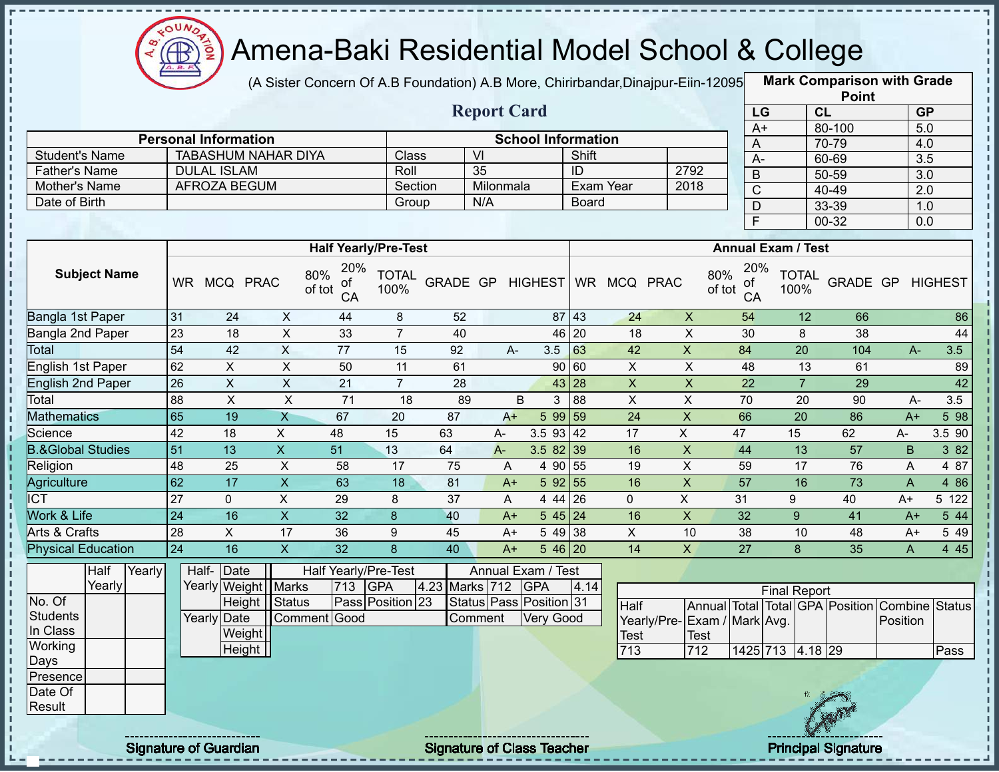

 $\mathbf{I}$ 

J.

П

i

л

 $\begin{array}{c} 1 \\ 1 \\ 1 \\ 1 \\ 1 \end{array}$ 

 $\mathbf I$  $\mathbf{I}$ 

 $\frac{1}{1}$ 

 $\mathbf{I}$  $\mathbf I$ 

 $\frac{1}{1}$ 

# Amena-Baki Residential Model School & College

(A Sister Concern Of A.B Foundation) A.B More, Chirirbandar, Dinajpur-Eiin-12095

**Mark Comparison with Grade**

|                                       |                 |                             |                           |                                  |                      |                 |                    |                           |              |                  |                             |                   |                           | <b>Point</b>                                   |                         |                   |
|---------------------------------------|-----------------|-----------------------------|---------------------------|----------------------------------|----------------------|-----------------|--------------------|---------------------------|--------------|------------------|-----------------------------|-------------------|---------------------------|------------------------------------------------|-------------------------|-------------------|
|                                       |                 |                             |                           |                                  |                      |                 | <b>Report Card</b> |                           |              |                  |                             | LG                |                           | CL                                             | <b>GP</b>               |                   |
|                                       |                 | <b>Personal Information</b> |                           |                                  |                      |                 |                    | <b>School Information</b> |              |                  |                             | $A+$              |                           | 80-100                                         | 5.0                     |                   |
| <b>Student's Name</b>                 |                 | <b>TABASHUM NAHAR DIYA</b>  |                           |                                  | Class                |                 | $\overline{V}$     |                           | Shift        |                  |                             | Α                 |                           | 70-79                                          | 4.0                     |                   |
| <b>Father's Name</b>                  |                 | <b>DULAL ISLAM</b>          |                           |                                  | Roll                 |                 | 35                 |                           | ID           |                  | 2792                        | $A -$             |                           | 60-69                                          | 3.5                     |                   |
| Mother's Name                         |                 | <b>AFROZA BEGUM</b>         |                           |                                  | Section              |                 | Milonmala          |                           |              | <b>Exam Year</b> | 2018                        | $\overline{B}$    |                           | $50 - 59$                                      | $\overline{3.0}$        |                   |
| Date of Birth                         |                 |                             |                           |                                  | Group                |                 | N/A                |                           | <b>Board</b> |                  |                             | $\mathsf C$       |                           | 40-49                                          | $\overline{2.0}$        |                   |
|                                       |                 |                             |                           |                                  |                      |                 |                    |                           |              |                  |                             | $\mathsf{D}$<br>F |                           | 33-39<br>$00 - 32$                             | 1.0<br>$\overline{0.0}$ |                   |
|                                       |                 |                             |                           |                                  |                      |                 |                    |                           |              |                  |                             |                   |                           |                                                |                         |                   |
|                                       |                 |                             |                           | <b>Half Yearly/Pre-Test</b>      |                      |                 |                    |                           |              |                  |                             |                   | <b>Annual Exam / Test</b> |                                                |                         |                   |
| <b>Subject Name</b>                   |                 | WR MCQ PRAC                 |                           | 20%<br>80%<br>οf<br>of tot<br>CA | <b>TOTAL</b><br>100% |                 |                    | GRADE GP HIGHEST          |              | WR MCQ PRAC      | 80%<br>of tot               | 20%<br>0f<br>CA   | <b>TOTAL</b><br>100%      | GRADE GP                                       |                         | <b>HIGHEST</b>    |
| Bangla 1st Paper                      | 31              | 24                          | $\mathsf{X}$              | 44                               | 8                    | 52              |                    |                           | 87 43        | 24               | $\boldsymbol{\mathsf{X}}$   | 54                | 12                        | 66                                             |                         | 86                |
| Bangla 2nd Paper                      | 23              | 18                          | $\overline{X}$            | 33                               | $\overline{7}$       | 40              |                    |                           | 46 20        | 18               | $\mathsf X$                 | 30                | 8                         | 38                                             |                         | 44                |
| Total                                 | 54              | 42                          | $\overline{X}$            | $\overline{77}$                  | 15                   | 92              | $A-$               | 3.5                       | 63           | 42               | $\overline{X}$              | 84                | $\overline{20}$           | 104                                            | $A -$                   | $\overline{3.5}$  |
| <b>English 1st Paper</b>              | 62              | $\overline{X}$              | $\overline{X}$            | 50                               | 11                   | 61              |                    |                           | 90 60        | $\pmb{\times}$   | $\mathsf X$                 | 48                | 13                        | 61                                             |                         | 89                |
| <b>English 2nd Paper</b>              | $\overline{26}$ | $\pmb{\times}$              | $\overline{X}$            | 21                               | $\overline{7}$       | 28              |                    |                           | 43 28        | $\mathsf{x}$     | $\boldsymbol{\mathsf{X}}$   | $\overline{22}$   | $\overline{7}$            | 29                                             |                         | 42                |
| Total                                 | 88              | $\boldsymbol{\mathsf{X}}$   | $\pmb{\times}$            | $\overline{71}$                  | 18                   | 89              |                    | B<br>$\mathbf{3}$         | 88           | $\pmb{\times}$   | $\mathsf X$                 | 70                | 20                        | 90                                             | A-                      | 3.5               |
| <b>Mathematics</b>                    | 65              | 19                          | $\mathsf{X}$              | 67                               | 20                   | 87              | $A+$               | 5 99 59                   |              | 24               | $\boldsymbol{\mathsf{X}}$   | 66                | $\overline{20}$           | 86                                             | $A+$                    | 5 98              |
| Science                               | 42              | 18                          | $\pmb{\times}$            | 48                               | 15                   | 63              | A-                 | $3.5$ 93 42               |              | 17               | $\mathsf{X}$                | 47                | 15                        | 62                                             | A-                      | 3.5 90            |
| <b>B.&amp;Global Studies</b>          | 51              | 13                          | $\boldsymbol{\mathsf{X}}$ | 51                               | 13                   | 64              | $A -$              | $3.582$ 39                |              | 16               | $\pmb{\mathsf{X}}$          | 44                | 13                        | 57                                             | B                       | 3 8 2             |
| Religion                              | 48              | 25                          | $\boldsymbol{\mathsf{X}}$ | 58                               | 17                   | 75              | A                  | 4 90 55                   |              | 19               | X                           | 59                | 17                        | 76                                             | A                       | 4 87              |
| Agriculture                           | 62              | 17                          | $\overline{X}$            | 63                               | $\overline{18}$      | 81              | $A+$               | 5 92 55                   |              | 16               | $\overline{X}$              | 57                | 16                        | 73                                             | $\overline{A}$          | 4 8 6             |
| <b>ICT</b>                            | 27              | $\mathbf 0$                 | $\overline{X}$            | 29                               | 8                    | 37              | A                  | 4 44 26                   |              | $\mathbf 0$      | $\overline{X}$              | 31                | 9                         | 40                                             | $A+$                    | 5 122             |
| Work & Life                           | $\overline{24}$ | 16                          | $\overline{\mathsf{X}}$   | $\overline{32}$                  | $\boldsymbol{8}$     | 40              | $A+$               | 545 24                    |              | 16               | $\overline{X}$              | $\overline{32}$   | $\overline{9}$            | 41                                             | $A+$                    | 5 44              |
| <b>Arts &amp; Crafts</b>              | $\overline{28}$ | $\overline{X}$              | 17                        | $\overline{36}$                  | 9                    | 45              | $A+$               | 5 49 38                   |              | $\overline{X}$   | 10                          | $\overline{38}$   | 10                        | 48                                             | $A+$                    | $\overline{5}$ 49 |
| <b>Physical Education</b>             | $\overline{24}$ | 16                          | $\overline{\mathsf{x}}$   | 32                               | $\overline{8}$       | $\overline{40}$ | $A+$               | $546$ 20                  |              | $\overline{14}$  | $\mathsf{X}$                | $\overline{27}$   | 8                         | 35                                             | $\overline{A}$          | 445               |
| Half<br>Yearly                        |                 | Half- Date                  |                           | Half Yearly/Pre-Test             |                      |                 |                    | Annual Exam / Test        |              |                  |                             |                   |                           |                                                |                         |                   |
| Yearly                                |                 | Yearly Weight   Marks       |                           | 713                              | <b>GPA</b>           | 4.23 Marks 712  |                    | <b>GPA</b>                | 4.14         |                  |                             |                   | <b>Final Report</b>       |                                                |                         |                   |
| No. Of                                |                 | <b>Height</b>               | Status                    |                                  | Pass Position 23     |                 |                    | Status Pass Position 31   |              | <b>Half</b>      |                             |                   |                           | Annual Total Total GPA Position Combine Status |                         |                   |
| <b>Students</b>                       |                 | Yearly Date                 |                           | Comment Good                     |                      |                 | Comment            | <b>Very Good</b>          |              |                  | Yearly/Pre-Exam / Mark Avg. |                   |                           |                                                | Position                |                   |
| In Class                              |                 | Weight                      |                           |                                  |                      |                 |                    |                           |              | Test             | <b>Test</b>                 |                   |                           |                                                |                         |                   |
| Working                               |                 | Height                      |                           |                                  |                      |                 |                    |                           |              | 713              | 712                         |                   | 1425 713 4.18 29          |                                                |                         | Pass              |
| Days<br>Presence<br>Date Of<br>Result |                 |                             |                           |                                  |                      |                 |                    |                           |              |                  |                             |                   |                           |                                                |                         |                   |

Signature of Guardian Signature of Class Teacher Principal Signature of Class Teacher Principal Signature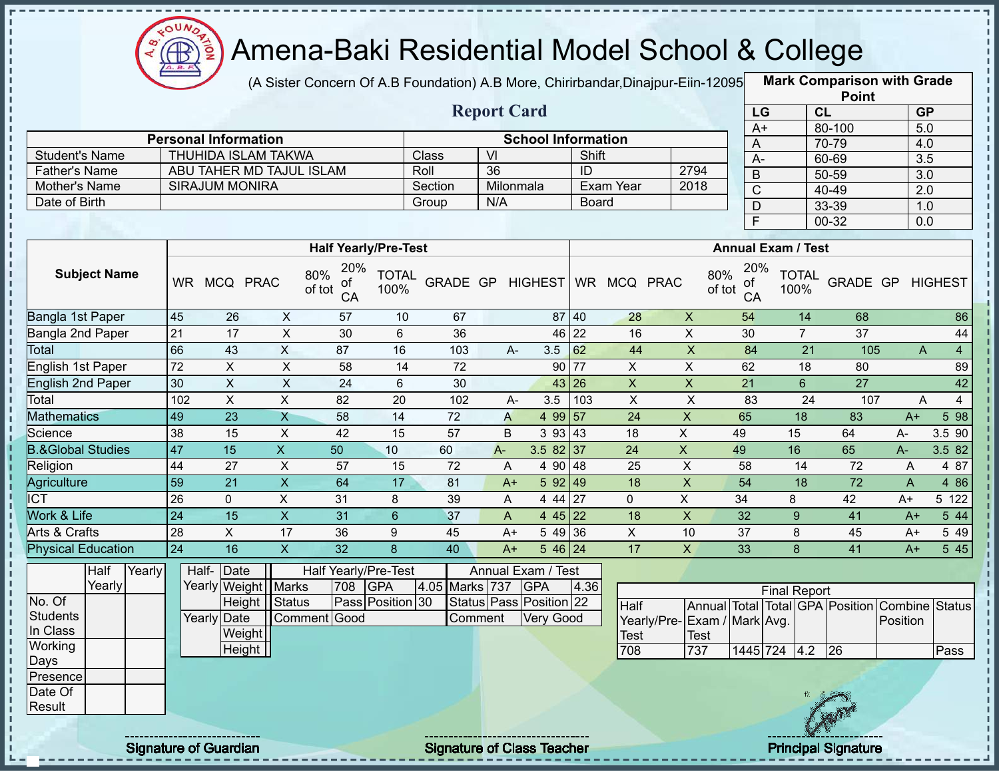

(A Sister Concern Of A.B Foundation) A.B More, Chirirbandar,Dinajpur-Eiin-12095 **Mark Comparison with Grade** 

|                      |                             |         | <b>Report Card</b> |                           |      |
|----------------------|-----------------------------|---------|--------------------|---------------------------|------|
|                      | <b>Personal Information</b> |         |                    | <b>School Information</b> |      |
| Student's Name       | THUHIDA ISLAM TAKWA         | Class   | VI                 | Shift                     |      |
| <b>Father's Name</b> | ABU TAHER MD TAJUL ISLAM    | Roll    | 36                 | ID                        | 2794 |
| Mother's Name        | <b>SIRAJUM MONIRA</b>       | Section | Milonmala          | Exam Year                 | 2018 |
| Date of Birth        |                             | Group   | N/A                | <b>Board</b>              |      |
|                      |                             |         |                    |                           |      |

|      | <b>Point</b> |                  |
|------|--------------|------------------|
| LG   | <b>CL</b>    | <b>GP</b>        |
| $A+$ | 80-100       | 5.0              |
| Α    | 70-79        | 4.0              |
| А-   | 60-69        | $\overline{3.5}$ |
| B    | 50-59        | $\overline{3.0}$ |
| C    | 40-49        | 2.0              |
| D    | 33-39        | 1.0              |
| E    | 00-32        | 0.0              |

|                              |                     |        |     |               |                         |                                  | <b>Half Yearly/Pre-Test</b> |                      |       |      |                               |           |                |                | <b>Annual Exam / Test</b>                      |                      |          |       |                |
|------------------------------|---------------------|--------|-----|---------------|-------------------------|----------------------------------|-----------------------------|----------------------|-------|------|-------------------------------|-----------|----------------|----------------|------------------------------------------------|----------------------|----------|-------|----------------|
|                              | <b>Subject Name</b> |        | WR  | <b>MCQ</b>    | <b>PRAC</b>             | 20%<br>80%<br>οf<br>of tot<br>CA | <b>TOTAL</b><br>100%        | GRADE GP             |       |      | <b>HIGHEST</b>                | <b>WR</b> | MCQ PRAC       |                | 20%<br>80%<br>of<br>of tot<br>CA               | <b>TOTAL</b><br>100% | GRADE GP |       | <b>HIGHEST</b> |
| Bangla 1st Paper             |                     |        | 45  | 26            | X                       | 57                               | 10                          | 67                   |       |      | 87 40                         |           | 28             | X              | 54                                             | 14                   | 68       |       | 86             |
| Bangla 2nd Paper             |                     |        | 21  | 17            | X                       | 30                               | 6                           | 36                   |       |      | 46 22                         |           | 16             | X              | 30                                             | 7                    | 37       |       | 44             |
| Total                        |                     |        | 66  | 43            | X                       | 87                               | 16                          | 103                  |       | $A-$ | 3.5                           | 62        | 44             | X              | 84                                             | 21                   | 105      |       | 4<br>A         |
| English 1st Paper            |                     |        | 72  | X             | X                       | 58                               | 14                          | 72                   |       |      | 90                            | 77        | X              | X              | 62                                             | 18                   | 80       |       | 89             |
| English 2nd Paper            |                     |        | 30  | $\mathsf{X}$  | X                       | 24                               | 6                           | 30                   |       |      | 43 26                         |           | X              | $\pmb{\times}$ | 21                                             | 6                    | 27       |       | 42             |
| Total                        |                     |        | 102 | X             | X                       | 82                               | 20                          | 102                  |       | A-   | 3.5                           | 103       | X              | X              | 83                                             | 24                   | 107      |       | A<br>4         |
| <b>Mathematics</b>           |                     |        | 49  | 23            | X                       | 58                               | 14                          | 72                   |       | A    | 4 9 9                         | 157       | 24             | X              | 65                                             | 18                   | 83       | $A+$  | 5 98           |
| Science                      |                     |        | 38  | 15            | X                       | 42                               | 15                          | 57                   |       | B    | 393   43                      |           | 18             | X              | 49                                             | 15                   | 64       | $A -$ | 3.5 90         |
| <b>B.&amp;Global Studies</b> |                     |        | 47  | 15            | X.                      | 50                               | 10                          | 60                   | $A -$ |      | $3.582$ 37                    |           | 24             | $\mathsf{X}$   | 49                                             | 16                   | 65       | $A -$ | 3.5 82         |
| Religion                     |                     |        | 44  | 27            | X                       | 57                               | 15                          | 72                   |       | A    | 4 90 48                       |           | 25             | Χ              | 58                                             | 14                   | 72       | A     | 4 87           |
| Agriculture                  |                     |        | 59  | 21            | X                       | 64                               | 17                          | 81                   |       | $A+$ | 5 9 2                         | 49        | 18             | X              | 54                                             | 18                   | 72       | A     | 4 86           |
| ∥CT                          |                     |        | 26  | 0             | X                       | 31                               | 8                           | 39                   |       | A    | 4 44 27                       |           | $\mathbf 0$    | X              | 34                                             | 8                    | 42       | $A+$  | 5 122          |
| Work & Life                  |                     |        | 24  | 15            | X                       | 31                               | $6\phantom{1}$              | 37                   |       | A    | 4 45 22                       |           | 18             | X              | 32                                             | 9                    | 41       | $A+$  | 5 44           |
| Arts & Crafts                |                     |        | 28  | X.            | 17                      | 36                               | 9                           | 45                   |       | $A+$ | 5 4 9                         | 36        | X              | 10             | 37                                             | 8                    | 45       | $A+$  | 5 49           |
| <b>Physical Education</b>    |                     |        | 24  | 16            | $\mathsf{X}$            | 32                               | 8                           | 40                   |       | $A+$ | 5 46 24                       |           | 17             | $\mathsf{X}$   | 33                                             | 8                    | 41       | $A+$  | 5 45           |
|                              | Half                | Yearly |     | Half-<br>Date |                         | Half Yearly/Pre-Test             |                             |                      |       |      | Annual Exam / Test            |           |                |                |                                                |                      |          |       |                |
|                              | Yearly              |        |     | Yearly        | Weight                  | 708<br>Marks                     | <b>GPA</b>                  | 4.05<br><b>Marks</b> | 737   |      | <b>GPA</b>                    | 4.36      |                |                |                                                | <b>Final Report</b>  |          |       |                |
| No. Of                       |                     |        |     |               | <b>Status</b><br>Height |                                  | Pass Position 30            |                      |       |      | Status   Pass   Position   22 |           | H <sub>2</sub> |                | Annual Total Total GPA Position Combine Status |                      |          |       |                |

|             |        |                 |                  |         |                               |                              |             |              | <b>Γ</b> ιπαι π <del>ο</del> νυπ |    |                   |                                                |      |  |
|-------------|--------|-----------------|------------------|---------|-------------------------------|------------------------------|-------------|--------------|----------------------------------|----|-------------------|------------------------------------------------|------|--|
|             |        | Height   Status | Pass Position 30 |         | Status   Pass   Position   22 | Half                         |             |              |                                  |    |                   | Annual Total Total GPA Position Combine Status |      |  |
| Yearly Date |        | Comment Good    |                  | Comment | Very Good                     | Yearly/Pre- Exam / Mark Avg. |             |              |                                  |    |                   | Position                                       |      |  |
|             | Weight |                 |                  |         |                               | <b>Test</b>                  | <b>Test</b> |              |                                  |    |                   |                                                |      |  |
|             | Height |                 |                  |         |                               | 708                          | 737         | 1445 724 4.2 |                                  |    | 26                |                                                | Pass |  |
|             |        |                 |                  |         |                               |                              |             |              |                                  |    |                   |                                                |      |  |
|             |        |                 |                  |         |                               |                              |             |              |                                  |    |                   |                                                |      |  |
|             |        |                 |                  |         |                               |                              |             |              |                                  | W. |                   |                                                |      |  |
|             |        |                 |                  |         |                               |                              |             |              |                                  |    | <b>STATISTICS</b> |                                                |      |  |

**Students** In Class **Working** Days Presence Date Of Result

л

J. п

Ì

J, J.

п

Signature of Guardian Signature of Class Teacher Principal Signature of Class Teacher Principal Signature



 $\frac{1}{2}$  =  $\frac{1}{2}$  =  $\frac{1}{2}$  =  $\frac{1}{2}$  =  $\frac{1}{2}$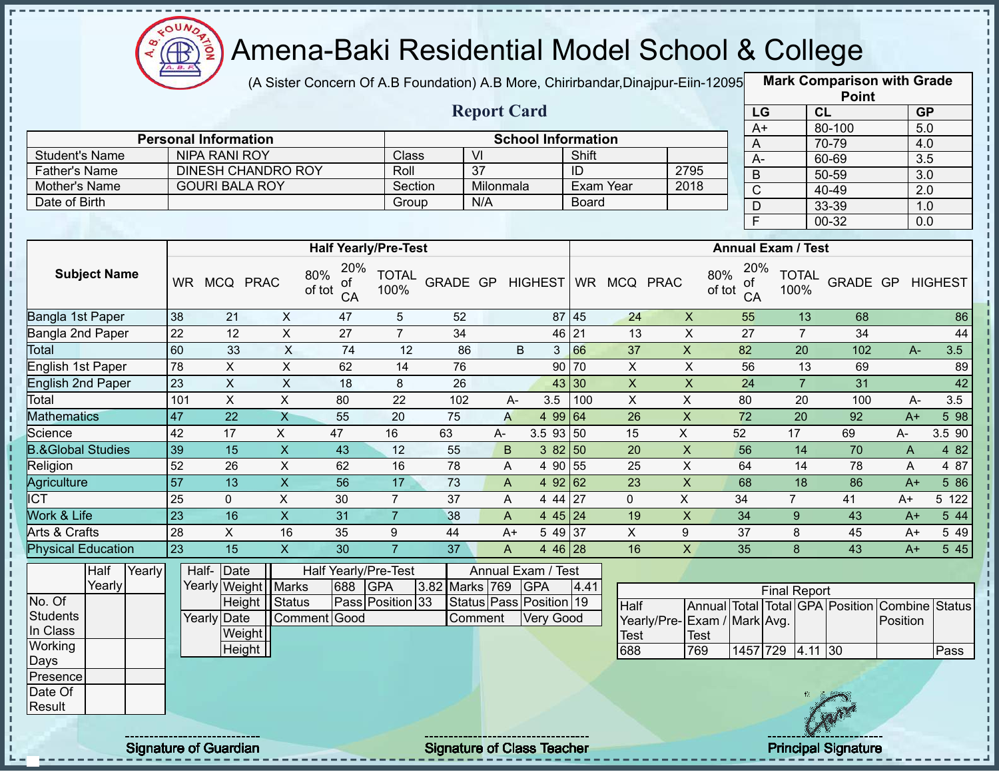

I.

 $1 + 1 + 1 + 1 + 1 + 1$ 

 $\mathbf I$  $\frac{1}{1}$ 

> Î  $\mathbf{I}$

> Î

# Amena-Baki Residential Model School & College

(A Sister Concern Of A.B Foundation) A.B More, Chirirbandar, Dinajpur-Eiin-12095

**Mark Comparison with Grade Point**

|                                |                 |                             |                           |                                  |                      |                  | <b>Report Card</b>      |            |                     |                           |                 |                           |               | LG                        |                     | CL              |                                                |              | GP               |                |
|--------------------------------|-----------------|-----------------------------|---------------------------|----------------------------------|----------------------|------------------|-------------------------|------------|---------------------|---------------------------|-----------------|---------------------------|---------------|---------------------------|---------------------|-----------------|------------------------------------------------|--------------|------------------|----------------|
|                                |                 | <b>Personal Information</b> |                           |                                  |                      |                  |                         |            |                     | <b>School Information</b> |                 |                           |               | $A+$                      |                     |                 | 80-100                                         |              | 5.0              |                |
| <b>Student's Name</b>          |                 | <b>NIPA RANI ROY</b>        |                           |                                  | Class                |                  | $\overline{V}$          |            |                     | Shift                     |                 |                           |               | A                         |                     |                 | 70-79                                          |              | 4.0              |                |
| <b>Father's Name</b>           |                 | DINESH CHANDRO ROY          |                           |                                  | Roll                 |                  | $\overline{37}$         |            |                     | ID                        |                 | 2795                      |               | $A -$                     |                     |                 | 60-69                                          |              | $\overline{3.5}$ |                |
|                                |                 | <b>GOURI BALA ROY</b>       |                           |                                  | Section              |                  |                         |            |                     | Exam Year                 |                 | 2018                      |               | $\sf B$                   |                     |                 | 50-59                                          |              | 3.0              |                |
| Mother's Name<br>Date of Birth |                 |                             |                           |                                  |                      |                  | Milonmala<br>N/A        |            |                     | <b>Board</b>              |                 |                           |               | $\overline{C}$            |                     |                 | 40-49                                          |              | $\overline{2.0}$ |                |
|                                |                 |                             |                           |                                  | Group                |                  |                         |            |                     |                           |                 |                           |               | $\overline{D}$            |                     |                 | 33-39                                          |              | 1.0              |                |
|                                |                 |                             |                           |                                  |                      |                  |                         |            |                     |                           |                 |                           |               | F                         |                     |                 | $00 - 32$                                      |              | 0.0              |                |
|                                |                 |                             |                           | <b>Half Yearly/Pre-Test</b>      |                      |                  |                         |            |                     |                           |                 |                           |               | <b>Annual Exam / Test</b> |                     |                 |                                                |              |                  |                |
| <b>Subject Name</b>            |                 | WR MCQ PRAC                 |                           | 20%<br>80%<br>οf<br>of tot<br>CA | <b>TOTAL</b><br>100% | GRADE GP HIGHEST |                         |            |                     |                           | WR MCQ PRAC     |                           | 80%<br>of tot | 20%<br>of<br>CA           | 100%                | <b>TOTAL</b>    | GRADE GP                                       |              |                  | <b>HIGHEST</b> |
| Bangla 1st Paper               | 38              | 21                          | X                         | 47                               | $\sqrt{5}$           | 52               |                         |            | 87 45               |                           | 24              | $\boldsymbol{\mathsf{X}}$ |               | 55                        |                     | 13              | 68                                             |              |                  | 86             |
| <b>Bangla 2nd Paper</b>        | $\overline{22}$ | 12                          | $\mathsf{X}$              | 27                               | $\overline{7}$       | 34               |                         |            | 46 21               |                           | 13              | $\boldsymbol{\mathsf{X}}$ |               | 27                        |                     | $\overline{7}$  | 34                                             |              |                  | 44             |
| Total                          | 60              | 33                          | $\overline{X}$            | 74                               | 12                   | 86               |                         | B          | 3                   | 66                        | 37              | $\mathsf{X}$              |               | 82                        |                     | 20              | 102                                            |              | $A-$             | 3.5            |
| <b>English 1st Paper</b>       | 78              | $\overline{X}$              | $\overline{\mathsf{x}}$   | 62                               | 14                   | 76               |                         |            | 90 70               |                           | $\overline{X}$  | $\overline{X}$            |               | 56                        |                     | 13              | 69                                             |              |                  | 89             |
| <b>English 2nd Paper</b>       | $\overline{23}$ | $\overline{X}$              | $\overline{\mathsf{x}}$   | 18                               | 8                    | 26               |                         |            | 43 30               |                           | $\overline{X}$  | $\overline{X}$            |               | $\overline{24}$           |                     | $\overline{7}$  | 31                                             |              |                  | 42             |
| Total                          | 101             | $\overline{X}$              | $\overline{X}$            | 80                               | $\overline{22}$      | 102              |                         | A-         | 3.5                 | 100                       | $\overline{X}$  | $\pmb{\times}$            |               | 80                        |                     | 20              | 100                                            |              | $A-$             | 3.5            |
| <b>Mathematics</b>             | $\overline{47}$ | $\overline{22}$             | $\overline{\mathsf{x}}$   | 55                               | $\overline{20}$      | 75               | $\overline{A}$          |            | 4 99 64             |                           | 26              | $\mathsf X$               |               | 72                        |                     | $\overline{20}$ | 92                                             | $A+$         |                  | 5 98           |
| Science                        | 42              | 17                          | $\boldsymbol{\mathsf{X}}$ | 47                               | 16                   | 63               | A-                      |            | $3.5$ 93 50         |                           | 15              | $\mathsf X$               |               | 52                        | 17                  |                 | 69                                             | A-           |                  | 3.5 90         |
| <b>B.&amp;Global Studies</b>   | 39              | $\overline{15}$             | $\overline{X}$            | 43                               | $\overline{12}$      | 55               | $\sf B$                 |            | 38250               |                           | $\overline{20}$ | $\overline{X}$            |               | 56                        |                     | $\overline{14}$ | 70                                             | $\mathsf{A}$ |                  | 482            |
| Religion                       | 52              | 26                          | $\overline{\mathsf{x}}$   | 62                               | 16                   | 78               | A                       |            | 4 90 55             |                           | 25              | $\overline{\mathsf{x}}$   |               | 64                        |                     | 14              | 78                                             | $\mathsf{A}$ |                  | 4 87           |
| Agriculture                    | $\overline{57}$ | $\overline{13}$             | $\overline{\mathsf{x}}$   | 56                               | 17                   | $\overline{73}$  | $\mathsf{A}$            |            | 4 92 62             |                           | 23              | $\overline{X}$            |               | 68                        |                     | 18              | 86                                             | $A+$         |                  | 5 86           |
| <b>ICT</b>                     | $\overline{25}$ | $\mathbf 0$                 | $\overline{X}$            | 30                               | $\overline{7}$       | $\overline{37}$  | A                       |            | $4\overline{44}$ 27 |                           | $\mathbf 0$     | $\overline{X}$            |               | $\overline{34}$           | $\overline{7}$      |                 | 41                                             | $A+$         |                  | 5 122          |
| Work & Life                    | $\overline{23}$ | 16                          | $\overline{X}$            | $\overline{31}$                  | $\overline{7}$       | 38               | A                       |            | 4 45 24             |                           | 19              | X                         |               | 34                        |                     | 9               | 43                                             | $A+$         |                  | 544            |
| Arts & Crafts                  | $\overline{28}$ | $\overline{X}$              | 16                        | 35                               | 9                    | 44               |                         | $A+$       | 54937               |                           | $\overline{X}$  | 9                         |               | 37                        |                     | 8               | 45                                             | $A+$         |                  | 5 4 9          |
| <b>Physical Education</b>      | $\overline{23}$ | $\overline{15}$             | $\overline{X}$            | $\overline{30}$                  | $\overline{7}$       | $\overline{37}$  | $\mathsf A$             |            | 4 46 28             |                           | 16              | $\overline{X}$            |               | 35                        |                     | 8               | 43                                             | $A+$         |                  | 5 45           |
| Half<br>Yearly                 |                 | Date<br>Half-               |                           | Half Yearly/Pre-Test             |                      |                  | Annual Exam / Test      |            |                     |                           |                 |                           |               |                           |                     |                 |                                                |              |                  |                |
| Yearly<br>No. Of               |                 | Yearly Weight   Marks       |                           | 688                              | <b>GPA</b>           | 3.82 Marks 769   |                         | <b>GPA</b> |                     | 4.41                      |                 |                           |               |                           | <b>Final Report</b> |                 |                                                |              |                  |                |
| <b>Students</b>                |                 | <b>Height</b>               | Status                    |                                  | Pass Position 33     |                  | Status Pass Position 19 |            |                     |                           | Half            |                           |               |                           |                     |                 | Annual Total Total GPA Position Combine Status |              |                  |                |
| In Class                       |                 | Yearly Date                 |                           | Comment Good                     |                      |                  | Comment                 |            | <b>Very Good</b>    |                           | Yearly/Pre-     |                           |               | Exam / Mark Avg.          |                     |                 |                                                | Position     |                  |                |
| Working                        |                 | Weight<br>Height            |                           |                                  |                      |                  |                         |            |                     |                           | Test            |                           | <b>Test</b>   |                           |                     |                 |                                                |              |                  |                |
|                                |                 |                             |                           |                                  |                      |                  |                         |            |                     |                           | 688             |                           | 769           | 1457 729 4.11 30          |                     |                 |                                                |              |                  | Pass           |
| Days<br>Presence               |                 |                             |                           |                                  |                      |                  |                         |            |                     |                           |                 |                           |               |                           |                     |                 |                                                |              |                  |                |
| Date Of<br>Result              |                 |                             |                           |                                  |                      |                  |                         |            |                     |                           |                 |                           |               |                           |                     |                 |                                                |              |                  |                |

Signature of Guardian Signature of Class Teacher Principal Signature of Class Teacher Principal Signature

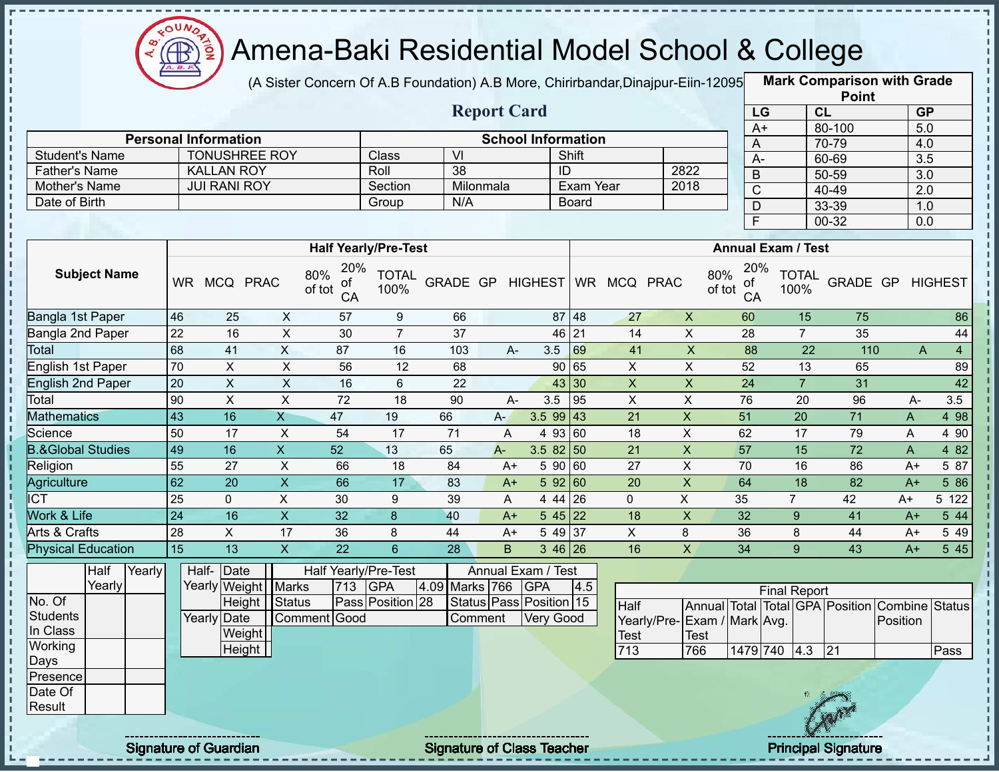

(A Sister Concern Of A.B Foundation) A.B More, Chirirbandar, Dinajpur-Eiin-12095

|                                       |                              |                           |                |                 |                             |                         |                                   |                |                           |                |                  |                 |                           |                      | <b>Point</b>                            |                  |                  |
|---------------------------------------|------------------------------|---------------------------|----------------|-----------------|-----------------------------|-------------------------|-----------------------------------|----------------|---------------------------|----------------|------------------|-----------------|---------------------------|----------------------|-----------------------------------------|------------------|------------------|
|                                       |                              |                           |                |                 |                             |                         | <b>Report Card</b>                |                |                           |                |                  |                 | LG                        | CL                   |                                         | <b>GP</b>        |                  |
|                                       |                              |                           |                |                 |                             |                         |                                   |                |                           |                |                  |                 | $A+$                      |                      | 80-100                                  | 5.0              |                  |
|                                       | <b>Personal Information</b>  |                           |                |                 |                             |                         |                                   |                | <b>School Information</b> |                |                  | A               |                           |                      | 70-79                                   | 4.0              |                  |
| <b>Student's Name</b>                 |                              | <b>TONUSHREE ROY</b>      |                |                 | Class                       | $\overline{\mathsf{M}}$ |                                   |                | Shift                     |                |                  | $A-$            |                           |                      | 60-69                                   | $\overline{3.5}$ |                  |
| <b>Father's Name</b><br>Mother's Name |                              | <b>KALLAN ROY</b>         |                |                 | Roll                        | 38                      | Milonmala                         |                | ID<br>Exam Year           |                | 2822             | $\sf B$         |                           |                      | 50-59                                   | 3.0              |                  |
|                                       |                              | <b>JUI RANI ROY</b>       |                |                 | Section                     | N/A                     |                                   |                |                           |                | 2018             | $\overline{C}$  |                           |                      | 40-49                                   | $\overline{2.0}$ |                  |
| Date of Birth                         |                              |                           |                |                 | Group                       |                         |                                   |                | <b>Board</b>              |                |                  | D               |                           |                      | 33-39                                   | 1.0              |                  |
|                                       |                              |                           |                |                 |                             |                         |                                   |                |                           |                |                  | $\overline{F}$  |                           |                      | 00-32                                   | $0.0\,$          |                  |
|                                       |                              |                           |                |                 | <b>Half Yearly/Pre-Test</b> |                         |                                   |                |                           |                |                  |                 | <b>Annual Exam / Test</b> |                      |                                         |                  |                  |
| <b>Subject Name</b>                   |                              | WR MCQ PRAC               | 80%<br>of tot  | 20%<br>οf<br>CA | <b>TOTAL</b><br>100%        | GRADE GP                |                                   | <b>HIGHEST</b> |                           | WR MCQ PRAC    | 80%<br>of tot    | 20%<br>of<br>CA |                           | <b>TOTAL</b><br>100% |                                         | GRADE GP HIGHEST |                  |
| Bangla 1st Paper                      | 46                           | 25                        | X              | 57              | 9                           | 66                      |                                   | 87             | 48                        | 27             | $\boldsymbol{X}$ | 60              |                           | 15                   | 75                                      |                  | 86               |
| Bangla 2nd Paper                      | 22                           | 16                        | $\pmb{\times}$ | 30              | $\overline{7}$              | 37                      |                                   |                | 21<br>46                  | 14             | $\pmb{\times}$   | 28              |                           | $\overline{7}$       | 35                                      |                  | 44               |
| <b>Total</b>                          | 68                           | 41                        | $\mathsf{X}$   | 87              | 16                          | 103                     | A-                                | 3.5            | 69                        | 41             | $\mathsf{X}$     | 88              |                           | 22                   | 110                                     | A                | $\overline{4}$   |
| English 1st Paper                     | 70                           | X                         | X              | 56              | 12                          | 68                      |                                   | 90             | 65                        | X              | X                | 52              |                           | 13                   | 65                                      |                  | 89               |
| <b>English 2nd Paper</b>              | 20                           | $\sf X$                   | $\pmb{\times}$ | 16              | 6                           | 22                      |                                   |                | 43<br> 30                 | X              | $\mathsf X$      | 24              |                           | $\overline{7}$       | 31                                      |                  | 42               |
| Total                                 | 90                           | $\boldsymbol{\mathsf{X}}$ | $\pmb{\times}$ | 72              | 18                          | 90                      | A-                                | 3.5            | 95                        | $\pmb{\times}$ | $\mathsf X$      | 76              |                           | 20                   | 96                                      | A-               | 3.5              |
| <b>Mathematics</b>                    | 43                           | 16                        | $\overline{X}$ | 47              | 19                          | 66                      | $A -$                             | 3.5 99         | 43                        | 21             | X                | 51              |                           | 20                   | $\overline{71}$                         | A                | 4 98             |
| Science                               | 50                           | 17                        | X              | 54              | 17                          | 71                      | A                                 | 4 9 3          | 60                        | 18             | $\pmb{\times}$   | 62              |                           | 17                   | 79                                      | A                | 4 90             |
| <b>B.&amp;Global Studies</b>          | 49                           | 16                        | X              | 52              | 13                          | 65                      | $A-$                              | 3.5 82         | 50                        | 21             | X                | 57              |                           | 15                   | 72                                      | A                | 4 8 2            |
| Religion                              | 55                           | 27                        | $\pmb{\times}$ | 66              | 18                          | 84                      | $A+$                              | 5 90           | 60                        | 27             | X                | 70              |                           | 16                   | 86                                      | $A+$             | 5 87             |
| Agriculture                           | 62                           | 20                        | $\overline{X}$ | 66              | 17                          | 83                      | $A+$                              | 5 9 2          | 60                        | 20             | $\overline{X}$   | 64              |                           | 18                   | 82                                      | $A+$             | 586              |
| <b>ICT</b>                            | 25                           | $\mathbf 0$               | X              | 30              | 9                           | 39                      | A                                 | 4 4 4          | 26                        | $\mathbf{0}$   | X                | 35              | $\overline{7}$            |                      | 42                                      | $A+$             | 5 122            |
| Work & Life                           | $\overline{24}$              | 16                        | $\mathsf{X}$   | 32              | $\boldsymbol{8}$            | 40                      | $A+$                              | 545            | 22                        | 18             | $\pmb{\times}$   | 32              |                           | 9                    | 41                                      | $A+$             | 5 4 4            |
| Arts & Crafts                         | 28                           | X                         | 17             | 36              | 8                           | 44                      | $A+$                              | 5 4 9          | 37                        | X              | 8                | 36              |                           | 8                    | 44                                      | A+               | 5 4 9            |
| <b>Physical Education</b>             | $\overline{15}$              | $\overline{13}$           | $\overline{X}$ | $\overline{22}$ | $6\overline{6}$             | 28                      | B                                 |                | $346$ 26                  | 16             | $\overline{X}$   | 34              |                           | $\overline{9}$       | 43                                      | $A+$             | $5\overline{45}$ |
| Half<br>Yearly                        |                              | Half- Date                |                |                 | Half Yearly/Pre-Test        |                         | Annual Exam / Test                |                |                           |                |                  |                 |                           |                      |                                         |                  |                  |
| Yearly                                |                              | Yearly Weight Marks       |                | 713             | <b>GPA</b><br>4.09          |                         | Marks 766                         | GPA            | 4.5                       |                |                  |                 | <b>Final Report</b>       |                      |                                         |                  |                  |
| No. Of                                |                              | Height   Status           |                |                 | Pass Position 28            |                         | Status Pass Position 15           |                |                           | Half           |                  |                 |                           |                      | Annual Total Total GPA Position Combine |                  | <b>Status</b>    |
| <b>Students</b>                       |                              | Yearly Date               | Comment Good   |                 |                             |                         | Comment                           | Very Good      |                           | Yearly/Pre-    | Exam / Mark Avg. |                 |                           |                      |                                         | Position         |                  |
| In Class                              |                              | Weight                    |                |                 |                             |                         |                                   |                |                           | <b>Test</b>    | <b>Test</b>      |                 |                           |                      |                                         |                  |                  |
| Working                               |                              | Height                    |                |                 |                             |                         |                                   |                |                           | 713            | 766              |                 | 1479 740 4.3              |                      | 21                                      |                  | Pass             |
| Days                                  |                              |                           |                |                 |                             |                         |                                   |                |                           |                |                  |                 |                           |                      |                                         |                  |                  |
| Presence<br>Date Of                   |                              |                           |                |                 |                             |                         |                                   |                |                           |                |                  |                 |                           |                      |                                         |                  |                  |
| Result                                |                              |                           |                |                 |                             |                         |                                   |                |                           |                |                  |                 |                           |                      |                                         |                  |                  |
|                                       |                              |                           |                |                 |                             |                         |                                   |                |                           |                |                  |                 |                           |                      |                                         |                  |                  |
|                                       | <b>Signature of Guardian</b> |                           |                |                 |                             |                         | <b>Signature of Class Teacher</b> |                |                           |                |                  |                 |                           |                      | <b>Principal Signature</b>              |                  |                  |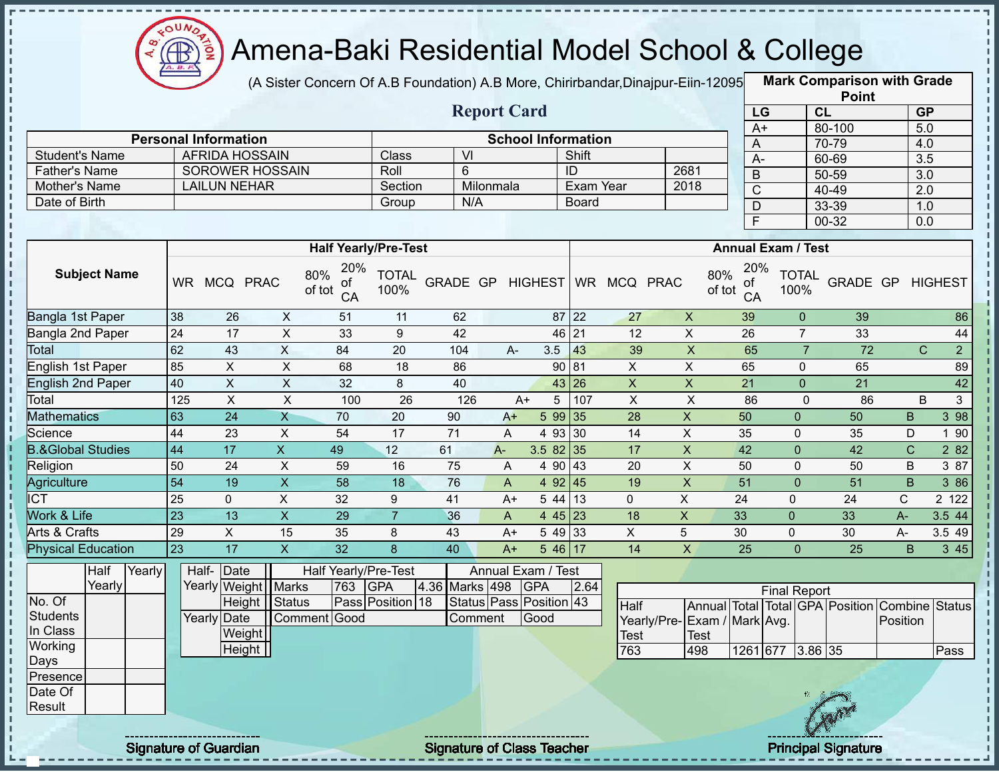

(A Sister Concern Of A.B Foundation) A.B More, Chirirbandar,Dinajpur-Eiin-120950

|                              |     |                             |                           |                                  |                      |                   |                           |                           |                 |                              |                         |                           |                |                      | <b>Point</b>                            |                  |                                  |
|------------------------------|-----|-----------------------------|---------------------------|----------------------------------|----------------------|-------------------|---------------------------|---------------------------|-----------------|------------------------------|-------------------------|---------------------------|----------------|----------------------|-----------------------------------------|------------------|----------------------------------|
|                              |     |                             |                           |                                  |                      |                   | <b>Report Card</b>        |                           |                 |                              |                         |                           | LG             |                      | CL                                      |                  | GP                               |
|                              |     |                             |                           |                                  |                      |                   |                           |                           |                 |                              |                         |                           | $A+$           |                      | 80-100                                  |                  | 5.0                              |
|                              |     | <b>Personal Information</b> |                           |                                  |                      |                   |                           | <b>School Information</b> |                 |                              |                         |                           | A              |                      | 70-79                                   |                  | 4.0                              |
| <b>Student's Name</b>        |     | <b>AFRIDA HOSSAIN</b>       |                           |                                  | Class                | $\overline{V}$    |                           |                           | Shift           |                              |                         |                           | $A -$          |                      | 60-69                                   |                  | 3.5                              |
| Father's Name                |     | <b>SOROWER HOSSAIN</b>      |                           |                                  | Roll                 | $6\phantom{1}$    |                           |                           | $\overline{ID}$ |                              | 2681                    |                           | $\overline{B}$ |                      | $50 - 59$                               |                  | 3.0                              |
| Mother's Name                |     | <b>LAILUN NEHAR</b>         |                           |                                  | Section              | N/A               | Milonmala                 |                           | Exam Year       |                              | 2018                    |                           | $\overline{C}$ |                      | $40 - 49$                               |                  | $\overline{2.0}$                 |
| Date of Birth                |     |                             |                           |                                  | Group                |                   |                           |                           | <b>Board</b>    |                              |                         |                           | $\overline{D}$ |                      | 33-39                                   |                  | 1.0                              |
|                              |     |                             |                           |                                  |                      |                   |                           |                           |                 |                              |                         |                           | F              |                      | $00 - 32$                               |                  | $\overline{0.0}$                 |
|                              |     |                             |                           | <b>Half Yearly/Pre-Test</b>      |                      |                   |                           |                           |                 |                              |                         | <b>Annual Exam / Test</b> |                |                      |                                         |                  |                                  |
| <b>Subject Name</b>          |     | WR MCQ PRAC                 |                           | 20%<br>80%<br>οf<br>of tot<br>CA | <b>TOTAL</b><br>100% |                   |                           |                           |                 | GRADE GP HIGHEST WR MCQ PRAC |                         | 80%<br>of<br>of tot<br>CA | 20%            | <b>TOTAL</b><br>100% |                                         | GRADE GP HIGHEST |                                  |
| Bangla 1st Paper             | 38  | 26                          | X                         | 51                               | 11                   | 62                |                           |                           | $87$ 22         | 27                           | $\pmb{\times}$          | 39                        |                | $\overline{0}$       | 39                                      |                  | 86                               |
| Bangla 2nd Paper             | 24  | 17                          | $\overline{\mathsf{x}}$   | 33                               | $\overline{9}$       | 42                |                           |                           | 46 21           | 12                           | $\overline{X}$          | 26                        |                | $\overline{7}$       | 33                                      |                  | 44                               |
| Total                        | 62  | 43                          | $\pmb{\times}$            | 84                               | $\overline{20}$      | 104               | $A -$                     | 3.5                       | 43              | 39                           | $\pmb{\mathsf{X}}$      | 65                        |                | $\overline{7}$       | $\overline{72}$                         |                  | $\overline{C}$<br>$\overline{2}$ |
| <b>English 1st Paper</b>     | 85  | $\overline{\mathsf{x}}$     | $\overline{X}$            | 68                               | 18                   | 86                |                           |                           | 90 81           | $\pmb{\times}$               | $\overline{\mathsf{x}}$ | 65                        |                | $\mathbf 0$          | 65                                      |                  | 89                               |
| <b>English 2nd Paper</b>     | 40  | $\overline{\mathsf{x}}$     | $\overline{X}$            | 32                               | 8                    | 40                |                           |                           | 43 26           | $\pmb{\times}$               | $\overline{X}$          | 21                        |                | $\overline{0}$       | 21                                      |                  | 42                               |
| Total                        | 125 | $\boldsymbol{\mathsf{X}}$   | $\pmb{\times}$            | 100                              | 26                   | 126               |                           | 5<br>$A+$                 | 107             | $\pmb{\times}$               | $\times$                | 86                        |                | $\overline{0}$       | 86                                      |                  | 3 <sup>1</sup><br>B              |
| <b>Mathematics</b>           | 63  | 24                          | $\mathsf{X}$              | 70                               | 20                   | 90                | $A+$                      | 5 9 9                     | 35              | 28                           | $\mathsf X$             | 50                        |                | 0                    | 50                                      | $\sf B$          | 398                              |
| Science                      | 44  | 23                          | $\boldsymbol{\mathsf{X}}$ | 54                               | $\overline{17}$      | $\overline{71}$   | $\mathsf{A}$              |                           | 4 93 30         | 14                           | $\pmb{\times}$          | 35                        |                | $\mathbf{0}$         | 35                                      | D                | 1 90                             |
| <b>B.&amp;Global Studies</b> | 44  | 17                          | $\overline{X}$            | 49                               | $\overline{12}$      | 61                | $A -$                     | $3.582$ 35                |                 | $\overline{17}$              | $\overline{\mathsf{x}}$ | 42                        |                | $\mathbf 0$          | 42                                      | $\mathsf{C}$     | 2 8 2                            |
| Religion                     | 50  | $\overline{24}$             | $\overline{X}$            | 59                               | 16                   | 75                | A                         | 4 9 0                     | 43              | 20                           | $\overline{X}$          | 50                        |                | $\mathbf 0$          | 50                                      | B                | 387                              |
| Agriculture                  | 54  | $\overline{19}$             | $\overline{\mathsf{x}}$   | $\overline{58}$                  | $\overline{18}$      | 76                | $\boldsymbol{\mathsf{A}}$ |                           | 492   45        | 19                           | $\overline{X}$          | 51                        |                | $\overline{0}$       | 51                                      | B                | 386                              |
| <b>ICT</b>                   | 25  | $\mathbf 0$                 | $\overline{X}$            | 32                               | $\boldsymbol{9}$     | 41                | $A+$                      |                           | $544$ 13        | $\overline{0}$               | $\overline{X}$          | 24                        |                | 0                    | 24                                      | $\mathsf{C}$     | 2 122                            |
| <b>Work &amp; Life</b>       | 23  | $\overline{13}$             | $\overline{\mathsf{x}}$   | 29                               | $\overline{7}$       | 36                | A                         |                           | $445$ 23        | $\overline{18}$              | $\overline{X}$          | 33                        |                | $\overline{0}$       | 33                                      | $A -$            | 3.5 44                           |
| <b>Arts &amp; Crafts</b>     | 29  | $\overline{X}$              | $\overline{15}$           | 35                               | 8                    | 43                | $A+$                      |                           | 5 49 33         | $\overline{X}$               | 5                       | 30                        |                | $\overline{0}$       | 30                                      | $A -$            | 3.549                            |
| <b>Physical Education</b>    | 23  | 17                          | $\overline{X}$            | 32                               | 8                    | 40                | $A+$                      |                           | $546$ 17        | 14                           | $\pmb{\times}$          | 25                        |                | $\Omega$             | 25                                      | <sub>B</sub>     | 3 45                             |
| Half<br>Yearly               |     | Half- Date                  |                           | <b>Half Yearly/Pre-Test</b>      |                      |                   |                           | Annual Exam / Test        |                 |                              |                         |                           |                |                      |                                         |                  |                                  |
| Yearly                       |     | Yearly Weight   Marks       |                           | 763                              | <b>GPA</b>           | 4.36<br>Marks 498 |                           | <b>GPA</b>                | 2.64            |                              |                         |                           |                | <b>Final Report</b>  |                                         |                  |                                  |
| No. Of                       |     |                             | Height   Status           |                                  | Pass Position 18     |                   |                           | Status Pass Position 43   |                 | Half                         |                         |                           |                |                      | Annual Total Total GPA Position Combine |                  | <b>Status</b>                    |
| <b>Students</b>              |     | <b>Yearly Date</b>          |                           | Comment Good                     |                      | Comment           |                           | Good                      |                 | Yearly/Pre-Exam / Mark Avg.  |                         |                           |                |                      |                                         | Position         |                                  |
| In Class                     |     | Weight                      |                           |                                  |                      |                   |                           |                           |                 | <b>Test</b>                  | Test                    |                           |                |                      |                                         |                  |                                  |
| Working                      |     | Height                      |                           |                                  |                      |                   |                           |                           |                 | 763                          | 498                     |                           |                | 1261 677 3.86 35     |                                         |                  | Pass                             |
| Days                         |     |                             |                           |                                  |                      |                   |                           |                           |                 |                              |                         |                           |                |                      |                                         |                  |                                  |
| Presence                     |     |                             |                           |                                  |                      |                   |                           |                           |                 |                              |                         |                           |                |                      |                                         |                  |                                  |
| Date Of<br>Result            |     |                             |                           |                                  |                      |                   |                           |                           |                 |                              |                         |                           |                |                      |                                         |                  |                                  |
|                              |     |                             |                           |                                  |                      |                   |                           |                           |                 |                              |                         |                           |                |                      |                                         |                  |                                  |
|                              |     |                             |                           |                                  |                      |                   |                           |                           |                 |                              |                         |                           |                |                      |                                         |                  |                                  |

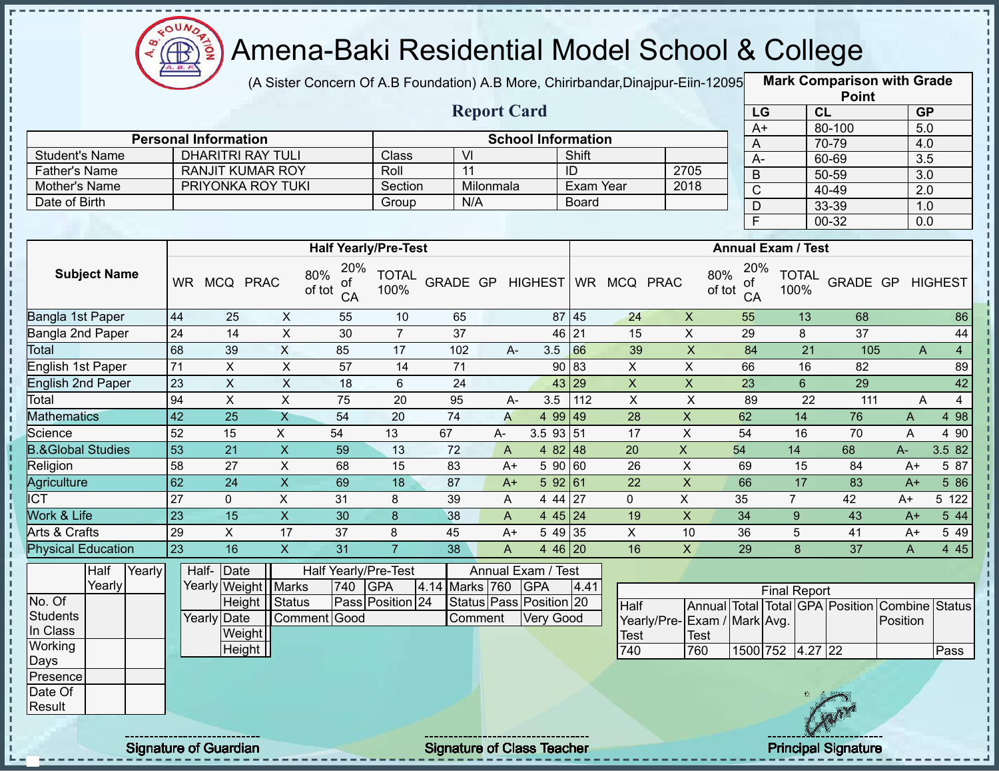

(A Sister Concern Of A.B Foundation) A.B More, Chirirbandar, Dinajpur-Eiin-12095

|                              |                 |                              |                           |                           |                             |                                   |                    |                           |              |                    |                           |                           |                     |                | <b>Point</b>                    |                  |                |
|------------------------------|-----------------|------------------------------|---------------------------|---------------------------|-----------------------------|-----------------------------------|--------------------|---------------------------|--------------|--------------------|---------------------------|---------------------------|---------------------|----------------|---------------------------------|------------------|----------------|
|                              |                 |                              |                           |                           |                             |                                   | <b>Report Card</b> |                           |              |                    |                           | LG                        |                     | CL             |                                 | <b>GP</b>        |                |
|                              |                 | <b>Personal Information</b>  |                           |                           |                             |                                   |                    | <b>School Information</b> |              |                    |                           | $A+$                      |                     |                | 80-100                          | $\overline{5.0}$ |                |
| <b>Student's Name</b>        |                 | <b>DHARITRI RAY TULI</b>     |                           |                           | Class                       | $\overline{\mathsf{M}}$           |                    |                           | Shift        |                    |                           | A                         |                     |                | 70-79                           | 4.0              |                |
| <b>Father's Name</b>         |                 | <b>RANJIT KUMAR ROY</b>      |                           |                           | Roll                        | 11                                |                    |                           | ID           |                    | 2705                      | $A-$                      |                     |                | 60-69                           | 3.5              |                |
| Mother's Name                |                 | PRIYONKA ROY TUKI            |                           |                           | Section                     |                                   | Milonmala          |                           | Exam Year    |                    | 2018                      | $\sf B$                   |                     |                | 50-59                           | $\overline{3.0}$ |                |
| Date of Birth                |                 |                              |                           |                           | Group                       | N/A                               |                    |                           | <b>Board</b> |                    |                           | $\overline{C}$            |                     |                | 40-49                           | $\overline{2.0}$ |                |
|                              |                 |                              |                           |                           |                             |                                   |                    |                           |              |                    |                           | D<br>E                    |                     |                | 33-39<br>$00 - 32$              | 1.0<br>0.0       |                |
|                              |                 |                              |                           |                           | <b>Half Yearly/Pre-Test</b> |                                   |                    |                           |              |                    |                           | <b>Annual Exam / Test</b> |                     |                |                                 |                  |                |
| <b>Subject Name</b>          |                 | WR MCQ PRAC                  | 80%                       | 20%<br>of<br>of tot<br>CA | <b>TOTAL</b><br>100%        | GRADE GP                          |                    | <b>HIGHEST</b>            |              | WR MCQ PRAC        | 80%<br>of tot             | 20%<br>of<br>CA           | 100%                | <b>TOTAL</b>   | GRADE GP                        |                  | <b>HIGHEST</b> |
| Bangla 1st Paper             | 44              | 25                           | X                         | 55                        | 10                          | 65                                |                    |                           | 87 45        | 24                 | $\boldsymbol{X}$          | 55                        |                     | 13             | 68                              |                  | 86             |
| Bangla 2nd Paper             | 24              | 14                           | X                         | 30                        | $\overline{7}$              | 37                                |                    |                           | 46 21        | 15                 | $\pmb{\times}$            | 29                        |                     | 8              | 37                              |                  | 44             |
| Total                        | 68              | 39                           | $\overline{X}$            | 85                        | 17                          | 102                               | A-                 | 3.5                       | 66           | 39                 | $\boldsymbol{\mathsf{X}}$ | 84                        |                     | 21             | 105                             | A                | $\overline{4}$ |
| <b>English 1st Paper</b>     | 71              | X                            | X                         | 57                        | 14                          | 71                                |                    |                           | 90 83        | X                  | X                         | 66                        |                     | 16             | 82                              |                  | 89             |
| <b>English 2nd Paper</b>     | 23              | $\boldsymbol{\mathsf{X}}$    | $\sf X$                   | 18                        | 6                           | 24                                |                    |                           | 43 29        | $\pmb{\mathsf{X}}$ | $\mathsf X$               | 23                        |                     | $6\phantom{a}$ | 29                              |                  | 42             |
| Total                        | 94              | $\boldsymbol{\mathsf{X}}$    | $\boldsymbol{\mathsf{X}}$ | 75                        | 20                          | 95                                | A-                 | 3.5                       | 112          | $\pmb{\times}$     | $\boldsymbol{\mathsf{X}}$ | 89                        |                     | 22             | 111                             | A                | $\overline{4}$ |
| <b>Mathematics</b>           | $\overline{42}$ | $\overline{25}$              | $\overline{X}$            | $\overline{54}$           | 20                          | $\overline{74}$                   | $\overline{A}$     | 4 99 49                   |              | 28                 | $\pmb{\mathsf{X}}$        | 62                        |                     | 14             | 76                              | $\mathsf{A}$     | 4 98           |
| Science                      | 52              | 15                           | X                         | 54                        | 13                          | 67                                | $A-$               | $3.5$ 93 $\overline{51}$  |              | 17                 | X                         | 54                        |                     | 16             | 70                              | A                | 4 90           |
| <b>B.&amp;Global Studies</b> | 53              | 21                           | $\boldsymbol{X}$          | 59                        | 13                          | 72                                | A                  | 4 82 48                   |              | 20                 | X                         | 54                        | 14                  |                | 68                              | $A -$            | 3.5 82         |
| Religion                     | 58              | 27                           | $\pmb{\times}$            | 68                        | 15                          | 83                                | $A+$               | 5 90 60                   |              | 26                 | $\mathsf X$               | 69                        |                     | 15             | 84                              | $A+$             | 5 87           |
| Agriculture                  | 62              | 24                           | $\overline{X}$            | 69                        | 18                          | 87                                | $A+$               | 592 61                    |              | 22                 | $\overline{X}$            | 66                        |                     | 17             | 83                              | $A+$             | 5 86           |
| $\overline{IC}$              | 27              | $\mathbf 0$                  | X                         | 31                        | 8                           | 39                                | A                  | 4 44 27                   |              | 0                  | X                         | 35                        | $\overline{7}$      |                | 42                              | $A+$             | 5 122          |
| Work & Life                  | $\overline{23}$ | 15                           | $\overline{X}$            | 30                        | 8                           | 38                                | A                  | 445 24                    |              | 19                 | $\pmb{\mathsf{X}}$        | 34                        |                     | 9              | 43                              | $A+$             | 5 44           |
| Arts & Crafts                | 29              | X                            | 17                        | 37                        | 8                           | 45                                | $A+$               | 5 49 35                   |              | X                  | 10                        | 36                        |                     | 5              | 41                              | $A+$             | 5 4 9          |
| <b>Physical Education</b>    | $\overline{23}$ | 16                           | $\overline{X}$            | 31                        | $\overline{7}$              | 38                                | $\mathsf{A}$       | 4 46 20                   |              | 16                 | $\mathsf X$               | 29                        |                     | 8              | $\overline{37}$                 | A                | 4 4 5          |
| Yearly<br>Half               |                 | Half- Date                   |                           | Half Yearly/Pre-Test      |                             |                                   |                    | Annual Exam / Test        |              |                    |                           |                           |                     |                |                                 |                  |                |
| Yearly                       |                 | Yearly Weight Marks          |                           | 740                       | <b>GPA</b>                  | 4.14                              | Marks 760          | <b>GPA</b>                | 4.41         |                    |                           |                           | <b>Final Report</b> |                |                                 |                  |                |
| No. Of                       |                 |                              | Height   Status           |                           | Pass Position 24            |                                   |                    | Status Pass Position 20   |              | Half               |                           |                           |                     |                | Annual Total Total GPA Position | Combine Status   |                |
| <b>Students</b>              |                 | Yearly Date                  |                           | Comment Good              |                             |                                   | Comment            | <b>Very Good</b>          |              | Yearly/Pre-        | Exam / Mark Avg.          |                           |                     |                |                                 | Position         |                |
| In Class                     |                 | Weight                       |                           |                           |                             |                                   |                    |                           |              | <b>Test</b>        | Test                      |                           |                     |                |                                 |                  |                |
| Working                      |                 | Height                       |                           |                           |                             |                                   |                    |                           |              | 740                | 760                       |                           | 1500 752 4.27 22    |                |                                 |                  | Pass           |
| Days                         |                 |                              |                           |                           |                             |                                   |                    |                           |              |                    |                           |                           |                     |                |                                 |                  |                |
| Presence                     |                 |                              |                           |                           |                             |                                   |                    |                           |              |                    |                           |                           |                     |                |                                 |                  |                |
| Date Of<br>Result            |                 |                              |                           |                           |                             |                                   |                    |                           |              |                    |                           |                           |                     |                |                                 |                  |                |
|                              |                 |                              |                           |                           |                             |                                   |                    |                           |              |                    |                           |                           |                     |                |                                 |                  |                |
|                              |                 | <b>Signature of Guardian</b> |                           |                           |                             | <b>Signature of Class Teacher</b> |                    |                           |              |                    |                           |                           |                     |                | <b>Principal Signature</b>      |                  |                |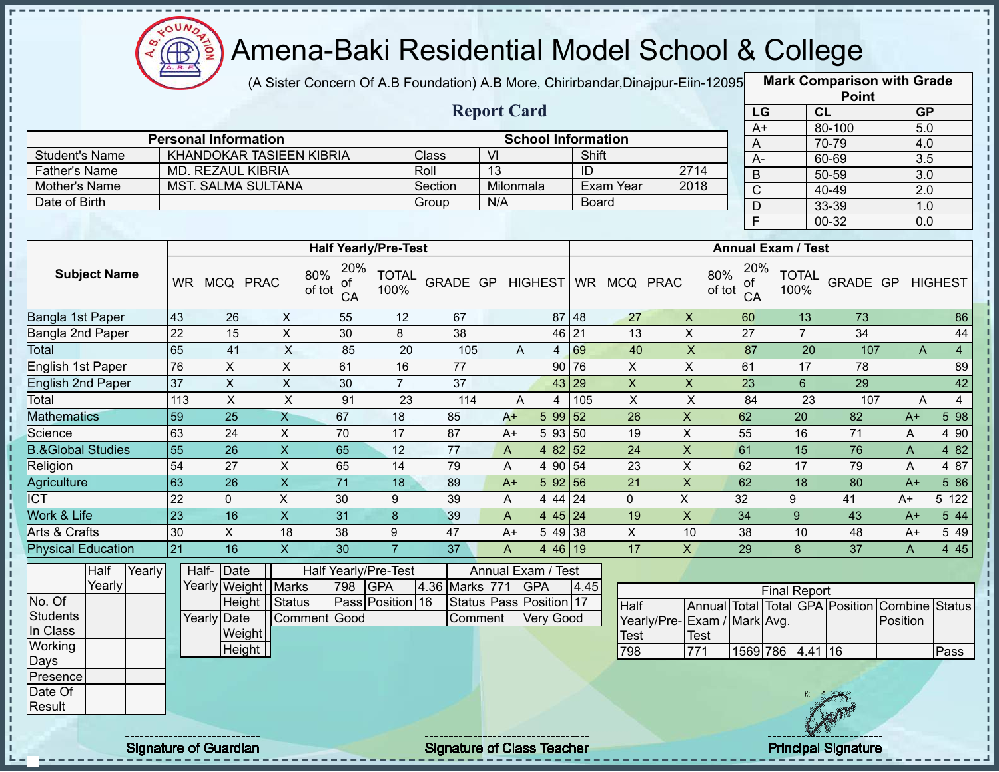

п

J. п

i

I.

,,,,,,,,,,,,,,,,,,

# Amena-Baki Residential Model School & College

(A Sister Concern Of A.B Foundation) A.B More, Chirirbandar,Dinajpur-Eiin-12095 **Mark Comparison with Grade** 

|                |                             |         | <b>Report Card</b>        |              |      |
|----------------|-----------------------------|---------|---------------------------|--------------|------|
|                | <b>Personal Information</b> |         | <b>School Information</b> |              |      |
| Student's Name | KHANDOKAR TASIEEN KIBRIA    | Class   | VI                        | Shift        |      |
| Father's Name  | MD. REZAUL KIBRIA           | Roll    | 13                        | ID           | 2714 |
| Mother's Name  | <b>MST. SALMA SULTANA</b>   | Section | Milonmala                 | Exam Year    | 2018 |
| Date of Birth  |                             | Group   | N/A                       | <b>Board</b> |      |

|      | <b>Point</b> |                  |
|------|--------------|------------------|
| LG   | CL           | <b>GP</b>        |
| $A+$ | 80-100       | 5.0              |
| A    | $70 - 79$    | 4.0              |
| А-   | 60-69        | 3.5              |
| B    | 50-59        | 3.0              |
| C    | 40-49        | $\overline{2.0}$ |
| D    | 33-39        | 1.0              |
| E    | 00-32        | 0.0              |

|                              |           |              |                         | <b>Half Yearly/Pre-Test</b>      |                      |          |      |                      |           |            |             | <b>Annual Exam / Test</b>        |                      |          |      |                |
|------------------------------|-----------|--------------|-------------------------|----------------------------------|----------------------|----------|------|----------------------|-----------|------------|-------------|----------------------------------|----------------------|----------|------|----------------|
| <b>Subject Name</b>          | <b>WR</b> | <b>MCQ</b>   | <b>PRAC</b>             | 20%<br>80%<br>οf<br>of tot<br>CA | <b>TOTAL</b><br>100% | GRADE GP |      | <b>HIGHEST</b>       | <b>WR</b> | <b>MCQ</b> | <b>PRAC</b> | 20%<br>80%<br>οf<br>of tot<br>CA | <b>TOTAL</b><br>100% | GRADE GP |      | <b>HIGHEST</b> |
| Bangla 1st Paper             | 43        | 26           | X                       | 55                               | 12                   | 67       |      | 87                   | 48        | 27         | X           | 60                               | 13                   | 73       |      | 86             |
| Bangla 2nd Paper             | 22        | 15           | X                       | 30                               | 8                    | 38       |      | 46 21                |           | 13         | X           | 27                               |                      | 34       |      | 44             |
| Total                        | 65        | 41           | X                       | 85                               | 20                   | 105      |      | A<br>4               | 69        | 40         | X           | 87                               | 20                   | 107      |      | A<br>4         |
| English 1st Paper            | 76        | X            | X                       | 61                               | 16                   | 77       |      |                      | 90 76     | X          | X           | 61                               | 17                   | 78       |      | 89             |
| <b>English 2nd Paper</b>     | 37        | X            | X                       | 30                               | $\overline{7}$       | 37       |      |                      | 43 29     | X          | X           | 23                               | 6                    | 29       |      | 42             |
| Total                        | 113       | X.           | X                       | 91                               | 23                   | 114      |      | A<br>4               | 105       | X          | X           | 84                               | 23                   | 107      |      | 4<br>A         |
| <b>Mathematics</b>           | 59        | 25           | Χ                       | 67                               | 18                   | 85       | $A+$ | 5 9 9                | 52        | 26         | X.          | 62                               | 20                   | 82       | $A+$ | 5 98           |
| Science                      | 63        | 24           | X.                      | 70                               | 17                   | 87       | $A+$ | 5 93                 | 150       | 19         | X           | 55                               | 16                   | 71       | A    | 4 90           |
| <b>B.&amp;Global Studies</b> | 55        | 26           | X                       | 65                               | 12                   | 77       | A    | 4 82 52              |           | 24         | X           | 61                               | 15                   | 76       | A    | 4 8 2          |
| Religion                     | 54        | 27           | Χ                       | 65                               | 14                   | 79       | Α    | 4 90 54              |           | 23         | X           | 62                               | 17                   | 79       | A    | 4 87           |
| Agriculture                  | 63        | 26           | $\overline{\mathsf{X}}$ | 71                               | 18                   | 89       | $A+$ | 592 56               |           | 21         | X           | 62                               | 18                   | 80       | $A+$ | 5 86           |
| $\overline{ICT}$             | 22        | $\mathbf{0}$ | Χ                       | 30                               | 9                    | 39       | A    | 4 44 24              |           | 0          | X           | 32                               | 9                    | 41       | $A+$ | 5 122          |
| <b>Nork &amp; Life</b>       | 23        | 16           | X                       | 31                               | 8                    | 39       | A    | $4 \overline{45}$ 24 |           | 19         | X.          | 34                               | 9                    | 43       | $A+$ | 5 44           |
| Arts & Crafts                | 30        | X            | 18                      | 38                               | 9                    | 47       | $A+$ | 5 49 38              |           | X          | 10          | 38                               | 10                   | 48       | $A+$ | 5 49           |
| <b>Physical Education</b>    | 21        | 16           | X                       | 30                               |                      | 37       | A    | 4 46 19              |           | 17         | X.          | 29                               | 8                    | 37       | A    | 4 4 5          |

|                 | Half   | Yearly |                               | Half- Date            |              |     | Half Yearly/Pre-Test |                | Annual Exam / Test      |      |                              |      |                  |                     |           |                                                |      |
|-----------------|--------|--------|-------------------------------|-----------------------|--------------|-----|----------------------|----------------|-------------------------|------|------------------------------|------|------------------|---------------------|-----------|------------------------------------------------|------|
|                 | Yearly |        |                               | Yearly Weight   Marks |              | 798 | <b>IGPA</b>          | 4.36 Marks 771 | <b>GPA</b>              | 4.45 |                              |      |                  | <b>Final Report</b> |           |                                                |      |
| No. Of          |        |        |                               | Height   Status       |              |     | Pass Position 16     |                | Status Pass Position 17 |      | Half                         |      |                  |                     |           | Annual Total Total GPA Position Combine Status |      |
| Students        |        |        |                               | Yearly Date           | Comment Good |     |                      | Comment        | Very Good               |      | Yearly/Pre- Exam / Mark Avg. |      |                  |                     |           | Position                                       |      |
| In Class        |        |        |                               | Weight                |              |     |                      |                |                         |      | <b>Test</b>                  | Test |                  |                     |           |                                                |      |
| Working         |        |        |                               | Height                |              |     |                      |                |                         |      | 798                          | 771  | 1569 786 4.41 16 |                     |           |                                                | Pass |
| Days            |        |        |                               |                       |              |     |                      |                |                         |      |                              |      |                  |                     |           |                                                |      |
| <b>Presence</b> |        |        |                               |                       |              |     |                      |                |                         |      |                              |      |                  |                     |           |                                                |      |
| Date Of         |        |        |                               |                       |              |     |                      |                |                         |      |                              |      |                  |                     |           |                                                |      |
| Result          |        |        |                               |                       |              |     |                      |                |                         |      |                              |      |                  |                     | <b>AR</b> |                                                |      |
|                 |        |        |                               |                       |              |     |                      |                |                         |      |                              |      |                  |                     |           |                                                |      |
|                 |        |        | ----------------------------- |                       |              |     |                      |                |                         |      |                              |      |                  |                     |           |                                                |      |

Signature of Guardian Signature of Class Teacher Principal Signature of Class Teacher Principal Signature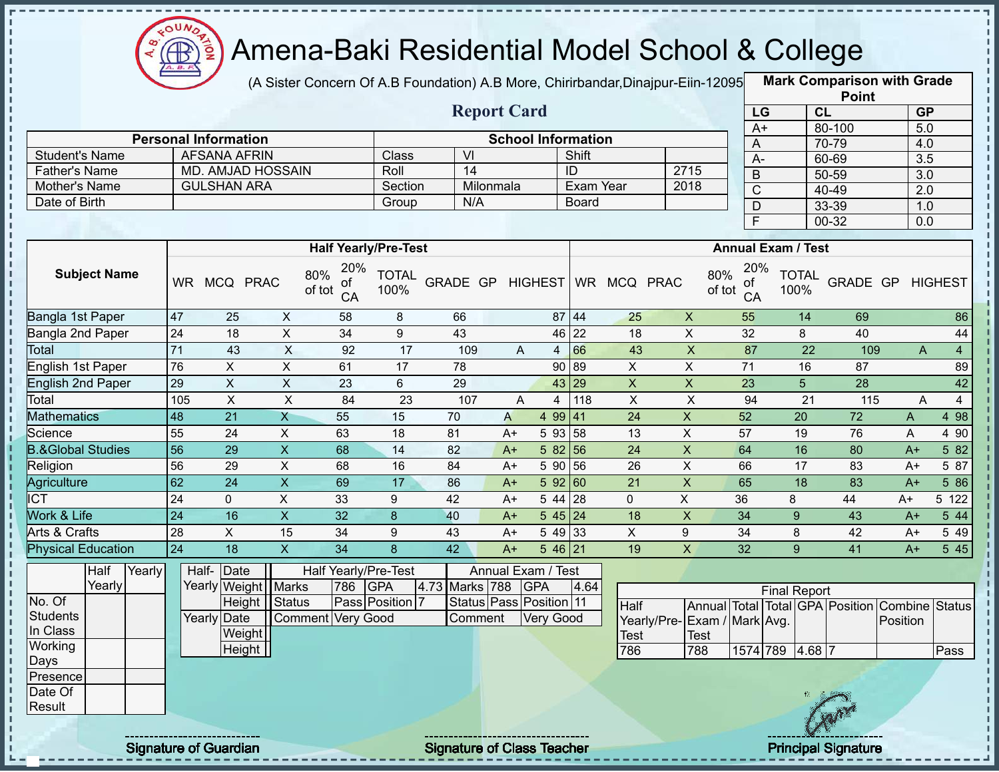

(A Sister Concern Of A.B Foundation) A.B More, Chirirbandar,Dinajpur-Eiin-120950

|                              |                                                                                                                                                                      |                              |                           |                                  |                             |                                   |           |                           |              |                           |                    |                     |                           |              | <b>Point</b>                    |                  |                |
|------------------------------|----------------------------------------------------------------------------------------------------------------------------------------------------------------------|------------------------------|---------------------------|----------------------------------|-----------------------------|-----------------------------------|-----------|---------------------------|--------------|---------------------------|--------------------|---------------------|---------------------------|--------------|---------------------------------|------------------|----------------|
|                              |                                                                                                                                                                      |                              |                           |                                  |                             | <b>Report Card</b>                |           |                           |              |                           |                    | LG                  |                           | CL           |                                 | <b>GP</b>        |                |
|                              |                                                                                                                                                                      | <b>Personal Information</b>  |                           |                                  |                             |                                   |           | <b>School Information</b> |              |                           |                    | $A+$                |                           |              | 80-100                          | $\overline{5.0}$ |                |
| <b>Student's Name</b>        |                                                                                                                                                                      | <b>AFSANA AFRIN</b>          |                           |                                  | Class                       | VI                                |           |                           | Shift        |                           |                    | A                   |                           |              | 70-79                           | 4.0              |                |
| <b>Father's Name</b>         |                                                                                                                                                                      | <b>MD. AMJAD HOSSAIN</b>     |                           |                                  | Roll                        | 14                                |           |                           | ID           |                           | 2715               | $A -$               |                           |              | 60-69                           | $\overline{3.5}$ |                |
| Mother's Name                |                                                                                                                                                                      | <b>GULSHAN ARA</b>           |                           |                                  | Section                     |                                   | Milonmala |                           | Exam Year    |                           | 2018               | $\mathsf B$         |                           |              | $50 - 59$                       | 3.0              |                |
| Date of Birth                |                                                                                                                                                                      |                              |                           |                                  | Group                       | N/A                               |           |                           | <b>Board</b> |                           |                    | $\overline{C}$<br>D |                           |              | $40 - 49$<br>33-39              | 2.0              |                |
|                              |                                                                                                                                                                      |                              |                           |                                  |                             |                                   |           |                           |              |                           |                    | $\mathsf{F}$        |                           |              | $00 - 32$                       | 1.0<br>0.0       |                |
|                              |                                                                                                                                                                      |                              |                           |                                  | <b>Half Yearly/Pre-Test</b> |                                   |           |                           |              |                           |                    |                     | <b>Annual Exam / Test</b> |              |                                 |                  |                |
| <b>Subject Name</b>          |                                                                                                                                                                      | WR MCQ PRAC                  |                           | 20%<br>80%<br>of<br>of tot<br>CA | <b>TOTAL</b><br>100%        | GRADE GP                          |           | <b>HIGHEST</b>            |              | WR MCQ PRAC               | 80%<br>of tot      | 20%<br>0t<br>CA     | 100%                      | <b>TOTAL</b> | GRADE GP                        |                  | <b>HIGHEST</b> |
| Bangla 1st Paper             | 47                                                                                                                                                                   | 25                           | X                         | 58                               | 8                           | 66                                |           |                           | 87 44        | 25                        | $\mathsf{X}$       | 55                  |                           | 14           | 69                              |                  | 86             |
| Bangla 2nd Paper             | $\pmb{\times}$<br>24<br>X<br>34<br>9<br>43<br>22<br>18<br>46<br>18<br>71<br>$\mathsf{X}$<br>$\mathsf{X}$<br>43<br>92<br>17<br>66<br>43<br>109<br>$\overline{4}$<br>A |                              |                           |                                  |                             |                                   |           |                           |              |                           |                    | 32                  |                           | 8            | 40                              |                  | 44             |
| Total                        |                                                                                                                                                                      |                              |                           |                                  |                             |                                   |           |                           |              |                           |                    | 87                  |                           | 22           | 109                             | A                | $\overline{4}$ |
| English 1st Paper            | 76                                                                                                                                                                   | X                            | X                         | 61                               | 17                          | 78                                |           | 90                        | 89           | X                         | X                  | 71                  |                           | 16           | 87                              |                  | 89             |
| <b>English 2nd Paper</b>     | 29                                                                                                                                                                   | $\sf X$                      | X                         | 23                               | 6                           | 29                                |           | 43                        | 29           | $\pmb{\mathsf{X}}$        | $\mathsf X$        | 23                  |                           | 5            | 28                              |                  | 42             |
| Total                        | 105                                                                                                                                                                  | $\pmb{\times}$               | $\boldsymbol{\mathsf{X}}$ | 84                               | 23                          | 107                               | A         | $\overline{4}$            | 118          | $\mathsf X$               | $\pmb{\times}$     | 94                  |                           | 21           | 115                             | A                | $\overline{4}$ |
| <b>Mathematics</b>           | 48                                                                                                                                                                   | $\overline{21}$              | $\overline{X}$            | $\overline{55}$                  | 15                          | 70                                | A         | 4 9 9                     | 41           | 24                        | $\pmb{\mathsf{X}}$ | 52                  |                           | 20           | 72                              | A                | 4 98           |
| Science                      | 55                                                                                                                                                                   | 24                           | X                         | 63                               | 18                          | 81                                | $A+$      | 5 9 3                     | 58           | 13                        | $\pmb{\times}$     | 57                  |                           | 19           | 76                              | A                | 4 90           |
| <b>B.&amp;Global Studies</b> | 56                                                                                                                                                                   | 29                           | $\mathsf{X}$              | 68                               | 14                          | 82                                | $A+$      | 5 82                      | 56           | 24                        | $\pmb{\mathsf{X}}$ | 64                  |                           | 16           | 80                              | $A+$             | 5 82           |
| Religion                     | 56                                                                                                                                                                   | 29                           | $\mathsf X$               | 68                               | 16                          | 84                                | $A+$      | 5 90                      | 56           | 26                        | $\mathsf X$        | 66                  |                           | 17           | 83                              | $A+$             | 5 87           |
| Agriculture                  | 62                                                                                                                                                                   | 24                           | $\overline{X}$            | 69                               | 17                          | 86                                | $A+$      | 592 60                    |              | 21                        | $\overline{X}$     | 65                  |                           | 18           | 83                              | $A+$             | 586            |
| <b>ICT</b>                   | 24                                                                                                                                                                   | $\mathbf 0$                  | X                         | 33                               | 9                           | 42                                | $A+$      | 5 44                      | 28           | 0                         | X                  | 36                  | 8                         |              | 44                              | $A+$             | 5 122          |
| Work & Life                  | $\overline{24}$                                                                                                                                                      | 16                           | $\mathsf{X}$              | 32                               | $\boldsymbol{8}$            | 40                                | $A+$      | $545$ 24                  |              | 18                        | $\pmb{\mathsf{X}}$ | 34                  | 9                         |              | 43                              | $A+$             | 544            |
| Arts & Crafts                | 28                                                                                                                                                                   | X                            | 15                        | 34                               | 9                           | 43                                | $A+$      | 5 4 9                     | 33           | $\boldsymbol{\mathsf{X}}$ | 9                  | 34                  | 8                         |              | 42                              | $A+$             | 5 4 9          |
| <b>Physical Education</b>    | 24                                                                                                                                                                   | 18                           | $\overline{X}$            | 34                               | 8                           | 42                                | $A+$      | 5 46 21                   |              | 19                        | $\pmb{\mathsf{X}}$ | 32                  | 9 <sup>°</sup>            |              | 41                              | $A+$             | 545            |
| Half<br>Yearly               |                                                                                                                                                                      | Half-Date                    |                           | Half Yearly/Pre-Test             |                             |                                   |           | Annual Exam / Test        |              |                           |                    |                     |                           |              |                                 |                  |                |
| Yearly                       |                                                                                                                                                                      | Yearly Weight                | Marks                     | 786                              | GPA                         | 4.73 Marks 788                    |           | <b>GPA</b>                | 4.64         |                           |                    |                     | <b>Final Report</b>       |              |                                 |                  |                |
| No. Of                       |                                                                                                                                                                      | Height Status                |                           |                                  | Pass Position 7             |                                   |           | Status Pass Position 11   |              | Half                      |                    |                     |                           |              | Annual Total Total GPA Position | Combine          | <b>Status</b>  |
| Students                     |                                                                                                                                                                      | Yearly Date                  |                           | Comment Very Good                |                             | Comment                           |           | <b>Very Good</b>          |              | Yearly/Pre-               | Exam / Mark Avg.   |                     |                           |              |                                 | Position         |                |
| In Class                     |                                                                                                                                                                      | Weight                       |                           |                                  |                             |                                   |           |                           |              | <b>Test</b>               | Test               |                     |                           |              |                                 |                  |                |
| Working                      |                                                                                                                                                                      | Height                       |                           |                                  |                             |                                   |           |                           |              | 786                       | 788                |                     | 1574 789 4.68 7           |              |                                 |                  | Pass           |
| Days                         |                                                                                                                                                                      |                              |                           |                                  |                             |                                   |           |                           |              |                           |                    |                     |                           |              |                                 |                  |                |
| Presence<br>Date Of          |                                                                                                                                                                      |                              |                           |                                  |                             |                                   |           |                           |              |                           |                    |                     |                           |              |                                 |                  |                |
| Result                       |                                                                                                                                                                      |                              |                           |                                  |                             |                                   |           |                           |              |                           |                    |                     |                           |              |                                 |                  |                |
|                              |                                                                                                                                                                      |                              |                           |                                  |                             |                                   |           |                           |              |                           |                    |                     |                           |              |                                 |                  |                |
|                              |                                                                                                                                                                      | <b>Signature of Guardian</b> |                           |                                  |                             | <b>Signature of Class Teacher</b> |           |                           |              |                           |                    |                     |                           |              | <b>Principal Signature</b>      |                  |                |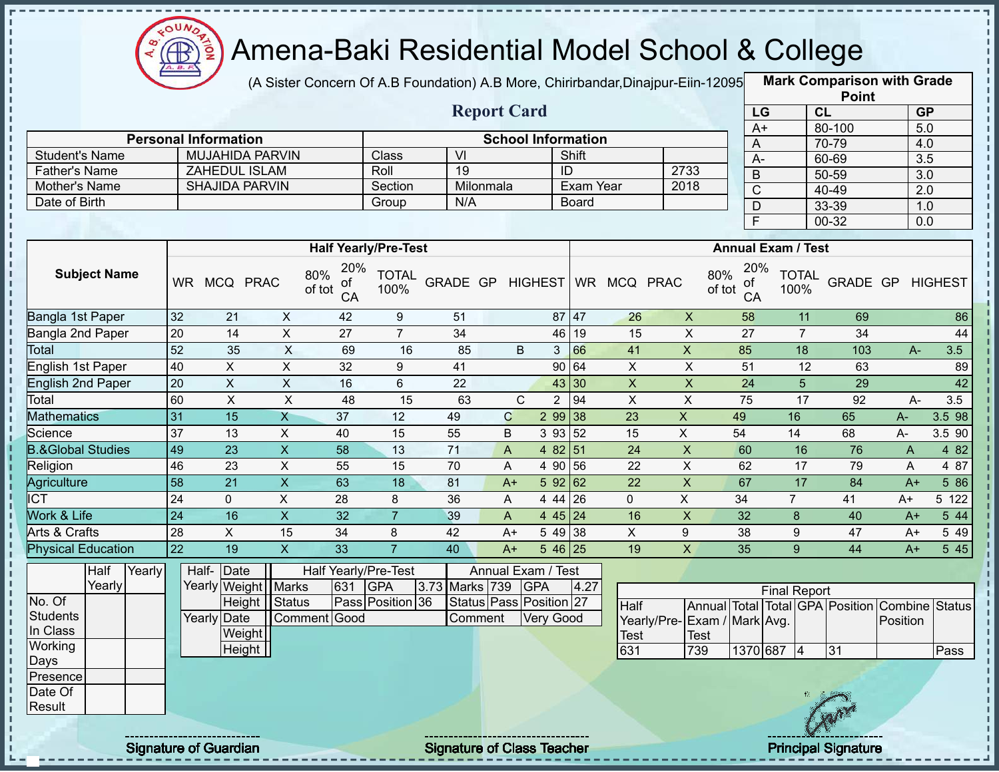

(A Sister Concern Of A.B Foundation) A.B More, Chirirbandar,Dinajpur-Eiin-120950

|                                       |                 |                                                                                   |                                                                                                                    |                 |                             |                         |                                   |                |                                    |             |                           |                 |                      | <b>Point</b>                    |                  |                |
|---------------------------------------|-----------------|-----------------------------------------------------------------------------------|--------------------------------------------------------------------------------------------------------------------|-----------------|-----------------------------|-------------------------|-----------------------------------|----------------|------------------------------------|-------------|---------------------------|-----------------|----------------------|---------------------------------|------------------|----------------|
|                                       |                 |                                                                                   |                                                                                                                    |                 |                             |                         | <b>Report Card</b>                |                |                                    |             |                           | LG              |                      | CL                              | <b>GP</b>        |                |
|                                       |                 |                                                                                   |                                                                                                                    |                 |                             |                         |                                   |                |                                    |             |                           | $A+$            |                      | 80-100                          | $\overline{5.0}$ |                |
|                                       |                 | <b>Personal Information</b><br><b>MUJAHIDA PARVIN</b>                             |                                                                                                                    |                 | Class                       | $\overline{\mathsf{M}}$ |                                   |                | <b>School Information</b><br>Shift |             |                           | A               |                      | 70-79                           | 4.0              |                |
| <b>Student's Name</b>                 |                 | ZAHEDUL ISLAM                                                                     |                                                                                                                    |                 | Roll                        | $\overline{19}$         |                                   |                | ID                                 |             | 2733                      | $A -$           |                      | 60-69                           | $\overline{3.5}$ |                |
| <b>Father's Name</b><br>Mother's Name |                 | <b>SHAJIDA PARVIN</b>                                                             |                                                                                                                    |                 | Section                     |                         | Milonmala                         |                | Exam Year                          |             | 2018                      | $\mathsf B$     |                      | 50-59                           | 3.0              |                |
| Date of Birth                         |                 |                                                                                   |                                                                                                                    |                 | Group                       | N/A                     |                                   |                | <b>Board</b>                       |             |                           | $\overline{C}$  |                      | 40-49                           | 2.0              |                |
|                                       |                 |                                                                                   |                                                                                                                    |                 |                             |                         |                                   |                |                                    |             |                           | D               |                      | 33-39                           | 1.0              |                |
|                                       |                 |                                                                                   |                                                                                                                    |                 |                             |                         |                                   |                |                                    |             |                           | $\mathsf{F}$    |                      | $00 - 32$                       | 0.0              |                |
|                                       |                 |                                                                                   |                                                                                                                    |                 | <b>Half Yearly/Pre-Test</b> |                         |                                   |                |                                    |             |                           |                 | Annual Exam / Test   |                                 |                  |                |
| <b>Subject Name</b>                   |                 | WR MCQ PRAC                                                                       | 80%<br>of tot                                                                                                      | 20%<br>οf<br>CA | <b>TOTAL</b><br>100%        | GRADE GP                |                                   | <b>HIGHEST</b> |                                    | WR MCQ PRAC | 80%<br>of tot             | 20%<br>οt<br>CA | <b>TOTAL</b><br>100% | GRADE GP                        |                  | <b>HIGHEST</b> |
| Bangla 1st Paper                      | 32              | 21                                                                                | $\mathsf{X}$                                                                                                       | 42              | 9                           | 51                      |                                   |                | 87 47                              | 26          | $\pmb{\times}$            | 58              | 11                   | 69                              |                  | 86             |
| Bangla 2nd Paper                      | 20              | 14                                                                                | $\mathsf{X}$                                                                                                       | 27              | $\overline{7}$              | 34                      |                                   | 46             | 19                                 | 15          | $\pmb{\times}$            | 27              | $\overline{7}$       | 34                              |                  | 44             |
| <b>Total</b>                          | 52              | $\overline{X}$<br>$\mathsf X$<br>35<br>69<br>66<br>41<br>16<br>85<br>B<br>3<br>90 |                                                                                                                    |                 |                             |                         |                                   |                |                                    |             |                           |                 | 18                   | 103                             | A-               | 3.5            |
| English 1st Paper                     | 40              | X                                                                                 | X                                                                                                                  | 32              | 9                           | 41                      |                                   |                | 64                                 | X           | X                         | 51              | 12                   | 63                              |                  | 89             |
| <b>English 2nd Paper</b>              | 20              | $\boldsymbol{\mathsf{X}}$                                                         | $\mathsf{X}$                                                                                                       | 16              | 6                           | 22                      |                                   |                |                                    | $\mathsf X$ | $\boldsymbol{\mathsf{X}}$ | 24              | $5\phantom{.}$       | 29                              |                  | 42             |
| Total                                 | 60              | $\boldsymbol{\mathsf{X}}$                                                         | 43 30<br>$\pmb{\times}$<br>$\mathsf{C}$<br>$\overline{2}$<br>94<br>$\pmb{\times}$<br>$\mathsf X$<br>48<br>15<br>63 |                 |                             |                         |                                   |                |                                    |             |                           |                 |                      | 17<br>92                        | $A -$            | 3.5            |
| <b>Mathematics</b>                    | 31              | 15                                                                                | $\mathsf{X}$                                                                                                       | $\overline{37}$ | 12                          | 49                      | $\mathbf C$                       |                | 2 99 38                            | 23          | $\overline{X}$            | 49              | 16                   | 65                              | A-               | 3.5 98         |
| Science                               | 37              | 13                                                                                | X                                                                                                                  | 40              | 15                          | 55                      | B                                 | 3 9 3          | 52                                 | 15          | $\mathsf{X}$              | 54              | 14                   | 68                              | A-               | 3.5 90         |
| <b>B.&amp;Global Studies</b>          | 49              | 23                                                                                | $\mathsf{X}$                                                                                                       | 58              | 13                          | 71                      | A                                 | 4 8 2          | 51                                 | 24          | $\pmb{\times}$            | 60              | 16                   | 76                              | A                | 4 8 2          |
| Religion                              | 46              | 23                                                                                | $\mathsf X$                                                                                                        | 55              | 15                          | 70                      | A                                 | 4 90           | 56                                 | 22          | X                         | 62              | 17                   | 79                              | A                | 4 87           |
| Agriculture                           | 58              | 21                                                                                | $\overline{X}$                                                                                                     | 63              | 18                          | 81                      | $A+$                              |                | 592 62                             | 22          | $\overline{X}$            | 67              | 17                   | 84                              | $A+$             | 586            |
| <b>ICT</b>                            | 24              | $\mathbf 0$                                                                       | X                                                                                                                  | 28              | 8                           | 36                      | A                                 | 4 4 4          | 26                                 | $\mathbf 0$ | X                         | 34              | $\overline{7}$       | 41                              | $A+$             | 5 122          |
| Work & Life                           | 24              | 16                                                                                | $\mathsf{x}$                                                                                                       | 32              | $\overline{7}$              | 39                      | A                                 | 445 24         |                                    | 16          | $\mathsf X$               | 32              | 8                    | 40                              | $A+$             | 544            |
| Arts & Crafts                         | 28              | X                                                                                 | 15                                                                                                                 | 34              | 8                           | 42                      | A+                                | 5 4 9          | 38                                 | X           | 9                         | 38              | 9                    | 47                              | $A+$             | 5 4 9          |
| <b>Physical Education</b>             | $\overline{22}$ | 19                                                                                | $\overline{X}$                                                                                                     | 33              | $\overline{7}$              | 40                      | $A+$                              |                | $546$ 25                           | 19          | $\mathsf X$               | 35              | 9                    | 44                              | $A+$             | 545            |
| Half<br>Yearly                        |                 | Half- Date                                                                        |                                                                                                                    |                 | Half Yearly/Pre-Test        |                         | Annual Exam / Test                |                |                                    |             |                           |                 |                      |                                 |                  |                |
| Yearly                                |                 | Yearly Weight   Marks                                                             |                                                                                                                    | 631             | <b>GPA</b><br>3.73          |                         | Marks 739                         | <b>GPA</b>     | 4.27                               |             |                           |                 | <b>Final Report</b>  |                                 |                  |                |
| No. Of                                |                 | Height                                                                            | <b>Status</b>                                                                                                      |                 | Pass Position 36            |                         | Status Pass Position 27           |                |                                    | Half        |                           |                 |                      | Annual Total Total GPA Position | Combine          | <b>Status</b>  |
| <b>Students</b>                       |                 | Yearly Date                                                                       | Comment Good                                                                                                       |                 |                             |                         | Comment                           | Very Good      |                                    | Yearly/Pre- | Exam / Mark Avg.          |                 |                      |                                 | Position         |                |
| In Class                              |                 | Weight                                                                            |                                                                                                                    |                 |                             |                         |                                   |                |                                    | <b>Test</b> | Test                      |                 |                      |                                 |                  |                |
| Working                               |                 | Height                                                                            |                                                                                                                    |                 |                             |                         |                                   |                |                                    | 631         | 739                       |                 | 1370 687 4           | 31                              |                  | Pass           |
| Days                                  |                 |                                                                                   |                                                                                                                    |                 |                             |                         |                                   |                |                                    |             |                           |                 |                      |                                 |                  |                |
| Presence                              |                 |                                                                                   |                                                                                                                    |                 |                             |                         |                                   |                |                                    |             |                           |                 |                      |                                 |                  |                |
| Date Of                               |                 |                                                                                   |                                                                                                                    |                 |                             |                         |                                   |                |                                    |             |                           |                 |                      |                                 |                  |                |
| Result                                |                 |                                                                                   |                                                                                                                    |                 |                             |                         |                                   |                |                                    |             |                           |                 |                      |                                 |                  |                |
|                                       |                 | <b>Signature of Guardian</b>                                                      |                                                                                                                    |                 |                             |                         | <b>Signature of Class Teacher</b> |                |                                    |             |                           |                 |                      | <b>Principal Signature</b>      |                  |                |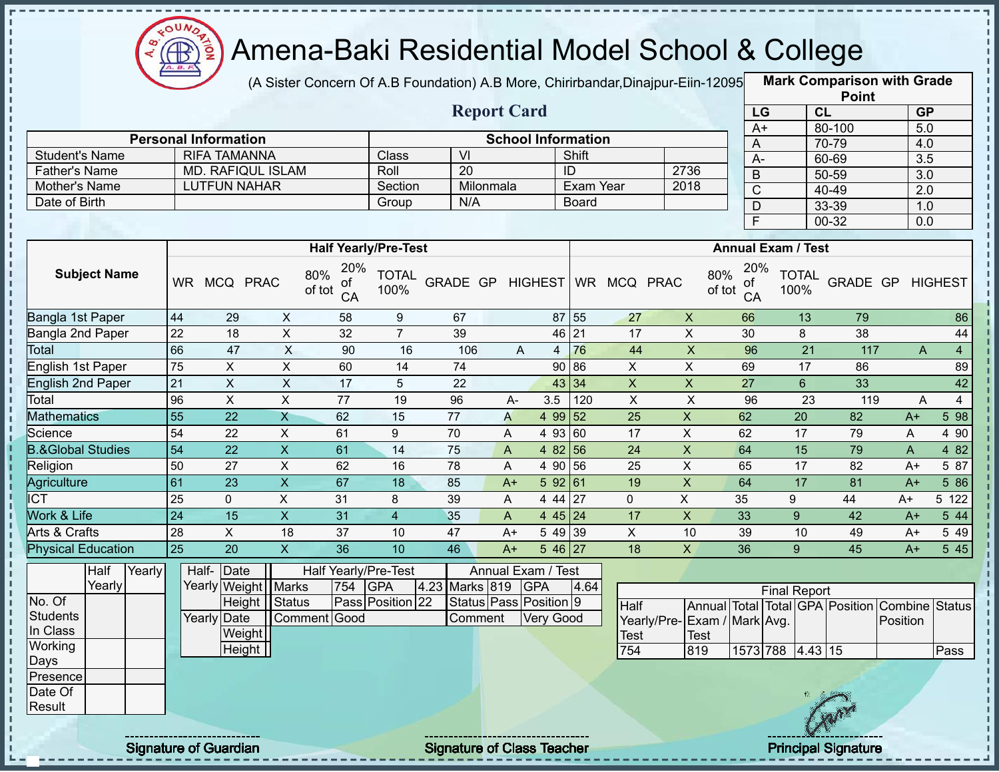

(A Sister Concern Of A.B Foundation) A.B More, Chirirbandar,Dinajpur-Eiin-120950

|                              |                 |                              |                           |                 |                             |                                   |              |                           |                    |                |                  |                                         |                           |                | <b>Point</b>                    |                  |                |
|------------------------------|-----------------|------------------------------|---------------------------|-----------------|-----------------------------|-----------------------------------|--------------|---------------------------|--------------------|----------------|------------------|-----------------------------------------|---------------------------|----------------|---------------------------------|------------------|----------------|
|                              |                 |                              |                           |                 |                             | <b>Report Card</b>                |              |                           |                    |                |                  | LG                                      |                           | CL             |                                 | <b>GP</b>        |                |
|                              |                 | <b>Personal Information</b>  |                           |                 |                             |                                   |              | <b>School Information</b> |                    |                |                  | $A+$                                    |                           |                | 80-100                          | $\overline{5.0}$ |                |
| <b>Student's Name</b>        |                 | <b>RIFA TAMANNA</b>          |                           |                 | Class                       | VI                                |              |                           | Shift              |                |                  | A                                       |                           |                | 70-79                           | 4.0              |                |
| <b>Father's Name</b>         |                 | <b>MD. RAFIQUL ISLAM</b>     |                           |                 | Roll                        | 20                                |              |                           | ID                 |                | 2736             | $\overline{A}$                          |                           |                | 60-69                           | 3.5              |                |
| Mother's Name                |                 | <b>LUTFUN NAHAR</b>          |                           |                 | Section                     | Milonmala                         |              |                           | Exam Year          |                | 2018             | $\mathsf B$                             |                           |                | 50-59                           | $\overline{3.0}$ |                |
| Date of Birth                |                 |                              |                           |                 | Group                       | N/A                               |              |                           | <b>Board</b>       |                |                  | $\overline{C}$                          |                           |                | 40-49                           | $\overline{2.0}$ |                |
|                              |                 |                              |                           |                 |                             |                                   |              |                           |                    |                |                  | $\mathsf{D}$<br>$\overline{\mathsf{F}}$ |                           |                | 33-39<br>$00 - 32$              | 1.0<br>0.0       |                |
|                              |                 |                              |                           |                 |                             |                                   |              |                           |                    |                |                  |                                         |                           |                |                                 |                  |                |
|                              |                 |                              |                           |                 | <b>Half Yearly/Pre-Test</b> |                                   |              |                           |                    |                |                  |                                         | <b>Annual Exam / Test</b> |                |                                 |                  |                |
| <b>Subject Name</b>          |                 | WR MCQ PRAC                  | 80%<br>of tot             | 20%<br>οf<br>CA | <b>TOTAL</b><br>100%        | GRADE GP                          |              | <b>HIGHEST</b>            |                    | WR MCQ PRAC    | 80%<br>of tot    | 20%<br>οf<br>CA                         | <b>TOTAL</b><br>100%      |                | GRADE GP                        |                  | <b>HIGHEST</b> |
| Bangla 1st Paper             | 44              | 29                           | X                         | 58              | 9                           | 67                                |              |                           | 87 55              | 27             | $\boldsymbol{X}$ | 66                                      |                           | 13             | 79                              |                  | 86             |
| Bangla 2nd Paper             | 22              | 18                           | $\pmb{\times}$            | 32              | $\overline{7}$              | 39                                |              |                           | 46 21              | 17             | $\mathsf X$      | 30                                      |                           | 8              | 38                              |                  | 44             |
| <b>Total</b>                 | 66              | 47                           | $\boldsymbol{\mathsf{X}}$ | 90              | 16                          | 106                               |              | A<br>$\overline{4}$       | 76                 | 44             | $\overline{X}$   | 96                                      |                           | 21             | 117                             | A                | $\overline{4}$ |
| English 1st Paper            | 75              | X                            | X                         | 60              | 14                          | 74                                |              | 90                        | 86                 | X              | X                | 69                                      |                           | 17             | 86                              |                  | 89             |
| <b>English 2nd Paper</b>     | 21              | $\pmb{\times}$               | $\boldsymbol{\mathsf{X}}$ | 17              | 5                           | 22                                |              | 43                        | 34                 | $\pmb{\times}$ | $\mathsf X$      | 27                                      |                           | $6\phantom{1}$ | 33                              |                  | 42             |
| Total                        | 96              | $\pmb{\times}$               | $\pmb{\times}$            | 77              | 19                          | 96                                | A-           | 3.5                       | 120                | $\pmb{\times}$ | $\mathsf X$      | 96                                      |                           | 23             | 119                             | A                | $\overline{4}$ |
| <b>Mathematics</b>           | 55              | 22                           | $\overline{X}$            | 62              | 15                          | $\overline{77}$                   | A            | 4 9 9                     | 52                 | 25             | X                | 62                                      |                           | 20             | 82                              | $A+$             | 5 98           |
| Science                      | 54              | 22                           | X                         | 61              | 9                           | 70                                | A            | 4 9 3                     | 60                 | 17             | X                | 62                                      |                           | 17             | 79                              | A                | 4 90           |
| <b>B.&amp;Global Studies</b> | 54              | 22                           | $\mathsf{X}$              | 61              | 14                          | 75                                | $\mathsf{A}$ | 4 8 2                     | 56                 | 24             | $\pmb{\times}$   | 64                                      |                           | 15             | 79                              | A                | 4 8 2          |
| Religion                     | 50              | 27                           | X                         | 62              | 16                          | 78                                | A            | 4 90                      | 56                 | 25             | $\pmb{\times}$   | 65                                      |                           | 17             | 82                              | $A+$             | 5 87           |
| Agriculture                  | 61              | $\overline{23}$              | $\overline{X}$            | 67              | 18                          | 85                                | $A+$         | 592 61                    |                    | 19             | X                | 64                                      |                           | 17             | 81                              | $A+$             | 5 86           |
| <b>ICT</b>                   | 25              | 0                            | $\sf X$                   | 31              | 8                           | 39                                | A            | 4 4 4                     | 27                 | $\mathbf{0}$   | X                | 35                                      | 9                         |                | 44                              | $A+$             | 5 122          |
| Work & Life                  | $\overline{24}$ | 15                           | $\mathsf{X}$              | 31              | $\overline{4}$              | 35                                | A            |                           | 4 45 24            | 17             | $\mathsf X$      | 33                                      | 9                         |                | 42                              | $A+$             | 5 44           |
| Arts & Crafts                | 28              | X                            | 18                        | 37              | 10                          | 47                                | $A+$         | 5 4 9                     | 39                 | $\mathsf{X}$   | 10               | 39                                      |                           | 10             | 49                              | $A+$             | 5 4 9          |
| <b>Physical Education</b>    | 25              | 20                           | $\overline{X}$            | 36              | 10                          | 46                                | $A+$         |                           | $546\overline{27}$ | 18             | X                | 36                                      | 9 <sup>°</sup>            |                | 45                              | $A+$             | 5 45           |
| Yearly<br>Half               |                 | Half- Date                   |                           |                 | Half Yearly/Pre-Test        |                                   |              | Annual Exam / Test        |                    |                |                  |                                         |                           |                |                                 |                  |                |
| Yearly                       |                 | Yearly Weight Marks          |                           | 754             | <b>GPA</b>                  | 4.23 Marks 819                    |              | <b>GPA</b>                | 4.64               |                |                  |                                         | <b>Final Report</b>       |                |                                 |                  |                |
| No. Of                       |                 |                              | Height   Status           |                 | Pass Position 22            | Status Pass Position 9            |              |                           |                    | Half           |                  |                                         |                           |                | Annual Total Total GPA Position | Combine Status   |                |
| <b>Students</b>              |                 | Yearly Date                  | Comment Good              |                 |                             | Comment                           |              | <b>Very Good</b>          |                    | Yearly/Pre-    | Exam / Mark Avg. |                                         |                           |                |                                 | Position         |                |
| In Class                     |                 | Weight                       |                           |                 |                             |                                   |              |                           |                    | <b>Test</b>    | Test             |                                         |                           |                |                                 |                  |                |
| Working                      |                 | $\overline{Height}$          |                           |                 |                             |                                   |              |                           |                    | 754            | 819              |                                         | 1573 788 4.43 15          |                |                                 |                  | Pass           |
| Days                         |                 |                              |                           |                 |                             |                                   |              |                           |                    |                |                  |                                         |                           |                |                                 |                  |                |
| Presence<br>Date Of          |                 |                              |                           |                 |                             |                                   |              |                           |                    |                |                  |                                         |                           |                |                                 |                  |                |
| Result                       |                 |                              |                           |                 |                             |                                   |              |                           |                    |                |                  |                                         |                           |                |                                 |                  |                |
|                              |                 |                              |                           |                 |                             |                                   |              |                           |                    |                |                  |                                         |                           |                |                                 |                  |                |
|                              |                 | <b>Signature of Guardian</b> |                           |                 |                             | <b>Signature of Class Teacher</b> |              |                           |                    |                |                  |                                         |                           |                | <b>Principal Signature</b>      |                  |                |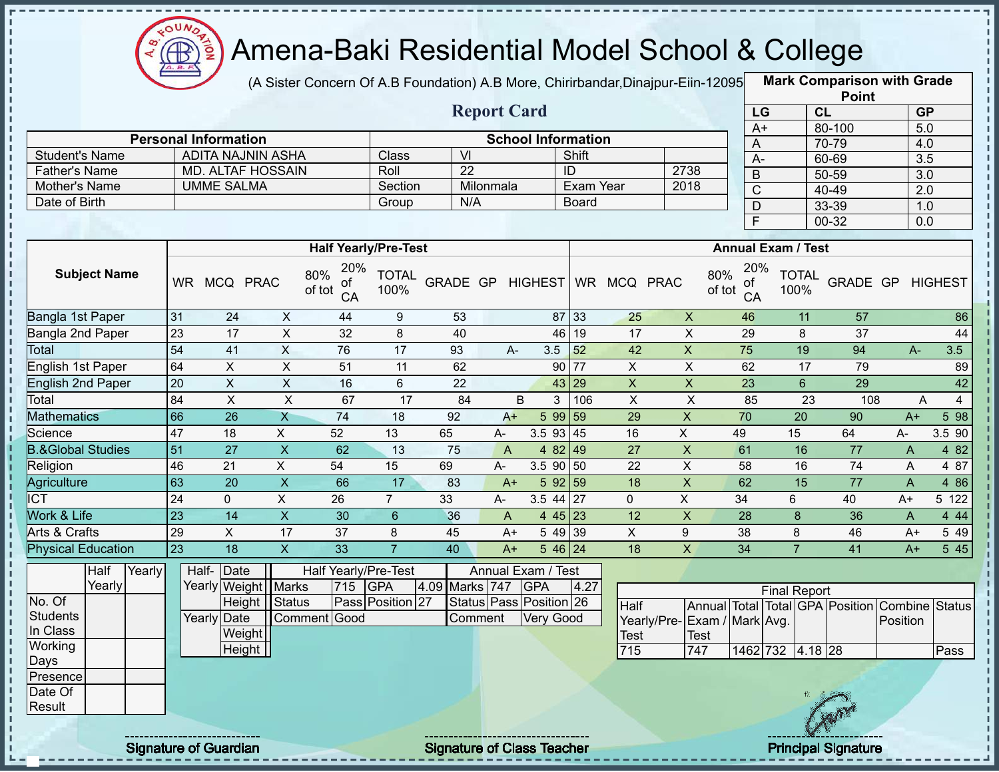

(A Sister Concern Of A.B Foundation) A.B More, Chirirbandar,Dinajpur-Eiin-120950

|                                    |                 |                                 |                           |                                  |                             |                                   |                |                                             |              |                                    |                           |                                         |                           | <b>Point</b>                    |                            |                |
|------------------------------------|-----------------|---------------------------------|---------------------------|----------------------------------|-----------------------------|-----------------------------------|----------------|---------------------------------------------|--------------|------------------------------------|---------------------------|-----------------------------------------|---------------------------|---------------------------------|----------------------------|----------------|
|                                    |                 |                                 |                           |                                  |                             | <b>Report Card</b>                |                |                                             | LG           |                                    | CL                        | <b>GP</b>                               |                           |                                 |                            |                |
|                                    |                 | <b>Personal Information</b>     |                           |                                  |                             |                                   |                | <b>School Information</b>                   |              |                                    |                           | $A+$                                    |                           | 80-100                          | 5.0                        |                |
| <b>Student's Name</b>              |                 | <b>ADITA NAJNIN ASHA</b>        |                           |                                  | Class                       | $\overline{\mathsf{M}}$           |                |                                             | Shift        |                                    |                           | A                                       |                           | 70-79                           | 4.0                        |                |
| <b>Father's Name</b>               |                 | <b>MD. ALTAF HOSSAIN</b>        |                           |                                  | Roll                        | 22                                |                |                                             | ID           |                                    | 2738                      | $A -$                                   |                           | 60-69                           | $\overline{3.5}$           |                |
| Mother's Name                      |                 | <b>UMME SALMA</b>               |                           |                                  | Section                     |                                   | Milonmala      |                                             | Exam Year    |                                    | 2018                      | $\mathsf B$                             |                           | 50-59                           | 3.0                        |                |
| Date of Birth                      |                 |                                 |                           |                                  | Group                       | N/A                               |                |                                             | <b>Board</b> |                                    |                           | $\overline{C}$                          |                           | 40-49                           | 2.0                        |                |
|                                    |                 |                                 |                           |                                  |                             |                                   |                |                                             |              |                                    |                           | $\mathsf{D}$<br>$\overline{\mathsf{F}}$ |                           | 33-39                           | 1.0                        |                |
|                                    |                 |                                 |                           |                                  |                             |                                   |                |                                             |              |                                    |                           |                                         |                           | $00 - 32$                       | 0.0                        |                |
|                                    |                 |                                 |                           |                                  | <b>Half Yearly/Pre-Test</b> |                                   |                |                                             |              |                                    |                           |                                         | <b>Annual Exam / Test</b> |                                 |                            |                |
| <b>Subject Name</b>                |                 | WR MCQ PRAC                     |                           | 20%<br>80%<br>of<br>of tot<br>CA | <b>TOTAL</b><br>100%        | GRADE GP                          |                | HIGHEST                                     |              | WR MCQ PRAC                        | 80%<br>of tot             | 20%<br>of<br>CA                         | <b>TOTAL</b><br>100%      | GRADE GP                        |                            | <b>HIGHEST</b> |
| Bangla 1st Paper                   | 31              | 24                              | X                         | 44                               | 9                           | 53                                |                | 87                                          | 33           | 25                                 | $\mathsf{X}$              | 46                                      | 11                        | 57                              |                            | 86             |
| Bangla 2nd Paper                   | $\overline{23}$ | 17                              | X                         | 32                               | 8                           | 40                                |                | 46                                          | 19           | 17                                 | $\pmb{\times}$            | 29                                      | 8                         | 37                              |                            | 44             |
| Total                              | 54              | 41                              | $\mathsf{X}$              | 76                               | 17                          | 93                                | A-             | 3.5                                         | 52           | 42                                 | $\overline{X}$            | 75                                      | 19                        | 94                              | $A -$                      | 3.5            |
| English 1st Paper                  | 64              | X                               | X                         | 51                               | 11                          | 62                                |                | 90                                          | 77           | $\mathsf X$                        | X                         | 62                                      | 17                        | 79                              |                            | 89             |
| <b>English 2nd Paper</b>           | 20              | $\pmb{\times}$                  | $\boldsymbol{\mathsf{X}}$ | 16                               | 6                           | 22                                |                | 43                                          | 29           | $\mathsf{x}$                       | X                         | 23                                      | $6\phantom{1}$            | 29                              |                            | 42             |
| Total                              | 84              | $\pmb{\times}$                  | X                         | 67                               | 17                          | 84                                | B              | 3                                           | 106          | $\pmb{\times}$                     | $\pmb{\times}$            | 85                                      | 23                        | 108                             | A                          | 4              |
| <b>Mathematics</b>                 | 66              | 26                              | $\overline{X}$            | $\overline{74}$                  | 18                          | 92                                | $A+$           | 5 9 9                                       | 59           | 29                                 | $\boldsymbol{\mathsf{X}}$ | 70                                      | $\overline{20}$           | 90                              | $A+$                       | 5 98           |
| Science                            | 47              | 18                              | X                         | 52                               | 13                          | 65                                | A-             | 3.5 93                                      | 45           | 16                                 | $\mathsf{X}$              | 49                                      | 15                        | 64                              | A-                         | 3.5 90         |
| <b>B.&amp;Global Studies</b>       | 51              | 27                              | $\mathsf{X}$              | 62                               | 13                          | 75                                | $\overline{A}$ | 4 82                                        | 49           | 27                                 | $\pmb{\times}$            | 61                                      | 16                        | 77                              | A                          | 4 8 2          |
| Religion                           | 46              | 21                              | $\pmb{\times}$            | 54                               | 15                          | 69                                | A-             | 3.5 90                                      | 50           | 22                                 | X                         | 58                                      | 16                        | 74                              | A                          | 4 87           |
| <b>Agriculture</b>                 | 63              | 20                              | $\overline{\mathsf{x}}$   | 66                               | 17                          | 83                                | $A+$           | 5 9 2                                       | 59           | 18                                 | $\pmb{\mathsf{X}}$        | 62                                      | 15                        | $\overline{77}$                 | $\overline{A}$             | 4 8 6          |
| <b>ICT</b>                         | 24              | $\mathbf 0$                     | X                         | 26                               | $\overline{7}$              | 33                                | A-             | 3.5 44                                      | 27           | $\mathbf{0}$                       | $\mathsf{X}$              | 34                                      | 6                         | 40                              | $A+$                       | 5 122          |
| Work & Life                        | 23              | 14                              | $\overline{X}$            | 30                               | 6                           | 36                                | A              | 4 4 5                                       | 23           | 12                                 | $\pmb{\times}$            | 28                                      | 8                         | 36                              | A                          | 4 4 4          |
| Arts & Crafts                      | 29              | $\pmb{\times}$                  | 17                        | 37                               | 8                           | 45                                | A+             | 5 4 9                                       | 39           | X                                  | 9                         | 38                                      | 8                         | 46                              | $A+$                       | 5 4 9          |
| <b>Physical Education</b>          | $\overline{23}$ | $\overline{18}$                 | $\overline{X}$            | $\overline{33}$                  | $\overline{7}$              | 40                                | $A+$           | $\overline{5}$ 46 24                        |              | 18                                 | $\overline{X}$            | 34                                      | $\overline{7}$            | 41                              | $A+$                       | 545            |
| Half<br>Yearly<br>Yearly<br>No. Of |                 | Half- Date<br>Yearly Weight     | <b>Marks</b>              | Half Yearly/Pre-Test<br>715      | <b>GPA</b>                  | 4.09 Marks 747                    |                | Annual Exam / Test<br><b>GPA</b>            | 4.27         |                                    |                           |                                         | <b>Final Report</b>       |                                 |                            |                |
| <b>Students</b><br>In Class        |                 | Height<br>Yearly Date<br>Weight | Status                    | Comment Good                     | Pass Position 27            | Comment                           |                | Status Pass Position 26<br><b>Very Good</b> |              | Half<br>Yearly/Pre-<br><b>Test</b> | Test                      | Exam / Mark Avg.                        |                           | Annual Total Total GPA Position | Combine Status<br>Position |                |
| Working                            |                 | Height                          |                           |                                  |                             |                                   |                |                                             |              | 715                                | 747                       |                                         | 1462 732 4.18 28          |                                 |                            | Pass           |
| Days<br>Presence                   |                 |                                 |                           |                                  |                             |                                   |                |                                             |              |                                    |                           |                                         |                           |                                 |                            |                |
| Date Of                            |                 |                                 |                           |                                  |                             |                                   |                |                                             |              |                                    |                           |                                         |                           |                                 |                            |                |
| Result                             |                 |                                 |                           |                                  |                             |                                   |                |                                             |              |                                    |                           |                                         |                           |                                 |                            |                |
|                                    |                 | <b>Signature of Guardian</b>    |                           |                                  |                             | <b>Signature of Class Teacher</b> |                |                                             |              |                                    |                           |                                         |                           | <b>Principal Signature</b>      |                            |                |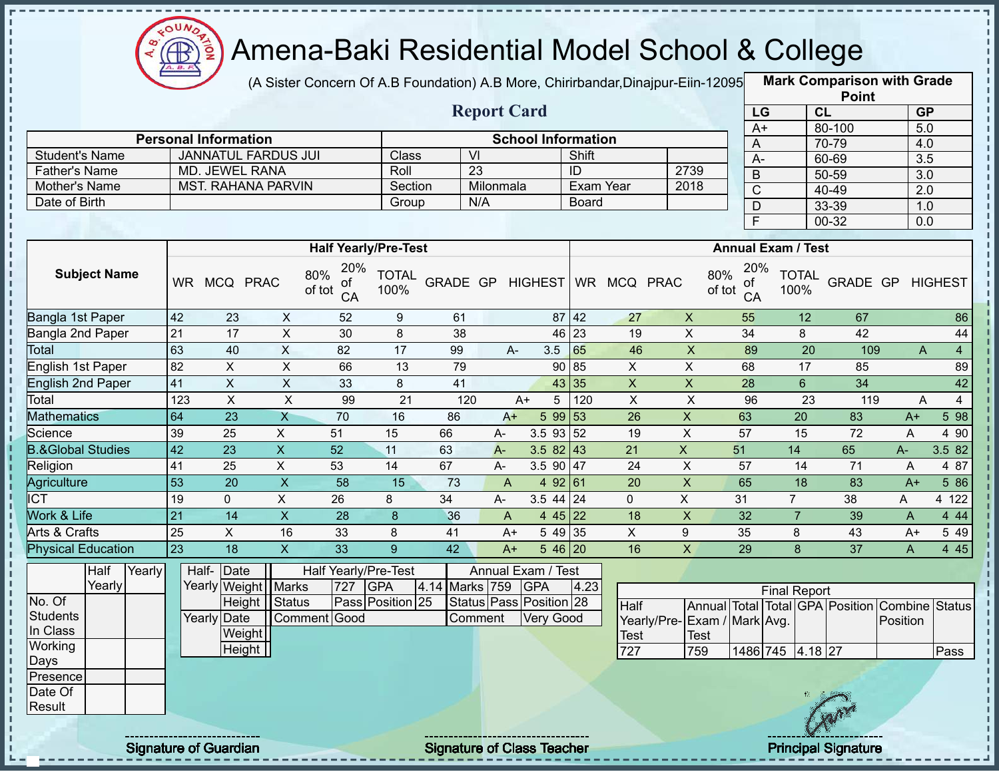

(A Sister Concern Of A.B Foundation) A.B More, Chirirbandar, Dinajpur-Eiin-12095

**Mark Comparison with Grade**

|                              |                 |                             |                           |                                  |                      |                 |                           |                           |                  |                |                             |                           |                     |                      | <b>Point</b>                    |                       |                |
|------------------------------|-----------------|-----------------------------|---------------------------|----------------------------------|----------------------|-----------------|---------------------------|---------------------------|------------------|----------------|-----------------------------|---------------------------|---------------------|----------------------|---------------------------------|-----------------------|----------------|
|                              |                 |                             |                           |                                  |                      |                 | <b>Report Card</b>        |                           |                  |                |                             | LG                        |                     | CL                   |                                 | <b>GP</b>             |                |
|                              |                 |                             |                           |                                  |                      |                 |                           |                           |                  |                |                             | $A+$                      |                     |                      | 80-100                          | 5.0                   |                |
|                              |                 | <b>Personal Information</b> |                           |                                  |                      |                 |                           | <b>School Information</b> |                  |                |                             | A                         |                     |                      | 70-79                           | 4.0                   |                |
| <b>Student's Name</b>        |                 | <b>JANNATUL FARDUS JUI</b>  |                           |                                  | Class                |                 | V <sub>l</sub>            |                           | Shift            |                |                             | $A -$                     |                     |                      | 60-69                           | 3.5                   |                |
| <b>Father's Name</b>         |                 | MD. JEWEL RANA              |                           |                                  | Roll                 |                 | 23                        |                           | ID               |                | 2739                        | $\mathsf B$               |                     |                      | $50 - 59$                       | 3.0                   |                |
| Mother's Name                |                 | <b>MST. RAHANA PARVIN</b>   |                           |                                  | Section              |                 | Milonmala                 |                           | <b>Exam Year</b> |                | 2018                        | $\mathsf C$               |                     |                      | 40-49                           | 2.0                   |                |
| Date of Birth                |                 |                             |                           |                                  | Group                |                 | N/A                       |                           | <b>Board</b>     |                |                             | $\mathsf{D}$              |                     |                      | 33-39                           | 1.0                   |                |
|                              |                 |                             |                           |                                  |                      |                 |                           |                           |                  |                |                             | F                         |                     |                      | $00 - 32$                       | 0.0                   |                |
|                              |                 |                             |                           | <b>Half Yearly/Pre-Test</b>      |                      |                 |                           |                           |                  |                |                             | <b>Annual Exam / Test</b> |                     |                      |                                 |                       |                |
|                              |                 |                             |                           |                                  |                      |                 |                           |                           |                  |                |                             |                           |                     |                      |                                 |                       |                |
| <b>Subject Name</b>          |                 | WR MCQ PRAC                 |                           | 20%<br>80%<br>оf<br>of tot<br>CA | <b>TOTAL</b><br>100% |                 |                           | GRADE GP HIGHEST          |                  | WR MCQ PRAC    | 80%<br>of tot               | 20%<br>οf<br>CA           |                     | <b>TOTAL</b><br>100% | GRADE GP                        |                       | <b>HIGHEST</b> |
| Bangla 1st Paper             | 42              | 23                          | $\pmb{\times}$            | 52                               | $\boldsymbol{9}$     | 61              |                           |                           | $87$ 42          | 27             | $\pmb{\times}$              | 55                        |                     | 12                   | 67                              |                       | 86             |
| Bangla 2nd Paper             | $\overline{21}$ | 17                          | $\pmb{\times}$            | 30                               | 8                    | 38              |                           |                           | 46 23            | 19             | $\mathsf X$                 | 34                        |                     | 8                    | 42                              |                       | 44             |
| Total                        | 63              | 40                          | $\overline{X}$            | 82                               | 17                   | 99              | $A -$                     | 3.5                       | 65               | 46             | $\overline{\mathsf{x}}$     | 89                        |                     | $\overline{20}$      | 109                             | $\mathsf{A}$          | $\overline{4}$ |
| <b>English 1st Paper</b>     | 82              | $\mathsf X$                 | $\pmb{\times}$            | 66                               | 13                   | 79              |                           |                           | 90 85            | X              | $\mathsf X$                 | 68                        |                     | 17                   | 85                              |                       | 89             |
| <b>English 2nd Paper</b>     | 41              | $\overline{X}$              | $\overline{\mathsf{x}}$   | 33                               | 8                    | 41              |                           |                           | 43 35            | $\mathsf{X}$   | $\mathsf X$                 | 28                        |                     | $6\overline{6}$      | $\overline{34}$                 |                       | 42             |
| Total                        | 123             | $\overline{X}$              | $\overline{X}$            | 99                               | 21                   | 120             |                           | 5<br>$A+$                 | 120              | $\overline{X}$ | $\boldsymbol{\mathsf{X}}$   | 96                        |                     | 23                   | 119                             | A                     | $\overline{4}$ |
| <b>Mathematics</b>           | 64              | 23                          | $\overline{X}$            | 70                               | 16                   | 86              | $A+$                      | $599$ 53                  |                  | 26             | $\boldsymbol{\mathsf{X}}$   | 63                        |                     | 20                   | 83                              | $A+$                  | 5 98           |
| Science                      | 39              | 25                          | $\mathsf{X}$              | 51                               | 15                   | 66              | A-                        | 3.5 93 52                 |                  | 19             | $\pmb{\times}$              | 57                        |                     | 15                   | 72                              | A                     | 4 90           |
| <b>B.&amp;Global Studies</b> | $\overline{42}$ | $\overline{23}$             | $\overline{\mathsf{x}}$   | 52                               | 11                   | 63              | $A -$                     | $3.582$ 43                |                  | 21             | $\mathsf X$                 | 51                        | 14                  |                      | 65                              | A-                    | 3.5 82         |
| Religion                     | 41              | 25                          | $\mathsf X$               | 53                               | 14                   | 67              | $A-$                      | 3.5 90 $\boxed{47}$       |                  | 24             | $\mathsf{X}$                | 57                        |                     | 14                   | 71                              | A                     | 4 87           |
| Agriculture                  | $\overline{53}$ | $\overline{20}$             | $\overline{\mathsf{x}}$   | $\overline{58}$                  | 15                   | $\overline{73}$ | $\mathsf{A}$              | 4 92 61                   |                  | 20             | $\overline{\mathsf{x}}$     | 65                        |                     | 18                   | 83                              | $A+$                  | 5 86           |
| <b>ICT</b>                   | 19              | $\overline{0}$              | $\overline{X}$            | $\overline{26}$                  | 8                    | 34              | A-                        | 3.5 44 $\sqrt{24}$        |                  | $\overline{0}$ | $\overline{X}$              | 31                        | $\overline{7}$      |                      | $\overline{38}$                 | A                     | 4 122          |
| Work & Life                  | $\overline{21}$ | $\overline{14}$             | $\overline{X}$            | $\overline{28}$                  | $\boldsymbol{8}$     | 36              | $\boldsymbol{\mathsf{A}}$ | 4 45 22                   |                  | 18             | $\boldsymbol{\mathsf{X}}$   | 32                        |                     | $\overline{7}$       | 39                              | $\mathsf{A}$          | 4 4 4          |
| Arts & Crafts                | $\overline{25}$ | $\overline{X}$              | 16                        | 33                               | 8                    | 41              | $A+$                      | 54935                     |                  | $\overline{X}$ | $\overline{9}$              | 35                        |                     | 8                    | 43                              | $A+$                  | 5 4 9          |
| <b>Physical Education</b>    | 23              | 18                          | $\boldsymbol{\mathsf{X}}$ | 33                               | $\overline{9}$       | 42              | $A+$                      | 5 46 20                   |                  | 16             | $\overline{X}$              | 29                        |                     | $\mathbf{8}$         | 37                              | A                     | 4 4 5          |
| Yearly<br>Half               |                 | Half-<br>Date               |                           | Half Yearly/Pre-Test             |                      |                 |                           | Annual Exam / Test        |                  |                |                             |                           |                     |                      |                                 |                       |                |
| Yearly                       |                 | Yearly Weight   Marks       |                           | 727                              | <b>GPA</b>           | 4.14 Marks 759  |                           | <b>GPA</b>                | 4.23             |                |                             |                           | <b>Final Report</b> |                      |                                 |                       |                |
| No. Of                       |                 |                             | Height Status             |                                  | Pass Position 25     |                 |                           | Status Pass Position 28   |                  | Half           |                             |                           |                     |                      | Annual Total Total GPA Position | <b>Combine Status</b> |                |
| <b>Students</b>              |                 | Yearly Date                 |                           | Comment Good                     |                      |                 | Comment                   | <b>Very Good</b>          |                  |                | Yearly/Pre-Exam / Mark Avg. |                           |                     |                      |                                 | Position              |                |
| In Class                     |                 | Weight                      |                           |                                  |                      |                 |                           |                           |                  | <b>Test</b>    | Test                        |                           |                     |                      |                                 |                       |                |
| Working                      |                 | Height                      |                           |                                  |                      |                 |                           |                           |                  | 727            | 759                         |                           | 1486 745 4.18 27    |                      |                                 |                       | Pass           |
| <b>Days</b>                  |                 |                             |                           |                                  |                      |                 |                           |                           |                  |                |                             |                           |                     |                      |                                 |                       |                |
| Presence                     |                 |                             |                           |                                  |                      |                 |                           |                           |                  |                |                             |                           |                     |                      |                                 |                       |                |
| Date Of                      |                 |                             |                           |                                  |                      |                 |                           |                           |                  |                |                             |                           |                     |                      |                                 |                       |                |
| Result                       |                 |                             |                           |                                  |                      |                 |                           |                           |                  |                |                             |                           |                     |                      |                                 |                       |                |
|                              |                 |                             |                           |                                  |                      |                 |                           |                           |                  |                |                             |                           |                     |                      |                                 |                       |                |

ŋ ł Í

 $\mathbf{I}$ 

п

Signature of Guardian Signature of Class Teacher Principal Signature 22/444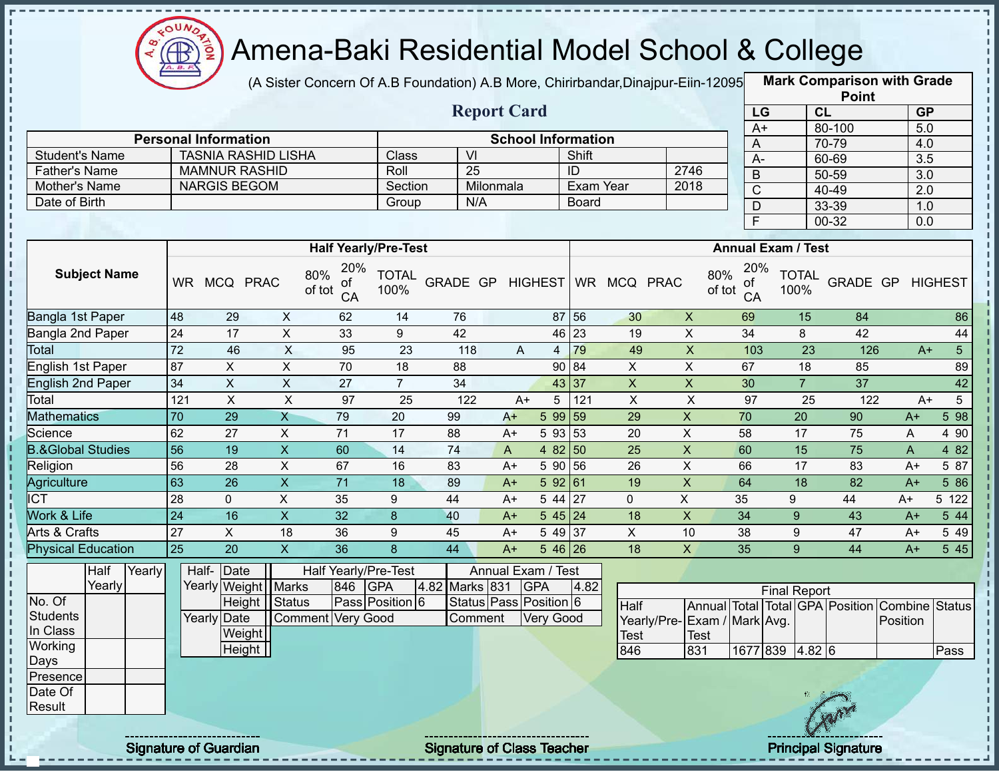

(A Sister Concern Of A.B Foundation) A.B More, Chirirbandar,Dinajpur-Eiin-120950

**Mark Comparison with Grade**

|                                |                  |                             |                         |                                  |                      |                 |                        |                |                     |                                  |                             |                           |                                  |                     |                      | <b>Point</b>                                   |                  |                         |
|--------------------------------|------------------|-----------------------------|-------------------------|----------------------------------|----------------------|-----------------|------------------------|----------------|---------------------|----------------------------------|-----------------------------|---------------------------|----------------------------------|---------------------|----------------------|------------------------------------------------|------------------|-------------------------|
|                                |                  |                             |                         |                                  |                      |                 | <b>Report Card</b>     |                |                     |                                  |                             |                           |                                  | LG                  | CL                   |                                                | GP               |                         |
|                                |                  |                             |                         |                                  |                      |                 |                        |                |                     |                                  |                             |                           |                                  | $A+$                |                      | 80-100                                         |                  | 5.0                     |
|                                |                  | <b>Personal Information</b> |                         |                                  |                      |                 |                        |                |                     | <b>School Information</b>        |                             |                           | A                                |                     |                      | 70-79                                          |                  | 4.0                     |
| <b>Student's Name</b>          |                  | <b>TASNIA RASHID LISHA</b>  |                         |                                  | Class                |                 | VI                     |                |                     | Shift                            |                             |                           | $A -$                            |                     |                      | 60-69                                          | $\overline{3.5}$ |                         |
| <b>Father's Name</b>           |                  | <b>MAMNUR RASHID</b>        |                         |                                  | Roll                 |                 | $\overline{25}$        |                |                     | ID                               |                             | 2746                      | $\mathsf B$                      |                     |                      | $50 - 59$                                      |                  | 3.0                     |
| Mother's Name<br>Date of Birth |                  | <b>NARGIS BEGOM</b>         |                         |                                  | Section              |                 | Milonmala<br>N/A       |                |                     | <b>Exam Year</b><br><b>Board</b> |                             | 2018                      | $\overline{C}$                   |                     |                      | $40 - 49$                                      | $\overline{2.0}$ |                         |
|                                |                  |                             |                         |                                  | Group                |                 |                        |                |                     |                                  |                             |                           | $\overline{D}$                   |                     |                      | 33-39                                          | 1.0              |                         |
|                                |                  |                             |                         |                                  |                      |                 |                        |                |                     |                                  |                             |                           | $\overline{\mathsf{F}}$          |                     |                      | $00 - 32$                                      |                  | 0.0                     |
|                                |                  |                             |                         | <b>Half Yearly/Pre-Test</b>      |                      |                 |                        |                |                     |                                  |                             |                           | <b>Annual Exam / Test</b>        |                     |                      |                                                |                  |                         |
| <b>Subject Name</b>            |                  | WR MCQ PRAC                 |                         | 20%<br>80%<br>0f<br>of tot<br>CA | <b>TOTAL</b><br>100% | GRADE GP        |                        |                | <b>HIGHEST</b>      |                                  | WR MCQ PRAC                 |                           | 20%<br>80%<br>of<br>of tot<br>CA |                     | <b>TOTAL</b><br>100% | GRADE GP HIGHEST                               |                  |                         |
| Bangla 1st Paper               | 48               | 29                          | $\mathsf{X}$            | 62                               | 14                   | 76              |                        |                |                     | 87 56                            | 30                          | $\pmb{\times}$            | 69                               |                     | 15                   | 84                                             |                  | 86                      |
| Bangla 2nd Paper               | 24               | 17                          | $\mathsf{X}$            | 33                               | 9                    | 42              |                        |                |                     | $46 \overline{23}$               | 19                          | $\pmb{\times}$            | 34                               |                     | 8                    | 42                                             |                  | 44                      |
| Total                          | 72               | 46                          | $\times$                | 95                               | 23                   | 118             |                        | $\overline{A}$ | $\overline{4}$      | 79                               | 49                          | $\boldsymbol{\mathsf{X}}$ | 103                              |                     | $\overline{23}$      | 126                                            |                  | 5 <sup>5</sup><br>$A+$  |
| English 1st Paper              | 87               | $\pmb{\times}$              | $\mathsf X$             | 70                               | 18                   | 88              |                        |                |                     | 90 84                            | $\pmb{\times}$              | $\pmb{\times}$            | 67                               |                     | 18                   | 85                                             |                  | 89                      |
| <b>English 2nd Paper</b>       | 34               | $\pmb{\times}$              | $\mathsf{X}$            | 27                               | $\overline{7}$       | 34              |                        |                |                     | 43 37                            | $\overline{X}$              | $\boldsymbol{\mathsf{X}}$ | 30                               |                     | $\overline{7}$       | $\overline{37}$                                |                  | 42                      |
| Total                          | $\overline{121}$ | $\overline{X}$              | $\overline{X}$          | 97                               | 25                   | 122             |                        | $A+$           | 5                   | 121                              | $\boldsymbol{\mathsf{X}}$   | $\boldsymbol{\mathsf{X}}$ | $\overline{97}$                  |                     | 25                   | 122                                            |                  | $5\overline{)}$<br>$A+$ |
| <b>Mathematics</b>             | 70               | 29                          | X                       | 79                               | 20                   | 99              |                        | $A+$           | 5 99                | 59                               | 29                          | $\mathsf X$               | 70                               |                     | 20                   | 90                                             | $A+$             | 598                     |
| Science                        | 62               | $\overline{27}$             | $\overline{X}$          | $\overline{71}$                  | $\overline{17}$      | 88              |                        | $A+$           | 5 93                | 53                               | 20                          | $\overline{\mathsf{x}}$   | 58                               |                     | $\overline{17}$      | $\overline{75}$                                | A                | 4 90                    |
| <b>B.&amp;Global Studies</b>   | 56               | $\overline{19}$             | $\overline{X}$          | 60                               | $\overline{14}$      | $\overline{74}$ |                        | $\mathsf A$    | 48250               |                                  | 25                          | $\overline{\mathsf{x}}$   | 60                               |                     | 15                   | $\overline{75}$                                | $\mathsf{A}$     | 482                     |
| Religion                       | 56               | $\overline{28}$             | $\pmb{\times}$          | 67                               | 16                   | 83              |                        | $A+$           | 5 90 56             |                                  | $\overline{26}$             | $\overline{\mathsf{x}}$   | 66                               |                     | $\overline{17}$      | 83                                             | $A+$             | 5 87                    |
| Agriculture                    | 63               | $\overline{26}$             | $\overline{X}$          | $\overline{71}$                  | 18                   | 89              |                        | $A+$           | 592 61              |                                  | 19                          | $\overline{X}$            | 64                               |                     | $\overline{18}$      | $\overline{82}$                                | $A+$             | 586                     |
| $\overline{ICT}$               | 28               | $\mathbf 0$                 | $\overline{X}$          | 35                               | 9                    | 44              |                        | $A+$           | $5\overline{44}$ 27 |                                  | $\mathbf 0$                 | $\boldsymbol{\mathsf{X}}$ | 35                               |                     | 9                    | 44                                             | A+               | 5 122                   |
| Work & Life                    | 24               | 16                          | $\overline{\mathsf{x}}$ | 32                               | $\boldsymbol{8}$     | 40              |                        | $A+$           | $545$ 24            |                                  | $\overline{18}$             | $\overline{X}$            | $\overline{34}$                  |                     | 9                    | $\overline{43}$                                | $A+$             | 544                     |
| <b>Arts &amp; Crafts</b>       | 27               | $\mathsf X$                 | 18                      | 36                               | 9                    | 45              |                        | $A+$           | 5 49 37             |                                  | $\mathsf X$                 | 10                        | 38                               |                     | 9                    | 47                                             | $A+$             | 5 4 9                   |
| <b>Physical Education</b>      | 25               | 20                          | $\mathsf{X}$            | 36                               | 8                    | 44              |                        | $A+$           | $546$ 26            |                                  | 18                          | $\boldsymbol{\mathsf{X}}$ | 35                               |                     | 9                    | 44                                             | $A+$             | 5 4 5                   |
| <b>Half</b><br>Yearly          |                  | Half-Date                   |                         | Half Yearly/Pre-Test             |                      |                 | Annual Exam / Test     |                |                     |                                  |                             |                           |                                  |                     |                      |                                                |                  |                         |
| Yearly                         |                  | Yearly Weight   Marks       |                         | 846                              | <b>GPA</b>           | 4.82 Marks 831  |                        | <b>GPA</b>     |                     | 4.82                             |                             |                           |                                  | <b>Final Report</b> |                      |                                                |                  |                         |
| No. Of                         |                  |                             | Height Status           |                                  | Pass Position 6      |                 | Status Pass Position 6 |                |                     |                                  | Half                        |                           |                                  |                     |                      | Annual Total Total GPA Position Combine Status |                  |                         |
| <b>Students</b>                |                  | <b>Yearly Date</b>          |                         | Comment Very Good                |                      |                 | Comment                |                | <b>Very Good</b>    |                                  | Yearly/Pre-Exam / Mark Avg. |                           |                                  |                     |                      |                                                | Position         |                         |
| In Class                       |                  | Weight                      |                         |                                  |                      |                 |                        |                |                     |                                  | <b>Test</b>                 | <b>Test</b>               |                                  |                     |                      |                                                |                  |                         |
| Working                        |                  | Height                      |                         |                                  |                      |                 |                        |                |                     |                                  | 846                         | 831                       |                                  | 1677 839 4.82 6     |                      |                                                |                  | Pass                    |
| Days                           |                  |                             |                         |                                  |                      |                 |                        |                |                     |                                  |                             |                           |                                  |                     |                      |                                                |                  |                         |
| Presence<br>Date Of            |                  |                             |                         |                                  |                      |                 |                        |                |                     |                                  |                             |                           |                                  |                     |                      |                                                |                  |                         |
| Result                         |                  |                             |                         |                                  |                      |                 |                        |                |                     |                                  |                             |                           |                                  |                     |                      |                                                |                  |                         |
|                                |                  |                             |                         |                                  |                      |                 |                        |                |                     |                                  |                             |                           |                                  |                     |                      |                                                |                  |                         |
|                                |                  |                             |                         |                                  |                      |                 |                        |                |                     |                                  |                             |                           |                                  |                     |                      |                                                |                  |                         |

Signature of Guardian Signature Signature of Class Teacher Principal Signature 23/444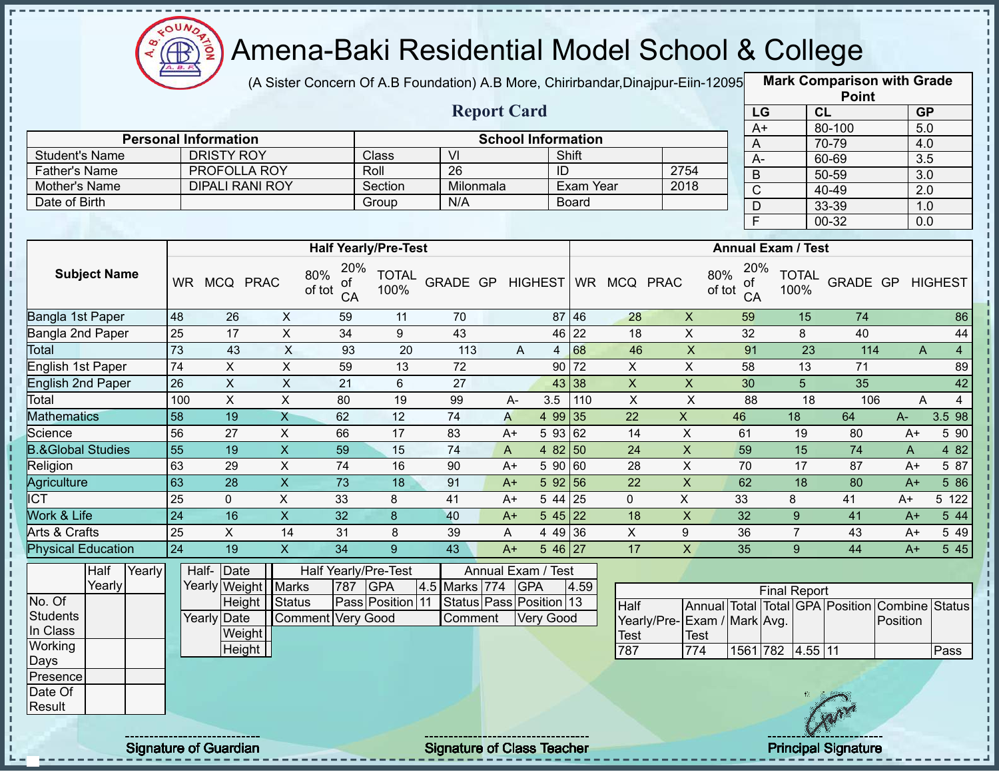

(A Sister Concern Of A.B Foundation) A.B More, Chirirbandar,Dinajpur-Eiin-120950

|                                       |                 |                                                                                                                                                                                    |                   |                 |                             |                                   |                           |                  |              |                |                             |                 |                           | <b>Point</b>                    |                  |                |
|---------------------------------------|-----------------|------------------------------------------------------------------------------------------------------------------------------------------------------------------------------------|-------------------|-----------------|-----------------------------|-----------------------------------|---------------------------|------------------|--------------|----------------|-----------------------------|-----------------|---------------------------|---------------------------------|------------------|----------------|
|                                       |                 |                                                                                                                                                                                    |                   |                 |                             |                                   | <b>Report Card</b>        |                  |              |                |                             | LG              |                           | CL                              | <b>GP</b>        |                |
|                                       |                 |                                                                                                                                                                                    |                   |                 |                             |                                   |                           |                  |              |                |                             | $A+$            |                           | 80-100                          | $\overline{5.0}$ |                |
|                                       |                 | <b>Personal Information</b><br><b>DRISTY ROY</b>                                                                                                                                   |                   |                 |                             | $\overline{\mathsf{V}}$           | <b>School Information</b> |                  | Shift        |                |                             | A               |                           | 70-79                           | 4.0              |                |
| <b>Student's Name</b>                 |                 |                                                                                                                                                                                    |                   |                 | Class<br>Roll               | 26                                |                           | ID               |              |                | 2754                        | $A -$           |                           | 60-69                           | 3.5              |                |
| <b>Father's Name</b><br>Mother's Name |                 | PROFOLLA ROY<br><b>DIPALI RANI ROY</b>                                                                                                                                             |                   |                 | Section                     | Milonmala                         |                           |                  | Exam Year    |                | 2018                        | $\sf B$         |                           | 50-59                           | $\overline{3.0}$ |                |
| Date of Birth                         |                 |                                                                                                                                                                                    |                   |                 | Group                       | N/A                               |                           |                  | <b>Board</b> |                |                             | $\overline{C}$  |                           | 40-49                           | $\overline{2.0}$ |                |
|                                       |                 |                                                                                                                                                                                    |                   |                 |                             |                                   |                           |                  |              |                |                             | $\mathsf{D}$    |                           | 33-39                           | 1.0              |                |
|                                       |                 |                                                                                                                                                                                    |                   |                 |                             |                                   |                           |                  |              |                |                             | $\overline{F}$  |                           | $00 - 32$                       | 0.0              |                |
|                                       |                 |                                                                                                                                                                                    |                   |                 | <b>Half Yearly/Pre-Test</b> |                                   |                           |                  |              |                |                             |                 | <b>Annual Exam / Test</b> |                                 |                  |                |
| <b>Subject Name</b>                   |                 | WR MCQ PRAC                                                                                                                                                                        | 80%<br>of tot     | 20%<br>οf<br>CA | <b>TOTAL</b><br>100%        | GRADE GP                          |                           | <b>HIGHEST</b>   |              | WR MCQ PRAC    | 80%<br>of tot               | 20%<br>of<br>CA | <b>TOTAL</b><br>100%      | GRADE GP                        |                  | <b>HIGHEST</b> |
| Bangla 1st Paper                      | 48              | 26                                                                                                                                                                                 | X                 | 59              | 11                          | 70                                |                           | 87               | 46           | 28             | $\boldsymbol{X}$            | 59              | 15                        | 74                              |                  | 86             |
| Bangla 2nd Paper                      | 25              | $\pmb{\times}$<br>$\boldsymbol{\mathsf{X}}$<br>34<br>43<br>22<br>17<br>9<br>46<br>18<br>$\overline{X}$<br>$\boldsymbol{\mathsf{X}}$<br>68<br>43<br>20<br>93<br>113<br>46<br>4<br>A |                   |                 |                             |                                   |                           |                  |              |                |                             |                 | 8                         | 40                              |                  | 44             |
| <b>Total</b>                          | 73              |                                                                                                                                                                                    |                   |                 |                             |                                   |                           |                  |              |                |                             | 91              | 23                        | 114                             | A                | $\overline{4}$ |
| English 1st Paper                     | 74              | X                                                                                                                                                                                  | X                 | 59              | 13                          | 72                                |                           | 90               | 72           | X              | X                           | 58              | 13                        | 71                              |                  | 89             |
| <b>English 2nd Paper</b>              | 26              | $\sf X$                                                                                                                                                                            | $\pmb{\times}$    | 21              | 6                           | 27                                |                           |                  | 43 38        | X              | $\mathsf X$                 | 30              | 5                         | 35                              |                  | 42             |
| Total                                 | 100             | $\boldsymbol{\mathsf{X}}$                                                                                                                                                          | $\pmb{\times}$    | 80              | 19                          | 99                                | A-                        | 3.5              | 110          | $\pmb{\times}$ | $\pmb{\times}$              | 88              | 18                        | 106                             | A                | $\overline{4}$ |
| <b>Mathematics</b>                    | 58              | 19                                                                                                                                                                                 | $\mathsf{X}$      | 62              | 12                          | 74                                | A                         | 4 9 9            | 35           | 22             | $\mathsf{X}$                | 46              | 18                        | 64                              | $A-$             | 3.5 98         |
| Science                               | 56              | 27                                                                                                                                                                                 | X                 | 66              | 17                          | 83                                | $A+$                      | 5 93             | 62           | 14             | X                           | 61              | 19                        | 80                              | $A+$             | 5 90           |
| <b>B.&amp;Global Studies</b>          | 55              | 19                                                                                                                                                                                 | $\mathsf{X}$      | 59              | 15                          | 74                                | A                         | 4 8 2            | 50           | 24             | $\mathsf X$                 | 59              | 15                        | 74                              | A                | 4 82           |
| Religion                              | 63              | 29                                                                                                                                                                                 | X                 | 74              | 16                          | 90                                | $A+$                      | 5 90             | 60           | 28             | X                           | 70              | 17                        | 87                              | $A+$             | 5 87           |
| Agriculture                           | 63              | $\overline{28}$                                                                                                                                                                    | $\overline{X}$    | 73              | 18                          | 91                                | $A+$                      | 592 56           |              | 22             | $\overline{X}$              | 62              | 18                        | 80                              | $A+$             | 5 86           |
| <b>ICT</b>                            | 25              | $\mathbf 0$                                                                                                                                                                        | X                 | 33              | 8                           | 41                                | $A+$                      | 5 44             | 25           | $\mathbf{0}$   | X                           | 33              | 8                         | 41                              | $A+$             | 5 122          |
| Work & Life                           | $\overline{24}$ | 16                                                                                                                                                                                 | $\mathsf{X}$      | 32              | 8                           | 40                                | $A+$                      | 545              | 22           | 18             | $\pmb{\times}$              | 32              | 9                         | 41                              | $A+$             | 5 44           |
| Arts & Crafts                         | 25              | X                                                                                                                                                                                  | 14                | 31              | 8                           | 39                                | Α                         | 4 4 9            | 36           | X              | 9                           | 36              | $\overline{7}$            | 43                              | $A+$             | 5 4 9          |
| <b>Physical Education</b>             | 24              | 19                                                                                                                                                                                 | $\overline{X}$    | $\overline{34}$ | 9                           | $\overline{43}$                   | $A+$                      | 5 46 27          |              | 17             | X                           | 35              | 9                         | 44                              | $A+$             | 5 45           |
| Half<br>Yearly                        |                 | Half- Date                                                                                                                                                                         |                   |                 | Half Yearly/Pre-Test        |                                   | Annual Exam / Test        |                  |              |                |                             |                 |                           |                                 |                  |                |
| Yearly                                |                 | Yearly Weight Marks                                                                                                                                                                |                   | 787             | <b>GPA</b>                  | 4.5 Marks 774                     | <b>GPA</b>                |                  | 4.59         |                |                             |                 | <b>Final Report</b>       |                                 |                  |                |
| No. Of                                |                 |                                                                                                                                                                                    | Height   Status   |                 | Pass Position 11            |                                   | Status Pass Position 13   |                  |              | Half           |                             |                 |                           | Annual Total Total GPA Position | Combine          | <b>Status</b>  |
| <b>Students</b>                       |                 | Yearly Date                                                                                                                                                                        | Comment Very Good |                 |                             | Comment                           |                           | <b>Very Good</b> |              |                | Yearly/Pre-Exam / Mark Avg. |                 |                           |                                 | Position         |                |
| In Class                              |                 | Weight                                                                                                                                                                             |                   |                 |                             |                                   |                           |                  |              | <b>Test</b>    | Test                        |                 |                           |                                 |                  |                |
| Working                               |                 | Height                                                                                                                                                                             |                   |                 |                             |                                   |                           |                  |              | 787            | 774                         |                 | 1561 782 4.55 11          |                                 |                  | Pass           |
| Days                                  |                 |                                                                                                                                                                                    |                   |                 |                             |                                   |                           |                  |              |                |                             |                 |                           |                                 |                  |                |
| Presence<br>Date Of                   |                 |                                                                                                                                                                                    |                   |                 |                             |                                   |                           |                  |              |                |                             |                 |                           |                                 |                  |                |
| Result                                |                 |                                                                                                                                                                                    |                   |                 |                             |                                   |                           |                  |              |                |                             |                 |                           |                                 |                  |                |
|                                       |                 |                                                                                                                                                                                    |                   |                 |                             |                                   |                           |                  |              |                |                             |                 |                           |                                 |                  |                |
|                                       |                 | <b>Signature of Guardian</b>                                                                                                                                                       |                   |                 |                             | <b>Signature of Class Teacher</b> |                           |                  |              |                |                             |                 |                           | <b>Principal Signature</b>      |                  |                |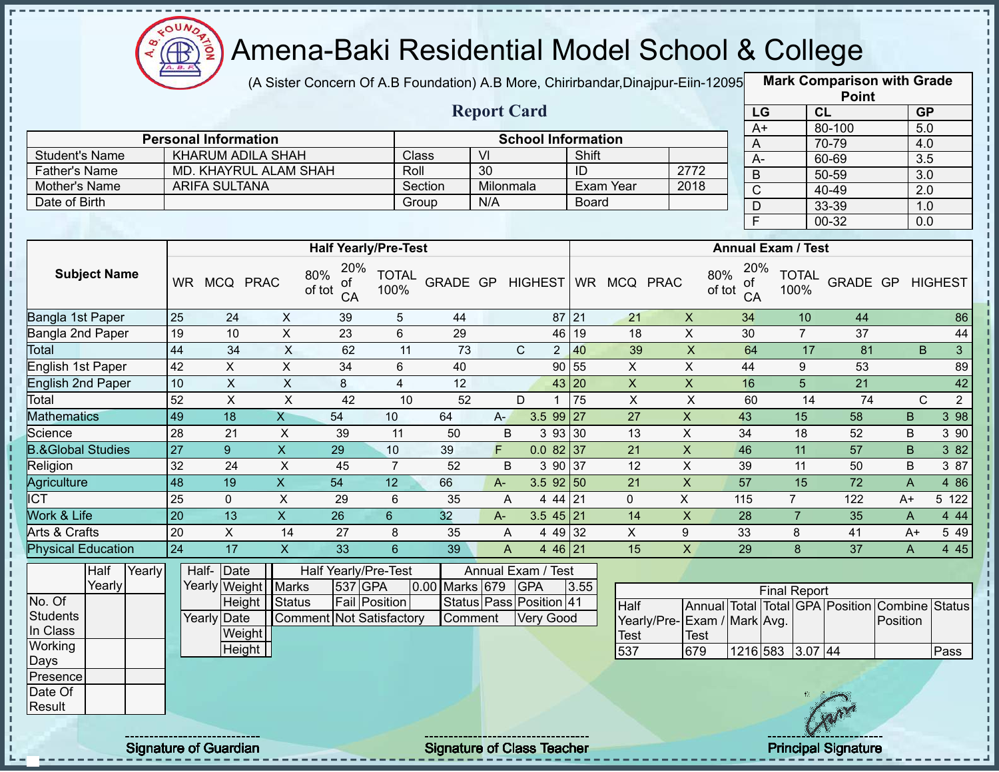

(A Sister Concern Of A.B Foundation) A.B More, Chirirbandar, Dinajpur-Eiin-12095

**Mark Comparison with Grade**

|                              |                 |                             |                              |                                  |                         |                |           |                                  |              |                              |                                             |                                  |                                                        | <b>Point</b>    |                            |                               |
|------------------------------|-----------------|-----------------------------|------------------------------|----------------------------------|-------------------------|----------------|-----------|----------------------------------|--------------|------------------------------|---------------------------------------------|----------------------------------|--------------------------------------------------------|-----------------|----------------------------|-------------------------------|
|                              |                 |                             |                              |                                  |                         |                |           | <b>Report Card</b>               |              |                              |                                             |                                  | LG                                                     | CL              |                            | GP                            |
|                              |                 |                             |                              |                                  |                         |                |           |                                  |              |                              |                                             |                                  | $A+$                                                   | 80-100          |                            | 5.0                           |
|                              |                 | <b>Personal Information</b> |                              |                                  |                         |                |           | <b>School Information</b>        |              |                              |                                             | A                                |                                                        | 70-79           |                            | 4.0                           |
| <b>Student's Name</b>        |                 |                             | <b>KHARUM ADILA SHAH</b>     |                                  | Class                   |                | VI        |                                  | Shift        |                              |                                             | $A-$                             |                                                        | 60-69           |                            | 3.5                           |
| <b>Father's Name</b>         |                 |                             | <b>MD. KHAYRUL ALAM SHAH</b> |                                  | Roll                    |                | 30        |                                  | ID           |                              | 2772                                        | $\mathsf B$                      |                                                        | 50-59           |                            | 3.0                           |
| Mother's Name                |                 | ARIFA SULTANA               |                              |                                  |                         | Section        | Milonmala |                                  |              | Exam Year                    | 2018                                        | $\mathsf{C}$                     |                                                        | 40-49           |                            | $\overline{2.0}$              |
| Date of Birth                |                 |                             |                              |                                  | Group                   |                | N/A       |                                  | <b>Board</b> |                              |                                             | D                                |                                                        | 33-39           |                            | 1.0                           |
|                              |                 |                             |                              |                                  |                         |                |           |                                  |              |                              |                                             | $\overline{F}$                   |                                                        | 00-32           |                            | 0.0                           |
|                              |                 |                             |                              | <b>Half Yearly/Pre-Test</b>      |                         |                |           |                                  |              |                              |                                             |                                  | <b>Annual Exam / Test</b>                              |                 |                            |                               |
| <b>Subject Name</b>          |                 | WR MCQ PRAC                 |                              | 20%<br>80%<br>οf<br>of tot<br>CA | <b>TOTAL</b><br>100%    |                |           |                                  |              | GRADE GP HIGHEST WR MCQ PRAC |                                             | 20%<br>80%<br>οf<br>of tot<br>CA | <b>TOTAL</b><br>100%                                   | GRADE GP        |                            | <b>HIGHEST</b>                |
| Bangla 1st Paper             | 25              | 24                          | X                            | 39                               | $\sqrt{5}$              | 44             |           |                                  | $87$   21    | 21                           | $\pmb{\times}$                              | 34                               | 10                                                     | 44              |                            | 86                            |
| Bangla 2nd Paper             | 19              | 10                          | $\pmb{\times}$               | 23                               | $6\phantom{1}$          | 29             |           | 46                               | 19           | 18                           | $\sf X$                                     | 30                               | $\overline{7}$                                         | 37              |                            | 44                            |
| <b>Total</b>                 | 44              | $\overline{34}$             | $\boldsymbol{\mathsf{X}}$    | 62                               | 11                      | 73             |           | $\mathsf{C}$<br>$\overline{2}$   | 40           | 39                           | $\mathsf X$                                 | 64                               | 17                                                     | 81              |                            | B<br>$\overline{3}$           |
| English 1st Paper            | 42              | X.                          | X                            | 34                               | 6                       | 40             |           |                                  | 90 55        | $\mathsf{X}$                 | X                                           | 44                               | 9                                                      | 53              |                            | 89                            |
| <b>English 2nd Paper</b>     | 10              | $\overline{X}$              | $\mathsf X$                  | $\bf 8$                          | $\overline{\mathbf{4}}$ | 12             |           |                                  | 43 20        | $\boldsymbol{\mathsf{X}}$    | $\pmb{\mathsf{X}}$                          | 16                               | $\overline{5}$                                         | 21              |                            | 42                            |
| Total                        | 52              | $\overline{X}$              | $\overline{X}$               | 42                               | 10                      | 52             |           | D                                | 75           | $\overline{X}$               | $\overline{\mathsf{x}}$                     | 60                               | 14                                                     | 74              |                            | $\mathbf C$<br>$\overline{2}$ |
| <b>Mathematics</b>           | 49              | $\overline{18}$             | $\mathsf{X}$                 | 54                               | 10                      | 64             | $A-$      | $3.599$ 27                       |              | 27                           | $\overline{X}$                              | 43                               | 15                                                     | 58              | B                          | 3 98                          |
| Science                      | 28              | 21                          | X                            | 39                               | 11                      | 50             | $\sf B$   | 3 93 30                          |              | 13                           | $\mathsf X$                                 | 34                               | 18                                                     | 52              | B                          | 3 9 0                         |
| <b>B.&amp;Global Studies</b> | $\overline{27}$ | $\overline{9}$              | $\overline{\mathsf{x}}$      | 29                               | 10                      | 39             | F         | $0.082$ 37                       |              | 21                           | $\overline{\mathsf{x}}$                     | 46                               | 11                                                     | $\overline{57}$ | $\sf B$                    | 3 8 2                         |
| Religion                     | 32              | 24                          | $\pmb{\times}$               | 45                               | $\overline{7}$          | 52             | B         | 3 90 37                          |              | 12                           | $\mathsf{X}$                                | 39                               | 11                                                     | 50              | B                          | 3 87                          |
| Agriculture                  | $\overline{48}$ | $\overline{19}$             | $\overline{X}$               | 54                               | $\overline{12}$         | 66             | $A -$     | $3.5$ 92 50                      |              | 21                           | $\mathsf{X}$                                | $\overline{57}$                  | 15                                                     | 72              | $\overline{A}$             | 4 8 6                         |
| $\overline{ICT}$             | 25              | $\mathbf 0$                 | X                            | 29                               | 6                       | 35             | A         | $444$ 21                         |              | $\Omega$                     | $\pmb{\times}$                              | 115                              | $\overline{7}$                                         | 122             | A+                         | 5 122                         |
| Work & Life                  | $\overline{20}$ | 13                          | $\overline{X}$               | 26                               | $6\phantom{a}$          | 32             | $A -$     | $3.545$ 21                       |              | 14                           | $\mathsf{X}$                                | 28                               | $\overline{7}$                                         | 35              | A                          | 4 4 4                         |
| Arts & Crafts                | 20              | $\pmb{\times}$              | 14                           | 27                               | 8                       | 35             | A         | 4 49 32                          |              | $\pmb{\times}$               | 9                                           | 33                               | 8                                                      | 41              | $A+$                       | 5 4 9                         |
| <b>Physical Education</b>    | 24              | 17                          | $\overline{X}$               | 33                               | $6\overline{6}$         | 39             | A         | 4 46 21                          |              | 15                           | $\mathsf{X}$                                | 29                               | 8                                                      | 37              | $\mathsf{A}$               | 4 4 5                         |
| Half<br>Yearly<br>Yearly     |                 | Half-<br>Date               | Yearly Weight Marks          | Half Yearly/Pre-Test<br>537 GPA  |                         | 0.00 Marks 679 |           | Annual Exam / Test<br><b>GPA</b> | 3.55         |                              |                                             |                                  |                                                        |                 |                            |                               |
| $\overline{No}$ . Of         |                 |                             | Height Status                | <b>Fail Position</b>             |                         |                |           | Status Pass Position 41          |              |                              |                                             |                                  | <b>Final Report</b><br>Annual Total Total GPA Position |                 |                            |                               |
| <b>Students</b><br>In Class  |                 | Yearly Date<br>Weight       |                              | <b>Comment Not Satisfactory</b>  |                         | Comment        |           | <b>Very Good</b>                 |              | Half<br>Test                 | Yearly/Pre- Exam / Mark Avg.<br><b>Test</b> |                                  |                                                        |                 | Combine Status<br>Position |                               |
| Working                      |                 | Height                      |                              |                                  |                         |                |           |                                  |              | 537                          | 679                                         |                                  | 1216 583 3.07 44                                       |                 |                            | Pass                          |
| Days                         |                 |                             |                              |                                  |                         |                |           |                                  |              |                              |                                             |                                  |                                                        |                 |                            |                               |
| Presence                     |                 |                             |                              |                                  |                         |                |           |                                  |              |                              |                                             |                                  |                                                        |                 |                            |                               |
| Date Of<br>Result            |                 |                             |                              |                                  |                         |                |           |                                  |              |                              |                                             |                                  |                                                        |                 |                            |                               |
|                              |                 |                             |                              |                                  |                         |                |           |                                  |              |                              |                                             |                                  |                                                        |                 |                            |                               |
|                              |                 |                             |                              |                                  |                         |                |           |                                  |              |                              |                                             |                                  |                                                        |                 |                            |                               |

Signature of Guardian Signature of Class Teacher Principal Signature 25-444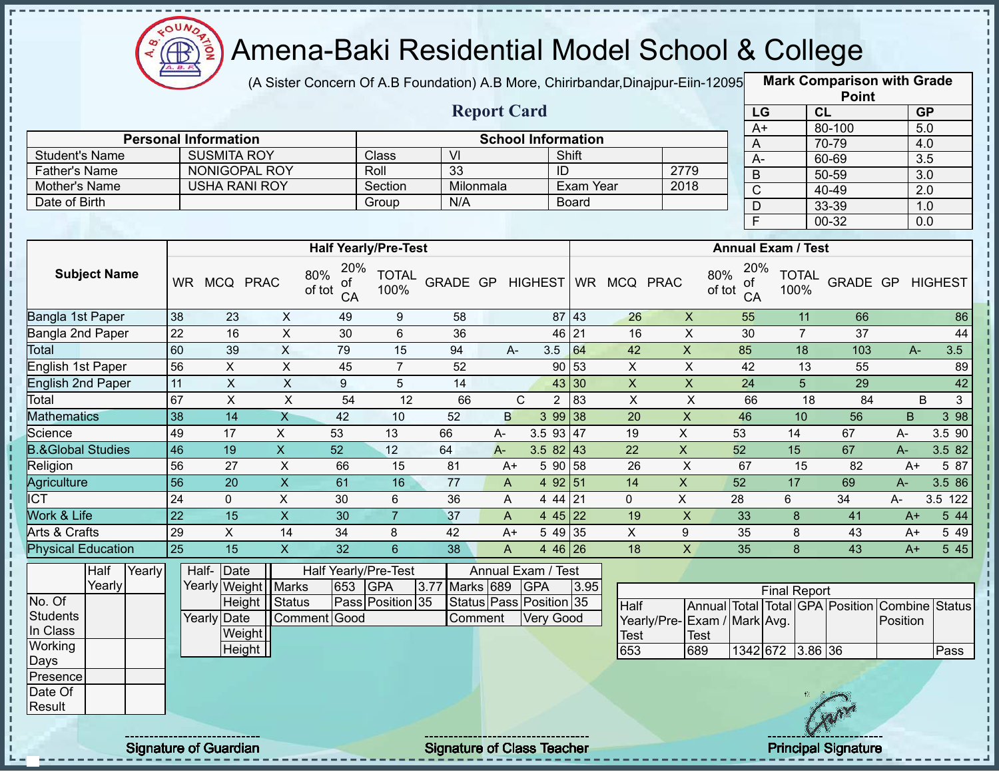

(A Sister Concern Of A.B Foundation) A.B More, Chirirbandar, Dinajpur-Eiin-12095

|                                       |                 |                                     |                           |                           |                                |                                   |                           |                  |                 |                     |                         |                 |                           | <b>Point</b>                    |          |                  |
|---------------------------------------|-----------------|-------------------------------------|---------------------------|---------------------------|--------------------------------|-----------------------------------|---------------------------|------------------|-----------------|---------------------|-------------------------|-----------------|---------------------------|---------------------------------|----------|------------------|
|                                       |                 |                                     |                           |                           |                                |                                   | <b>Report Card</b>        |                  |                 |                     |                         | LG              |                           | CL                              |          | <b>GP</b>        |
|                                       |                 |                                     |                           |                           |                                |                                   |                           |                  |                 |                     |                         | $A+$            |                           | 80-100                          |          | 5.0              |
|                                       |                 | <b>Personal Information</b>         |                           |                           |                                |                                   | <b>School Information</b> |                  |                 |                     |                         | Α               |                           | 70-79                           |          | 4.0              |
| <b>Student's Name</b>                 |                 | <b>SUSMITA ROY</b><br>NONIGOPAL ROY |                           |                           | Class                          | VI                                |                           |                  | Shift           |                     |                         | $A -$           |                           | 60-69                           |          | $\overline{3.5}$ |
| <b>Father's Name</b><br>Mother's Name |                 | <b>USHA RANI ROY</b>                |                           |                           | Roll<br>Section                | 33<br>Milonmala                   |                           |                  | ID<br>Exam Year |                     | 2779<br>2018            | B               |                           | 50-59                           |          | 3.0              |
| Date of Birth                         |                 |                                     |                           |                           | Group                          | N/A                               |                           |                  | <b>Board</b>    |                     |                         | $\overline{C}$  |                           | 40-49                           |          | $\overline{2.0}$ |
|                                       |                 |                                     |                           |                           |                                |                                   |                           |                  |                 |                     |                         | D               |                           | 33-39                           |          | 1.0              |
|                                       |                 |                                     |                           |                           |                                |                                   |                           |                  |                 |                     |                         | $\overline{F}$  |                           | 00-32                           |          | 0.0              |
|                                       |                 |                                     |                           |                           | <b>Half Yearly/Pre-Test</b>    |                                   |                           |                  |                 |                     |                         |                 | <b>Annual Exam / Test</b> |                                 |          |                  |
| <b>Subject Name</b>                   |                 | WR MCQ PRAC                         | 80%                       | 20%<br>0f<br>of tot<br>CA | <b>TOTAL</b><br>100%           | GRADE GP                          |                           |                  |                 | HIGHEST WR MCQ PRAC | 80%<br>of tot           | 20%<br>οf<br>CA | <b>TOTAL</b><br>100%      | GRADE GP                        |          | <b>HIGHEST</b>   |
| Bangla 1st Paper                      | 38              | 23                                  | $\mathsf{X}$              | 49                        | 9                              | 58                                |                           | 87               | 43              | 26                  | $\mathsf{X}$            | 55              | 11                        | 66                              |          | 86               |
| Bangla 2nd Paper                      | 22              | 16                                  | $\mathsf{X}$              | 30                        | 6                              | $\sf X$                           | 30                        | $\overline{7}$   | 37              |                     | 44                      |                 |                           |                                 |          |                  |
| Total                                 | 60              | 39                                  | $\mathsf{X}$              | 79                        | 15                             | 94                                | $A -$                     | 3.5              | 64              | 42                  | $\overline{\mathsf{x}}$ | 85              | 18                        | 103                             | $A-$     | 3.5              |
| English 1st Paper                     | 56              | X                                   | X                         | 45                        | $\overline{7}$                 | 52                                |                           | 90               | 53              | X                   | X                       | 42              | 13                        | 55                              |          | 89               |
| English 2nd Paper                     | 11              | $\boldsymbol{\mathsf{X}}$           | $\pmb{\times}$            | 9                         | 5                              | 14                                |                           | 43               | 30              | $\mathsf X$         | $\pmb{\mathsf{X}}$      | 24              | 5                         | 29                              |          | 42               |
| Total                                 | 67              | $\boldsymbol{\mathsf{X}}$           | $\mathsf X$               | 54                        | 12                             | 66                                | $\mathsf{C}$              | $\overline{2}$   | 83              | $\pmb{\times}$      | $\pmb{\times}$          | 66              |                           | 18<br>84                        |          | B<br>3           |
| <b>Mathematics</b>                    | 38              | 14                                  | $\overline{X}$            | $\overline{42}$           | 10                             | 52                                | $\sf B$                   | 3 9 9            | 38              | 20                  | $\pmb{\times}$          | 46              | 10                        | 56                              | B        | 398              |
| Science                               | 49              | 17                                  | X                         | 53                        | 13                             | 66                                | A-                        | 3.5 93           | 47              | 19                  | $\mathsf{X}$            | 53              | 14                        | 67                              | A-       | 3.5 90           |
| <b>B.&amp;Global Studies</b>          | 46              | 19                                  | $\mathsf X$               | 52                        | 12                             | 64                                | $A -$                     | 3.5 82           | 43              | 22                  | $\mathsf X$             | 52              | 15                        | 67                              | $A -$    | 3.5 82           |
| Religion                              | 56              | 27                                  | $\pmb{\times}$            | 66                        | 15                             | 81                                | $A+$                      | 5 90             | 58              | 26                  | $\pmb{\times}$          | 67              | 15                        | 82                              | $A+$     | 5 87             |
| Agriculture                           | 56              | 20                                  | $\overline{X}$            | 61                        | 16                             | $\overline{77}$                   | $\mathsf{A}$              |                  | 4 92 51         | 14                  | $\overline{X}$          | 52              | 17                        | 69                              | $A-$     | 3.5 86           |
| <b>ICT</b>                            | 24              | $\mathbf 0$                         | X                         | 30                        | 6                              | 36                                | A                         | 4 4 4            | 21              | $\mathbf{0}$        | X                       | 28              | 6                         | 34                              | A-       | 3.5 122          |
| Work & Life                           | $\overline{22}$ | 15                                  | $\boldsymbol{\mathsf{X}}$ | 30                        | $\overline{7}$                 | 37                                | $\mathsf{A}$              | 4 4 5            | 22              | 19                  | $\pmb{\times}$          | 33              | 8                         | 41                              | $A+$     | 5 4 4            |
| Arts & Crafts                         | 29              | X                                   | 14                        | 34                        | 8                              | 42                                | $A+$                      | 5 4 9            | 35              | $\pmb{\times}$      | $\boldsymbol{9}$        | 35              | 8                         | 43                              | $A+$     | 5 4 9            |
| <b>Physical Education</b>             | $\overline{25}$ | $\overline{15}$                     | $\mathsf{x}$              | $\overline{32}$           | $6\overline{6}$                | 38                                | A                         |                  | 4 46 26         | 18                  | $\overline{\mathsf{x}}$ | 35              | 8                         | $\overline{43}$                 | $A+$     | 545              |
| Half<br>Yearly<br>Yearly              |                 | Half- Date                          |                           | 653                       | Half Yearly/Pre-Test           |                                   | Annual Exam / Test        |                  |                 |                     |                         |                 |                           |                                 |          |                  |
| No. Of                                |                 | Yearly Weight   Marks<br>Height     | Status                    |                           | <b>GPA</b><br>Pass Position 35 | 3.77<br>Marks 689                 | Status Pass Position 35   | <b>GPA</b>       | 3.95            |                     |                         |                 | <b>Final Report</b>       |                                 |          |                  |
| <b>Students</b>                       |                 | Yearly Date                         | Comment Good              |                           |                                | Comment                           |                           | <b>Very Good</b> |                 | Half                |                         |                 |                           | Annual Total Total GPA Position | Combine  | <b>Status</b>    |
| In Class                              |                 | Weight                              |                           |                           |                                |                                   |                           |                  |                 | Yearly/Pre-         | Exam / Mark Avg.        |                 |                           |                                 | Position |                  |
| Working                               |                 | Height                              |                           |                           |                                |                                   |                           |                  |                 | <b>Test</b><br>653  | <b>Test</b><br>689      |                 | 1342 672 3.86 36          |                                 |          | Pass             |
| Days                                  |                 |                                     |                           |                           |                                |                                   |                           |                  |                 |                     |                         |                 |                           |                                 |          |                  |
| Presence                              |                 |                                     |                           |                           |                                |                                   |                           |                  |                 |                     |                         |                 |                           |                                 |          |                  |
| Date Of                               |                 |                                     |                           |                           |                                |                                   |                           |                  |                 |                     |                         |                 |                           |                                 |          |                  |
| Result                                |                 |                                     |                           |                           |                                |                                   |                           |                  |                 |                     |                         |                 |                           |                                 |          |                  |
|                                       |                 | <b>Signature of Guardian</b>        |                           |                           |                                | <b>Signature of Class Teacher</b> |                           |                  |                 |                     |                         |                 |                           | <b>Principal Signature</b>      |          |                  |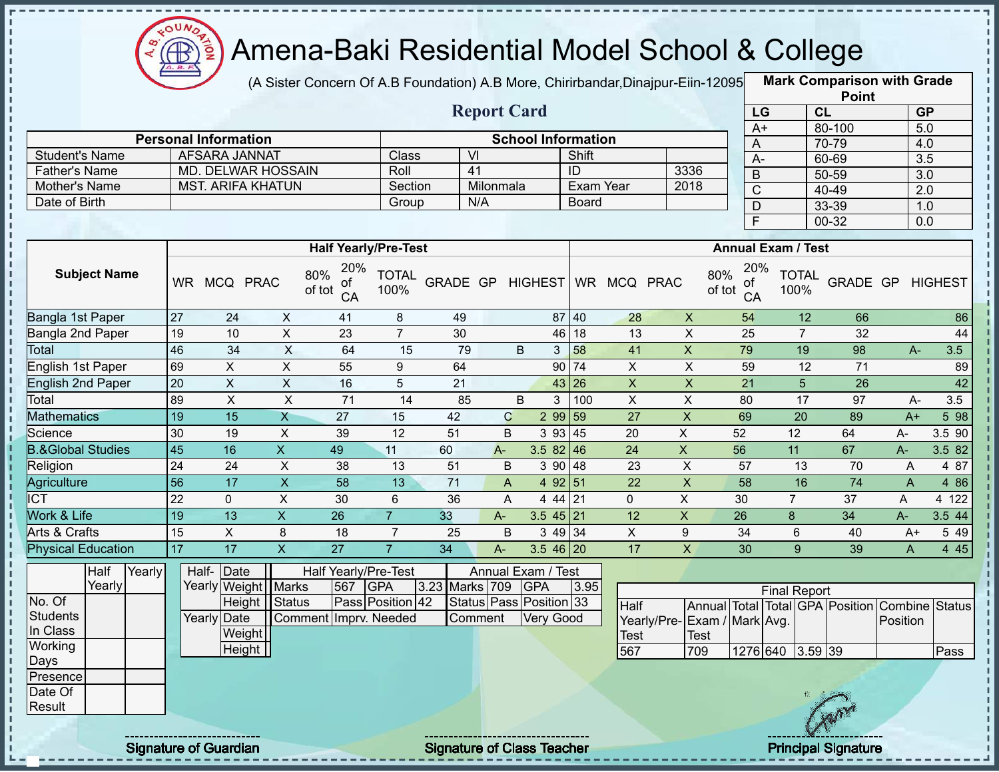

(A Sister Concern Of A.B Foundation) A.B More, Chirirbandar, Dinajpur-Eiin-12095

**Mark Comparison with Grade Point**

|                              |                 |                             |                           |                                  |                      |                  |                    |                           |              |                |                             |                           |                           | <b>FUILL</b>                    |                       |                |
|------------------------------|-----------------|-----------------------------|---------------------------|----------------------------------|----------------------|------------------|--------------------|---------------------------|--------------|----------------|-----------------------------|---------------------------|---------------------------|---------------------------------|-----------------------|----------------|
|                              |                 |                             |                           |                                  |                      |                  | <b>Report Card</b> |                           |              |                |                             |                           | LG                        | <b>CL</b>                       | <b>GP</b>             |                |
|                              |                 | <b>Personal Information</b> |                           |                                  |                      |                  |                    | <b>School Information</b> |              |                |                             | $A+$                      |                           | 80-100                          | 5.0                   |                |
| <b>Student's Name</b>        |                 | AFSARA JANNAT               |                           |                                  | Class                | $\overline{V}$   |                    |                           | Shift        |                |                             | Α                         |                           | 70-79                           | 4.0                   |                |
| <b>Father's Name</b>         |                 |                             | <b>MD. DELWAR HOSSAIN</b> |                                  | Roll                 | $\overline{41}$  |                    |                           | ID           |                | 3336                        | $A -$                     |                           | 60-69                           | $\overline{3.5}$      |                |
| Mother's Name                |                 | <b>MST. ARIFA KHATUN</b>    |                           |                                  | Section              |                  | Milonmala          |                           | Exam Year    |                | 2018                        | $\sf B$                   |                           | $50 - 59$                       | 3.0                   |                |
| Date of Birth                |                 |                             |                           |                                  | Group                | N/A              |                    |                           | <b>Board</b> |                |                             | $\overline{C}$            |                           | 40-49                           | $\overline{2.0}$      |                |
|                              |                 |                             |                           |                                  |                      |                  |                    |                           |              |                |                             | D                         |                           | 33-39                           | 1.0                   |                |
|                              |                 |                             |                           |                                  |                      |                  |                    |                           |              |                |                             | Ē                         |                           | $00 - 32$                       | $\overline{0.0}$      |                |
|                              |                 |                             |                           | <b>Half Yearly/Pre-Test</b>      |                      |                  |                    |                           |              |                |                             |                           | <b>Annual Exam / Test</b> |                                 |                       |                |
| <b>Subject Name</b>          | <b>WR</b>       | MCQ PRAC                    |                           | 20%<br>80%<br>οt<br>of tot<br>CA | <b>TOTAL</b><br>100% | GRADE GP HIGHEST |                    |                           |              | WR MCQ PRAC    | 80%                         | 20%<br>οf<br>of tot<br>CA | <b>TOTAL</b><br>100%      | GRADE GP                        |                       | <b>HIGHEST</b> |
| Bangla 1st Paper             | 27              | 24                          | $\pmb{\times}$            | 41                               | 8                    | 49               |                    |                           | 87 40        | 28             | $\boldsymbol{\mathsf{X}}$   | 54                        | 12                        | 66                              |                       | 86             |
| Bangla 2nd Paper             | 19              | 10                          | $\pmb{\times}$            | 23                               | $\overline{7}$       | 30               |                    |                           | 46 18        | 13             | $\boldsymbol{\mathsf{X}}$   | 25                        | $\overline{7}$            | 32                              |                       | 44             |
| Total                        | 46              | $\overline{34}$             | $\mathsf X$               | 64                               | 15                   | 79               |                    | B<br>3                    | 58           | 41             | $\overline{X}$              | 79                        | 19                        | 98                              | $A -$                 | 3.5            |
| English 1st Paper            | 69              | $\mathsf X$                 | $\mathsf X$               | 55                               | 9                    | 64               |                    |                           | 90 74        | $\pmb{\times}$ | $\overline{X}$              | 59                        | 12                        | 71                              |                       | 89             |
| <b>English 2nd Paper</b>     | 20              | $\overline{X}$              | $\overline{\mathsf{x}}$   | 16                               | 5                    | $\overline{21}$  |                    |                           | 43 26        | $\overline{X}$ | $\overline{X}$              | $\overline{21}$           | $\overline{5}$            | $\overline{26}$                 |                       | 42             |
| Total                        | 89              | $\mathsf{X}$                | $\mathsf X$               | 71                               | 14                   | 85               |                    | B<br>3                    | 100          | $\mathsf{X}$   | $\mathsf{X}$                | 80                        | $\overline{17}$           | 97                              | $A -$                 | 3.5            |
| <b>Mathematics</b>           | 19              | $\overline{15}$             | $\mathsf{X}$              | 27                               | 15                   | 42               | $\mathbf C$        | 2 99 59                   |              | 27             | $\overline{\mathsf{x}}$     | 69                        | 20                        | 89                              | $A+$                  | 5 98           |
| Science                      | 30              | 19                          | $\mathsf X$               | 39                               | $\overline{12}$      | $\overline{51}$  | B                  | 3 9 3                     | 45           | 20             | $\overline{X}$              | 52                        | 12                        | 64                              | A-                    | 3.5 90         |
| <b>B.&amp;Global Studies</b> | 45              | 16                          | $\mathsf{X}$              | 49                               | 11                   | 60               | $A -$              | $3.582$ 46                |              | 24             | $\pmb{\times}$              | 56                        | 11                        | 67                              | A-                    | 3.5 82         |
| Religion                     | $\overline{24}$ | 24                          | X                         | 38                               | 13                   | $\overline{51}$  | B                  | 390   48                  |              | 23             | X                           | 57                        | 13                        | 70                              | A                     | 4 87           |
| <b>Agriculture</b>           | $\overline{56}$ | 17                          | $\pmb{\mathsf{X}}$        | 58                               | 13                   | 71               | $\overline{A}$     | 4 92 51                   |              | 22             | $\mathsf{X}$                | 58                        | 16                        | 74                              | $\overline{A}$        | 4 8 6          |
| <b>ICT</b>                   | 22              | $\mathbf{0}$                | $\pmb{\times}$            | 30                               | 6                    | 36               | A                  | 44121                     |              | $\mathbf 0$    | X                           | 30                        | $\overline{7}$            | 37                              | A                     | 4 122          |
| Work & Life                  | 19              | 13                          | $\mathsf{X}$              | 26                               | $\overline{7}$       | 33               | A-                 | $3.545$ 21                |              | 12             | $\boldsymbol{\mathsf{X}}$   | 26                        | $\bf 8$                   | 34                              | A-                    | 3.5 44         |
| Arts & Crafts                | 15              | $\sf X$                     | 8                         | 18                               | $\overline{7}$       | 25               | B                  | $349$ 34                  |              | $\pmb{\times}$ | $\boldsymbol{9}$            | 34                        | 6                         | 40                              | $A+$                  | 5 4 9          |
| <b>Physical Education</b>    | 17              | 17                          | $\boldsymbol{\mathsf{X}}$ | 27                               | $\overline{7}$       | 34               | $A -$              | $3.546$ 20                |              | 17             | $\mathsf X$                 | 30                        | 9                         | 39                              | $\mathsf{A}$          | 445            |
| Half<br>Yearly               | Half-           | Date                        |                           | Half Yearly/Pre-Test             |                      |                  |                    | Annual Exam / Test        |              |                |                             |                           |                           |                                 |                       |                |
| Yearly                       |                 |                             | Yearly Weight Marks       | 567                              | GPA                  | 3.23 Marks 709   |                    | <b>GPA</b>                | 3.95         |                |                             |                           | <b>Final Report</b>       |                                 |                       |                |
| $\overline{\text{No. Of}}$   |                 |                             | Height   Status           |                                  | Pass Position 42     |                  |                    | Status Pass Position 33   |              | Half           |                             |                           |                           | Annual Total Total GPA Position | <b>Combine</b> Status |                |
| <b>Students</b>              |                 | Yearly Date                 |                           | Comment Imprv. Needed            |                      | Comment          |                    | <b>Very Good</b>          |              |                | Yearly/Pre-Exam / Mark Avg. |                           |                           |                                 | Position              |                |
| In Class                     |                 | Weight                      |                           |                                  |                      |                  |                    |                           |              | <b>Test</b>    | <b>Test</b>                 |                           |                           |                                 |                       |                |
| Working                      |                 | Height                      |                           |                                  |                      |                  |                    |                           |              | 567            | 709                         |                           | 1276 640 3.59 39          |                                 |                       | Pass           |
| Days                         |                 |                             |                           |                                  |                      |                  |                    |                           |              |                |                             |                           |                           |                                 |                       |                |
| Presence                     |                 |                             |                           |                                  |                      |                  |                    |                           |              |                |                             |                           |                           |                                 |                       |                |
| Date Of                      |                 |                             |                           |                                  |                      |                  |                    |                           |              |                |                             |                           |                           |                                 |                       |                |
| Result                       |                 |                             |                           |                                  |                      |                  |                    |                           |              |                |                             |                           |                           |                                 |                       |                |
|                              |                 |                             |                           |                                  |                      |                  |                    |                           |              |                |                             |                           |                           |                                 |                       |                |

Signature of Guardian Signature of Class Teacher Principal Signature 27-444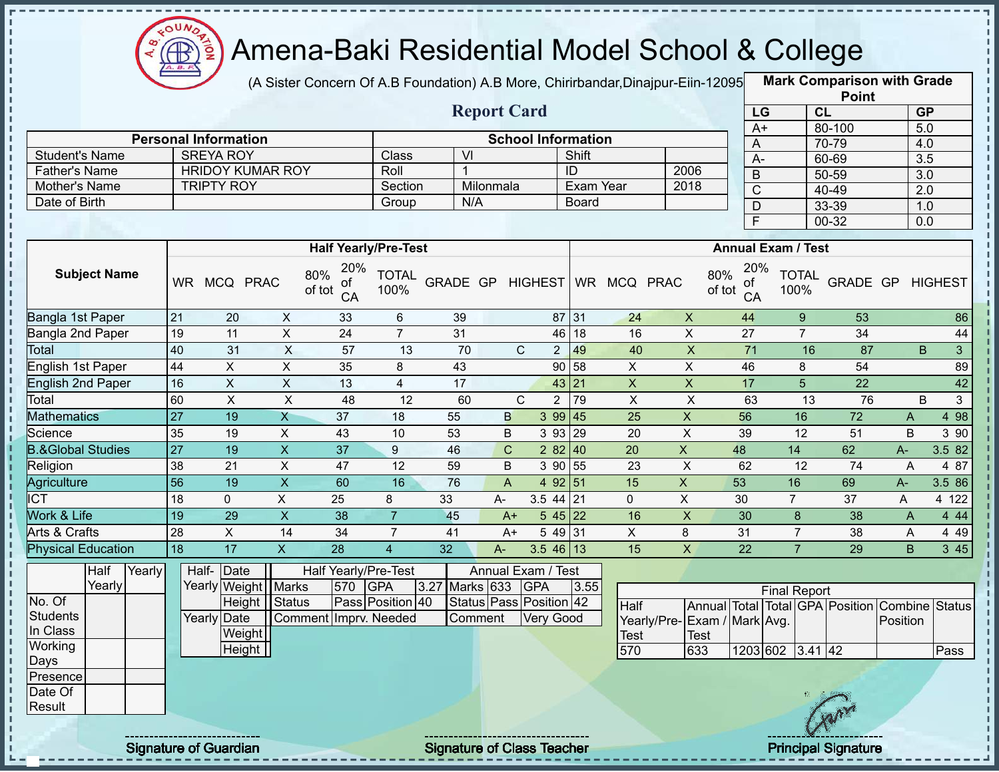

(A Sister Concern Of A.B Foundation) A.B More, Chirirbandar,Dinajpur-Eiin-120950

|                                                  |                 |                                 |                           |                                  |                             |                                   |                    |                                      |              |                     |                                      |                     |                           | <b>Point</b>                    |                                   |                |
|--------------------------------------------------|-----------------|---------------------------------|---------------------------|----------------------------------|-----------------------------|-----------------------------------|--------------------|--------------------------------------|--------------|---------------------|--------------------------------------|---------------------|---------------------------|---------------------------------|-----------------------------------|----------------|
|                                                  |                 |                                 |                           |                                  |                             |                                   | <b>Report Card</b> |                                      |              |                     |                                      | LG                  |                           | CL                              | <b>GP</b>                         |                |
|                                                  |                 | <b>Personal Information</b>     |                           |                                  |                             |                                   |                    | <b>School Information</b>            |              |                     |                                      | $A+$                |                           | 80-100                          | $\overline{5.0}$                  |                |
| <b>Student's Name</b>                            |                 | <b>SREYA ROY</b>                |                           |                                  | Class                       | $\overline{\mathsf{M}}$           |                    |                                      | Shift        |                     |                                      | A                   |                           | 70-79                           | 4.0                               |                |
| <b>Father's Name</b>                             |                 | <b>HRIDOY KUMAR ROY</b>         |                           |                                  | Roll                        | 1                                 |                    |                                      | ID           |                     | 2006                                 | $A -$               |                           | 60-69                           | $\overline{3.5}$                  |                |
| Mother's Name                                    |                 | <b>TRIPTY ROY</b>               |                           |                                  | Section                     |                                   | Milonmala          |                                      | Exam Year    |                     | 2018                                 | $\sf B$             |                           | 50-59                           | 3.0                               |                |
| Date of Birth                                    |                 |                                 |                           |                                  | Group                       | $\overline{N}/A$                  |                    |                                      | <b>Board</b> |                     |                                      | $\overline{C}$      |                           | 40-49                           | 2.0                               |                |
|                                                  |                 |                                 |                           |                                  |                             |                                   |                    |                                      |              |                     |                                      | D<br>$\overline{F}$ |                           | 33-39<br>00-32                  | 1.0<br>0.0                        |                |
|                                                  |                 |                                 |                           |                                  |                             |                                   |                    |                                      |              |                     |                                      |                     |                           |                                 |                                   |                |
|                                                  |                 |                                 |                           |                                  | <b>Half Yearly/Pre-Test</b> |                                   |                    |                                      |              |                     |                                      |                     | <b>Annual Exam / Test</b> |                                 |                                   |                |
| <b>Subject Name</b>                              |                 | WR MCQ PRAC                     |                           | 20%<br>80%<br>of<br>of tot<br>CA | <b>TOTAL</b><br>100%        | GRADE GP                          |                    |                                      |              | HIGHEST WR MCQ PRAC | 80%<br>of tot                        | 20%<br>0f<br>CA     | <b>TOTAL</b><br>100%      | GRADE GP                        |                                   | <b>HIGHEST</b> |
| Bangla 1st Paper                                 | 21              | 20                              | X                         | 33                               | 6                           | 39                                |                    |                                      | 87 31        | 24                  | $\boldsymbol{X}$                     | 44                  | 9                         | 53                              |                                   | 86             |
| Bangla 2nd Paper                                 | 19              | 11                              | X                         | 24                               | $\overline{7}$              | 31                                |                    | 46                                   | 18           | 16                  | $\pmb{\times}$                       | 27                  | $\overline{7}$            | 34                              |                                   | 44             |
| Total                                            | 40              | 31                              | $\boldsymbol{\mathsf{X}}$ | 57                               | 13                          | 70                                |                    | $\mathsf{C}$<br>$2 \overline{ }$     | 49           | 40                  | $\pmb{\mathsf{X}}$                   | $\overline{71}$     | 16                        | 87                              | B                                 | 3 <sup>1</sup> |
| English 1st Paper                                | 44              | X                               | X                         | 35                               | 8                           | 43                                |                    | 90                                   | 58           | X                   | X                                    | 46                  | 8                         | 54                              |                                   | 89             |
| <b>English 2nd Paper</b>                         | 16              | $\pmb{\times}$                  | $\mathsf{X}$              | 13                               | $\overline{4}$              | 17                                |                    |                                      | 43 21        | $\pmb{\times}$      | $\mathsf X$                          | 17                  | 5                         | 22                              |                                   | 42             |
| Total                                            | 60              | $\pmb{\times}$                  | X                         | 48                               | 12                          | 60                                |                    | $\mathsf{C}$<br>$\overline{2}$       | 79           | $\pmb{\times}$      | $\pmb{\times}$                       | 63                  | 13                        | 76                              | B                                 | 3              |
| <b>Mathematics</b>                               | $\overline{27}$ | 19                              | $\mathsf{X}$              | $\overline{37}$                  | 18                          | 55                                | B                  | 399   45                             |              | 25                  | $\pmb{\times}$                       | 56                  | 16                        | 72                              | A                                 | 498            |
| Science                                          | 35              | 19                              | $\boldsymbol{X}$          | 43                               | 10                          | 53                                | B                  | 3 9 3                                | 29           | 20                  | $\pmb{\times}$                       | 39                  | 12                        | 51                              | B                                 | 3 9 0          |
| <b>B.&amp;Global Studies</b>                     | $\overline{27}$ | 19                              | $\boldsymbol{\mathsf{X}}$ | 37                               | 9                           | 46                                | $\mathsf{C}$       | 2 8 2                                | 40           | 20                  | $\mathsf{X}$                         | 48                  | 14                        | 62                              | A-                                | 3.5 82         |
| Religion                                         | 38              | 21                              | X                         | 47                               | 12                          | 59                                | B                  | 3 90 55                              |              | 23                  | $\mathsf X$                          | 62                  | 12                        | 74                              | $\overline{A}$                    | 4 87           |
| Agriculture                                      | 56              | 19                              | $\pmb{\times}$            | 60                               | 16                          | 76                                | $\mathsf{A}$       | 4 92 51                              |              | 15                  | $\mathsf X$                          | 53                  | 16                        | 69                              | A-                                | 3.5 86         |
| $\overline{ICT}$                                 | 18              | $\mathbf 0$                     | X                         | 25                               | 8                           | 33                                | A-                 | 3.5 44                               | 21           | $\mathbf{0}$        | X                                    | 30                  | $\overline{7}$            | 37                              | A                                 | 4 122          |
| Work & Life                                      | 19              | 29                              | $\boldsymbol{\mathsf{X}}$ | 38                               | $\overline{7}$              | 45                                | $A+$               | $545$   22                           |              | 16                  | $\mathsf X$                          | 30                  | $\bf 8$                   | 38                              | A                                 | 4 4 4          |
| Arts & Crafts                                    | 28              | $\pmb{\times}$                  | 14                        | 34                               | $\overline{7}$              | 41                                | $A+$               | 5 49 31                              |              | X                   | 8                                    | 31                  | $\overline{7}$            | 38                              | A                                 | 4 4 9          |
| <b>Physical Education</b>                        | 18              | 17                              | $\boldsymbol{\mathsf{X}}$ | 28                               | $\overline{4}$              | 32                                | A-                 | $3.546$ 13                           |              | 15                  | $\mathsf{x}$                         | 22                  | $\overline{7}$            | 29                              | B.                                | 3 45           |
| Yearly<br>Half<br>Yearly                         |                 | Half-Date<br>Yearly Weight      | <b>Marks</b>              | Half Yearly/Pre-Test<br>570      | <b>GPA</b>                  | 3.27<br>Marks 633                 |                    | Annual Exam / Test<br><b>GPA</b>     | 3.55         |                     |                                      |                     | <b>Final Report</b>       |                                 |                                   |                |
| No. Of<br><b>Students</b><br>In Class            |                 | Height<br>Yearly Date<br>Weight | Status                    | Comment Imprv. Needed            | Pass Position 40            | Comment                           |                    | Status Pass Position 42<br>Very Good |              | Half<br><b>Test</b> | Yearly/Pre- Exam / Mark Avg.<br>Test |                     |                           | Annual Total Total GPA Position | <b>Combine Status</b><br>Position |                |
| Working<br>Days<br>Presence<br>Date Of<br>Result |                 | Height                          |                           |                                  |                             |                                   |                    |                                      |              | 570                 | 633                                  |                     | 1203 602 3.41 42          |                                 |                                   | Pass           |
|                                                  |                 | <b>Signature of Guardian</b>    |                           |                                  |                             | <b>Signature of Class Teacher</b> |                    |                                      |              |                     |                                      |                     |                           | <b>Principal Signature</b>      |                                   |                |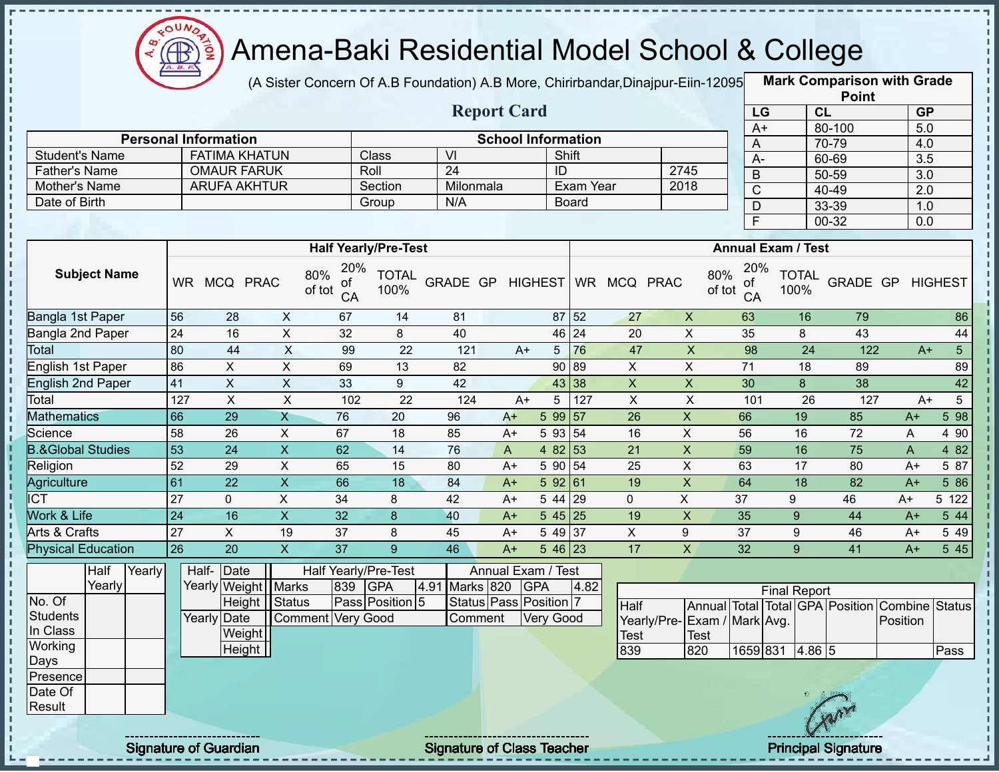

п

J.

п

 $\frac{1}{2}$ 

J. J.

 $\frac{1}{1}$ 

 $\mathbf{I}$  $\mathbf I$ 

Ţ

# Amena-Baki Residential Model School & College

(A Sister Concern Of A.B Foundation) A.B More, Chirirbandar, Dinajpur-Eiin-12095

**Mark Comparison with Grade**

|                              |                 |                             |                         |                                  |                      |                  |                           |                  |                    |                 |                             |                                  |                      |                  | <b>Point</b>                                   |                  |                 |
|------------------------------|-----------------|-----------------------------|-------------------------|----------------------------------|----------------------|------------------|---------------------------|------------------|--------------------|-----------------|-----------------------------|----------------------------------|----------------------|------------------|------------------------------------------------|------------------|-----------------|
|                              |                 |                             |                         |                                  |                      |                  | <b>Report Card</b>        |                  |                    |                 |                             | LG                               |                      | CL               |                                                | <b>GP</b>        |                 |
|                              |                 |                             |                         |                                  |                      |                  |                           |                  |                    |                 |                             | $A+$                             |                      |                  | 80-100                                         | 5.0              |                 |
|                              |                 | <b>Personal Information</b> |                         |                                  |                      |                  | <b>School Information</b> |                  |                    |                 |                             | A                                |                      |                  | 70-79                                          | 4.0              |                 |
| <b>Student's Name</b>        |                 | <b>FATIMA KHATUN</b>        |                         |                                  | Class                | VI               |                           |                  | Shift              |                 |                             | $A -$                            |                      |                  | 60-69                                          | 3.5              |                 |
| <b>Father's Name</b>         |                 | <b>OMAUR FARUK</b>          |                         |                                  | Roll                 | $\overline{24}$  |                           | ID               |                    |                 | 2745                        | B                                |                      |                  | $50 - 59$                                      | $\overline{3.0}$ |                 |
| Mother's Name                |                 | <b>ARUFA AKHTUR</b>         |                         |                                  | Section              | Milonmala        |                           |                  | Exam Year          |                 | 2018                        | $\overline{C}$                   |                      |                  | $40 - 49$                                      | $\overline{2.0}$ |                 |
| Date of Birth                |                 |                             |                         |                                  | Group                | N/A              |                           |                  | <b>Board</b>       |                 |                             | D                                |                      |                  | 33-39                                          | 1.0              |                 |
|                              |                 |                             |                         |                                  |                      |                  |                           |                  |                    |                 |                             | F                                |                      |                  | $00 - 32$                                      | $\overline{0.0}$ |                 |
|                              |                 |                             |                         | <b>Half Yearly/Pre-Test</b>      |                      |                  |                           |                  |                    |                 |                             | <b>Annual Exam / Test</b>        |                      |                  |                                                |                  |                 |
| <b>Subject Name</b>          |                 | WR MCQ PRAC                 |                         | 20%<br>80%<br>ot<br>of tot<br>CA | <b>TOTAL</b><br>100% | GRADE GP HIGHEST |                           |                  |                    | WR MCQ PRAC     |                             | 20%<br>80%<br>οf<br>of tot<br>CA | <b>TOTAL</b><br>100% |                  | GRADE GP HIGHEST                               |                  |                 |
| Bangla 1st Paper             | 56              | 28                          | $\mathsf{X}$            | 67                               | 14                   | 81               |                           |                  | $87$ 52            | 27              | $\overline{X}$              | 63                               |                      | 16               | 79                                             |                  | 86              |
| Bangla 2nd Paper             | 24              | 16                          | $\overline{X}$          | 32                               | 8                    | 40               |                           |                  | $46 \overline{24}$ | $\overline{20}$ | $\overline{\mathsf{x}}$     | 35                               |                      | 8                | 43                                             |                  | 44              |
| Total                        | 80              | 44                          | X                       | 99                               | 22                   | 121              | $A+$                      | 5 <sup>5</sup>   | 76                 | 47              | $\pmb{\mathsf{X}}$          | 98                               |                      | 24               | 122                                            | $A+$             | $5\overline{)}$ |
| English 1st Paper            | 86              | $\pmb{\times}$              | $\overline{X}$          | 69                               | $\overline{13}$      | 82               |                           |                  | 90 89              | $\pmb{\times}$  | $\pmb{\times}$              | $\overline{71}$                  |                      | 18               | 89                                             |                  | 89              |
| <b>English 2nd Paper</b>     | 41              | $\mathsf X$                 | $\mathsf{X}$            | 33                               | 9                    | 42               |                           |                  | 43 38              | $\overline{X}$  | $\pmb{\times}$              | 30                               |                      | $\boldsymbol{8}$ | 38                                             |                  | 42              |
| Total                        | 127             | $\pmb{\times}$              | X                       | 102                              | 22                   | 124              | $A+$                      | 5                | $\overline{127}$   | $\pmb{\times}$  | $\mathsf{X}$                | 101                              |                      | 26               | $\overline{127}$                               | $A+$             | $5\phantom{.0}$ |
| <b>Mathematics</b>           | 66              | 29                          | $\overline{X}$          | 76                               | 20                   | 96               | $A+$                      | 5 99 57          |                    | 26              | X                           | 66                               |                      | 19               | 85                                             | $A+$             | 598             |
| Science                      | 58              | 26                          | $\pmb{\times}$          | 67                               | 18                   | 85               | $A+$                      | 5 93 54          |                    | 16              | X                           | 56                               |                      | 16               | 72                                             | A                | 4 90            |
| <b>B.&amp;Global Studies</b> | $\overline{53}$ | $\overline{24}$             | $\overline{\mathsf{x}}$ | 62                               | 14                   | 76               | A                         | 4 82 53          |                    | $\overline{21}$ | $\overline{X}$              | 59                               |                      | 16               | $\overline{75}$                                | $\mathsf{A}$     | 482             |
| Religion                     | 52              | 29                          | $\pmb{\times}$          | 65                               | 15                   | 80               | $A+$                      | 5 90 54          |                    | $\overline{25}$ | $\overline{X}$              | 63                               |                      | $\overline{17}$  | 80                                             | $A+$             | 5 87            |
| Agriculture                  | 61              | $\overline{22}$             | $\overline{\mathsf{x}}$ | 66                               | $\overline{18}$      | 84               | $A+$                      | 592 61           |                    | 19              | $\overline{X}$              | 64                               |                      | $\overline{18}$  | $\overline{82}$                                | $A+$             | 586             |
| <b>ICT</b>                   | $\overline{27}$ | $\mathbf 0$                 | $\overline{X}$          | 34                               | 8                    | 42               | $A+$                      | 5 44 29          |                    | $\mathbf 0$     | $\overline{\mathsf{X}}$     | 37                               | 9                    |                  | 46                                             | $A+$             | 5 122           |
| Work & Life                  | 24              | 16                          | $\overline{\mathsf{x}}$ | $\overline{32}$                  | 8                    | 40               | $A+$                      | $5 \; 45 \; 25$  |                    | 19              | $\pmb{\times}$              | 35                               | 9                    |                  | 44                                             | $A+$             | 5 44            |
| Arts & Crafts                | $\overline{27}$ | $\pmb{\times}$              | 19                      | 37                               | 8                    | 45               | $A+$                      | 5 49 37          |                    | $\overline{X}$  | 9                           | 37                               | 9                    |                  | 46                                             | $A+$             | 5 4 9           |
| <b>Physical Education</b>    | 26              | $\overline{20}$             | $\overline{\mathsf{x}}$ | $\overline{37}$                  | $\overline{9}$       | $\overline{46}$  | $A+$                      | $546$ 23         |                    | 17              | $\overline{X}$              | $\overline{32}$                  | 9                    |                  | $\overline{41}$                                | $A+$             | 545             |
| Half<br>Yearly               | Half-           | Date                        |                         | Half Yearly/Pre-Test             |                      |                  | Annual Exam / Test        |                  |                    |                 |                             |                                  |                      |                  |                                                |                  |                 |
| Yearly                       |                 | Yearly Weight               | <b>Marks</b>            | 839                              | <b>GPA</b>           | 4.91 Marks 820   |                           | <b>GPA</b>       | 4.82               |                 |                             |                                  | <b>Final Report</b>  |                  |                                                |                  |                 |
| No. Of                       |                 | Height                      | Status                  |                                  | Pass Position 5      |                  | Status Pass Position 7    |                  |                    | Half            |                             |                                  |                      |                  | Annual Total Total GPA Position Combine Status |                  |                 |
| <b>Students</b>              |                 | Yearly Date                 |                         | Comment Very Good                |                      | Comment          |                           | <b>Very Good</b> |                    |                 | Yearly/Pre-Exam / Mark Avg. |                                  |                      |                  |                                                | Position         |                 |
| In Class                     |                 | Weight                      |                         |                                  |                      |                  |                           |                  |                    | <b>Test</b>     | <b>Test</b>                 |                                  |                      |                  |                                                |                  |                 |
| Working                      |                 | Height                      |                         |                                  |                      |                  |                           |                  |                    | 839             | 820                         | 1659 831                         |                      | 4.86 5           |                                                |                  | Pass            |
| Days                         |                 |                             |                         |                                  |                      |                  |                           |                  |                    |                 |                             |                                  |                      |                  |                                                |                  |                 |
| Presence<br>Date Of          |                 |                             |                         |                                  |                      |                  |                           |                  |                    |                 |                             |                                  |                      |                  |                                                |                  |                 |
| Result                       |                 |                             |                         |                                  |                      |                  |                           |                  |                    |                 |                             |                                  |                      |                  |                                                |                  |                 |
|                              |                 |                             |                         |                                  |                      |                  |                           |                  |                    |                 |                             |                                  |                      |                  |                                                |                  |                 |
|                              |                 |                             |                         |                                  |                      |                  |                           |                  |                    |                 |                             |                                  |                      |                  |                                                |                  |                 |

Signature of Guardian Signature of Class Teacher Principal Signature 2014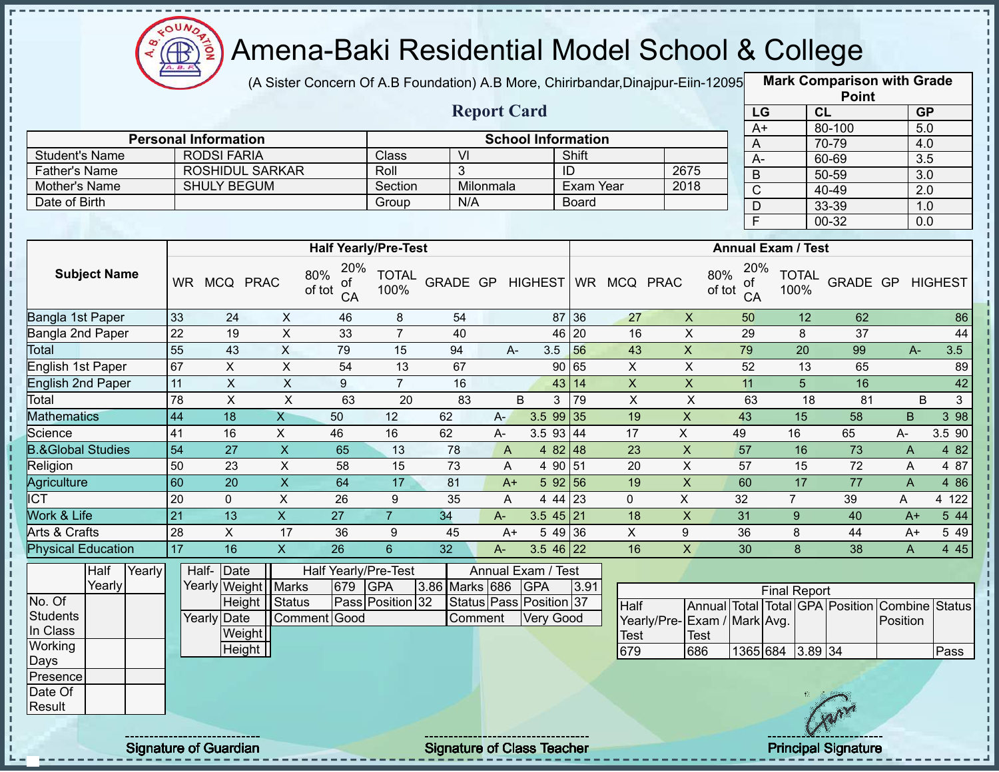

(A Sister Concern Of A.B Foundation) A.B More, Chirirbandar,Dinajpur-Eiin-120950

**Mark Comparison with Grade**

|                                       |                 |                                                   |                           |                                  |                      |                  |                |                           |                     |                           |                             |                                  |                           | <b>Point</b>                                   |                  |                  |
|---------------------------------------|-----------------|---------------------------------------------------|---------------------------|----------------------------------|----------------------|------------------|----------------|---------------------------|---------------------|---------------------------|-----------------------------|----------------------------------|---------------------------|------------------------------------------------|------------------|------------------|
|                                       |                 |                                                   |                           |                                  |                      |                  |                | <b>Report Card</b>        |                     |                           |                             | LG                               |                           | CL                                             |                  | GP               |
|                                       |                 |                                                   |                           |                                  |                      |                  |                |                           |                     |                           |                             | $A+$                             |                           | 80-100                                         |                  | 5.0              |
|                                       |                 | <b>Personal Information</b><br><b>RODSI FARIA</b> |                           |                                  | Class                | $\overline{V}$   |                | <b>School Information</b> | Shift               |                           |                             | A                                |                           | 70-79                                          |                  | 4.0              |
| <b>Student's Name</b>                 |                 | <b>ROSHIDUL SARKAR</b>                            |                           |                                  | Roll                 | 3                |                |                           | ID                  |                           |                             | $A -$                            |                           | 60-69                                          |                  | $\overline{3.5}$ |
| <b>Father's Name</b><br>Mother's Name |                 | <b>SHULY BEGUM</b>                                |                           |                                  | Section              |                  | Milonmala      |                           | <b>Exam Year</b>    |                           | 2675<br>2018                | $\sf B$                          |                           | $50 - 59$                                      |                  | $\overline{3.0}$ |
| Date of Birth                         |                 |                                                   |                           |                                  | Group                | N/A              |                |                           | <b>Board</b>        |                           |                             | $\overline{C}$                   |                           | $40 - 49$                                      |                  | $\overline{2.0}$ |
|                                       |                 |                                                   |                           |                                  |                      |                  |                |                           |                     |                           |                             | $\overline{D}$                   |                           | 33-39                                          |                  | 1.0              |
|                                       |                 |                                                   |                           |                                  |                      |                  |                |                           |                     |                           |                             | F                                |                           | $00 - 32$                                      |                  | $\overline{0.0}$ |
|                                       |                 |                                                   |                           | <b>Half Yearly/Pre-Test</b>      |                      |                  |                |                           |                     |                           |                             |                                  | <b>Annual Exam / Test</b> |                                                |                  |                  |
| <b>Subject Name</b>                   |                 | WR MCQ PRAC                                       |                           | 20%<br>80%<br>ot<br>of tot<br>CA | <b>TOTAL</b><br>100% | GRADE GP HIGHEST |                |                           |                     | WR MCQ PRAC               |                             | 20%<br>80%<br>ot<br>of tot<br>CA | <b>TOTAL</b><br>100%      |                                                | GRADE GP HIGHEST |                  |
| Bangla 1st Paper                      | 33              | 24                                                | $\mathsf{X}$              | 46                               | 8                    | 54               |                |                           | 87 36               | 27                        | $\pmb{\times}$              | 50                               | 12                        | 62                                             |                  | 86               |
| Bangla 2nd Paper                      | $\overline{22}$ | 19                                                | $\overline{X}$            | 33                               | $\overline{7}$       | 40               |                |                           | 46 20               | 16                        | $\boldsymbol{\mathsf{X}}$   | 29                               | 8                         | $\overline{37}$                                |                  | 44               |
| Total                                 | 55              | 43                                                | $\mathsf{X}$              | 79                               | 15                   | 94               | A-             | 3.5                       | 56                  | 43                        | $\pmb{\mathsf{X}}$          | 79                               | $\overline{20}$           | 99                                             | $A -$            | 3.5              |
| English 1st Paper                     | 67              | $\pmb{\times}$                                    | $\overline{X}$            | 54                               | 13                   | 67               |                |                           | 90 65               | $\boldsymbol{\mathsf{X}}$ | $\sf X$                     | 52                               | 13                        | 65                                             |                  | 89               |
| <b>English 2nd Paper</b>              | 11              | $\pmb{\times}$                                    | $\boldsymbol{\mathsf{X}}$ | 9                                | $\overline{7}$       | 16               |                | 43                        | 14                  | $\boldsymbol{\mathsf{X}}$ | $\pmb{\mathsf{X}}$          | 11                               | 5                         | 16                                             |                  | 42               |
| Total                                 | 78              | $\pmb{\times}$                                    | $\overline{X}$            | 63                               | $\overline{20}$      | 83               |                | B<br>3                    | 79                  | $\overline{X}$            | $\times$                    | 63                               | 18                        | 81                                             |                  | 3<br>$\sf B$     |
| <b>Mathematics</b>                    | 44              | 18                                                | X                         | 50                               | 12                   | 62               | $A-$           | 3.599135                  |                     | 19                        | $\boldsymbol{\mathsf{X}}$   | 43                               | 15                        | 58                                             | B                | $3\overline{98}$ |
| Science                               | 41              | 16                                                | $\overline{X}$            | 46                               | 16                   | 62               | A-             | 3.5 93                    | 44                  | $\overline{17}$           | $\overline{X}$              | 49                               | 16                        | 65                                             | A-               | 3.5 90           |
| <b>B.&amp;Global Studies</b>          | 54              | $\overline{27}$                                   | $\overline{X}$            | 65                               | 13                   | 78               | $\overline{A}$ |                           | 4 82 48             | 23                        | $\overline{X}$              | 57                               | 16                        | 73                                             | $\overline{A}$   | 4 8 2            |
| Religion                              | 50              | $\overline{23}$                                   | $\overline{X}$            | 58                               | 15                   | $\overline{73}$  | A              |                           | 4 90 51             | $\overline{20}$           | $\overline{X}$              | $\overline{57}$                  | 15                        | 72                                             | A                | 4 87             |
| Agriculture                           | 60              | $\overline{20}$                                   | $\overline{X}$            | 64                               | 17                   | 81               | $A+$           |                           | 5 92 56             | 19                        | $\overline{X}$              | 60                               | $\overline{17}$           | $\overline{77}$                                | $\overline{A}$   | 4 8 6            |
| $\overline{ICT}$                      | 20              | $\pmb{0}$                                         | $\overline{X}$            | 26                               | $9\,$                | 35               | $\mathsf{A}$   |                           | $4\overline{44}$ 23 | $\mathbf 0$               | $\overline{\mathsf{x}}$     | 32                               | $\overline{7}$            | 39                                             | A                | 4 122            |
| Work & Life                           | $\overline{21}$ | $\overline{13}$                                   | $\overline{\mathsf{x}}$   | $\overline{27}$                  | $\overline{7}$       | 34               | $A-$           | $3.5$ 45 21               |                     | $\overline{18}$           | $\overline{X}$              | 31                               | 9 <sup>°</sup>            | 40                                             | $A+$             | 544              |
| <b>Arts &amp; Crafts</b>              | 28              | $\overline{X}$                                    | $\overline{17}$           | 36                               | 9                    | 45               | $A+$           |                           | 54936               | $\overline{X}$            | $9\,$                       | 36                               | 8                         | 44                                             | $A+$             | 5 4 9            |
| <b>Physical Education</b>             | 17              | 16                                                | $\mathsf{X}$              | 26                               | $6\phantom{a}$       | 32               | A-             | $3.546$ 22                |                     | 16                        | $\mathsf{x}$                | 30                               | 8                         | 38                                             | $\mathsf{A}$     | 4 4 5            |
| Half<br>Yearly                        |                 | Half-Date                                         |                           | Half Yearly/Pre-Test             |                      |                  |                | Annual Exam / Test        |                     |                           |                             |                                  |                           |                                                |                  |                  |
| Yearly                                |                 | Yearly Weight   Marks                             |                           | 679                              | <b>GPA</b>           | 3.86 Marks 686   |                | <b>GPA</b>                | 3.91                |                           |                             |                                  | <b>Final Report</b>       |                                                |                  |                  |
| No. Of                                |                 | Height Status                                     |                           |                                  | Pass Position 32     |                  |                | Status Pass Position 37   |                     | Half                      |                             |                                  |                           | Annual Total Total GPA Position Combine Status |                  |                  |
| <b>Students</b>                       |                 | <b>Yearly Date</b>                                |                           | Comment Good                     |                      | Comment          |                | Very Good                 |                     |                           | Yearly/Pre-Exam / Mark Avg. |                                  |                           |                                                | Position         |                  |
| In Class                              |                 | Weight                                            |                           |                                  |                      |                  |                |                           |                     | <b>Test</b>               | <b>Test</b>                 |                                  |                           |                                                |                  |                  |
| Working                               |                 | Height                                            |                           |                                  |                      |                  |                |                           |                     | 679                       | 686                         |                                  | 1365 684 3.89 34          |                                                |                  | Pass             |
| Days                                  |                 |                                                   |                           |                                  |                      |                  |                |                           |                     |                           |                             |                                  |                           |                                                |                  |                  |
| Presence                              |                 |                                                   |                           |                                  |                      |                  |                |                           |                     |                           |                             |                                  |                           |                                                |                  |                  |
| Date Of<br>Result                     |                 |                                                   |                           |                                  |                      |                  |                |                           |                     |                           |                             |                                  |                           |                                                |                  |                  |
|                                       |                 |                                                   |                           |                                  |                      |                  |                |                           |                     |                           |                             |                                  |                           |                                                |                  |                  |
|                                       |                 |                                                   |                           |                                  |                      |                  |                |                           |                     |                           |                             |                                  |                           |                                                |                  |                  |

Signature of Guardian Signature Signature of Class Teacher Principal Signature 30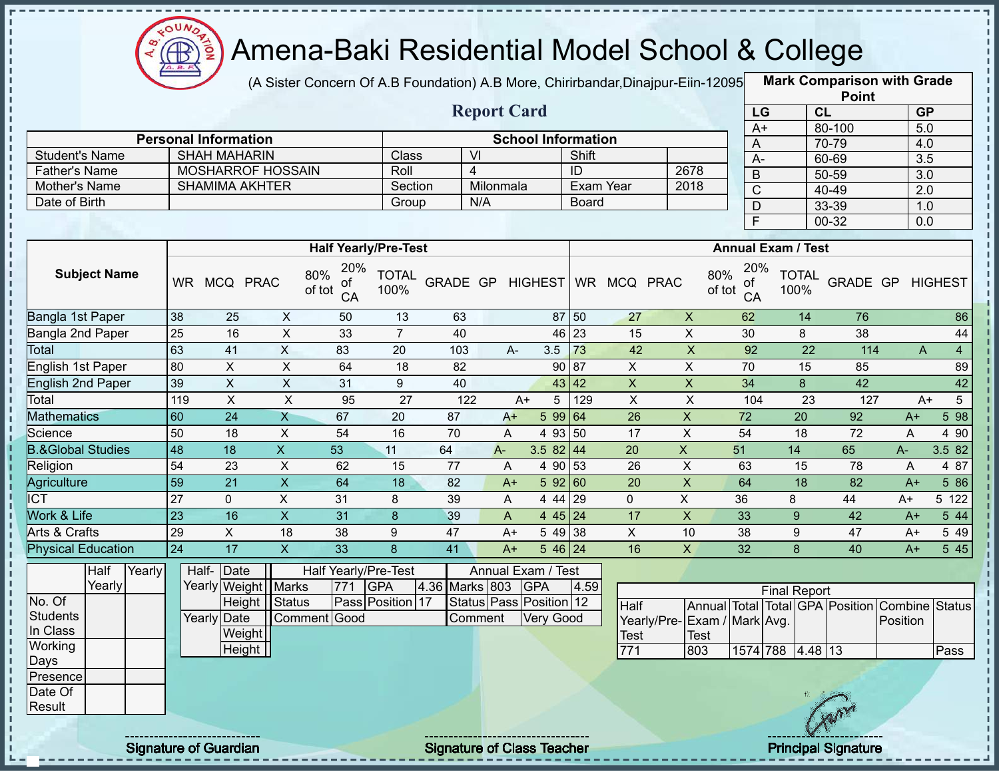

(A Sister Concern Of A.B Foundation) A.B More, Chirirbandar, Dinajpur-Eiin-12095

**Mark Comparison with Grade Point**

|                              |                 |                                   |                           |                                    |                             |                |                    |                                  |                  |                         |                             |               |                 |                           | <b>LOILI</b>                    |                  |                        |
|------------------------------|-----------------|-----------------------------------|---------------------------|------------------------------------|-----------------------------|----------------|--------------------|----------------------------------|------------------|-------------------------|-----------------------------|---------------|-----------------|---------------------------|---------------------------------|------------------|------------------------|
|                              |                 |                                   |                           |                                    |                             |                | <b>Report Card</b> |                                  |                  |                         |                             |               | LG              | CL                        |                                 | <b>GP</b>        |                        |
|                              |                 | <b>Personal Information</b>       |                           |                                    |                             |                |                    | <b>School Information</b>        |                  |                         |                             |               | $A+$            |                           | 80-100                          | $\overline{5.0}$ |                        |
| <b>Student's Name</b>        |                 | <b>SHAH MAHARIN</b>               |                           |                                    | Class                       |                | VI                 |                                  | Shift            |                         |                             |               | Α               |                           | 70-79                           | 4.0              |                        |
| <b>Father's Name</b>         |                 | <b>MOSHARROF HOSSAIN</b>          |                           |                                    | Roll                        |                | $\overline{4}$     |                                  | $\overline{ID}$  |                         | 2678                        |               | A-              |                           | 60-69                           | 3.5              |                        |
| Mother's Name                |                 | <b>SHAMIMA AKHTER</b>             |                           |                                    | Section                     |                | Milonmala          |                                  | <b>Exam Year</b> |                         | 2018                        |               | $\overline{B}$  |                           | $50 - 59$                       | $\overline{3.0}$ |                        |
| Date of Birth                |                 |                                   |                           |                                    | Group                       |                | N/A                |                                  | <b>Board</b>     |                         |                             |               | $\overline{C}$  |                           | 40-49                           | $\overline{2.0}$ |                        |
|                              |                 |                                   |                           |                                    |                             |                |                    |                                  |                  |                         |                             |               | D<br>F          |                           | 33-39<br>$00 - 32$              | 1.0              |                        |
|                              |                 |                                   |                           |                                    |                             |                |                    |                                  |                  |                         |                             |               |                 |                           |                                 | 0.0              |                        |
|                              |                 |                                   |                           |                                    | <b>Half Yearly/Pre-Test</b> |                |                    |                                  |                  |                         |                             |               |                 | <b>Annual Exam / Test</b> |                                 |                  |                        |
| <b>Subject Name</b>          |                 | WR MCQ PRAC                       |                           | 20%<br>80%<br>оt<br>of tot<br>CA   | <b>TOTAL</b><br>100%        |                |                    | GRADE GP HIGHEST                 |                  | WR MCQ PRAC             |                             | 80%<br>of tot | 20%<br>ΟĪ<br>CA | <b>TOTAL</b><br>100%      | <b>GRADE GP HIGHEST</b>         |                  |                        |
| Bangla 1st Paper             | 38              | 25                                | X                         | 50                                 | 13                          | 63             |                    |                                  | 87 50            | 27                      | $\mathsf{X}$                |               | 62              | 14                        | 76                              |                  | 86                     |
| Bangla 2nd Paper             | $\overline{25}$ | 16                                | $\pmb{\times}$            | 33                                 | $\overline{7}$              | 40             |                    |                                  | 46 23            | 15                      | $\pmb{\times}$              |               | 30              | 8                         | 38                              |                  | 44                     |
| Total                        | 63              | 41                                | $\mathsf X$               | 83                                 | 20                          | 103            | A-                 | 3.5                              | 73               | 42                      | $\pmb{\mathsf{X}}$          |               | 92              | 22                        | 114                             | A                | $\overline{4}$         |
| English 1st Paper            | 80              | $\mathsf{X}$                      | $\mathsf X$               | 64                                 | 18                          | 82             |                    |                                  | 90 87            | $\mathsf{X}$            | $\pmb{\times}$              |               | 70              | 15                        | 85                              |                  | 89                     |
| English 2nd Paper            | 39              | $\pmb{\times}$                    | $\pmb{\times}$            | 31                                 | 9                           | 40             |                    |                                  | 43 42            | $\overline{\mathsf{x}}$ | $\pmb{\times}$              |               | 34              | 8                         | 42                              |                  | 42                     |
| Total                        | 119             | X                                 | $\pmb{\times}$            | 95                                 | 27                          | 122            |                    | $A+$<br>$\sqrt{5}$               | 129              | $\pmb{\times}$          | $\pmb{\times}$              |               | 104             | 23                        | 127                             |                  | $A+$<br>5 <sup>5</sup> |
| <b>Mathematics</b>           | 60              | 24                                | $\mathsf{X}$              | 67                                 | 20                          | 87             | $A+$               | 599 64                           |                  | 26                      | $\pmb{\times}$              | 72            |                 | 20                        | 92                              | $A+$             | 5 98                   |
| Science                      | 50              | 18                                | X                         | 54                                 | 16                          | 70             | A                  | 4 93 50                          |                  | 17                      | $\pmb{\times}$              | 54            |                 | 18                        | 72                              | A                | 4 90                   |
| <b>B.&amp;Global Studies</b> | 48              | 18                                | $\mathsf{X}$              | 53                                 | 11                          | 64             | A-                 | 3.5 82 44                        |                  | 20                      | $\boldsymbol{\mathsf{X}}$   | 51            |                 | 14                        | 65                              | A-               | 3.5 82                 |
| Religion                     | 54              | 23                                | X                         | 62                                 | 15                          | 77             | A                  | 4 90 53                          |                  | 26                      | $\pmb{\times}$              | 63            |                 | 15                        | 78                              | A                | 4 87                   |
| Agriculture                  | 59              | 21                                | $\boldsymbol{\mathsf{X}}$ | 64                                 | 18                          | 82             | $A+$               | 592 60                           |                  | 20                      | $\boldsymbol{\mathsf{X}}$   | 64            |                 | 18                        | 82                              | $A+$             | 5 86                   |
| <b>ICT</b>                   | 27              | $\mathbf{0}$                      | X                         | 31                                 | 8                           | 39             | A                  | 4 4 4                            | 29               | $\Omega$                | $\mathsf{X}$                | 36            |                 | 8                         | 44                              | A+               | 5 122                  |
| Work & Life                  | 23              | 16                                | $\overline{X}$            | 31                                 | $\boldsymbol{8}$            | 39             | A                  | 4 45 24                          |                  | 17                      | $\mathsf{X}$                | 33            |                 | 9                         | 42                              | $A+$             | 5 44                   |
| Arts & Crafts                | $\overline{29}$ | $\overline{X}$                    | 18                        | 38                                 | 9                           | 47             | $A+$               | 5 49 38                          |                  | $\overline{X}$          | 10                          | 38            |                 | 9                         | 47                              | A+               | 5 4 9                  |
| <b>Physical Education</b>    | $\overline{24}$ | 17                                | $\mathsf{X}$              | 33                                 | 8                           | 41             | $A+$               | $546$ 24                         |                  | 16                      | $\overline{X}$              | 32            |                 | 8                         | 40                              | $A+$             | 5 4 5                  |
| Half<br>Yearly<br>Yearly     |                 | Half- Date<br>Yearly Weight Marks |                           | <b>Half Yearly/Pre-Test</b><br>771 | <b>GPA</b>                  | 4.36 Marks 803 |                    | Annual Exam / Test<br><b>GPA</b> | 4.59             |                         |                             |               |                 |                           |                                 |                  |                        |
| No. Of                       |                 |                                   | Height   Status           |                                    | Pass Position 17            |                |                    | Status Pass Position 12          |                  | Half                    |                             |               |                 | <b>Final Report</b>       | Annual Total Total GPA Position | Combine Status   |                        |
| <b>Students</b>              |                 | Yearly Date                       |                           | Comment Good                       |                             |                | Comment            | <b>Very Good</b>                 |                  |                         | Yearly/Pre-Exam / Mark Avg. |               |                 |                           |                                 | Position         |                        |
| In Class                     |                 | Weight                            |                           |                                    |                             |                |                    |                                  |                  | Test                    | <b>Test</b>                 |               |                 |                           |                                 |                  |                        |
| Working                      |                 | Height                            |                           |                                    |                             |                |                    |                                  |                  | 771                     | 803                         |               |                 | 1574 788 4.48 13          |                                 |                  | Pass                   |
| Days                         |                 |                                   |                           |                                    |                             |                |                    |                                  |                  |                         |                             |               |                 |                           |                                 |                  |                        |
| Presence                     |                 |                                   |                           |                                    |                             |                |                    |                                  |                  |                         |                             |               |                 |                           |                                 |                  |                        |
| Date Of                      |                 |                                   |                           |                                    |                             |                |                    |                                  |                  |                         |                             |               |                 |                           |                                 |                  |                        |
| Result                       |                 |                                   |                           |                                    |                             |                |                    |                                  |                  |                         |                             |               |                 |                           |                                 |                  |                        |
|                              |                 |                                   |                           |                                    |                             |                |                    |                                  |                  |                         |                             |               |                 |                           |                                 |                  |                        |

Signature of Guardian Signature of Class Teacher Principal Signature 31/444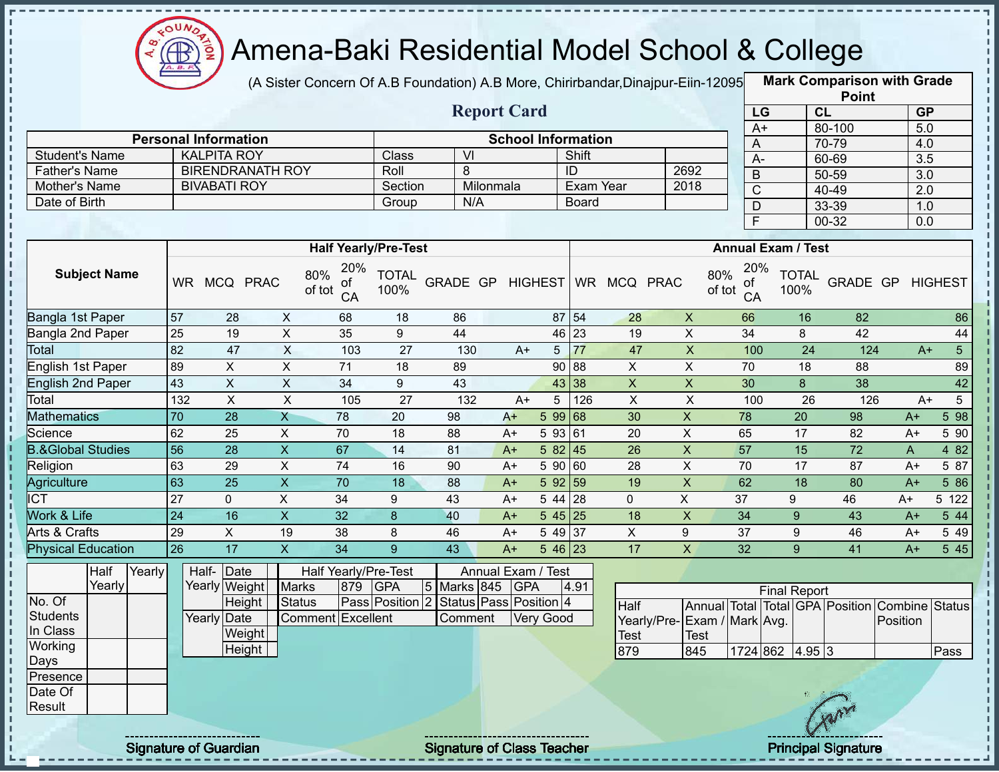

(A Sister Concern Of A.B Foundation) A.B More, Chirirbandar,Dinajpur-Eiin-120950

|                                       |                 |                                 |                           |                             |                             |                                                   |      |                           |                    |                                    |                           |                         |                           | <b>Point</b>                    |                     |                |
|---------------------------------------|-----------------|---------------------------------|---------------------------|-----------------------------|-----------------------------|---------------------------------------------------|------|---------------------------|--------------------|------------------------------------|---------------------------|-------------------------|---------------------------|---------------------------------|---------------------|----------------|
|                                       |                 |                                 |                           |                             |                             | <b>Report Card</b>                                |      |                           |                    |                                    |                           | LG                      |                           | CL                              | <b>GP</b>           |                |
|                                       |                 | <b>Personal Information</b>     |                           |                             |                             |                                                   |      | <b>School Information</b> |                    |                                    |                           | $A+$                    |                           | 80-100                          | $\overline{5.0}$    |                |
| <b>Student's Name</b>                 |                 | <b>KALPITA ROY</b>              |                           |                             | Class                       | VI                                                |      |                           | Shift              |                                    |                           | A                       |                           | 70-79                           | 4.0                 |                |
| <b>Father's Name</b>                  |                 | <b>BIRENDRANATH ROY</b>         |                           |                             | Roll                        | 8                                                 |      |                           | ID                 |                                    | 2692                      | $A -$                   |                           | 60-69                           | 3.5                 |                |
| Mother's Name                         |                 | <b>BIVABATI ROY</b>             |                           |                             | Section                     | Milonmala                                         |      |                           | Exam Year          |                                    | 2018                      | $\sf B$                 |                           | 50-59                           | $\overline{3.0}$    |                |
| Date of Birth                         |                 |                                 |                           |                             | Group                       | N/A                                               |      |                           | <b>Board</b>       |                                    |                           | $\overline{\mathsf{C}}$ |                           | 40-49                           | $\overline{2.0}$    |                |
|                                       |                 |                                 |                           |                             |                             |                                                   |      |                           |                    |                                    |                           | D<br>$\overline{F}$     |                           | 33-39<br>$00 - 32$              | 1.0<br>0.0          |                |
|                                       |                 |                                 |                           |                             | <b>Half Yearly/Pre-Test</b> |                                                   |      |                           |                    |                                    |                           |                         | <b>Annual Exam / Test</b> |                                 |                     |                |
| <b>Subject Name</b>                   |                 | WR MCQ PRAC                     | 80%<br>of tot             | 20%<br>of<br>CA             | <b>TOTAL</b><br>100%        | GRADE GP                                          |      | <b>HIGHEST</b>            |                    | WR MCQ PRAC                        | 80%<br>of tot             | 20%<br>οf<br>CA         | <b>TOTAL</b><br>100%      | GRADE GP                        |                     | <b>HIGHEST</b> |
| Bangla 1st Paper                      | 57              | 28                              | X                         | 68                          | 18                          | 86                                                |      |                           | $87 \overline{54}$ | 28                                 | $\boldsymbol{X}$          | 66                      | 16                        | 82                              |                     | 86             |
| Bangla 2nd Paper                      | 25              | 19                              | $\boldsymbol{\mathsf{X}}$ | 35                          | 9                           | 44                                                |      |                           | 46 23              | 19                                 | $\overline{X}$            | 34                      | 8                         | 42                              |                     | 44             |
| <b>Total</b>                          | 82              | 47                              | $\sf X$                   | 103                         | 27                          | 130                                               | $A+$ | 5 <sub>5</sub>            | 77                 | 47                                 | $\pmb{\mathsf{X}}$        | 100                     |                           | 24<br>124                       | $A+$                | 5 <sup>5</sup> |
| English 1st Paper                     | 89              | X                               | X                         | 71                          | 18                          | 89                                                |      |                           | 90 88              | X                                  | X                         | 70                      | 18                        | 88                              |                     | 89             |
| <b>English 2nd Paper</b>              | 43              | $\pmb{\times}$                  | $\mathsf X$               | 34                          | 9                           | 43                                                |      |                           | 43 38              | $\mathsf X$                        | $\boldsymbol{\mathsf{X}}$ | 30                      | 8                         | 38                              |                     | 42             |
| Total                                 | 132             | $\mathsf{X}$                    | $\mathsf X$               | 105                         | 27                          | 132                                               | $A+$ | 5                         | 126                | $\pmb{\times}$                     | $\pmb{\times}$            | 100                     |                           | 26<br>126                       | $A+$                | $5-$           |
| <b>Mathematics</b>                    | 70              | 28                              | $\overline{X}$            | 78                          | 20                          | 98                                                | $A+$ | 5 99 68                   |                    | 30                                 | $\mathsf X$               | 78                      | 20                        | 98                              | $A+$                | 5 98           |
| Science                               | 62              | 25                              | X                         | 70                          | 18                          | 88                                                | A+   | 5 93 61                   |                    | 20                                 | X                         | 65                      | 17                        | 82                              | A+                  | 5 90           |
| <b>B.&amp;Global Studies</b>          | 56              | 28                              | $\mathsf{X}$              | 67                          | 14                          | 81                                                | $A+$ | 582 45                    |                    | 26                                 | $\pmb{\times}$            | 57                      | 15                        | 72                              | A                   | 4 8 2          |
| Religion                              | 63              | 29                              | $\pmb{\times}$            | 74                          | 16                          | 90                                                | $A+$ | 5 90 60                   |                    | 28                                 | X                         | 70                      | 17                        | 87                              | $A+$                | 5 87           |
| Agriculture                           | 63              | $\overline{25}$                 | $\overline{X}$            | 70                          | 18                          | 88                                                | $A+$ | 592 59                    |                    | 19                                 | $\overline{X}$            | 62                      | 18                        | 80                              | $A+$                | 5 86           |
| <b>ICT</b>                            | 27              | $\mathbf{0}$                    | X                         | 34                          | 9                           | 43                                                | $A+$ | 5 44 28                   |                    | 0                                  | X                         | 37                      | 9                         | 46                              | $A+$                | 5 122          |
| Work & Life                           | $\overline{24}$ | 16                              | $\mathsf{X}$              | 32                          | 8                           | 40                                                | $A+$ | $545\overline{25}$        |                    | 18                                 | $\mathsf X$               | 34                      | 9                         | 43                              | $A+$                | 5 44           |
| Arts & Crafts                         | 29              | X                               | 19                        | 38                          | 8                           | 46                                                | $A+$ | 5 49 37                   |                    | X                                  | 9                         | 37                      | 9                         | 46                              | $A+$                | 5 4 9          |
| <b>Physical Education</b>             | 26              | 17                              | $\overline{\mathsf{X}}$   | 34                          | 9                           | 43                                                | $A+$ | $546$ 23                  |                    | 17                                 | $\mathsf X$               | 32                      | 9                         | 41                              | $A+$                | 5 45           |
| Half<br>Yearly<br>Yearly              |                 | Half-Date<br>Yearly Weight      | <b>Marks</b>              | Half Yearly/Pre-Test<br>879 | <b>GPA</b>                  | 5 Marks 845                                       | GPA  | Annual Exam / Test        | 4.91               |                                    |                           |                         | <b>Final Report</b>       |                                 |                     |                |
| No. Of<br><b>Students</b><br>In Class |                 | Height<br>Yearly Date<br>Weight | <b>Status</b>             | Comment Excellent           |                             | Pass Position 2 Status Pass Position 4<br>Comment |      | <b>Very Good</b>          |                    | Half<br>Yearly/Pre-<br><b>Test</b> | Exam / Mark Avg.<br>Test  |                         |                           | Annual Total Total GPA Position | Combine<br>Position | <b>Status</b>  |
| Working<br>Days                       |                 | Height                          |                           |                             |                             |                                                   |      |                           |                    | 879                                | 845                       |                         | 1724 862 4.95 3           |                                 |                     | Pass           |
| Presence                              |                 |                                 |                           |                             |                             |                                                   |      |                           |                    |                                    |                           |                         |                           |                                 |                     |                |
| Date Of                               |                 |                                 |                           |                             |                             |                                                   |      |                           |                    |                                    |                           |                         |                           |                                 |                     |                |
| Result                                |                 |                                 |                           |                             |                             |                                                   |      |                           |                    |                                    |                           |                         |                           |                                 |                     |                |
|                                       |                 | <b>Signature of Guardian</b>    |                           |                             |                             | <b>Signature of Class Teacher</b>                 |      |                           |                    |                                    |                           |                         |                           | <b>Principal Signature</b>      |                     |                |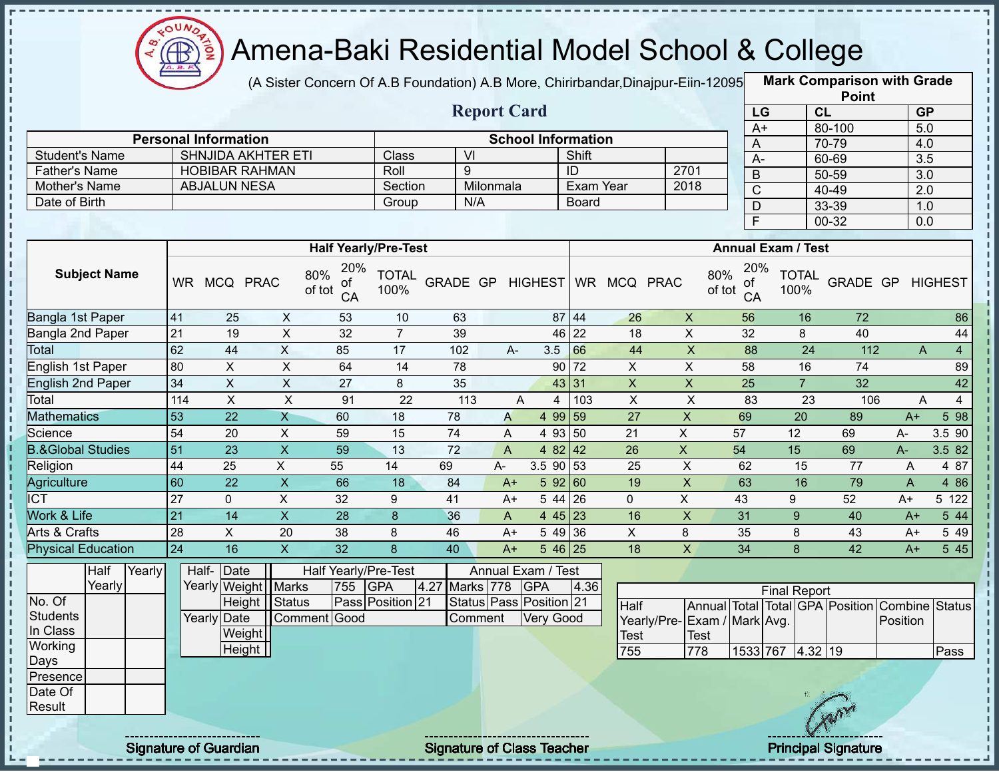

(A Sister Concern Of A.B Foundation) A.B More, Chirirbandar,Dinajpur-Eiin-120950

|                              |                 |                              |                             |                           |                           |                             |                         |                    |                                   |              |                 |                           |                               |                           |                | <b>Point</b>                    |                  |                |
|------------------------------|-----------------|------------------------------|-----------------------------|---------------------------|---------------------------|-----------------------------|-------------------------|--------------------|-----------------------------------|--------------|-----------------|---------------------------|-------------------------------|---------------------------|----------------|---------------------------------|------------------|----------------|
|                              |                 |                              |                             |                           |                           |                             |                         | <b>Report Card</b> |                                   |              |                 |                           | LG                            |                           | CL             |                                 | <b>GP</b>        |                |
|                              |                 |                              | <b>Personal Information</b> |                           |                           |                             |                         |                    | <b>School Information</b>         |              |                 |                           | $A+$                          |                           |                | 80-100                          | 5.0              |                |
| <b>Student's Name</b>        |                 |                              | <b>SHNJIDA AKHTER ETI</b>   |                           |                           | Class                       | $\overline{\mathsf{V}}$ |                    |                                   | Shift        |                 |                           | $\overline{A}$                |                           |                | 70-79                           | 4.0              |                |
| <b>Father's Name</b>         |                 |                              | <b>HOBIBAR RAHMAN</b>       |                           |                           | Roll                        | 9                       |                    |                                   | ID           |                 | 2701                      | $A -$                         |                           |                | 60-69                           | $\overline{3.5}$ |                |
| Mother's Name                |                 |                              | <b>ABJALUN NESA</b>         |                           |                           | Section                     |                         | Milonmala          |                                   | Exam Year    |                 | 2018                      | $\mathsf B$                   |                           |                | 50-59                           | 3.0              |                |
| Date of Birth                |                 |                              |                             |                           |                           | Group                       |                         | N/A                |                                   | <b>Board</b> |                 |                           | $\overline{C}$                |                           |                | 40-49                           | 2.0              |                |
|                              |                 |                              |                             |                           |                           |                             |                         |                    |                                   |              |                 |                           | $\mathsf D$<br>$\overline{F}$ |                           |                | 33-39<br>$00 - 32$              | 1.0<br>0.0       |                |
|                              |                 |                              |                             |                           |                           |                             |                         |                    |                                   |              |                 |                           |                               |                           |                |                                 |                  |                |
|                              |                 |                              |                             |                           |                           | <b>Half Yearly/Pre-Test</b> |                         |                    |                                   |              |                 |                           |                               | <b>Annual Exam / Test</b> |                |                                 |                  |                |
| <b>Subject Name</b>          |                 |                              | WR MCQ PRAC                 | 80%                       | 20%<br>of<br>of tot<br>CA | <b>TOTAL</b><br>100%        | GRADE GP                |                    | <b>HIGHEST</b>                    |              | WR MCQ PRAC     | 80%<br>of tot             | 20%<br>of<br>CA               | <b>TOTAL</b><br>100%      |                | GRADE GP                        |                  | <b>HIGHEST</b> |
| Bangla 1st Paper             | 41              |                              | 25                          | X                         | 53                        | 10                          | 63                      |                    | 87                                | 44           | 26              | $\boldsymbol{X}$          | 56                            |                           | 16             | 72                              |                  | 86             |
| Bangla 2nd Paper             | 21              |                              | 19                          | X                         | 32                        | $\overline{7}$              | 39                      |                    | 46                                | 22           | 18              | $\mathsf X$               | 32                            |                           | 8              | 40                              |                  | 44             |
| Total                        | 62              |                              | 44                          | $\overline{X}$            | 85                        | 17                          | 102                     | A-                 | 3.5                               | 66           | 44              | $\boldsymbol{\mathsf{X}}$ | 88                            |                           | 24             | 112                             | A                | $\overline{4}$ |
| English 1st Paper            | 80              |                              | X                           | X                         | 64                        | 14                          | 78                      |                    | 90                                | 72           | X               | X                         | 58                            |                           | 16             | 74                              |                  | 89             |
| <b>English 2nd Paper</b>     | $\overline{34}$ |                              | $\pmb{\times}$              | X                         | 27                        | 8                           | 35                      |                    | 43                                | 31           | $\pmb{\times}$  | $\mathsf X$               | 25                            |                           | $\overline{7}$ | 32                              |                  | 42             |
| Total                        |                 | 114                          | $\pmb{\times}$              | $\boldsymbol{\mathsf{X}}$ | 91                        | 22                          | 113                     |                    | A<br>4                            | 103          | $\pmb{\times}$  | $\mathsf X$               | 83                            |                           | 23             | 106                             | A                | $\overline{4}$ |
| <b>Mathematics</b>           | $\overline{53}$ |                              | $\overline{22}$             | $\overline{X}$            | 60                        | 18                          | 78                      | $\overline{A}$     | 4 9 9                             | 59           | $\overline{27}$ | $\pmb{\times}$            | 69                            | $\overline{20}$           |                | 89                              | $A+$             | 5 98           |
| Science                      | 54              |                              | 20                          | X                         | 59                        | 15                          | 74                      | Α                  | 4 9 3                             | 50           | 21              | X                         | 57                            | 12                        |                | 69                              | A-               | 3.5 90         |
| <b>B.&amp;Global Studies</b> | 51              |                              | 23                          | $\mathsf{X}$              | 59                        | 13                          | 72                      | $\mathsf{A}$       | 4 8 2                             | 42           | 26              | $\mathsf{X}$              | 54                            | 15                        |                | 69                              | $A -$            | 3.5 82         |
| Religion                     | 44              |                              | 25                          | $\pmb{\times}$            | 55                        | 14                          | 69                      | A-                 | 3.5 90                            | 53           | 25              | $\pmb{\times}$            | 62                            | 15                        |                | 77                              | $\overline{A}$   | 4 87           |
| Agriculture                  | 60              |                              | $\overline{22}$             | $\overline{X}$            | 66                        | 18                          | 84                      | $A+$               | 5 9 2                             | 60           | 19              | X                         | 63                            | 16                        |                | 79                              | $\overline{A}$   | 4 8 6          |
| <b>ICT</b>                   | 27              |                              | $\mathbf 0$                 | X                         | 32                        | 9                           | 41                      | $A+$               | 5 4 4                             | 26           | $\mathbf{0}$    | X                         | 43                            | 9                         |                | 52                              | $A+$             | 5 122          |
| Work & Life                  | 21              |                              | 14                          | $\mathsf{X}$              | 28                        | 8                           | 36                      | A                  | 4 4 5                             | 23           | 16              | $\mathsf X$               | 31                            | 9                         |                | 40                              | $A+$             | 544            |
| Arts & Crafts                | 28              |                              | X                           | 20                        | 38                        | 8                           | 46                      | $A+$               | 5 4 9                             | 36           | X               | 8                         | 35                            | 8                         |                | 43                              | $A+$             | 5 4 9          |
| <b>Physical Education</b>    | 24              |                              | 16                          | $\boldsymbol{\mathsf{X}}$ | 32                        | 8                           | 40                      | $A+$               | $546$ 25                          |              | 18              | X                         | 34                            | 8                         |                | 42                              | $A+$             | 5 4 5          |
| Half<br>Yearly               |                 | Half-Date                    |                             |                           | Half Yearly/Pre-Test      |                             |                         |                    | Annual Exam / Test                |              |                 |                           |                               |                           |                |                                 |                  |                |
| Yearly                       |                 |                              | Yearly Weight               | <b>Marks</b>              | 755                       | GPA                         | 4.27                    | Marks 778          | GPA                               | 4.36         |                 |                           |                               | <b>Final Report</b>       |                |                                 |                  |                |
| No. Of                       |                 |                              | Height                      | Status                    |                           | Pass Position 21            |                         |                    | Status Pass Position 21           |              | <b>Half</b>     |                           |                               |                           |                | Annual Total Total GPA Position | Combine          | <b>Status</b>  |
| <b>Students</b>              |                 | Yearly Date                  |                             | Comment Good              |                           |                             |                         | Comment            | <b>Very Good</b>                  |              | Yearly/Pre-     | Exam / Mark Avg.          |                               |                           |                |                                 | Position         |                |
| In Class                     |                 |                              | Weight                      |                           |                           |                             |                         |                    |                                   |              | <b>Test</b>     | Test                      |                               |                           |                |                                 |                  |                |
| Working                      |                 |                              | Height                      |                           |                           |                             |                         |                    |                                   |              | 755             | 778                       |                               | 1533 767 4.32 19          |                |                                 |                  | Pass           |
| Days                         |                 |                              |                             |                           |                           |                             |                         |                    |                                   |              |                 |                           |                               |                           |                |                                 |                  |                |
| Presence<br>Date Of          |                 |                              |                             |                           |                           |                             |                         |                    |                                   |              |                 |                           |                               |                           |                |                                 |                  |                |
| Result                       |                 |                              |                             |                           |                           |                             |                         |                    |                                   |              |                 |                           |                               |                           |                |                                 |                  |                |
|                              |                 |                              |                             |                           |                           |                             |                         |                    |                                   |              |                 |                           |                               |                           |                |                                 |                  |                |
|                              |                 | <b>Signature of Guardian</b> |                             |                           |                           |                             |                         |                    | <b>Signature of Class Teacher</b> |              |                 |                           |                               |                           |                | <b>Principal Signature</b>      |                  |                |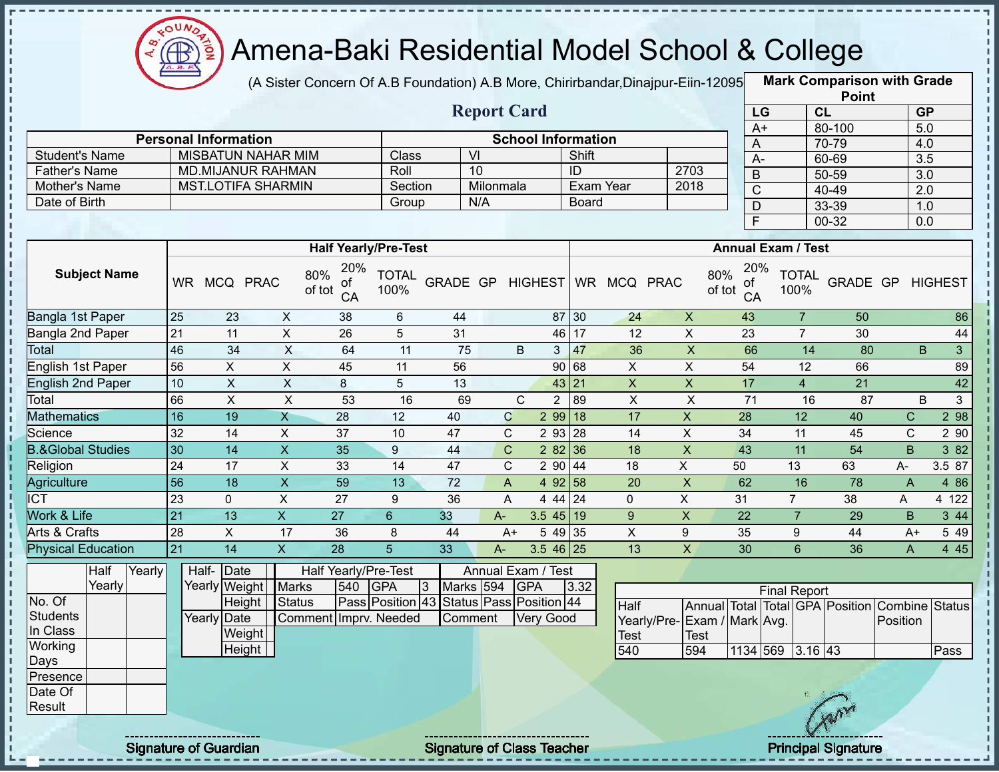

(A Sister Concern Of A.B Foundation) A.B More, Chirirbandar,Dinajpur-Eiin-12095 **Mark Comparison with Grade** 

|                                |                           |        |                 |                             |                           |                                  |                      |                                          |                      |                           |                      |                           |                             |                 |                       |                           | <b>Point</b>                            |                  |                      |
|--------------------------------|---------------------------|--------|-----------------|-----------------------------|---------------------------|----------------------------------|----------------------|------------------------------------------|----------------------|---------------------------|----------------------|---------------------------|-----------------------------|-----------------|-----------------------|---------------------------|-----------------------------------------|------------------|----------------------|
|                                |                           |        |                 |                             |                           |                                  |                      |                                          |                      | <b>Report Card</b>        |                      |                           |                             |                 | LG                    |                           | CL                                      |                  | GP                   |
|                                |                           |        |                 |                             |                           |                                  |                      |                                          |                      |                           |                      |                           |                             |                 | $A+$                  |                           | 80-100                                  |                  | 5.0                  |
|                                |                           |        |                 | <b>Personal Information</b> |                           |                                  |                      |                                          |                      | <b>School Information</b> |                      |                           |                             |                 | A                     |                           | 70-79                                   |                  | 4.0                  |
| <b>Student's Name</b>          |                           |        |                 |                             | <b>MISBATUN NAHAR MIM</b> |                                  | Class                |                                          | $\overline{V}$<br>10 |                           | Shift                |                           |                             |                 | $A -$                 |                           | 60-69                                   |                  | $\overline{3.5}$     |
| <b>Father's Name</b>           |                           |        |                 |                             | <b>MD.MIJANUR RAHMAN</b>  |                                  | Roll                 |                                          |                      |                           | ID                   |                           | 2703                        |                 | $\overline{B}$        |                           | $50 - 59$                               |                  | $\overline{3.0}$     |
| Mother's Name<br>Date of Birth |                           |        |                 | <b>MST.LOTIFA SHARMIN</b>   |                           |                                  | Section              |                                          | Milonmala<br>N/A     |                           |                      | Exam Year                 | 2018                        |                 | $\overline{\text{C}}$ |                           | 40-49                                   |                  | 2.0                  |
|                                |                           |        |                 |                             |                           |                                  | Group                |                                          |                      |                           | <b>Board</b>         |                           |                             |                 | $\overline{D}$        |                           | 33-39                                   |                  | 1.0                  |
|                                |                           |        |                 |                             |                           |                                  |                      |                                          |                      |                           |                      |                           |                             |                 | F                     |                           | $00 - 32$                               |                  | $\overline{0.0}$     |
|                                |                           |        |                 |                             |                           | <b>Half Yearly/Pre-Test</b>      |                      |                                          |                      |                           |                      |                           |                             |                 |                       | <b>Annual Exam / Test</b> |                                         |                  |                      |
|                                |                           |        |                 |                             |                           |                                  |                      |                                          |                      |                           |                      |                           |                             |                 | 20%                   |                           |                                         |                  |                      |
|                                | <b>Subject Name</b>       |        |                 | WR MCQ PRAC                 |                           | 20%<br>80%<br>οf<br>of tot<br>CA | <b>TOTAL</b><br>100% | GRADE GP HIGHEST                         |                      |                           |                      | WR MCQ PRAC               |                             | 80%<br>of tot   | 0f<br>CA              | <b>TOTAL</b><br>100%      |                                         | GRADE GP HIGHEST |                      |
| Bangla 1st Paper               |                           |        | 25              | 23                          | $\mathsf{X}$              | 38                               | 6                    | 44                                       |                      |                           | 87 30                | 24                        | $\mathsf{X}$                | 43              |                       | $\overline{7}$            | $\overline{50}$                         |                  | 86                   |
| Bangla 2nd Paper               |                           |        | 21              | 11                          | $\mathsf{X}$              | 26                               | 5                    | 31                                       |                      |                           | 46 17                | 12                        | $\overline{\mathsf{x}}$     | 23              |                       | $\overline{7}$            | 30                                      |                  | 44                   |
| Total                          |                           |        | 46              | 34                          | X                         | 64                               | 11                   | 75                                       |                      | B                         | 47<br>3 <sup>1</sup> | 36                        | $\overline{\mathsf{x}}$     |                 | 66                    | 14                        | 80                                      |                  | B.<br>3 <sup>1</sup> |
| <b>English 1st Paper</b>       |                           |        | 56              | $\overline{X}$              | $\overline{X}$            | 45                               | 11                   | 56                                       |                      |                           | 90 68                | $\mathsf{X}$              | $\overline{\mathsf{x}}$     | 54              |                       | 12                        | 66                                      |                  | 89                   |
| <b>English 2nd Paper</b>       |                           |        | 10              | $\mathsf{X}$                | $\overline{\mathsf{x}}$   | 8                                | 5                    | 13                                       |                      |                           | 43 21                | $\boldsymbol{\mathsf{X}}$ | $\overline{\mathsf{x}}$     | 17              |                       | $\overline{4}$            | 21                                      |                  | 42                   |
| Total                          |                           |        | 66              | $\mathsf{X}$                | $\mathsf{X}$              | 53                               | 16                   | 69                                       |                      | $\mathsf{C}$              | $\overline{2}$<br>89 | $\overline{X}$            | $\pmb{\times}$              |                 | 71                    | 16                        | 87                                      |                  | B<br>3 <sup>1</sup>  |
| <b>Mathematics</b>             |                           |        | 16              | 19                          | $\mathsf{X}$              | 28                               | 12                   | 40                                       |                      | $\mathsf C$               | $299$ 18             | 17                        | $\pmb{\times}$              | 28              |                       | 12                        | 40                                      | $\mathbf C$      | 298                  |
| Science                        |                           |        | 32              | 14                          | X                         | $\overline{37}$                  | 10                   | 47                                       |                      | $\mathbf C$               | 293   28             | 14                        | $\pmb{\times}$              | 34              |                       | 11                        | 45                                      | $\mathsf{C}$     | 2 90                 |
| <b>B.&amp;Global Studies</b>   |                           |        | 30              | $\overline{14}$             | $\overline{X}$            | 35                               | $\boldsymbol{9}$     | 44                                       |                      | $\mathbf C$               | 2 82 36              | 18                        | $\overline{X}$              | 43              |                       | $\overline{11}$           | 54                                      | B                | $382$                |
| Religion                       |                           |        | 24              | 17                          | $\overline{\mathsf{x}}$   | 33                               | 14                   | 47                                       |                      | $\mathbf C$               | $2\overline{90}$ 44  | 18                        | $\overline{X}$              | 50              |                       | 13                        | 63                                      | A-               | 3.5 87               |
| Agriculture                    |                           |        | 56              | $\overline{18}$             | $\overline{\mathsf{x}}$   | 59                               | $\overline{13}$      | $\overline{72}$                          |                      | $\overline{A}$            | 4 92 58              | $\overline{20}$           | $\overline{X}$              | 62              |                       | 16                        | 78                                      | $\overline{A}$   | 4 8 6                |
| $\overline{ICT}$               |                           |        | 23              | $\mathbf 0$                 | $\mathsf{X}$              | 27                               | 9                    | 36                                       |                      | A                         | 44124                | 0                         | $\overline{X}$              | 31              |                       | $\overline{7}$            | 38                                      | A                | 4 122                |
| Work & Life                    |                           |        | $\overline{21}$ | $\overline{13}$             | $\overline{X}$            | $\overline{27}$                  | $6\overline{6}$      | 33                                       | $A-$                 |                           | $3.5$ 45 19          | $\overline{9}$            | $\overline{X}$              | $\overline{22}$ |                       | $\overline{7}$            | $\overline{29}$                         | B                | $344$                |
| <b>Arts &amp; Crafts</b>       |                           |        | 28              | $\overline{X}$              | 17                        | 36                               | 8                    | 44                                       |                      | $A+$                      | 5 49 35              | $\overline{X}$            | 9                           | 35              |                       | 9                         | 44                                      | $A+$             | 5 4 9                |
|                                | <b>Physical Education</b> |        | 21              | 14                          | $\mathsf{X}$              | 28                               | 5 <sup>5</sup>       | 33                                       | $A -$                |                           | 3.5 46 25            | 13                        | $\mathsf X$                 | 30              |                       | $6\phantom{1}$            | 36                                      | $\mathsf{A}$     | 445                  |
|                                | Half                      | Yearly |                 | Half-Date                   |                           | Half Yearly/Pre-Test             |                      |                                          |                      | Annual Exam / Test        |                      |                           |                             |                 |                       |                           |                                         |                  |                      |
|                                | Yearly                    |        |                 | Yearly Weight               | <b>Marks</b>              | 540                              | <b>GPA</b>           | $\overline{3}$                           | Marks 594            | <b>GPA</b>                | 3.32                 |                           |                             |                 |                       | <b>Final Report</b>       |                                         |                  |                      |
| No. Of                         |                           |        |                 | Height                      | <b>Status</b>             |                                  |                      | Pass Position 43 Status Pass Position 44 |                      |                           |                      | Half                      |                             |                 |                       |                           | Annual Total Total GPA Position Combine |                  | <b>Status</b>        |
| <b>Students</b>                |                           |        |                 | <b>Yearly Date</b>          |                           | Comment Imprv. Needed            |                      |                                          | Comment              | <b>Very Good</b>          |                      |                           | Yearly/Pre-Exam / Mark Avg. |                 |                       |                           |                                         | Position         |                      |
| In Class                       |                           |        |                 | Weight                      |                           |                                  |                      |                                          |                      |                           |                      | <b>Test</b>               | <b>Test</b>                 |                 |                       |                           |                                         |                  |                      |
| Working                        |                           |        |                 | Height                      |                           |                                  |                      |                                          |                      |                           |                      | 540                       | 594                         |                 |                       | 1134 569 3.16 43          |                                         |                  | Pass                 |
| Days                           |                           |        |                 |                             |                           |                                  |                      |                                          |                      |                           |                      |                           |                             |                 |                       |                           |                                         |                  |                      |
| Presence                       |                           |        |                 |                             |                           |                                  |                      |                                          |                      |                           |                      |                           |                             |                 |                       |                           |                                         |                  |                      |
| Date Of<br>Result              |                           |        |                 |                             |                           |                                  |                      |                                          |                      |                           |                      |                           |                             |                 |                       |                           |                                         |                  |                      |
|                                |                           |        |                 |                             |                           |                                  |                      |                                          |                      |                           |                      |                           |                             |                 |                       |                           |                                         |                  |                      |
|                                |                           |        |                 |                             |                           |                                  |                      |                                          |                      |                           |                      |                           |                             |                 |                       |                           |                                         |                  |                      |

Signature of Guardian Signature of Class Teacher **Signature of Class Teacher** Principal Signature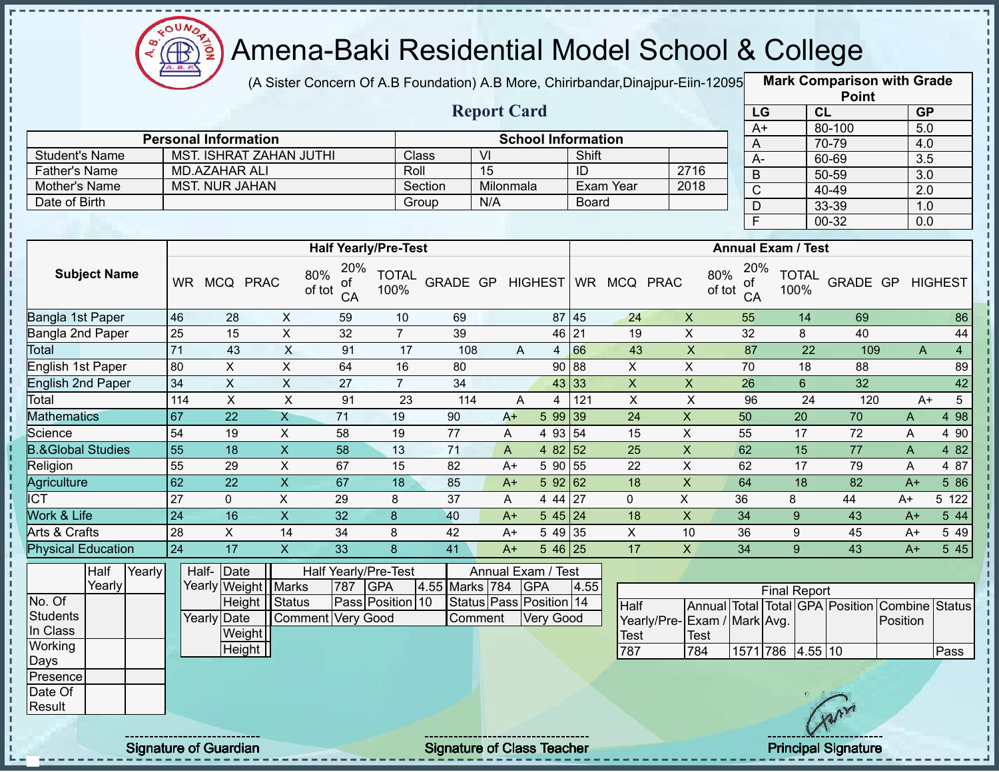

(A Sister Concern Of A.B Foundation) A.B More, Chirirbandar,Dinajpur-Eiin-12095 **Mark Comparison with Grade** 

|                                |                 |                                                 |                           |                                  |                      |                |                       |                                   |              |                              |                           |                 |                           | <b>Point</b>                    |          |                        |
|--------------------------------|-----------------|-------------------------------------------------|---------------------------|----------------------------------|----------------------|----------------|-----------------------|-----------------------------------|--------------|------------------------------|---------------------------|-----------------|---------------------------|---------------------------------|----------|------------------------|
|                                |                 |                                                 |                           |                                  |                      |                | <b>Report Card</b>    |                                   |              |                              |                           | LG              |                           | CL                              |          | GP                     |
|                                |                 |                                                 |                           |                                  |                      |                |                       |                                   |              |                              |                           | $A+$            |                           | 80-100                          |          | 5.0                    |
|                                |                 | <b>Personal Information</b>                     |                           |                                  |                      |                |                       | <b>School Information</b>         |              |                              |                           | A               |                           | 70-79                           |          | 4.0                    |
| <b>Student's Name</b>          |                 | MST. ISHRAT ZAHAN JUTHI<br><b>MD.AZAHAR ALI</b> |                           |                                  | Class<br>Roll        |                | VI<br>$\overline{15}$ |                                   | Shift<br>ID  |                              | 2716                      | $A -$           |                           | 60-69                           |          | 3.5                    |
| <b>Father's Name</b>           |                 | <b>MST. NUR JAHAN</b>                           |                           |                                  |                      | Section        | Milonmala             |                                   |              | Exam Year                    | 2018                      | $\sf B$         |                           | 50-59                           |          | 3.0                    |
| Mother's Name<br>Date of Birth |                 |                                                 |                           |                                  | Group                |                | N/A                   |                                   | <b>Board</b> |                              |                           | $\overline{C}$  |                           | 40-49                           |          | 2.0                    |
|                                |                 |                                                 |                           |                                  |                      |                |                       |                                   |              |                              |                           | D               |                           | 33-39                           |          | 1.0                    |
|                                |                 |                                                 |                           |                                  |                      |                |                       |                                   |              |                              |                           | $\overline{F}$  |                           | 00-32                           |          | 0.0                    |
|                                |                 |                                                 |                           | <b>Half Yearly/Pre-Test</b>      |                      |                |                       |                                   |              |                              |                           |                 | <b>Annual Exam / Test</b> |                                 |          |                        |
| <b>Subject Name</b>            |                 | WR MCQ PRAC                                     |                           | 20%<br>80%<br>οf<br>of tot<br>CA | <b>TOTAL</b><br>100% |                |                       |                                   |              | GRADE GP HIGHEST WR MCQ PRAC | 80%<br>of tot             | 20%<br>ot<br>CA | <b>TOTAL</b><br>100%      | GRADE GP                        |          | <b>HIGHEST</b>         |
| Bangla 1st Paper               | 46              | 28                                              | X                         | 59                               | 10                   | 69             |                       |                                   | 87 45        | 24                           | $\pmb{\times}$            | 55              | 14                        | 69                              |          | 86                     |
| Bangla 2nd Paper               | 25              | 15                                              | $\overline{X}$            | 32                               | $7\overline{ }$      | 39             |                       | 46                                | 21           | 19                           | $\overline{X}$            | 32              | 8                         | 40                              |          | 44                     |
| <b>Total</b>                   | 71              | 43                                              | X                         | 91                               | 17                   | 108            |                       | A<br>$4 \overline{ }$             | 66           | 43                           | $\boldsymbol{\mathsf{X}}$ | 87              |                           | 22                              | 109      | A<br>$\overline{4}$    |
| English 1st Paper              | 80              | $\pmb{\times}$                                  | $\pmb{\times}$            | 64                               | 16                   | 80             |                       | 90                                | 88           | X                            | $\pmb{\times}$            | 70              | 18                        | 88                              |          | 89                     |
| <b>English 2nd Paper</b>       | 34              | $\mathsf X$                                     | $\pmb{\times}$            | 27                               | $\overline{7}$       | 34             |                       | 43                                | 33           | $\mathsf X$                  | $\pmb{\times}$            | 26              | $6\phantom{1}$            | 32                              |          | 42                     |
| Total                          | 114             | $\overline{\mathsf{x}}$                         | $\overline{X}$            | 91                               | 23                   | 114            |                       | A<br>$\overline{4}$               | 121          | $\overline{X}$               | $\boldsymbol{\mathsf{X}}$ | 96              |                           | 24                              | 120      | $\overline{5}$<br>$A+$ |
| <b>Mathematics</b>             | 67              | 22                                              | $\mathsf{X}$              | 71                               | 19                   | 90             | $A+$                  | 5 99 39                           |              | 24                           | $\pmb{\mathsf{X}}$        | 50              | 20                        | 70                              | A        | 4 98                   |
| Science                        | 54              | 19                                              | X                         | 58                               | 19                   | 77             | A                     | 4 93 54                           |              | 15                           | $\boldsymbol{\mathsf{X}}$ | 55              | 17                        | 72                              | A        | 4 90                   |
| <b>B.&amp;Global Studies</b>   | 55              | 18                                              | $\pmb{\times}$            | 58                               | 13                   | 71             | A                     | 4 $82$ 52                         |              | 25                           | $\mathsf X$               | 62              | 15                        | 77                              | A        | 4 8 2                  |
| Religion                       | 55              | 29                                              | $\mathsf{X}$              | 67                               | 15                   | 82             | $A+$                  | 59055                             |              | 22                           | $\sf X$                   | 62              | 17                        | 79                              | A        | 4 87                   |
| Agriculture                    | 62              | 22                                              | $\boldsymbol{\mathsf{X}}$ | 67                               | 18                   | 85             | $A+$                  | 59262                             |              | 18                           | $\pmb{\times}$            | 64              | 18                        | 82                              | $A+$     | 5 86                   |
| $\overline{ICT}$               | 27              | $\mathbf 0$                                     | $\pmb{\times}$            | 29                               | 8                    | 37             | Α                     | 4 4 4                             | 27           | $\mathbf 0$                  | $\mathsf{X}$              | 36              | 8                         | 44                              | A+       | 5 122                  |
| Work & Life                    | 24              | 16                                              | $\boldsymbol{\mathsf{X}}$ | 32                               | 8                    | 40             | $A+$                  | $545$   24                        |              | 18                           | $\boldsymbol{\mathsf{X}}$ | 34              | 9                         | 43                              | $A+$     | 5 44                   |
| Arts & Crafts                  | $\overline{28}$ | $\pmb{\times}$                                  | 14                        | 34                               | 8                    | 42             | $A+$                  | 54935                             |              | $\mathsf{X}$                 | 10                        | 36              | 9                         | 45                              | $A+$     | 5 4 9                  |
| <b>Physical Education</b>      | 24              | 17                                              | $\mathsf{X}$              | 33                               | 8                    | 41             | $A+$                  | $546$ 25                          |              | 17                           | $\mathsf{x}$              | 34              | 9 <sup>°</sup>            | 43                              | $A+$     | 5 45                   |
| Half<br>Yearly                 |                 | Half-<br>Date                                   |                           | Half Yearly/Pre-Test             |                      |                |                       | Annual Exam / Test                |              |                              |                           |                 |                           |                                 |          |                        |
| Yearly                         |                 | Yearly Weight Marks                             |                           | 787                              | <b>GPA</b>           | 4.55 Marks 784 |                       | <b>GPA</b>                        | 4.55         |                              |                           |                 | <b>Final Report</b>       |                                 |          |                        |
| No. Of                         |                 | Height                                          | Status                    |                                  | Pass Position 10     |                |                       | Status Pass Position 14           |              | Half                         |                           |                 |                           | Annual Total Total GPA Position |          | Combine Status         |
| <b>Students</b>                |                 | Yearly Date                                     |                           | <b>Comment Very Good</b>         |                      |                | Comment               | <b>Very Good</b>                  |              | Yearly/Pre-                  | Exam / Mark Avg.          |                 |                           |                                 | Position |                        |
| In Class                       |                 | Weight                                          |                           |                                  |                      |                |                       |                                   |              | <b>Test</b>                  | Test                      |                 |                           |                                 |          |                        |
| Working                        |                 | Height                                          |                           |                                  |                      |                |                       |                                   |              | 787                          | 784                       |                 | 1571 786 4.55 10          |                                 |          | Pass                   |
| Days<br>Presence               |                 |                                                 |                           |                                  |                      |                |                       |                                   |              |                              |                           |                 |                           |                                 |          |                        |
| Date Of                        |                 |                                                 |                           |                                  |                      |                |                       |                                   |              |                              |                           |                 |                           |                                 |          |                        |
| Result                         |                 |                                                 |                           |                                  |                      |                |                       |                                   |              |                              |                           |                 |                           |                                 |          |                        |
|                                |                 |                                                 |                           |                                  |                      |                |                       |                                   |              |                              |                           |                 |                           |                                 |          |                        |
|                                |                 |                                                 |                           |                                  |                      |                |                       |                                   |              |                              |                           |                 |                           |                                 |          |                        |
|                                |                 | <b>Signature of Guardian</b>                    |                           |                                  |                      |                |                       | <b>Signature of Class Teacher</b> |              |                              |                           |                 |                           | <b>Principal Signature</b>      |          |                        |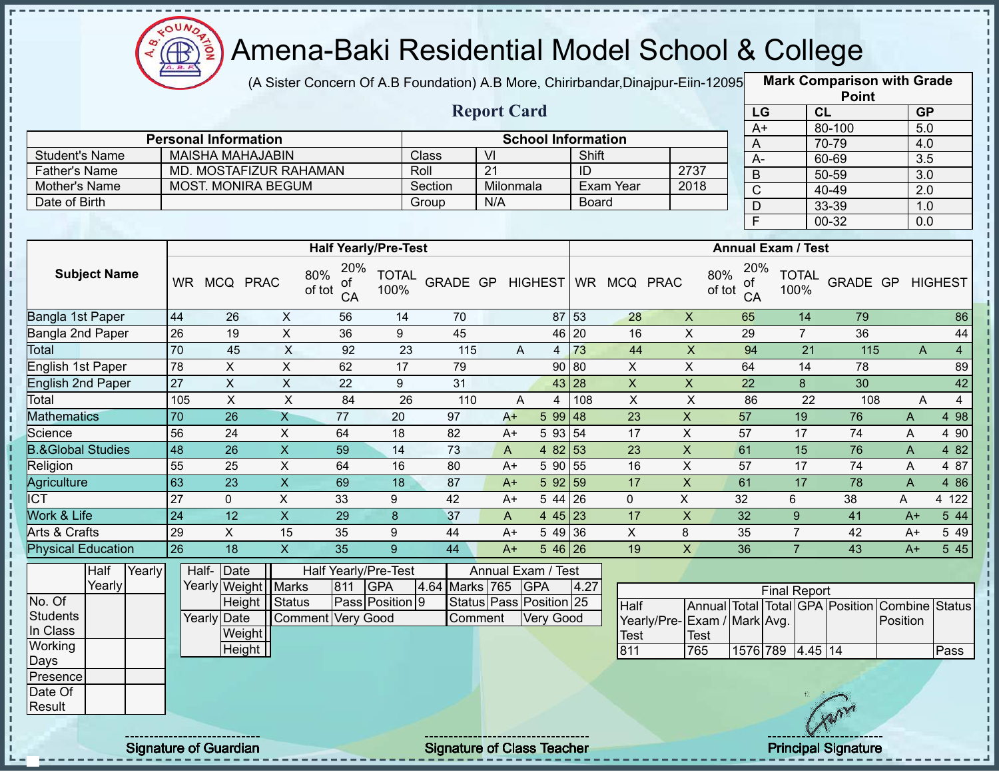

(A Sister Concern Of A.B Foundation) A.B More, Chirirbandar,Dinajpur-Eiin-12095 **Mark Comparison with Grade** 

|                      |                             |         | <b>Report Card</b> |                           |      |  |
|----------------------|-----------------------------|---------|--------------------|---------------------------|------|--|
|                      | <b>Personal Information</b> |         |                    | <b>School Information</b> |      |  |
| Student's Name       | <b>MAISHA MAHAJABIN</b>     | Class   | VI                 | Shift                     |      |  |
| <b>Father's Name</b> | MD. MOSTAFIZUR RAHAMAN      | Roll    | -21                | ID                        | 2737 |  |
| Mother's Name        | <b>MOST. MONIRA BEGUM</b>   | Section | Milonmala          | Exam Year                 | 2018 |  |
| Date of Birth        |                             | Group   | N/A                | <b>Board</b>              |      |  |
|                      |                             |         |                    |                           |      |  |

|                 | <b>Point</b> |                  |
|-----------------|--------------|------------------|
| LG              | CL           | <b>GP</b>        |
| $\overline{A+}$ | 80-100       | 5.0              |
| A               | 70-79        | 4.0              |
| А-              | 60-69        | $\overline{3.5}$ |
| B               | 50-59        | 3.0              |
| C               | 40-49        | 2.0              |
| D               | 33-39        | 1.0              |
| Ē               | 00-32        | 0.0              |

|                              |           |            |             |                                  | <b>Half Yearly/Pre-Test</b> |                 |      |   |            |     |            |             | <b>Annual Exam / Test</b>        |                      |                 |              |                     |
|------------------------------|-----------|------------|-------------|----------------------------------|-----------------------------|-----------------|------|---|------------|-----|------------|-------------|----------------------------------|----------------------|-----------------|--------------|---------------------|
| <b>Subject Name</b>          | <b>WR</b> | <b>MCQ</b> | <b>PRAC</b> | 20%<br>80%<br>οf<br>of tot<br>CA | <b>TOTAL</b><br>100%        | <b>GRADE GP</b> |      |   | HIGHEST WR |     | <b>MCQ</b> | <b>PRAC</b> | 20%<br>80%<br>0f<br>of tot<br>CA | <b>TOTAL</b><br>100% | <b>GRADE GP</b> |              | <b>HIGHEST</b>      |
| Bangla 1st Paper             | 44        | 26         | X           | 56                               | 14                          | 70              |      |   | 87 53      |     | 28         | X           | 65                               | 14                   | 79              |              | 86                  |
| Bangla 2nd Paper             | 26        | 19         | Χ           | 36                               | 9                           | 45              |      |   | 46 20      |     | 16         | X           | 29                               | $\overline{7}$       | 36              |              | 44                  |
| Total                        | 70        | 45         | X           | 92                               | 23                          | 115             |      | A |            | 73  | 44         | X           | 94                               | 21                   | 115             |              | $\overline{4}$<br>A |
| English 1st Paper            | 78        | X          | X           | 62                               | 17                          | 79              |      |   | 90 80      |     | X          | X           | 64                               | 14                   | 78              |              | 89                  |
| English 2nd Paper            | 27        | X.         | X           | 22                               | 9                           | 31              |      |   | 43 28      |     | X          | X           | 22                               | 8                    | 30              |              | 42                  |
| Total                        | 105       | X.         | X           | 84                               | 26                          | 110             |      | A |            | 108 | X          | X           | 86                               | 22                   | 108             |              | $\overline{4}$<br>A |
| <b>Mathematics</b>           | 70        | 26         | Χ           | 77                               | 20                          | 97              | $A+$ |   | 599   48   |     | 23         | X           | 57                               | 19                   | 76              | A            | 4 98                |
| Science                      | 56        | 24         | X           | 64                               | 18                          | 82              | $A+$ |   | 5 93 54    |     | 17         | X           | 57                               | 17                   | 74              | A            | 4 9 0               |
| <b>B.&amp;Global Studies</b> | 48        | 26         | X           | 59                               | 14                          | 73              | A    |   | 4 82 53    |     | 23         | X           | 61                               | 15                   | 76              | A            | 4 8 2               |
| Religion                     | 55        | 25         | X           | 64                               | 16                          | 80              | $A+$ |   | 5 90       | 55  | 16         | X           | 57                               | 17                   | 74              | A            | 4 87                |
| Agriculture                  | 63        | 23         | X.          | 69                               | 18                          | 87              | $A+$ |   | 592 59     |     | 17         | X           | 61                               | 17                   | 78              | $\mathsf{A}$ | 4 8 6               |
| <b>ICT</b>                   | 27        | $\Omega$   | X           | 33                               | 9                           | 42              | $A+$ |   | $544$ 26   |     | 0          | X           | 32                               | 6                    | 38              | A            | 4 122               |
| Work & Life                  | 24        | 12         | X           | 29                               | 8                           | 37              | A    |   | 4 45 23    |     | 17         | X           | 32                               | 9                    | 41              | $A+$         | 5 44                |
| Arts & Crafts                | 29        | X.         | 15          | 35                               | 9                           | 44              | $A+$ |   | 5 49 36    |     | X          | 8           | 35                               |                      | 42              | $A+$         | 5 4 9               |
| <b>Physical Education</b>    | 26        | 18         | X.          | 35                               | 9                           | 44              | $A+$ |   | $546$ 26   |     | 19         | X           | 36                               |                      | 43              | $A+$         | 5 4 5               |

|          | Half   | Yearly | Half-Date             |                      |     | Half Yearly/Pre-Test   |                    | Annual Exam / Test            |      |                              |             |          |                     |         |   |                                                |      |
|----------|--------|--------|-----------------------|----------------------|-----|------------------------|--------------------|-------------------------------|------|------------------------------|-------------|----------|---------------------|---------|---|------------------------------------------------|------|
|          | Yearly |        | Yearly Weight   Marks |                      | 811 | <b>IGPA</b>            | 4.64 Marks 765 GPA |                               | 4.27 |                              |             |          | <b>Final Report</b> |         |   |                                                |      |
| No. Of   |        |        |                       | Height <i>Status</i> |     | <b>Pass Position 9</b> |                    | Status   Pass   Position   25 |      | Half                         |             |          |                     |         |   | Annual Total Total GPA Position Combine Status |      |
| Students |        |        | Yearly Date           | Comment Very Good    |     |                        | Comment            | Very Good                     |      | Yearly/Pre- Exam / Mark Avg. |             |          |                     |         |   | Position                                       |      |
| In Class |        |        | Weight                |                      |     |                        |                    |                               |      | <b>Test</b>                  | <b>Test</b> |          |                     |         |   |                                                |      |
| Working  |        |        | Height                |                      |     |                        |                    |                               |      | 811                          | 765         | 1576 789 |                     | 4.45 14 |   |                                                | Pass |
| Days     |        |        |                       |                      |     |                        |                    |                               |      |                              |             |          |                     |         |   |                                                |      |
| Presence |        |        |                       |                      |     |                        |                    |                               |      |                              |             |          |                     |         |   |                                                |      |
| Date Of  |        |        |                       |                      |     |                        |                    |                               |      |                              |             |          |                     |         |   |                                                |      |
| Result   |        |        |                       |                      |     |                        |                    |                               |      |                              |             |          |                     |         | m |                                                |      |
|          |        |        |                       |                      |     |                        |                    |                               |      |                              |             |          |                     |         |   |                                                |      |

 $\mathbf{I}$ 

i,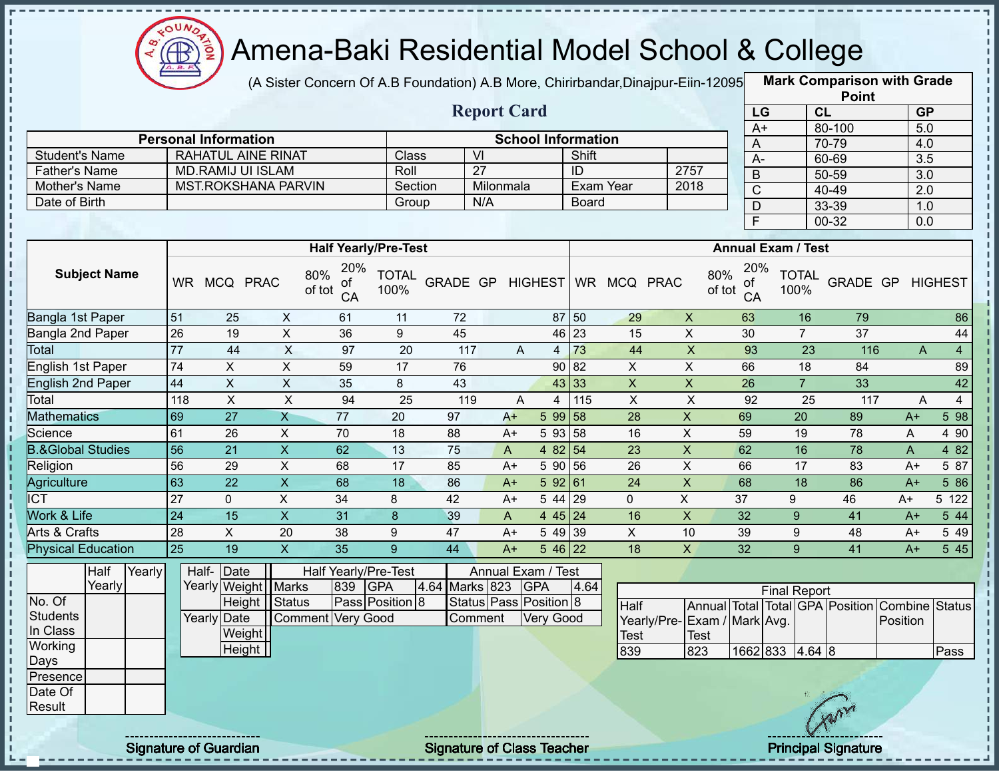

(A Sister Concern Of A.B Foundation) A.B More, Chirirbandar, Dinajpur-Eiin-12095

**Mark Comparison with Grade Point**

|                                    |                 |                                          |                         |                             |                               |                 | <b>Report Card</b>                           |                           |           |                 |                |                                            |               | LG                        |                     | CL                   |                                                |          | GP                  |
|------------------------------------|-----------------|------------------------------------------|-------------------------|-----------------------------|-------------------------------|-----------------|----------------------------------------------|---------------------------|-----------|-----------------|----------------|--------------------------------------------|---------------|---------------------------|---------------------|----------------------|------------------------------------------------|----------|---------------------|
|                                    |                 | <b>Personal Information</b>              |                         |                             |                               |                 |                                              | <b>School Information</b> |           |                 |                |                                            |               | $A+$                      |                     |                      | 80-100                                         |          | 5.0                 |
| <b>Student's Name</b>              |                 | <b>RAHATUL AINE RINAT</b>                |                         |                             | Class                         |                 | $\overline{\mathsf{V}}$                      |                           |           | Shift           |                |                                            |               | A                         |                     |                      | 70-79                                          |          | 4.0                 |
| <b>Father's Name</b>               |                 | <b>MD.RAMIJ UI ISLAM</b>                 |                         |                             | Roll                          |                 | $\overline{27}$                              |                           |           | $\overline{ID}$ |                | 2757                                       |               | $A-$                      |                     |                      | 60-69                                          |          | $\overline{3.5}$    |
| Mother's Name                      |                 | <b>MST.ROKSHANA PARVIN</b>               |                         |                             | Section                       |                 | Milonmala                                    |                           |           | Exam Year       |                | 2018                                       |               | $\overline{B}$            |                     |                      | 50-59                                          |          | $\overline{3.0}$    |
| Date of Birth                      |                 |                                          |                         |                             | Group                         |                 | N/A                                          |                           |           | <b>Board</b>    |                |                                            |               | $\overline{\text{C}}$     |                     |                      | 40-49                                          |          | $\overline{2.0}$    |
|                                    |                 |                                          |                         |                             |                               |                 |                                              |                           |           |                 |                |                                            |               | $\mathsf D$<br>F          |                     |                      | 33-39<br>00-32                                 |          | 1.0                 |
|                                    |                 |                                          |                         |                             |                               |                 |                                              |                           |           |                 |                |                                            |               |                           |                     |                      |                                                |          | 0.0                 |
|                                    |                 |                                          |                         |                             | <b>Half Yearly/Pre-Test</b>   |                 |                                              |                           |           |                 |                |                                            |               | <b>Annual Exam / Test</b> |                     |                      |                                                |          |                     |
| <b>Subject Name</b>                | <b>WR</b>       | MCQ PRAC                                 | 80%                     | 20%<br>0t<br>of tot<br>CA   | <b>TOTAL</b><br>100%          | <b>GRADE GP</b> |                                              | <b>HIGHEST</b>            |           |                 | WR MCQ PRAC    |                                            | 80%<br>of tot | 20%<br>οf<br>CA           |                     | <b>TOTAL</b><br>100% | GRADE GP                                       |          | <b>HIGHEST</b>      |
| Bangla 1st Paper                   | 51              | 25                                       | X                       | 61                          | 11                            | 72              |                                              |                           | 87 50     |                 | 29             | $\boldsymbol{X}$                           |               | 63                        |                     | 16                   | 79                                             |          | 86                  |
| Bangla 2nd Paper                   | 26              | 19                                       | $\sf X$                 | 36                          | 9                             | 45              |                                              |                           | 46 23     |                 | 15             | $\pmb{\times}$                             |               | 30                        |                     | $\overline{7}$       | 37                                             |          | 44                  |
| Total                              | 77              | 44                                       | $\times$                | 97                          | 20                            | 117             |                                              | A                         | 4         | 73              | 44             | $\pmb{\mathsf{X}}$                         |               | 93                        |                     | $\overline{23}$      | 116                                            |          | $\overline{4}$<br>A |
| English 1st Paper                  | $\overline{74}$ | $\overline{\mathsf{x}}$                  | $\overline{X}$          | 59                          | $\overline{17}$               | 76              |                                              |                           | 90 82     |                 | $\overline{X}$ | $\overline{X}$                             |               | 66                        |                     | 18                   | 84                                             |          | 89                  |
| <b>English 2nd Paper</b>           | 44              | $\mathsf X$                              | $\sf X$                 | 35                          | 8                             | 43              |                                              |                           | 43 33     |                 | $\mathsf{X}$   | $\pmb{\times}$                             |               | 26                        |                     | $\overline{7}$       | 33                                             |          | 42                  |
| Total                              | 118             | $\overline{X}$                           | $\overline{X}$          | 94                          | 25                            | 119             |                                              | A                         | 4         | 115             | X              | $\overline{X}$                             |               | 92                        |                     | 25                   | 117                                            |          | $\overline{4}$<br>A |
| <b>Mathematics</b>                 | 69              | $\overline{27}$                          | X                       | 77                          | 20                            | 97              |                                              | $A+$                      | 59958     |                 | 28             | X                                          |               | 69                        |                     | 20                   | 89                                             | $A+$     | 598                 |
| Science                            | 61              | $\overline{26}$                          | $\pmb{\times}$          | 70                          | 18                            | 88              |                                              | $A+$                      | 5 93 58   |                 | 16             | $\overline{X}$                             |               | 59                        |                     | 19                   | 78                                             | A        | 4 9 0               |
| <b>B.&amp;Global Studies</b>       | 56              | 21                                       | $\overline{\mathsf{x}}$ | 62                          | 13                            | 75              | A                                            |                           | 4 82 54   |                 | 23             | $\mathsf X$                                |               | 62                        |                     | 16                   | 78                                             | A        | 4 8 2               |
| Religion                           | $\overline{56}$ | 29                                       | $\mathsf{X}$            | 68                          | 17                            | 85              |                                              | $A+$                      | 5 90      | 56              | 26             | $\mathsf{x}$                               |               | 66                        |                     | 17                   | 83                                             | $A+$     | 5 87                |
| Agriculture                        | 63              | 22                                       | $\overline{X}$          | 68                          | 18                            | 86              | $A+$                                         |                           | 592 61    |                 | 24             | X                                          |               | 68                        |                     | 18                   | 86                                             | $A+$     | 5 86                |
| $\overline{\text{ICT}}$            | $\overline{27}$ | $\mathbf 0$                              | $\overline{X}$          | 34                          | 8                             | 42              |                                              | $A+$                      | 5 44 29   |                 | $\mathbf 0$    | $\overline{X}$                             |               | $\overline{37}$           | 9                   |                      | 46                                             | $A+$     | 5 122               |
| Work & Life                        | 24              | 15                                       | $\overline{X}$          | 31                          | 8                             | 39              | A                                            |                           | 4 45 24   |                 | 16             | $\overline{X}$                             |               | 32                        |                     | $\overline{9}$       | 41                                             | $A+$     | 544                 |
| Arts & Crafts                      | 28              | X.                                       | 20                      | 38                          | 9                             | 47              |                                              | $A+$                      | 5 4 9     | 39              | $\mathsf{X}$   | 10                                         |               | 39                        |                     | 9                    | 48                                             | $A+$     | 5 4 9               |
| <b>Physical Education</b>          | $\overline{25}$ | 19                                       | $\overline{\mathsf{x}}$ | 35                          | $\overline{9}$                | 44              |                                              | $A+$                      | $546$ 22  |                 | 18             | $\overline{\mathsf{x}}$                    |               | 32                        |                     | 9                    | 41                                             | $A+$     | 545                 |
| Half<br>Yearly<br>Yearly<br>No. Of | Half-           | Date<br>Yearly Weight<br>Height   Status | <b>Marks</b>            | Half Yearly/Pre-Test<br>839 | <b>GPA</b><br>Pass Position 8 | 4.64 Marks 823  | Annual Exam / Test<br>Status Pass Position 8 | <b>GPA</b>                |           | 4.64            | Half           |                                            |               |                           | <b>Final Report</b> |                      | Annual Total Total GPA Position Combine Status |          |                     |
| <b>Students</b><br>In Class        |                 | Yearly Date<br>Weight                    |                         | Comment Very Good           |                               |                 | Comment                                      |                           | Very Good |                 | <b>Test</b>    | Yearly/Pre-Exam / Mark Avg.<br><b>Test</b> |               |                           |                     |                      |                                                | Position |                     |
| Working<br>Days                    |                 | Height                                   |                         |                             |                               |                 |                                              |                           |           |                 | 839            | 823                                        |               | 1662 833                  |                     | 4.64 8               |                                                |          | Pass                |
| Presence                           |                 |                                          |                         |                             |                               |                 |                                              |                           |           |                 |                |                                            |               |                           |                     |                      |                                                |          |                     |
|                                    |                 |                                          |                         |                             |                               |                 |                                              |                           |           |                 |                |                                            |               |                           |                     |                      |                                                |          |                     |

Date Of **Result** 

Î

 $\begin{array}{c} 1 & 1 & 1 & 1 \\ 1 & 1 & 1 & 1 \\ 1 & 1 & 1 & 1 \end{array}$ 

п

 $\mathbf I$ 

Î

Signature of Guardian Signature of Class Teacher **Signature 37/444** Principal Signature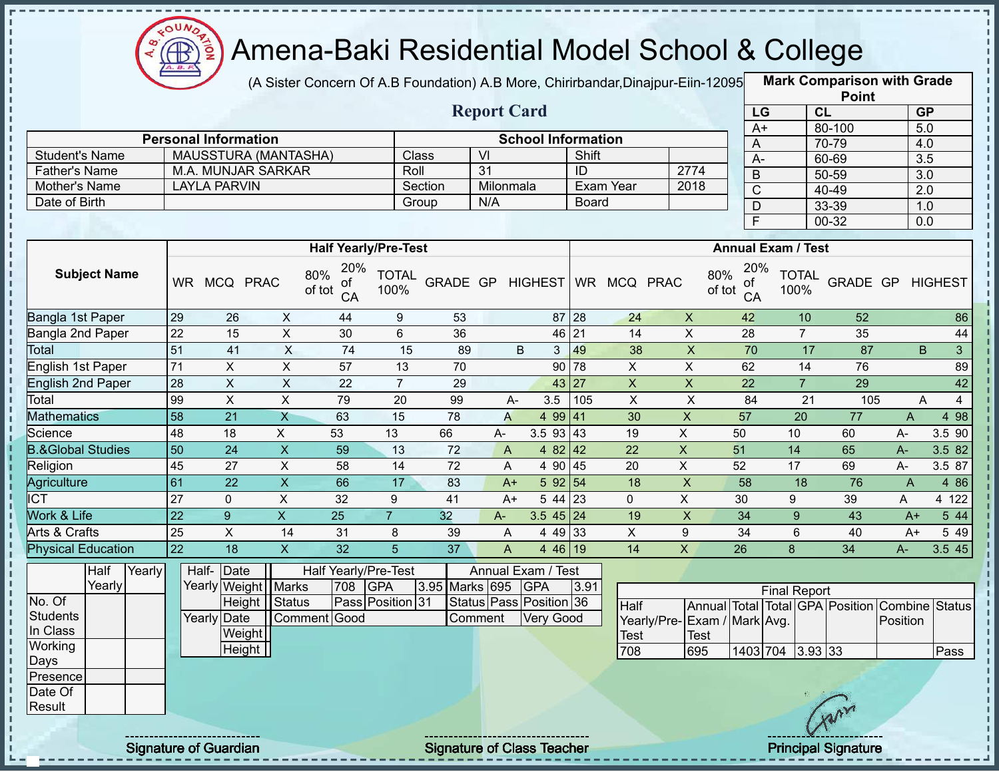

п

J.

Ţ

п

J,

# Amena-Baki Residential Model School & College

(A Sister Concern Of A.B Foundation) A.B More, Chirirbandar,Dinajpur-Eiin-120950

**Mark Comparison with Grade Point**

|                              |                 |                             |                           |                                  |                      |                | <b>Report Card</b>      |                           |       |                              |                              | LG              |                           | CL                                             | GP               |                |
|------------------------------|-----------------|-----------------------------|---------------------------|----------------------------------|----------------------|----------------|-------------------------|---------------------------|-------|------------------------------|------------------------------|-----------------|---------------------------|------------------------------------------------|------------------|----------------|
|                              |                 | <b>Personal Information</b> |                           |                                  |                      |                |                         | <b>School Information</b> |       |                              |                              | $A+$            |                           | 80-100                                         | 5.0              |                |
| <b>Student's Name</b>        |                 | MAUSSTURA (MANTASHA)        |                           |                                  |                      | Class          | $\overline{V}$          |                           | Shift |                              |                              | $\bigwedge$     |                           | 70-79                                          | 4.0              |                |
| Father's Name                |                 | M.A. MUNJAR SARKAR          |                           |                                  | Roll                 |                | $\overline{31}$         |                           | ID    |                              | 2774                         | $A-$            |                           | 60-69                                          | 3.5              |                |
| Mother's Name                |                 | <b>LAYLA PARVIN</b>         |                           |                                  |                      | Section        | Milonmala               |                           |       | Exam Year                    | 2018                         | B               |                           | 50-59                                          | $\overline{3.0}$ |                |
| Date of Birth                |                 |                             |                           |                                  |                      | Group          | N/A                     |                           | Board |                              |                              | $\mathsf C$     |                           | 40-49                                          | 2.0              |                |
|                              |                 |                             |                           |                                  |                      |                |                         |                           |       |                              |                              | D               |                           | 33-39                                          | 1.0              |                |
|                              |                 |                             |                           |                                  |                      |                |                         |                           |       |                              |                              | $\overline{F}$  |                           | 00-32                                          | 0.0              |                |
|                              |                 |                             |                           | <b>Half Yearly/Pre-Test</b>      |                      |                |                         |                           |       |                              |                              |                 | <b>Annual Exam / Test</b> |                                                |                  |                |
| <b>Subject Name</b>          |                 | WR MCQ PRAC                 |                           | 20%<br>80%<br>ot<br>of tot<br>CA | <b>TOTAL</b><br>100% |                |                         |                           |       | GRADE GP HIGHEST WR MCQ PRAC | 80%<br>of tot                | 20%<br>οt<br>CA | <b>TOTAL</b><br>100%      | GRADE GP                                       |                  | <b>HIGHEST</b> |
| Bangla 1st Paper             | 29              | 26                          | $\pmb{\times}$            | 44                               | 9                    | 53             |                         | 87 28                     |       | 24                           | $\boldsymbol{\mathsf{X}}$    | 42              | 10                        | 52                                             |                  | 86             |
| Bangla 2nd Paper             | 22              | 15                          | $\pmb{\times}$            | 30                               | 6                    | 36             |                         | 46 21                     |       | 14                           | $\pmb{\times}$               | 28              | $\overline{7}$            | 35                                             |                  | 44             |
| Total                        | 51              | 41                          | X                         | 74                               | 15                   | 89             | B                       | $\mathbf{3}$              | 49    | 38                           | $\mathsf X$                  | 70              | 17                        | 87                                             | B                | 3 <sup>1</sup> |
| English 1st Paper            | 71              | $\pmb{\times}$              | $\pmb{\times}$            | 57                               | 13                   | 70             |                         | 90 78                     |       | $\overline{X}$               | $\pmb{\times}$               | 62              | 14                        | 76                                             |                  | 89             |
| <b>English 2nd Paper</b>     | 28              | $\boldsymbol{\mathsf{X}}$   | $\boldsymbol{\mathsf{X}}$ | 22                               | $\overline{7}$       | 29             |                         | 43 27                     |       | $\boldsymbol{\mathsf{X}}$    | $\pmb{\times}$               | 22              | $\overline{7}$            | 29                                             |                  | 42             |
| Total                        | 99              | $\pmb{\times}$              | $\pmb{\times}$            | 79                               | 20                   | 99             | A-                      | 3.5                       | 105   | $\mathsf{X}$                 | $\mathsf X$                  | 84              | 21                        | 105                                            | A                | $\overline{4}$ |
| <b>Mathematics</b>           | 58              | $\overline{21}$             | $\overline{X}$            | 63                               | 15                   | 78             | $\mathsf{A}$            | 4 99 41                   |       | 30                           | $\mathsf{X}$                 | 57              | 20                        | $\overline{77}$                                | $\mathsf{A}$     | 4 98           |
| Science                      | $\overline{48}$ | 18                          | $\overline{X}$            | 53                               | 13                   | 66             | $A-$                    | $3.5$ 93 43               |       | 19                           | $\overline{X}$               | 50              | 10                        | 60                                             | A-               | 3.5 90         |
| <b>B.&amp;Global Studies</b> | 50              | 24                          | $\mathsf{X}$              | 59                               | 13                   | 72             | A                       | 4 82 42                   |       | 22                           | $\boldsymbol{\mathsf{X}}$    | 51              | 14                        | 65                                             | $A-$             | 3.5 82         |
| Religion                     | 45              | 27                          | $\sf X$                   | 58                               | 14                   | 72             | A                       | 4 90 45                   |       | 20                           | $\pmb{\times}$               | 52              | 17                        | 69                                             | A-               | $3.5\;87$      |
| <b>Agriculture</b>           | 61              | 22                          | $\mathsf{x}$              | 66                               | 17                   | 83             | $A+$                    | 592 54                    |       | 18                           | $\pmb{\times}$               | 58              | 18                        | 76                                             | $\mathsf{A}$     | 4 8 6          |
| $\overline{\text{ICT}}$      | 27              | $\mathbf{0}$                | X                         | 32                               | 9                    | 41             | $A+$                    | 5 44 23                   |       | 0                            | $\boldsymbol{\mathsf{X}}$    | 30              | 9                         | 39                                             | A                | 4 122          |
| Work & Life                  | 22              | $\overline{9}$              | $\overline{X}$            | 25                               | $\overline{7}$       | 32             | A-                      | $3.545$ 24                |       | 19                           | $\pmb{\times}$               | 34              | 9                         | 43                                             | $A+$             | 544            |
| Arts & Crafts                | $\overline{25}$ | $\mathsf{X}$                | 14                        | 31                               | 8                    | 39             | A                       | 4 49 33                   |       | $\mathsf X$                  | 9                            | 34              | 6                         | 40                                             | $A+$             | 5 4 9          |
| <b>Physical Education</b>    | $\overline{22}$ | 18                          | $\mathsf{X}$              | 32                               | $\overline{5}$       | 37             | A                       | 4 46 19                   |       | 14                           | $\overline{\mathsf{x}}$      | 26              | 8                         | 34                                             | A-               | 3.545          |
| Half<br>Yearly               |                 | Half- Date                  |                           | Half Yearly/Pre-Test             |                      |                | Annual Exam / Test      |                           |       |                              |                              |                 |                           |                                                |                  |                |
| Yearly                       |                 | Yearly Weight               | Marks                     | 708                              | <b>GPA</b>           | 3.95 Marks 695 |                         | <b>GPA</b>                | 3.91  |                              |                              |                 | <b>Final Report</b>       |                                                |                  |                |
| No. Of                       |                 | Height                      | <b>Status</b>             |                                  | Pass Position 31     |                | Status Pass Position 36 |                           |       | Half                         |                              |                 |                           | Annual Total Total GPA Position Combine Status |                  |                |
| <b>Students</b>              |                 | Yearly Date                 |                           | Comment Good                     |                      |                | Comment                 | <b>Very Good</b>          |       |                              | Yearly/Pre- Exam / Mark Avg. |                 |                           |                                                | Position         |                |
| In Class                     |                 | Weight                      |                           |                                  |                      |                |                         |                           |       | <b>Test</b>                  | <b>Test</b>                  |                 |                           |                                                |                  |                |
| Working                      |                 | Height                      |                           |                                  |                      |                |                         |                           |       | 708                          | 695                          | 1403 704        |                           | 3.93 33                                        |                  | Pass           |
| Days                         |                 |                             |                           |                                  |                      |                |                         |                           |       |                              |                              |                 |                           |                                                |                  |                |
| Presence                     |                 |                             |                           |                                  |                      |                |                         |                           |       |                              |                              |                 |                           |                                                |                  |                |
| Date Of                      |                 |                             |                           |                                  |                      |                |                         |                           |       |                              |                              |                 |                           |                                                |                  |                |
| Result                       |                 |                             |                           |                                  |                      |                |                         |                           |       |                              |                              |                 |                           | mon                                            |                  |                |

Signature of Guardian Signature of Class Teacher **Signature 38/444** Principal Signature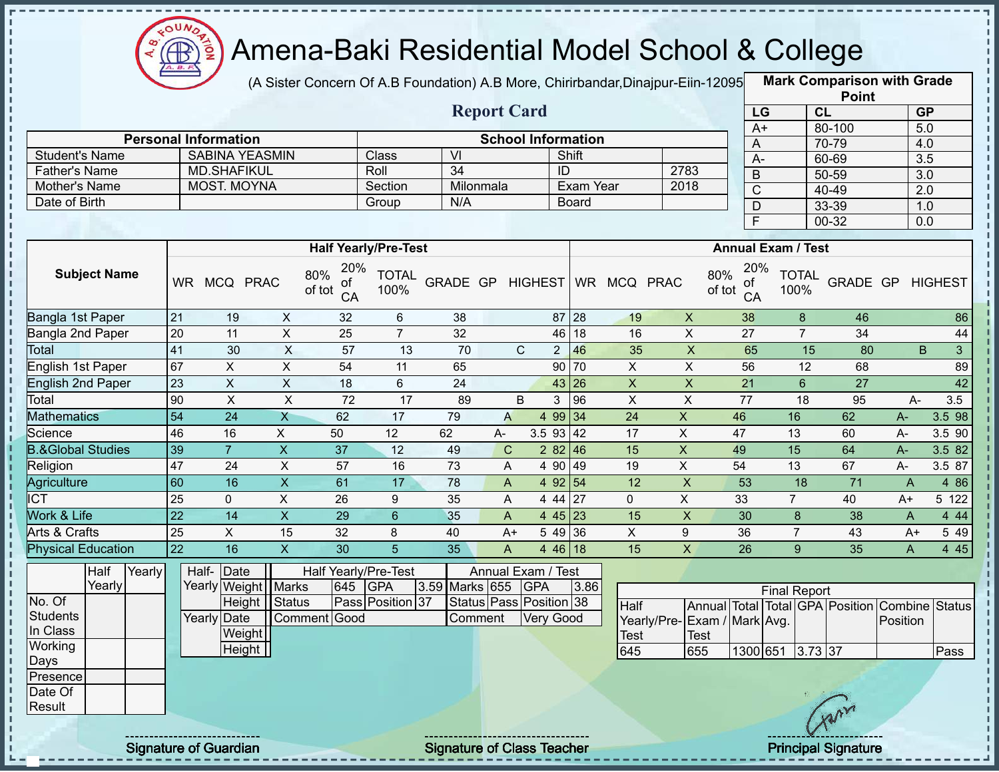

(A Sister Concern Of A.B Foundation) A.B More, Chirirbandar, Dinajpur-Eiin-12095

|                                       |                              |                                             |                           |                      |                             |          |                                   |                                  |                           |                |                           |                 |                           |                | <b>Point</b>                    |                  |                     |
|---------------------------------------|------------------------------|---------------------------------------------|---------------------------|----------------------|-----------------------------|----------|-----------------------------------|----------------------------------|---------------------------|----------------|---------------------------|-----------------|---------------------------|----------------|---------------------------------|------------------|---------------------|
|                                       | <b>Report Card</b>           |                                             |                           |                      |                             |          |                                   |                                  |                           |                |                           | LG              |                           | CL             |                                 |                  | <b>GP</b>           |
|                                       |                              |                                             |                           |                      |                             |          |                                   |                                  |                           |                |                           | $A+$            |                           |                | 80-100                          | $\overline{5.0}$ |                     |
|                                       | <b>Personal Information</b>  |                                             |                           |                      |                             |          |                                   |                                  | <b>School Information</b> |                |                           | A               |                           | 70-79          |                                 | 4.0              |                     |
| <b>Student's Name</b>                 |                              | <b>SABINA YEASMIN</b><br><b>MD.SHAFIKUL</b> |                           |                      | <b>Class</b>                | VI       |                                   |                                  | Shift<br>ID               |                |                           | $\overline{A}$  |                           | 60-69          |                                 | 3.5              |                     |
| <b>Father's Name</b><br>Mother's Name |                              | <b>MOST. MOYNA</b>                          |                           |                      | Roll<br>Section             | 34       | Milonmala                         |                                  | Exam Year                 |                | 2783<br>2018              | $\mathsf B$     |                           | 50-59          |                                 | $\overline{3.0}$ |                     |
| Date of Birth                         |                              |                                             |                           |                      | Group                       | N/A      |                                   |                                  | <b>Board</b>              |                |                           | $\overline{C}$  |                           | 40-49          |                                 | $\overline{2.0}$ |                     |
|                                       |                              |                                             |                           |                      |                             |          |                                   |                                  |                           |                |                           | $\mathsf{D}$    |                           | 33-39          |                                 | 1.0              |                     |
|                                       |                              |                                             |                           |                      |                             |          |                                   |                                  |                           |                |                           | F               |                           | $00 - 32$      |                                 | 0.0              |                     |
|                                       |                              |                                             |                           |                      | <b>Half Yearly/Pre-Test</b> |          |                                   |                                  |                           |                |                           |                 | <b>Annual Exam / Test</b> |                |                                 |                  |                     |
| <b>Subject Name</b>                   |                              | WR MCQ PRAC                                 | 80%<br>of tot             | 20%<br>οf<br>CA      | <b>TOTAL</b><br>100%        | GRADE GP |                                   | <b>HIGHEST</b>                   |                           | WR MCQ PRAC    | 80%<br>of tot             | 20%<br>of<br>CA | <b>TOTAL</b><br>100%      |                | GRADE GP                        |                  | <b>HIGHEST</b>      |
| Bangla 1st Paper                      | 21                           | 19                                          | X                         | 32                   | 6                           | 38       |                                   |                                  | 28<br>87                  | 19             | $\boldsymbol{\mathsf{X}}$ | 38              |                           | 8              | 46                              |                  | 86                  |
| Bangla 2nd Paper                      | 20                           | 11                                          | X                         | 25                   | $\overline{7}$              | 32       |                                   |                                  | 18<br>46                  | 16             | $\mathsf X$               | 27              |                           | $\overline{7}$ | 34                              |                  | 44                  |
| <b>Total</b>                          | 41                           | 30                                          | $\overline{X}$            | $\overline{57}$      | 13                          | 70       |                                   | $\mathsf{C}$<br>$2 \overline{ }$ | 46                        | 35             | $\overline{X}$            | 65              |                           | 15             | 80                              | B                | 3 <sup>1</sup>      |
| English 1st Paper                     | 67                           | X<br>X<br>54<br>90<br>11<br>65              |                           |                      |                             |          |                                   |                                  |                           | X              | X                         | 56              |                           | 12             | 68                              |                  | 89                  |
| <b>English 2nd Paper</b>              | 23                           | $\pmb{\times}$                              | $\boldsymbol{\mathsf{X}}$ | 18                   | 6                           | 24       |                                   |                                  | 26<br>43                  | $\mathsf X$    | $\mathsf X$               | 21              |                           | $6\phantom{a}$ | 27                              |                  | 42                  |
| Total                                 | 90                           | $\pmb{\times}$                              | $\mathsf X$               | 72                   | 17                          | 89       |                                   | B<br>3                           | 96                        | $\pmb{\times}$ | $\sf X$                   | 77              |                           | 18             | 95                              | $A-$             | 3.5                 |
| <b>Mathematics</b>                    | 54                           | 24                                          | $\overline{X}$            | 62                   | 17                          | 79       | $\overline{A}$                    | 4 9 9                            | 34                        | 24             | $\mathsf{X}$              | 46              | 16                        |                | 62                              | A-               | 3.5 98              |
| Science                               | 46                           | 16                                          | X                         | 50                   | 12                          | 62       | А-                                | 3.5 93                           | 42                        | 17             | X                         | 47              | 13                        |                | 60                              | $A -$            | 3.5 90              |
| <b>B.&amp;Global Studies</b>          | 39                           | $\overline{7}$                              | $\pmb{\times}$            | 37                   | 12                          | 49       | $\mathbf C$                       | 2 8 2                            | 46                        | 15             | X                         | 49              | 15                        |                | 64                              | A-               | 3.5 82              |
| Religion                              | 47                           | 24                                          | X                         | 57                   | 16                          | 73       | A                                 | 4 90                             | 49                        | 19             | X                         | 54              | 13                        |                | 67                              | $A -$            | $3.5 \overline{87}$ |
| Agriculture                           | 60                           | 16                                          | $\overline{X}$            | 61                   | 17                          | 78       | $\mathsf{A}$                      | 4 9 2                            | 54                        | 12             | X                         | 53              | 18                        |                | $\overline{71}$                 | $\overline{A}$   | 4 8 6               |
| <b>ICT</b>                            | 25                           | 0                                           | $\sf X$                   | 26                   | 9                           | 35       | A                                 | 4 4 4                            | 27                        | $\mathbf{0}$   | X                         | 33              | $\overline{7}$            |                | 40                              | $A+$             | 5 122               |
| Work & Life                           | $\overline{22}$              | 14                                          | $\mathsf{X}$              | 29                   | $6\phantom{1}$              | 35       | A                                 | 4 4 5                            | 23                        | 15             | $\pmb{\times}$            | 30              | 8                         |                | 38                              | A                | 4 4 4               |
| Arts & Crafts                         | 25                           | X                                           | 15                        | 32                   | 8                           | 40       | $A+$                              | 5 4 9                            | 36                        | $\mathsf X$    | 9                         | 36              | $\overline{7}$            |                | 43                              | $A+$             | 5 4 9               |
| <b>Physical Education</b>             | 22                           | 16                                          | $\overline{X}$            | 30                   | 5                           | 35       | A                                 |                                  | 4 46 18                   | 15             | X                         | 26              | 9                         |                | 35                              | A                | 4 4 5               |
| Yearly<br>Half                        |                              | Half- Date                                  |                           | Half Yearly/Pre-Test |                             |          | Annual Exam / Test                |                                  |                           |                |                           |                 |                           |                |                                 |                  |                     |
| Yearly                                |                              | Yearly Weight Marks                         |                           | 645                  | GPA                         |          | 3.59 Marks 655                    | <b>GPA</b>                       | 3.86                      |                |                           |                 | <b>Final Report</b>       |                |                                 |                  |                     |
| No. Of                                |                              | Height   Status                             |                           |                      | Pass Position 37            |          | Status Pass Position 38           |                                  |                           | Half           |                           |                 |                           |                | Annual Total Total GPA Position | Combine Status   |                     |
| <b>Students</b>                       |                              | Yearly Date                                 | Comment Good              |                      |                             |          | Comment                           | <b>Very Good</b>                 |                           | Yearly/Pre-    | Exam / Mark Avg.          |                 |                           |                |                                 | Position         |                     |
| In Class                              |                              | Weight                                      |                           |                      |                             |          |                                   |                                  |                           | <b>Test</b>    | Test                      |                 |                           |                |                                 |                  |                     |
| Working                               |                              | $\overline{Height}$                         |                           |                      |                             |          |                                   |                                  |                           | 645            | 655                       |                 | 1300 651 3.73 37          |                |                                 |                  | Pass                |
| Days                                  |                              |                                             |                           |                      |                             |          |                                   |                                  |                           |                |                           |                 |                           |                |                                 |                  |                     |
| Presence<br>Date Of                   |                              |                                             |                           |                      |                             |          |                                   |                                  |                           |                |                           |                 |                           |                |                                 |                  |                     |
| Result                                |                              |                                             |                           |                      |                             |          |                                   |                                  |                           |                |                           |                 |                           |                |                                 |                  |                     |
|                                       |                              |                                             |                           |                      |                             |          |                                   |                                  |                           |                |                           |                 |                           |                |                                 |                  |                     |
|                                       | <b>Signature of Guardian</b> |                                             |                           |                      |                             |          | <b>Signature of Class Teacher</b> |                                  |                           |                |                           |                 |                           |                | <b>Principal Signature</b>      |                  |                     |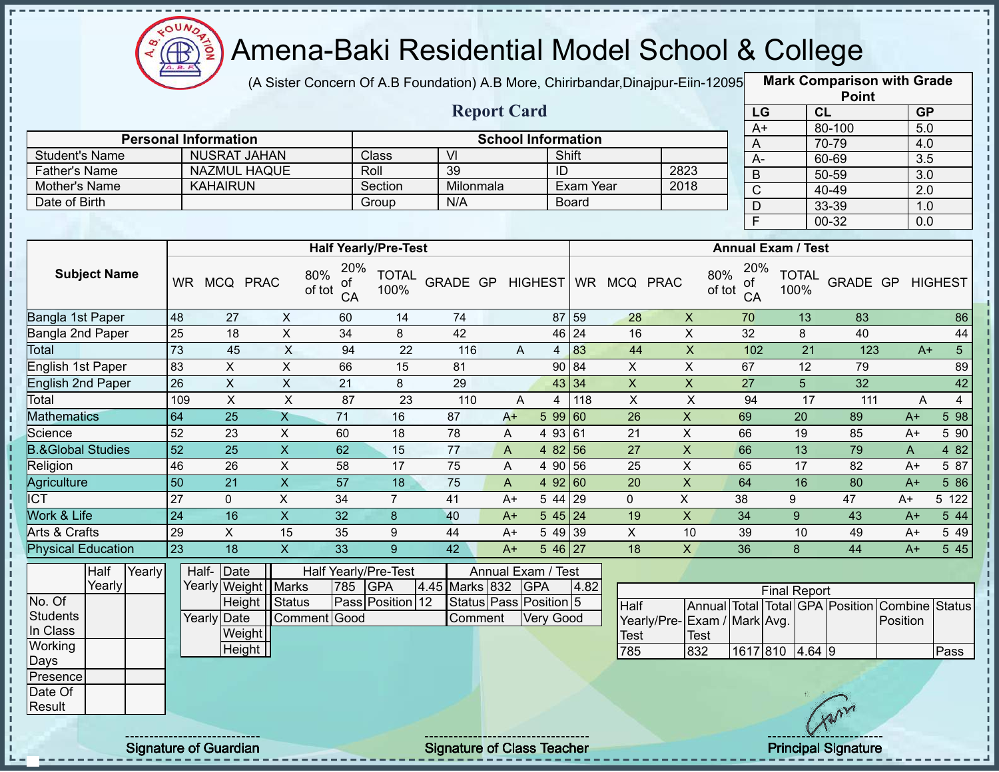

(A Sister Concern Of A.B Foundation) A.B More, Chirirbandar,Dinajpur-Eiin-120950

|                                               |                 |                                           |                           |                      |                             |                                   |                    |                  |                           |                |                           |                                |                           |    | <b>Point</b>                    |                  |                |
|-----------------------------------------------|-----------------|-------------------------------------------|---------------------------|----------------------|-----------------------------|-----------------------------------|--------------------|------------------|---------------------------|----------------|---------------------------|--------------------------------|---------------------------|----|---------------------------------|------------------|----------------|
|                                               |                 |                                           |                           |                      |                             |                                   | <b>Report Card</b> |                  |                           |                |                           | LG                             |                           | CL |                                 | <b>GP</b>        |                |
|                                               |                 | <b>Personal Information</b>               |                           |                      |                             |                                   |                    |                  | <b>School Information</b> |                |                           | $A+$                           |                           |    | 80-100                          | $\overline{5.0}$ |                |
|                                               |                 | <b>NUSRAT JAHAN</b>                       |                           |                      | Class                       | $\overline{\mathsf{M}}$           |                    |                  | Shift                     |                |                           | A                              |                           |    | 70-79                           | 4.0              |                |
| <b>Student's Name</b><br><b>Father's Name</b> |                 | <b>NAZMUL HAQUE</b>                       |                           |                      | Roll                        | 39                                |                    | ID               |                           |                | 2823                      | $A -$                          |                           |    | 60-69                           | 3.5              |                |
| Mother's Name                                 |                 | <b>KAHAIRUN</b>                           |                           |                      | Section                     | Milonmala                         |                    |                  | Exam Year                 |                | 2018                      | $\mathsf B$                    |                           |    | 50-59                           | $\overline{3.0}$ |                |
| Date of Birth                                 |                 |                                           |                           |                      | Group                       | N/A                               |                    |                  | <b>Board</b>              |                |                           | $\overline{C}$                 |                           |    | 40-49                           | $\overline{2.0}$ |                |
|                                               |                 |                                           |                           |                      |                             |                                   |                    |                  |                           |                |                           | $\mathsf{D}$<br>$\overline{F}$ |                           |    | 33-39<br>$00 - 32$              | 1.0              |                |
|                                               |                 |                                           |                           |                      |                             |                                   |                    |                  |                           |                |                           |                                |                           |    |                                 | 0.0              |                |
|                                               |                 |                                           |                           |                      | <b>Half Yearly/Pre-Test</b> |                                   |                    |                  |                           |                |                           |                                | <b>Annual Exam / Test</b> |    |                                 |                  |                |
| <b>Subject Name</b>                           |                 | WR MCQ PRAC                               | 80%<br>of tot             | 20%<br>0f<br>CA      | <b>TOTAL</b><br>100%        | GRADE GP                          |                    | <b>HIGHEST</b>   |                           | WR MCQ PRAC    | 80%<br>of tot             | 20%<br>of<br>CA                | <b>TOTAL</b><br>100%      |    | GRADE GP                        |                  | <b>HIGHEST</b> |
| Bangla 1st Paper                              | 48              | 27                                        | X                         | 60                   | 14                          | 74                                |                    |                  | 87 59                     | 28             | $\mathsf{X}$              | 70                             |                           | 13 | 83                              |                  | 86             |
| Bangla 2nd Paper                              | 25              | 18                                        | $\mathsf{X}$              | 34                   | 8                           | 42                                |                    |                  | 46 24                     | 16             | $\mathsf X$               | 32                             | 8<br>40                   |    |                                 |                  | 44             |
| Total                                         | 73              | 45                                        | X                         | 94                   | 22                          | 116                               | A                  | $\overline{4}$   | 83                        | 44             | $\boldsymbol{\mathsf{X}}$ | 102                            |                           | 21 | 123                             | $A+$             | 5 <sub>5</sub> |
| English 1st Paper                             | 83              | X<br>X<br>66<br>90<br>84<br>X<br>15<br>81 |                           |                      |                             |                                   |                    |                  |                           |                |                           | 67                             |                           | 12 | 79                              |                  | 89             |
| <b>English 2nd Paper</b>                      | 26              | $\sf X$                                   | $\mathsf{X}$              | 21                   | 8                           | 29                                |                    |                  | 43 34                     | $\overline{X}$ | $\mathsf X$               | 27                             | 5                         |    | 32                              |                  | 42             |
| Total                                         | 109             | $\mathsf X$                               | $\sf X$                   | 87                   | 23                          | 110                               | A                  | $\overline{4}$   | 118                       | $\pmb{\times}$ | $\pmb{\times}$            | 94                             |                           | 17 | 111                             | A                | $\overline{4}$ |
| <b>Mathematics</b>                            | 64              | $\overline{25}$                           | $\overline{X}$            | $\overline{71}$      | 16                          | 87                                | $A+$               |                  | 5 99 60                   | 26             | $\boldsymbol{\mathsf{X}}$ | 69                             | 20                        |    | 89                              | $A+$             | 5 98           |
| Science                                       | 52              | 23                                        | X                         | 60                   | 18                          | 78                                | Α                  | 4 9 3            | 61                        | 21             | X                         | 66                             | 19                        |    | 85                              | A+               | 5 90           |
| <b>B.&amp;Global Studies</b>                  | 52              | 25                                        | $\boldsymbol{\mathsf{X}}$ | 62                   | 15                          | 77                                | $\mathsf{A}$       | 4 8 2            | 56                        | 27             | $\boldsymbol{\mathsf{X}}$ | 66                             | 13                        |    | 79                              | A                | 4 8 2          |
| Religion                                      | 46              | 26                                        | X                         | 58                   | 17                          | 75                                | A                  | 4 90             | 56                        | 25             | $\mathsf X$               | 65                             | 17                        |    | 82                              | $A+$             | 5 87           |
| Agriculture                                   | 50              | 21                                        | $\overline{X}$            | $\overline{57}$      | 18                          | 75                                | $\mathsf{A}$       |                  | 4 92 60                   | 20             | $\overline{X}$            | 64                             | 16                        |    | 80                              | $A+$             | 586            |
| <b>ICT</b>                                    | 27              | $\mathbf 0$                               | X                         | 34                   | $\overline{7}$              | 41                                | $A+$               | 5 44             | 29                        | $\mathbf 0$    | X                         | 38                             | 9                         |    | 47                              | $A+$             | 5 122          |
| Work & Life                                   | $\overline{24}$ | 16                                        | $\mathsf{X}$              | 32                   | 8                           | 40                                | $A+$               |                  | $545$ 24                  | 19             | $\mathsf X$               | 34                             | 9                         |    | 43                              | $A+$             | 5 44           |
| Arts & Crafts                                 | 29              | X                                         | 15                        | 35                   | 9                           | 44                                | $A+$               |                  | 5 49 39                   | $\mathsf{X}$   | 10                        | 39                             | 10                        |    | 49                              | $A+$             | 5 4 9          |
| <b>Physical Education</b>                     | 23              | 18                                        | $\overline{X}$            | 33                   | 9                           | 42                                | $A+$               |                  | $546\overline{27}$        | 18             | X                         | 36                             | 8                         |    | 44                              | $A+$             | 5 45           |
| Half<br>Yearly                                |                 | Half- Date                                |                           | Half Yearly/Pre-Test |                             |                                   | Annual Exam / Test |                  |                           |                |                           |                                |                           |    |                                 |                  |                |
| Yearly                                        |                 | Yearly Weight Marks                       |                           | 785                  | <b>GPA</b>                  | 4.45 Marks 832                    |                    | <b>GPA</b>       | 4.82                      |                |                           |                                | <b>Final Report</b>       |    |                                 |                  |                |
| No. Of                                        |                 | Height                                    | Status                    |                      | 12<br>Pass Position         | Status Pass Position 5            |                    |                  |                           | Half           |                           |                                |                           |    | Annual Total Total GPA Position | Combine Status   |                |
| <b>Students</b>                               |                 | Yearly Date                               | Comment Good              |                      |                             | Comment                           |                    | <b>Very Good</b> |                           | Yearly/Pre-    | Exam / Mark Avg.          |                                |                           |    |                                 | Position         |                |
| In Class                                      |                 | Weight                                    |                           |                      |                             |                                   |                    |                  |                           | <b>Test</b>    | Test                      |                                |                           |    |                                 |                  |                |
| Working                                       |                 | Height                                    |                           |                      |                             |                                   |                    |                  |                           | 785            | 832                       |                                | 1617 810 4.64 9           |    |                                 |                  | Pass           |
| Days                                          |                 |                                           |                           |                      |                             |                                   |                    |                  |                           |                |                           |                                |                           |    |                                 |                  |                |
| Presence<br>Date Of                           |                 |                                           |                           |                      |                             |                                   |                    |                  |                           |                |                           |                                |                           |    |                                 |                  |                |
| Result                                        |                 |                                           |                           |                      |                             |                                   |                    |                  |                           |                |                           |                                |                           |    |                                 |                  |                |
|                                               |                 |                                           |                           |                      |                             |                                   |                    |                  |                           |                |                           |                                |                           |    |                                 |                  |                |
|                                               |                 | <b>Signature of Guardian</b>              |                           |                      |                             | <b>Signature of Class Teacher</b> |                    |                  |                           |                |                           |                                |                           |    | <b>Principal Signature</b>      |                  |                |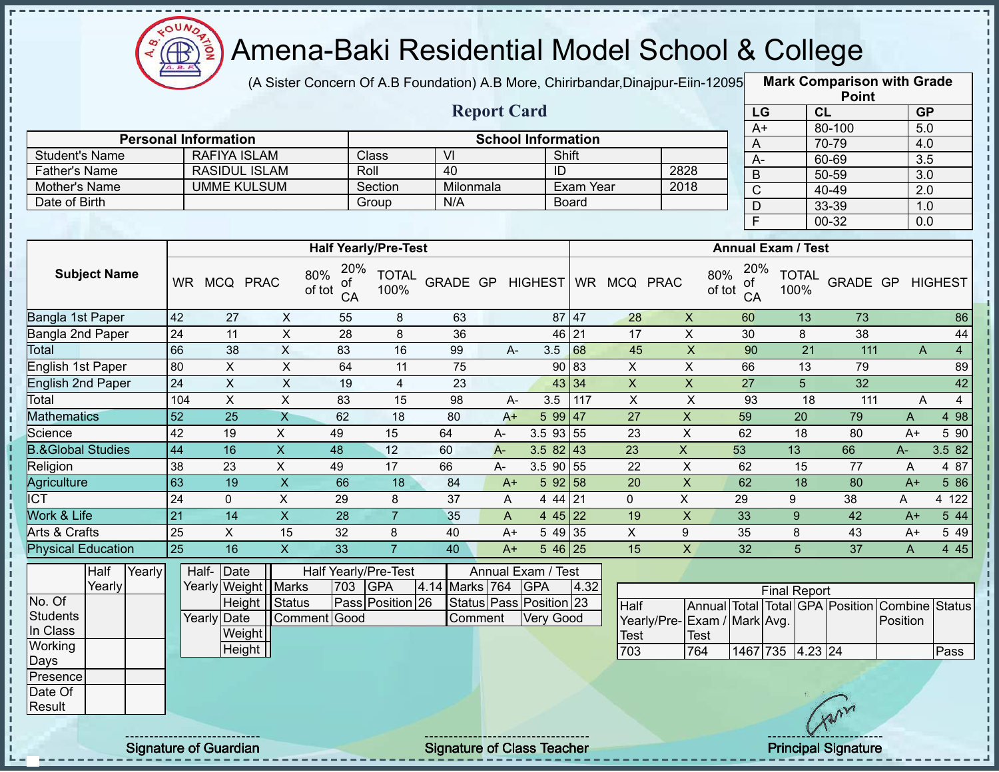

п

п Ţ Ţ Î Ţ

 $\frac{1}{2}$  =  $\frac{1}{2}$  =  $\frac{1}{2}$  =  $\frac{1}{2}$  =  $\frac{1}{2}$  =  $\frac{1}{2}$ 

f, п

 $\frac{1}{1}$ 

,,,,,,,,,,,,,,,,,,,,,,,,,,,,,,,,,,

# Amena-Baki Residential Model School & College

(A Sister Concern Of A.B Foundation) A.B More, Chirirbandar, Dinajpur-Eiin-12095

**Mark Comparison with Grade**

|                              |                 |                             |                           |                           |                             |                  |                           |                  |                  |                 |                             |                           |                     |                      | <b>Point</b>                                   |                           |                |
|------------------------------|-----------------|-----------------------------|---------------------------|---------------------------|-----------------------------|------------------|---------------------------|------------------|------------------|-----------------|-----------------------------|---------------------------|---------------------|----------------------|------------------------------------------------|---------------------------|----------------|
|                              |                 |                             |                           |                           |                             |                  | <b>Report Card</b>        |                  |                  |                 |                             | LG                        |                     | CL                   |                                                | <b>GP</b>                 |                |
|                              |                 | <b>Personal Information</b> |                           |                           |                             |                  | <b>School Information</b> |                  |                  |                 |                             | $A+$                      |                     |                      | 80-100                                         | 5.0                       |                |
| <b>Student's Name</b>        |                 | <b>RAFIYA ISLAM</b>         |                           |                           | Class                       | V <sub>l</sub>   |                           |                  | Shift            |                 |                             | A                         |                     |                      | 70-79                                          | 4.0                       |                |
| <b>Father's Name</b>         |                 | <b>RASIDUL ISLAM</b>        |                           |                           | Roll                        | 40               |                           | ID               |                  |                 | 2828                        | $A -$                     |                     |                      | 60-69                                          | $\overline{3.5}$          |                |
| Mother's Name                |                 | <b>UMME KULSUM</b>          |                           |                           | Section                     | Milonmala        |                           |                  | <b>Exam Year</b> |                 | 2018                        | $\sf B$                   |                     |                      | $50 - 59$                                      | $\overline{3.0}$          |                |
| Date of Birth                |                 |                             |                           |                           | Group                       | N/A              |                           |                  | Board            |                 |                             | $\mathsf C$               |                     |                      | 40-49                                          | $\overline{2.0}$          |                |
|                              |                 |                             |                           |                           |                             |                  |                           |                  |                  |                 |                             | $\mathsf{D}$              |                     |                      | 33-39                                          | 1.0                       |                |
|                              |                 |                             |                           |                           |                             |                  |                           |                  |                  |                 |                             | F                         |                     |                      | $00 - 32$                                      | 0.0                       |                |
|                              |                 |                             |                           |                           | <b>Half Yearly/Pre-Test</b> |                  |                           |                  |                  |                 |                             | <b>Annual Exam / Test</b> |                     |                      |                                                |                           |                |
|                              |                 |                             |                           | 20%                       |                             |                  |                           |                  |                  |                 |                             | 20%                       |                     |                      |                                                |                           |                |
| <b>Subject Name</b>          |                 | WR MCQ PRAC                 |                           | 80%<br>οf<br>of tot<br>CA | <b>TOTAL</b><br>100%        | GRADE GP HIGHEST |                           |                  |                  | WR MCQ PRAC     | 80%<br>of tot               | οf<br>CA                  |                     | <b>TOTAL</b><br>100% | GRADE GP                                       |                           | <b>HIGHEST</b> |
| Bangla 1st Paper             | 42              | 27                          | $\boldsymbol{\mathsf{X}}$ | 55                        | 8                           | 63               |                           |                  | 87 47            | 28              | $\boldsymbol{\mathsf{X}}$   | 60                        |                     | 13                   | 73                                             |                           | 86             |
| Bangla 2nd Paper             | $\overline{24}$ | $\overline{11}$             | $\overline{X}$            | $\overline{28}$           | 8                           | 36               |                           |                  | 46 21            | 17              | $\overline{X}$              | 30                        |                     | 8                    | 38                                             |                           | 44             |
| Total                        | 66              | 38                          | $\overline{X}$            | 83                        | 16                          | 99               | $A -$                     | 3.5              | 68               | 45              | $\mathsf X$                 | 90                        |                     | $\overline{21}$      | 111                                            | $\mathsf{A}$              | $\overline{4}$ |
| <b>English 1st Paper</b>     | 80              | $\pmb{\times}$              | $\overline{X}$            | 64                        | 11                          | 75               |                           |                  | 90 83            | $\mathsf X$     | $\overline{X}$              | 66                        |                     | 13                   | 79                                             |                           | 89             |
| <b>English 2nd Paper</b>     | 24              | $\mathsf{x}$                | $\overline{X}$            | 19                        | $\overline{4}$              | 23               |                           |                  | 43 34            | $\mathsf X$     | $\mathsf X$                 | $\overline{27}$           |                     | 5                    | $\overline{32}$                                |                           | 42             |
| Total                        | 104             | $\pmb{\times}$              | $\pmb{\times}$            | 83                        | 15                          | 98               | A-                        | 3.5              | 117              | $\mathsf X$     | $\pmb{\times}$              | 93                        |                     | 18                   | 111                                            | A                         | 4              |
| <b>Mathematics</b>           | 52              | 25                          | $\mathsf{X}$              | 62                        | 18                          | 80               | $A+$                      | 5 99 47          |                  | 27              | $\mathsf X$                 | 59                        |                     | 20                   | 79                                             | $\boldsymbol{\mathsf{A}}$ | 4 98           |
| Science                      | 42              | 19                          | $\pmb{\times}$            | 49                        | 15                          | 64               | A-                        | $3.5$ 93 55      |                  | 23              | $\mathsf X$                 | 62                        |                     | 18                   | 80                                             | $A+$                      | 5 90           |
| <b>B.&amp;Global Studies</b> | 44              | 16                          | $\mathsf{X}$              | 48                        | 12                          | 60               | $A -$                     | $3.582$ 43       |                  | 23              | $\mathsf{X}$                | 53                        | 13                  |                      | 66                                             | A-                        | 3.5 82         |
| Religion                     | 38              | 23                          | $\mathsf X$               | 49                        | 17                          | 66               | A-                        | 3.5 90 55        |                  | 22              | $\pmb{\times}$              | 62                        |                     | 15                   | 77                                             | A                         | 4 87           |
| Agriculture                  | 63              | 19                          | $\mathsf{X}$              | 66                        | 18                          | 84               | $A+$                      | 5 92 58          |                  | 20              | $\mathsf X$                 | 62                        |                     | 18                   | 80                                             | $A+$                      | 5 86           |
| <b>ICT</b>                   | $\overline{24}$ | $\mathbf{0}$                | $\overline{\mathsf{x}}$   | 29                        | 8                           | 37               | Α                         | 4 44 21          |                  | $\overline{0}$  | $\overline{X}$              | 29                        | 9                   |                      | 38                                             | A                         | 4 122          |
| Work & Life                  | $\overline{21}$ | 14                          | $\overline{\mathsf{x}}$   | $\overline{28}$           | $\overline{7}$              | 35               | A                         | 4 45 22          |                  | 19              | $\mathsf X$                 | 33                        | 9                   |                      | 42                                             | $A+$                      | 5 4 4          |
| Arts & Crafts                | 25              | $\pmb{\times}$              | 15                        | 32                        | $\,8\,$                     | 40               | $A+$                      | 5 49 35          |                  | X               | 9                           | 35                        |                     | 8                    | 43                                             | $A+$                      | 5 4 9          |
| <b>Physical Education</b>    | $\overline{25}$ | 16                          | $\overline{X}$            | $\overline{33}$           | $\overline{7}$              | $\overline{40}$  | $A+$                      | 5 46 25          |                  | $\overline{15}$ | $\overline{X}$              | $\overline{32}$           |                     | 5 <sup>5</sup>       | $\overline{37}$                                | $\overline{A}$            | 445            |
| Half<br>Yearly               |                 | Half- Date                  |                           |                           | Half Yearly/Pre-Test        |                  | Annual Exam / Test        |                  |                  |                 |                             |                           |                     |                      |                                                |                           |                |
| Yearly                       |                 | Yearly Weight               | <b>Marks</b>              | 703                       | <b>GPA</b>                  | 4.14 Marks 764   |                           | GPA              | 4.32             |                 |                             |                           | <b>Final Report</b> |                      |                                                |                           |                |
| No. Of                       |                 | Height                      | Status                    |                           | Pass Position 26            |                  | Status Pass Position 23   |                  |                  | <b>Half</b>     |                             |                           |                     |                      | Annual Total Total GPA Position Combine Status |                           |                |
| <b>Students</b>              |                 | <b>Yearly Date</b>          |                           | Comment Good              |                             |                  | Comment                   | <b>Very Good</b> |                  |                 | Yearly/Pre-Exam / Mark Avg. |                           |                     |                      |                                                | Position                  |                |
| In Class                     |                 | Weight                      |                           |                           |                             |                  |                           |                  |                  | Test            | <b>Test</b>                 |                           |                     |                      |                                                |                           |                |
| Working                      |                 | Height                      |                           |                           |                             |                  |                           |                  |                  | 703             | 764                         |                           | 1467 735 4.23 24    |                      |                                                |                           | Pass           |
| Days<br>Presence             |                 |                             |                           |                           |                             |                  |                           |                  |                  |                 |                             |                           |                     |                      |                                                |                           |                |
| Date Of                      |                 |                             |                           |                           |                             |                  |                           |                  |                  |                 |                             |                           |                     |                      |                                                |                           |                |
| Result                       |                 |                             |                           |                           |                             |                  |                           |                  |                  |                 |                             |                           |                     |                      |                                                |                           |                |
|                              |                 |                             |                           |                           |                             |                  |                           |                  |                  |                 |                             |                           |                     |                      | Tom                                            |                           |                |
|                              |                 |                             |                           |                           |                             |                  |                           |                  |                  |                 |                             |                           |                     |                      |                                                |                           |                |

Signature of Guardian Signature of Class Teacher **Signature of Class Teacher Principal Signature** 41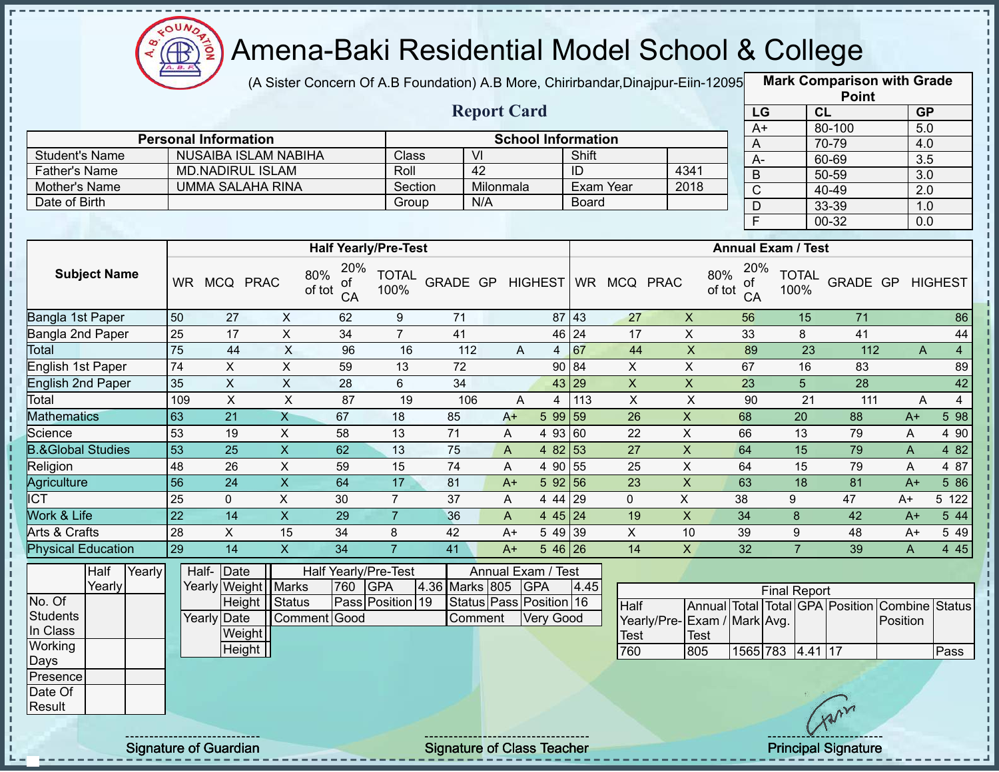

(A Sister Concern Of A.B Foundation) A.B More, Chirirbandar, Dinajpur-Eiin-12095

**Mark Comparison with Grade**

|                                        |                    |                                       |                |                                  |                                |                  |                                               |                           |              |                            |                           |                                  | <b>Point</b>                                           |                 |                  |                  |
|----------------------------------------|--------------------|---------------------------------------|----------------|----------------------------------|--------------------------------|------------------|-----------------------------------------------|---------------------------|--------------|----------------------------|---------------------------|----------------------------------|--------------------------------------------------------|-----------------|------------------|------------------|
|                                        | <b>Report Card</b> |                                       |                |                                  |                                |                  |                                               |                           |              |                            |                           | LG                               |                                                        | CL              | <b>GP</b>        |                  |
|                                        |                    |                                       |                |                                  |                                |                  |                                               |                           |              |                            |                           | $A+$                             |                                                        | 80-100          | 5.0              |                  |
|                                        |                    | <b>Personal Information</b>           |                |                                  |                                |                  |                                               | <b>School Information</b> |              |                            |                           | A                                |                                                        | 70-79           | 4.0              |                  |
| <b>Student's Name</b>                  |                    | <b>NUSAIBA ISLAM NABIHA</b>           |                |                                  | Class                          | V <sub>l</sub>   |                                               |                           | Shift        |                            | 4341                      | $A-$                             |                                                        | 60-69           | $\overline{3.5}$ |                  |
| <b>Father's Name</b>                   |                    | <b>MD.NADIRUL ISLAM</b>               |                |                                  | Roll                           |                  | 42                                            |                           | ID           |                            |                           | $\mathsf B$                      |                                                        | $50 - 59$       |                  | $\overline{3.0}$ |
| Mother's Name<br>Date of Birth         |                    | <b>UMMA SALAHA RINA</b>               |                |                                  | Section                        |                  | Milonmala<br>N/A                              |                           |              | Exam Year                  | 2018                      | $\mathsf{C}$                     |                                                        | 40-49           | $\overline{2.0}$ |                  |
|                                        |                    |                                       |                |                                  | Group                          |                  |                                               |                           | <b>Board</b> |                            |                           | D                                |                                                        | 33-39           | 1.0              |                  |
|                                        |                    |                                       |                |                                  |                                |                  |                                               |                           |              |                            |                           | F                                |                                                        | $00 - 32$       | 0.0              |                  |
|                                        |                    |                                       |                | <b>Half Yearly/Pre-Test</b>      |                                |                  |                                               |                           |              |                            |                           |                                  | <b>Annual Exam / Test</b>                              |                 |                  |                  |
| <b>Subject Name</b>                    |                    | WR MCQ PRAC                           |                | 20%<br>80%<br>οf<br>of tot<br>CA | <b>TOTAL</b><br>100%           | GRADE GP HIGHEST |                                               |                           |              | WR MCQ PRAC                |                           | 20%<br>80%<br>of<br>of tot<br>CA | <b>TOTAL</b><br>100%                                   | GRADE GP        |                  | <b>HIGHEST</b>   |
| Bangla 1st Paper                       | 50                 | 27                                    | $\pmb{\times}$ | 62                               | $\boldsymbol{9}$               | 71               |                                               |                           | 87 43        | 27                         | $\mathsf X$               | 56                               | 15                                                     | 71              |                  | 86               |
| Bangla 2nd Paper                       | 25                 | 17                                    | $\overline{X}$ | $\overline{34}$                  | $\overline{7}$                 | 41               |                                               |                           | 46 24        | 17                         | $\overline{\mathsf{x}}$   | 33                               | 8                                                      | 41              |                  | 44               |
| Total                                  | 75                 | 44                                    | $\overline{X}$ | 96                               | 16                             | 112              | A                                             | 4                         | 67           | 44                         | $\overline{X}$            | 89                               | $\overline{23}$                                        | 112             | $\mathsf{A}$     | $\overline{4}$   |
| English 1st Paper                      | 74                 | $\mathsf{X}$                          | $\mathsf X$    | 59                               | 13                             | 72               |                                               |                           | 90 84        | $\pmb{\times}$             | $\overline{X}$            | 67                               | 16                                                     | 83              |                  | 89               |
| <b>English 2nd Paper</b>               | 35                 | $\overline{X}$                        | $\overline{X}$ | $\overline{28}$                  | 6                              | 34               |                                               |                           | 43 29        | $\overline{X}$             | $\overline{X}$            | $\overline{23}$                  | $\overline{5}$                                         | $\overline{28}$ |                  | 42               |
| Total                                  | 109                | $\pmb{\times}$                        | X              | 87                               | 19                             | 106              | A                                             | 4                         | 113          | $\pmb{\times}$             | $\boldsymbol{\mathsf{X}}$ | 90                               | 21                                                     | 111             | $\overline{A}$   | $\overline{4}$   |
| <b>Mathematics</b>                     | 63                 | 21                                    | $\mathsf{X}$   | 67                               | 18                             | 85               | $A+$                                          | 5 99 59                   |              | 26                         | $\pmb{\mathsf{X}}$        | 68                               | 20                                                     | 88              | $A+$             | 598              |
| Science                                | 53                 | 19                                    | $\pmb{\times}$ | 58                               | 13                             | $\overline{71}$  | A                                             | 4 93 60                   |              | 22                         | $\sf X$                   | 66                               | 13                                                     | 79              | A                | 4 90             |
| <b>B.&amp;Global Studies</b>           | 53                 | 25                                    | $\overline{X}$ | 62                               | 13                             | 75               | A                                             | 4 82 53                   |              | 27                         | $\pmb{\mathsf{X}}$        | 64                               | 15                                                     | 79              | $\mathsf{A}$     | 4 8 2            |
| Religion                               | 48                 | 26                                    | $\pmb{\times}$ | 59                               | 15                             | 74               | Α                                             | 4 90 55                   |              | 25                         | $\sf X$                   | 64                               | 15                                                     | 79              | A                | 4 87             |
| Agriculture                            | $\overline{56}$    | 24                                    | $\mathsf X$    | 64                               | 17                             | 81               | $A+$                                          | 592 56                    |              | 23                         | $\pmb{\mathsf{X}}$        | 63                               | 18                                                     | 81              | $A+$             | 5 86             |
| <b>ICT</b>                             | 25                 | $\mathbf{0}$                          | X              | 30                               | $\overline{7}$                 | 37               | A                                             | 4 44 29                   |              | 0                          | $\mathsf{X}$              | 38                               | 9                                                      | 47              | A+               | 5 122            |
| Work & Life                            | $\overline{22}$    | $\overline{14}$                       | $\overline{X}$ | 29                               | $\overline{7}$                 | 36               | A                                             | 4 4 5 2 4                 |              | 19                         | $\pmb{\times}$            | 34                               | 8                                                      | 42              | $A+$             | 544              |
| Arts & Crafts                          | 28                 | $\pmb{\times}$                        | 15             | 34                               | 8                              | 42               | $A+$                                          | 5 49 39                   |              | $\boldsymbol{\mathsf{X}}$  | 10                        | 39                               | $\boldsymbol{9}$                                       | 48              | A+               | 5 4 9            |
| <b>Physical Education</b>              | 29                 | 14                                    | $\mathsf{X}$   | 34                               | $\overline{7}$                 | 41               | $A+$                                          | $546$ 26                  |              | 14                         | $\mathsf{x}$              | 32                               | $\overline{7}$                                         | 39              | A                | 4 4 5            |
| Half<br>Yearly<br>Yearly<br>No. Of     | Half-              | Date<br>Yearly Weight Marks<br>Height | <b>Status</b>  | Half Yearly/Pre-Test<br>760      | <b>GPA</b><br>Pass Position 19 | 4.36 Marks 805   | Annual Exam / Test<br>Status Pass Position 16 | <b>GPA</b>                | 4.45         | <b>Half</b>                |                           |                                  | <b>Final Report</b><br>Annual Total Total GPA Position |                 | Combine          | Status           |
| <b>Students</b><br>In Class<br>Working |                    | Yearly Date<br>Weight                 |                | Comment Good                     |                                | Comment          |                                               | Very Good                 |              | Yearly/Pre-<br><b>Test</b> | Test                      | Exam / Mark Avg.                 |                                                        |                 | Position         |                  |
| Days                                   |                    | Height                                |                |                                  |                                |                  |                                               |                           |              | 760                        | 805                       |                                  | 1565 783 4.41 17                                       |                 |                  | Pass             |
| Presence<br>Date Of<br>Result          |                    |                                       |                |                                  |                                |                  |                                               |                           |              |                            |                           |                                  |                                                        | Avr             |                  |                  |

Ţ

Signature of Guardian Signature of Class Teacher Principal Signature 42-444 Average Principal Signature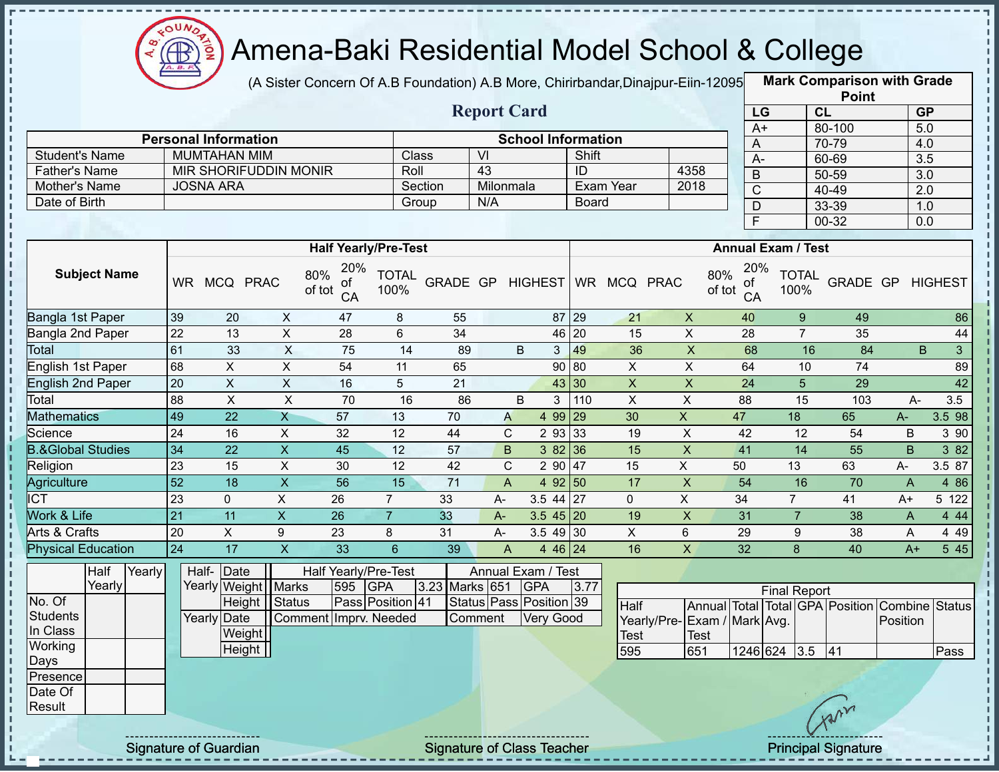

(A Sister Concern Of A.B Foundation) A.B More, Chirirbandar,Dinajpur-Eiin-12095 **Mark Comparison with Grade** 

|                       |                             |                             | <b>Report Card</b> |                           |                 |
|-----------------------|-----------------------------|-----------------------------|--------------------|---------------------------|-----------------|
|                       | <b>Personal Information</b> |                             |                    | <b>School Information</b> |                 |
| <b>Student's Name</b> | MUMTAHAN MIM                | Class                       | VI                 | Shift                     |                 |
| <b>Father's Name</b>  | MIR SHORIFUDDIN MONIR       | Roll                        | 43                 | ID                        | 4358            |
| Mother's Name         | <b>JOSNA ARA</b>            | Section                     | Milonmala          | Exam Year                 | 2018            |
| Date of Birth         |                             | Group                       | N/A                | Board                     |                 |
|                       |                             |                             |                    |                           |                 |
|                       |                             |                             |                    |                           |                 |
|                       |                             | <b>Half Yearly/Pre-Test</b> |                    |                           | <b>Annual E</b> |

| <b>Point</b>    |           |                  |  |  |  |  |  |  |  |  |  |
|-----------------|-----------|------------------|--|--|--|--|--|--|--|--|--|
| LG              | <b>CL</b> | <b>GP</b>        |  |  |  |  |  |  |  |  |  |
| $\overline{A+}$ | 80-100    | 5.0              |  |  |  |  |  |  |  |  |  |
| А               | 70-79     | 4.0              |  |  |  |  |  |  |  |  |  |
| А-              | 60-69     | $\overline{3.5}$ |  |  |  |  |  |  |  |  |  |
| B               | 50-59     | 3.0              |  |  |  |  |  |  |  |  |  |
| C               | 40-49     | 2.0              |  |  |  |  |  |  |  |  |  |
| D               | 33-39     | 1.0              |  |  |  |  |  |  |  |  |  |
| F               | 00-32     | 0.0              |  |  |  |  |  |  |  |  |  |

|                              |           |                 |             | <b>Half Yearly/Pre-Test</b>      |                      |                 |    |                |             |           |             |             | <b>Annual Exam / Test</b>        |                      |          |              |                |
|------------------------------|-----------|-----------------|-------------|----------------------------------|----------------------|-----------------|----|----------------|-------------|-----------|-------------|-------------|----------------------------------|----------------------|----------|--------------|----------------|
| <b>Subject Name</b>          | <b>WR</b> | <b>MCQ</b>      | <b>PRAC</b> | 20%<br>80%<br>of<br>of tot<br>CA | <b>TOTAL</b><br>100% | <b>GRADE GP</b> |    | <b>HIGHEST</b> |             | <b>WR</b> | <b>MCQ</b>  | <b>PRAC</b> | 20%<br>80%<br>of<br>of tot<br>CA | <b>TOTAL</b><br>100% | GRADE GP |              | <b>HIGHEST</b> |
| Bangla 1st Paper             | 39        | 20              | X           | 47                               | 8                    | 55              |    |                | 87 29       |           | 21          | X           | 40                               | 9                    | 49       |              | 86             |
| Bangla 2nd Paper             | 22        | 13              | X           | 28                               | 6                    | 34              |    |                | 46 20       |           | 15          | X           | 28                               |                      | 35       |              | 44             |
| Total                        | 61        | 33              | X           | 75                               | 14                   | 89              |    | B              | 3           | 49        | 36          | X           | 68                               | 16                   | 84       |              | B<br>3         |
| English 1st Paper            | 68        | X.              | X           | 54                               | 11                   | 65              |    |                | 90 80       |           | X.          | X           | 64                               | 10                   | 74       |              | 89             |
| English 2nd Paper            | 20        | X               | X           | 16                               | 5                    | 21              |    |                | 43 30       |           | X           | X           | 24                               | 5                    | 29       |              | 42             |
| Total                        | 88        | X.              | X           | 70                               | 16                   | 86              |    | B              | 3           | 110       | X           | X           | 88                               | 15                   | 103      | A-           | 3.5            |
| <b>Mathematics</b>           | 49        | 22              | X           | 57                               | 13                   | 70              | A  |                | 4 9 9       | 29        | 30          | X.          | 47                               | 18                   | 65       | A-           | 3.5 98         |
| Science                      | 24        | 16              | X           | 32                               | 12                   | 44              | C  |                | 2 93 33     |           | 19          | X           | 42                               | 12                   | 54       | B            | 3 90           |
| <b>B.&amp;Global Studies</b> | 34        | 22 <sup>°</sup> | X           | 45                               | 12                   | 57              |    | B.             | 382 36      |           | 15          | X           | 41                               | 14                   | 55       | B            | 3 82           |
| Religion                     | 23        | 15              | X           | 30                               | 12                   | 42              | C  |                | 2 90        | 47        | 15          | X.          | 50                               | 13                   | 63       | A-           | 3.5 87         |
| Agriculture                  | 52        | 18              | X           | 56                               | 15                   | 71              | A  |                | 4 $92 50$   |           | 17          | X           | 54                               | 16                   | 70       | A            | 4 8 6          |
| $\overline{ICT}$             | 23        | $\mathbf{0}$    | X           | 26                               | 7                    | 33              | A- |                | $3.5$ 44 27 |           | $\mathbf 0$ | X           | 34                               | 7                    | 41       | $A+$         | 5 122          |
| <b>Nork &amp; Life</b>       | 21        | 11              | X           | 26                               | $\overline{7}$       | 33              | A- |                | $3.545$ 20  |           | 19          | X           | 31                               |                      | 38       | $\mathsf{A}$ | 4 4 4          |
| Arts & Crafts                | 20        | X               | 9           | 23                               | 8                    | 31              | А- |                | 3.54930     |           | X           | 6           | 29                               | 9                    | 38       | A            | 4 4 9          |
| <b>Physical Education</b>    | 24        | 17              | X           | 33                               | 6                    | 39              | A  |                | 4 46 24     |           | 16          | Χ           | 32                               | 8                    | 40       | $A+$         | 5 4 5          |

|                  | Half   | Yearly | Half-Date   |                       |                       |     | Half Yearly/Pre-Test | Annual Exam / Test |  |                         |      |  |                |      |
|------------------|--------|--------|-------------|-----------------------|-----------------------|-----|----------------------|--------------------|--|-------------------------|------|--|----------------|------|
|                  | Yearly |        |             | Yearly Weight   Marks |                       | 595 | <b>IGPA</b>          | 3.23 Marks 651     |  | <b>IGPA</b>             | 3.77 |  |                |      |
| No. Of           |        |        |             | Height Status         |                       |     | Pass Position 41     |                    |  | Status Pass Position 39 |      |  | <b>Half</b>    | l Ar |
| Students         |        |        | Yearly Date |                       | Comment Imprv. Needed |     |                      | Comment            |  | <b>Very Good</b>        |      |  | Yearly/Pre-IEx |      |
| In Class         |        |        |             | Weight                |                       |     |                      |                    |  |                         |      |  | Test           | ITe  |
| Working          |        |        |             | Height                |                       |     |                      |                    |  |                         |      |  | 595            | 65   |
| Days             |        |        |             |                       |                       |     |                      |                    |  |                         |      |  |                |      |
| <b>IPresence</b> |        |        |             |                       |                       |     |                      |                    |  |                         |      |  |                |      |
| Date Of          |        |        |             |                       |                       |     |                      |                    |  |                         |      |  |                |      |
| Result           |        |        |             |                       |                       |     |                      |                    |  |                         |      |  |                |      |

| <b>Final Report</b>          |      |              |  |  |     |                                                |      |  |  |  |  |  |  |  |
|------------------------------|------|--------------|--|--|-----|------------------------------------------------|------|--|--|--|--|--|--|--|
| <b>Half</b>                  |      |              |  |  |     | Annual Total Total GPA Position Combine Status |      |  |  |  |  |  |  |  |
| Yearly/Pre- Exam / Mark Avg. |      |              |  |  |     | Position                                       |      |  |  |  |  |  |  |  |
| Test                         | Test |              |  |  |     |                                                |      |  |  |  |  |  |  |  |
| 595                          | 651  | 1246 624 3.5 |  |  | 141 |                                                | Pass |  |  |  |  |  |  |  |

Signature of Guardian Signature of Class Teacher **Signature of Class Teacher Principal Signature** 43